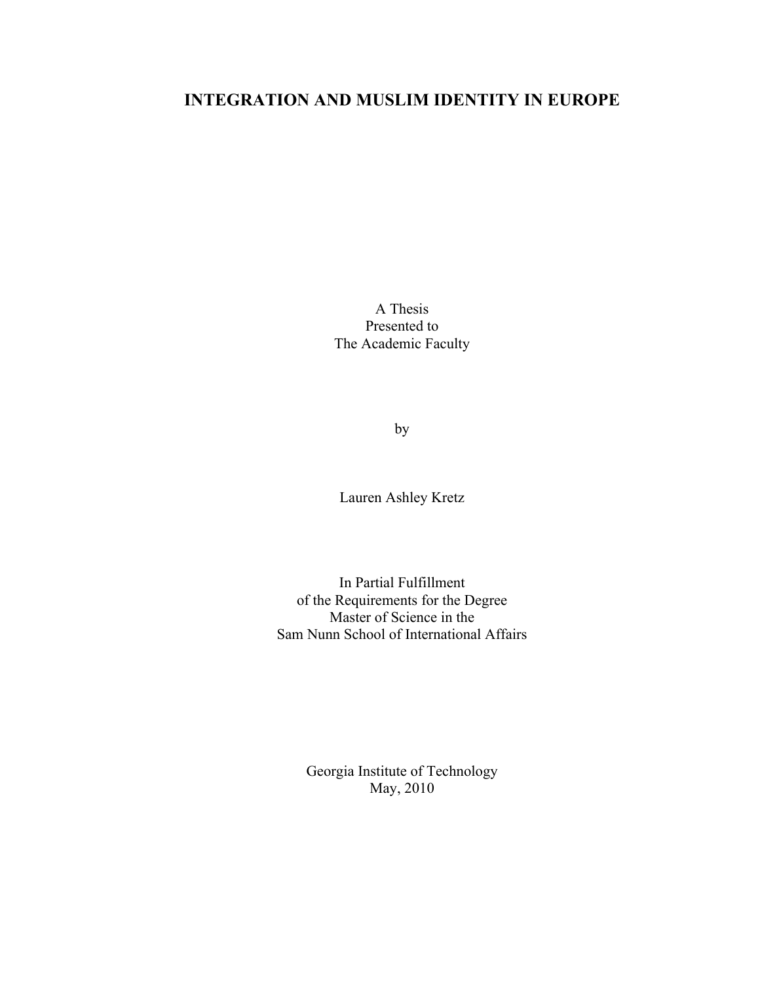# **INTEGRATION AND MUSLIM IDENTITY IN EUROPE**

A Thesis Presented to The Academic Faculty

by

Lauren Ashley Kretz

In Partial Fulfillment of the Requirements for the Degree Master of Science in the Sam Nunn School of International Affairs

> Georgia Institute of Technology May, 2010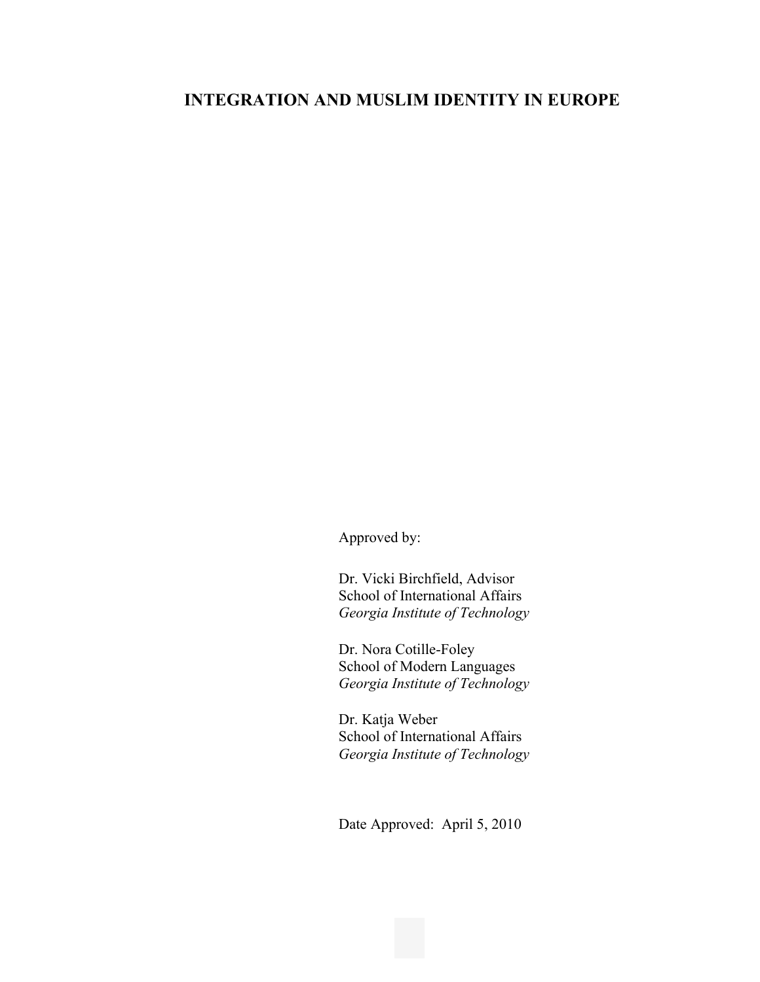# **INTEGRATION AND MUSLIM IDENTITY IN EUROPE**

Approved by:

Dr. Vicki Birchfield, Advisor School of International Affairs *Georgia Institute of Technology*

Dr. Nora Cotille-Foley School of Modern Languages *Georgia Institute of Technology*

Dr. Katja Weber School of International Affairs *Georgia Institute of Technology*

Date Approved: April 5, 2010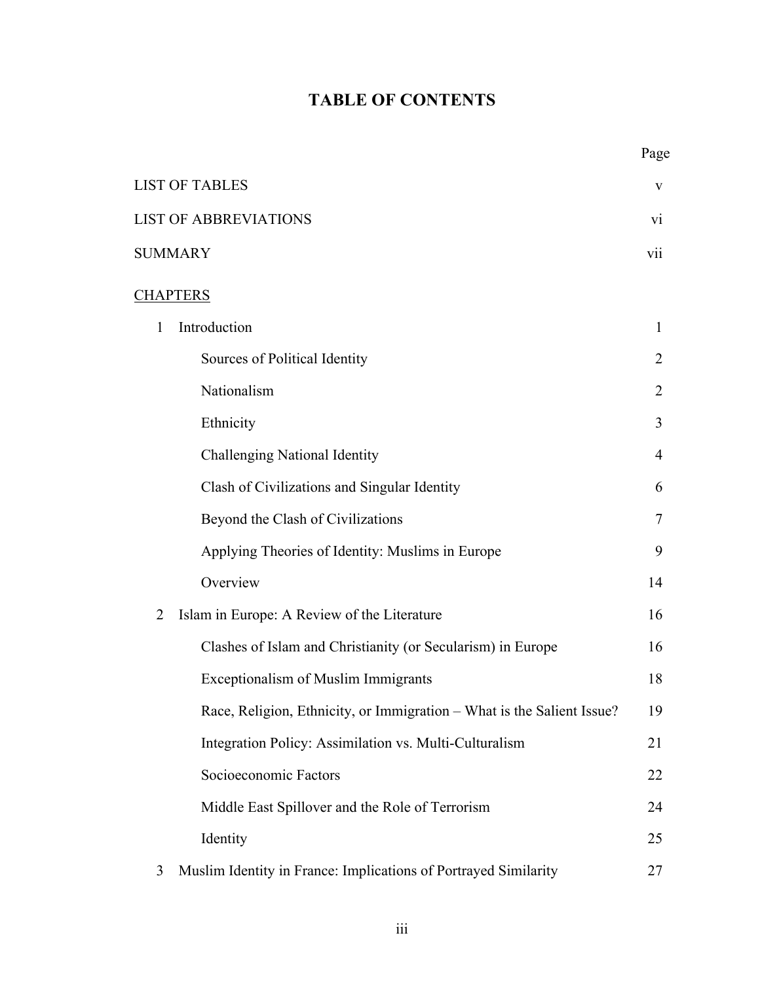# **TABLE OF CONTENTS**

|                                                                        | Page            |
|------------------------------------------------------------------------|-----------------|
| <b>LIST OF TABLES</b>                                                  | V               |
| <b>LIST OF ABBREVIATIONS</b>                                           | $\overline{vi}$ |
| <b>SUMMARY</b>                                                         | vii             |
| <b>CHAPTERS</b>                                                        |                 |
| Introduction<br>$\mathbf{1}$                                           | $\mathbf{1}$    |
| Sources of Political Identity                                          | $\overline{2}$  |
| Nationalism                                                            | 2               |
| Ethnicity                                                              | 3               |
| <b>Challenging National Identity</b>                                   | $\overline{4}$  |
| Clash of Civilizations and Singular Identity                           | 6               |
| Beyond the Clash of Civilizations                                      | 7               |
| Applying Theories of Identity: Muslims in Europe                       | 9               |
| Overview                                                               | 14              |
| Islam in Europe: A Review of the Literature<br>$\overline{2}$          | 16              |
| Clashes of Islam and Christianity (or Secularism) in Europe            | 16              |
| <b>Exceptionalism of Muslim Immigrants</b>                             | 18              |
| Race, Religion, Ethnicity, or Immigration - What is the Salient Issue? | 19              |
| Integration Policy: Assimilation vs. Multi-Culturalism                 | 21              |
| Socioeconomic Factors                                                  | 22              |
| Middle East Spillover and the Role of Terrorism                        | 24              |
| Identity                                                               | 25              |
| Muslim Identity in France: Implications of Portrayed Similarity<br>3   | 27              |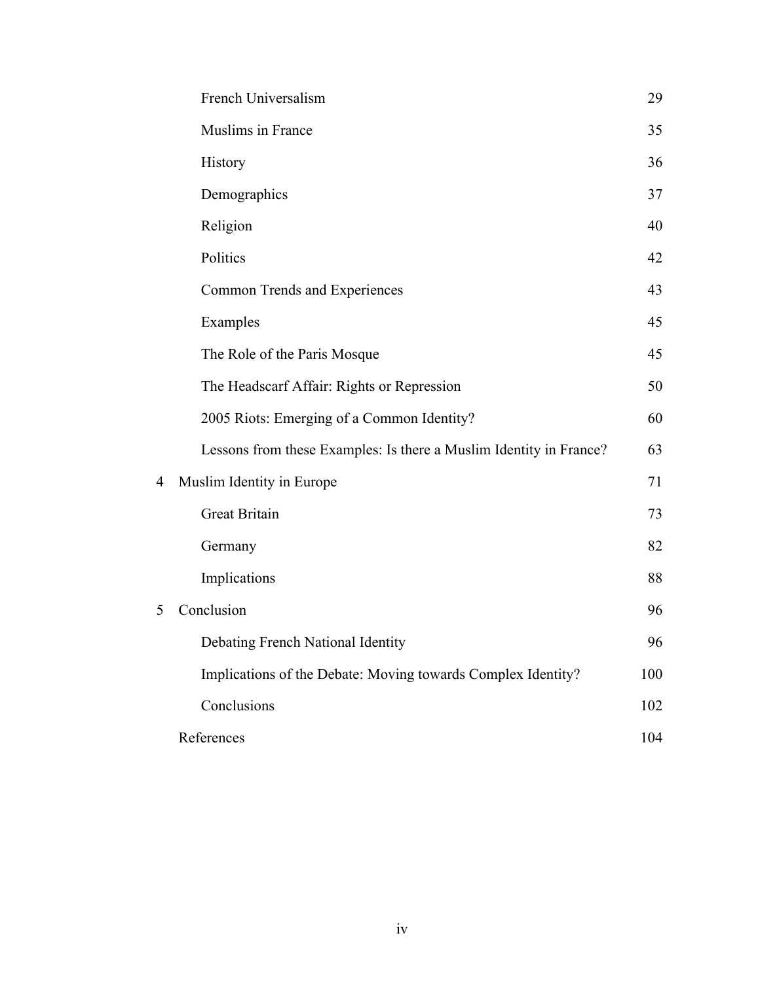|   | French Universalism                                                | 29  |
|---|--------------------------------------------------------------------|-----|
|   | Muslims in France                                                  | 35  |
|   | History                                                            | 36  |
|   | Demographics                                                       | 37  |
|   | Religion                                                           | 40  |
|   | Politics                                                           | 42  |
|   | Common Trends and Experiences                                      | 43  |
|   | Examples                                                           | 45  |
|   | The Role of the Paris Mosque                                       | 45  |
|   | The Headscarf Affair: Rights or Repression                         | 50  |
|   | 2005 Riots: Emerging of a Common Identity?                         | 60  |
|   | Lessons from these Examples: Is there a Muslim Identity in France? | 63  |
| 4 | Muslim Identity in Europe                                          | 71  |
|   | <b>Great Britain</b>                                               | 73  |
|   | Germany                                                            | 82  |
|   | Implications                                                       | 88  |
| 5 | Conclusion                                                         | 96  |
|   | Debating French National Identity                                  | 96  |
|   | Implications of the Debate: Moving towards Complex Identity?       | 100 |
|   | Conclusions                                                        | 102 |
|   | References                                                         | 104 |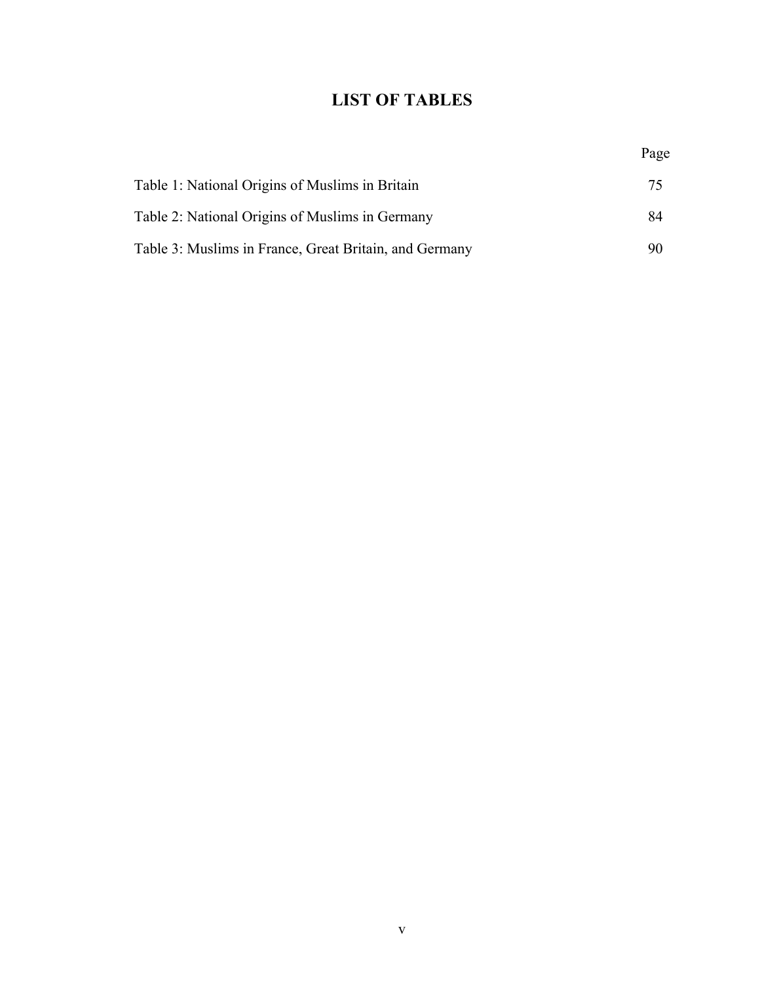# **LIST OF TABLES**

|                                                        | Page |
|--------------------------------------------------------|------|
| Table 1: National Origins of Muslims in Britain        | 75   |
| Table 2: National Origins of Muslims in Germany        | 84   |
| Table 3: Muslims in France, Great Britain, and Germany | 90   |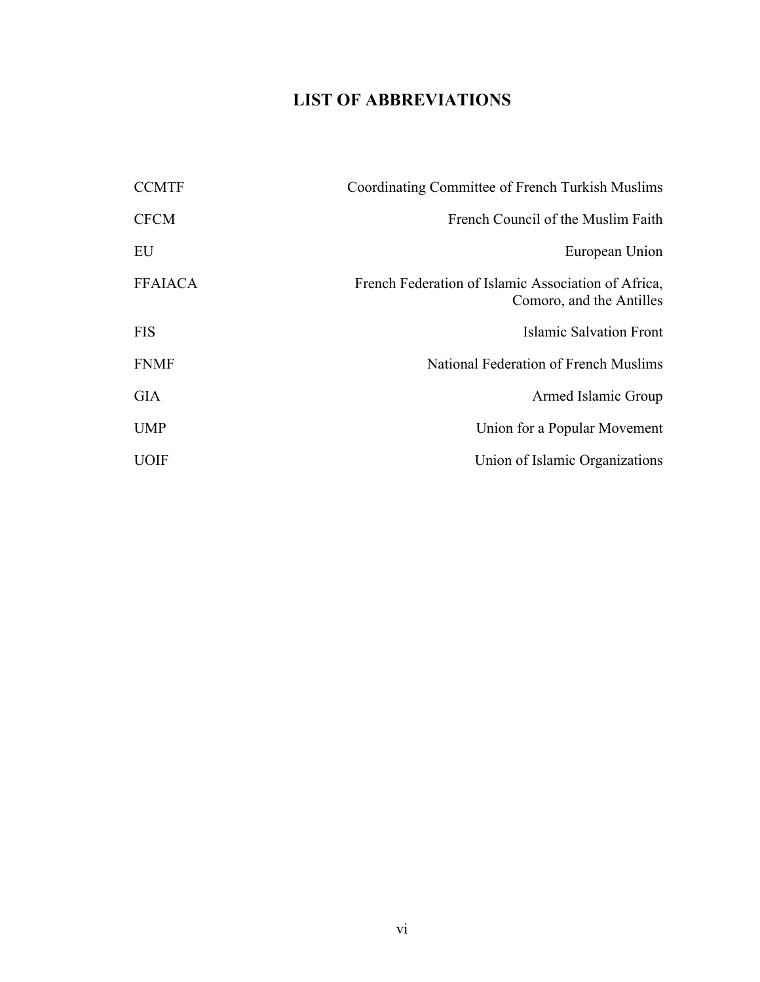# **LIST OF ABBREVIATIONS**

| Coordinating Committee of French Turkish Muslims                                |
|---------------------------------------------------------------------------------|
| French Council of the Muslim Faith                                              |
| European Union                                                                  |
| French Federation of Islamic Association of Africa,<br>Comoro, and the Antilles |
| Islamic Salvation Front                                                         |
| National Federation of French Muslims                                           |
| Armed Islamic Group                                                             |
| Union for a Popular Movement                                                    |
| Union of Islamic Organizations                                                  |
|                                                                                 |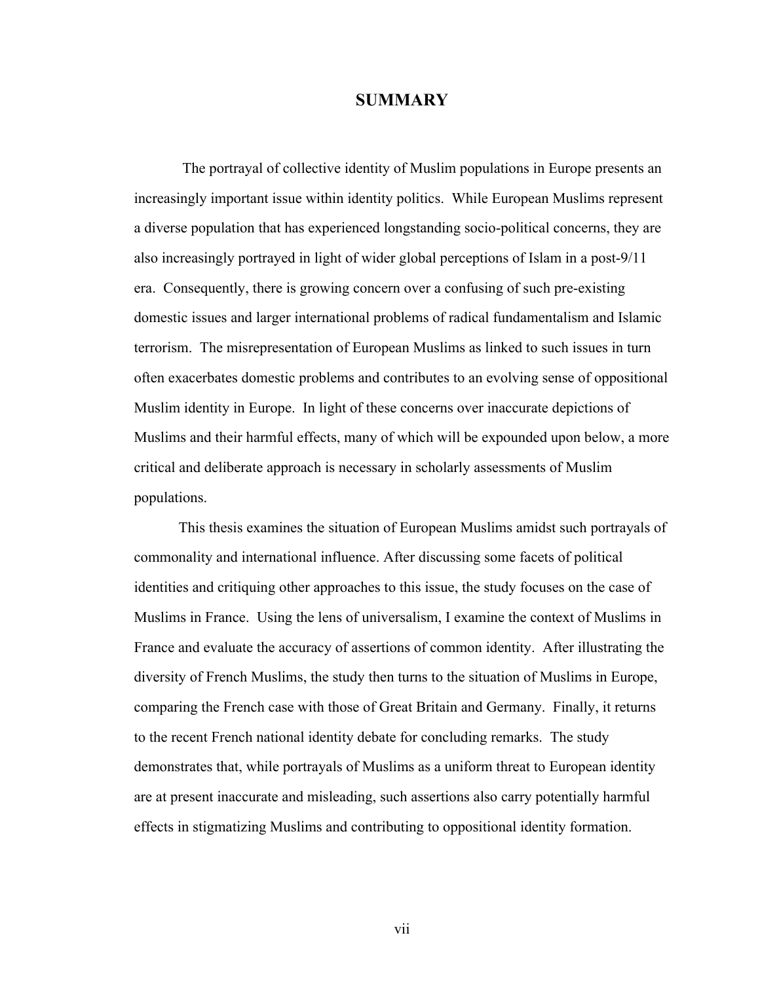# **SUMMARY**

 The portrayal of collective identity of Muslim populations in Europe presents an increasingly important issue within identity politics. While European Muslims represent a diverse population that has experienced longstanding socio-political concerns, they are also increasingly portrayed in light of wider global perceptions of Islam in a post-9/11 era. Consequently, there is growing concern over a confusing of such pre-existing domestic issues and larger international problems of radical fundamentalism and Islamic terrorism. The misrepresentation of European Muslims as linked to such issues in turn often exacerbates domestic problems and contributes to an evolving sense of oppositional Muslim identity in Europe. In light of these concerns over inaccurate depictions of Muslims and their harmful effects, many of which will be expounded upon below, a more critical and deliberate approach is necessary in scholarly assessments of Muslim populations.

This thesis examines the situation of European Muslims amidst such portrayals of commonality and international influence. After discussing some facets of political identities and critiquing other approaches to this issue, the study focuses on the case of Muslims in France. Using the lens of universalism, I examine the context of Muslims in France and evaluate the accuracy of assertions of common identity. After illustrating the diversity of French Muslims, the study then turns to the situation of Muslims in Europe, comparing the French case with those of Great Britain and Germany. Finally, it returns to the recent French national identity debate for concluding remarks. The study demonstrates that, while portrayals of Muslims as a uniform threat to European identity are at present inaccurate and misleading, such assertions also carry potentially harmful effects in stigmatizing Muslims and contributing to oppositional identity formation.

vii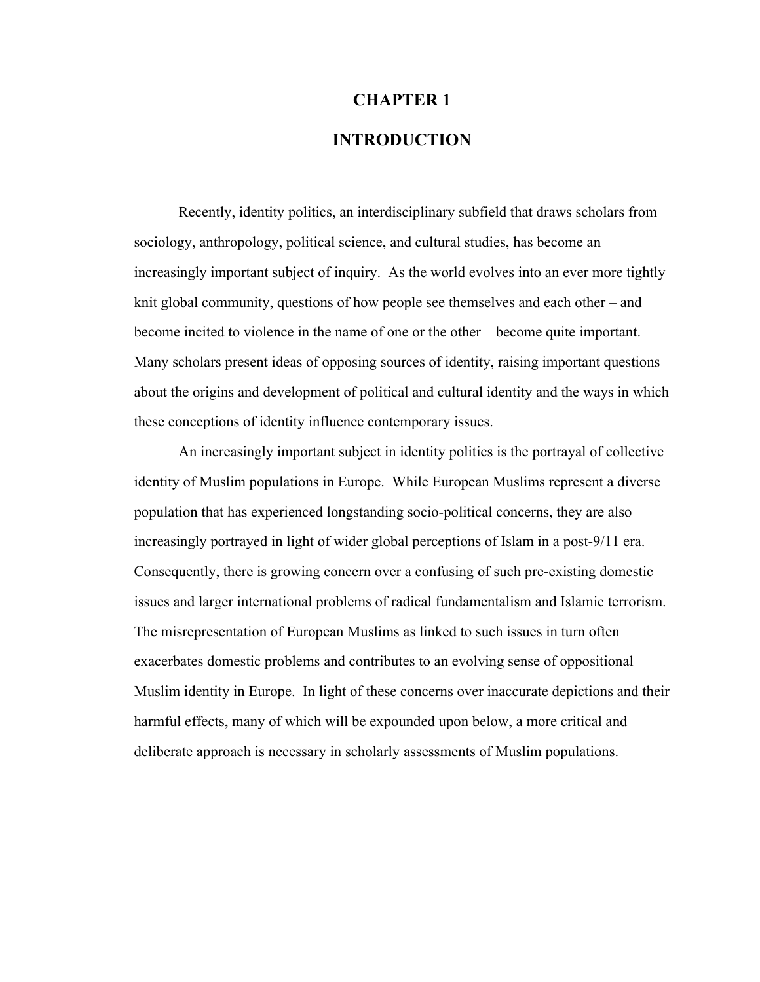# **CHAPTER 1**

# **INTRODUCTION**

Recently, identity politics, an interdisciplinary subfield that draws scholars from sociology, anthropology, political science, and cultural studies, has become an increasingly important subject of inquiry. As the world evolves into an ever more tightly knit global community, questions of how people see themselves and each other – and become incited to violence in the name of one or the other – become quite important. Many scholars present ideas of opposing sources of identity, raising important questions about the origins and development of political and cultural identity and the ways in which these conceptions of identity influence contemporary issues.

An increasingly important subject in identity politics is the portrayal of collective identity of Muslim populations in Europe. While European Muslims represent a diverse population that has experienced longstanding socio-political concerns, they are also increasingly portrayed in light of wider global perceptions of Islam in a post-9/11 era. Consequently, there is growing concern over a confusing of such pre-existing domestic issues and larger international problems of radical fundamentalism and Islamic terrorism. The misrepresentation of European Muslims as linked to such issues in turn often exacerbates domestic problems and contributes to an evolving sense of oppositional Muslim identity in Europe. In light of these concerns over inaccurate depictions and their harmful effects, many of which will be expounded upon below, a more critical and deliberate approach is necessary in scholarly assessments of Muslim populations.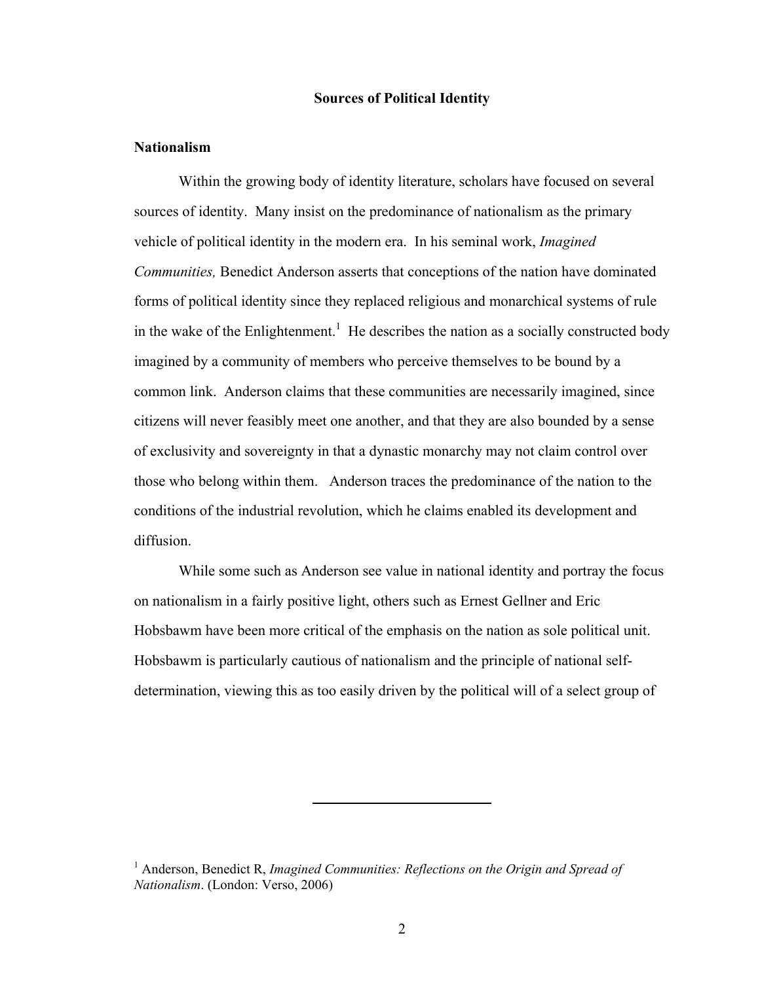# **Sources of Political Identity**

# **Nationalism**

Within the growing body of identity literature, scholars have focused on several sources of identity. Many insist on the predominance of nationalism as the primary vehicle of political identity in the modern era. In his seminal work, *Imagined Communities,* Benedict Anderson asserts that conceptions of the nation have dominated forms of political identity since they replaced religious and monarchical systems of rule in the wake of the Enlightenment.<sup>1</sup> He describes the nation as a socially constructed body imagined by a community of members who perceive themselves to be bound by a common link. Anderson claims that these communities are necessarily imagined, since citizens will never feasibly meet one another, and that they are also bounded by a sense of exclusivity and sovereignty in that a dynastic monarchy may not claim control over those who belong within them. Anderson traces the predominance of the nation to the conditions of the industrial revolution, which he claims enabled its development and diffusion.

While some such as Anderson see value in national identity and portray the focus on nationalism in a fairly positive light, others such as Ernest Gellner and Eric Hobsbawm have been more critical of the emphasis on the nation as sole political unit. Hobsbawm is particularly cautious of nationalism and the principle of national selfdetermination, viewing this as too easily driven by the political will of a select group of

<sup>&</sup>lt;sup>1</sup> Anderson, Benedict R, *Imagined Communities: Reflections on the Origin and Spread of Nationalism*. (London: Verso, 2006)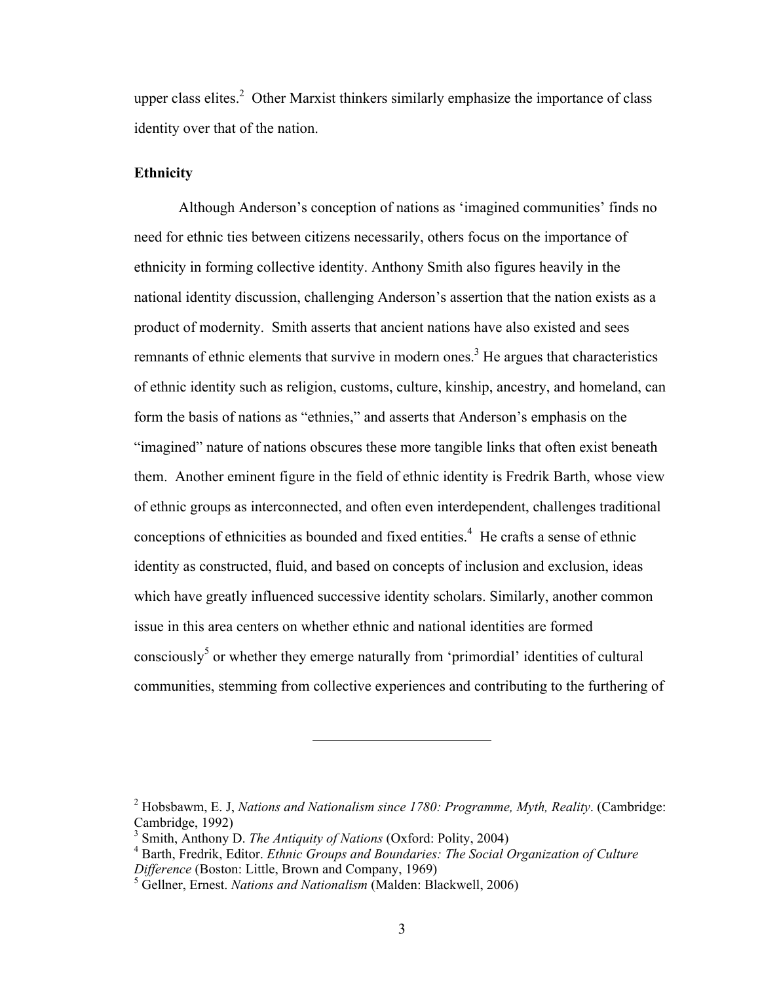upper class elites.<sup>2</sup> Other Marxist thinkers similarly emphasize the importance of class identity over that of the nation.

# **Ethnicity**

Although Anderson's conception of nations as 'imagined communities' finds no need for ethnic ties between citizens necessarily, others focus on the importance of ethnicity in forming collective identity. Anthony Smith also figures heavily in the national identity discussion, challenging Anderson's assertion that the nation exists as a product of modernity. Smith asserts that ancient nations have also existed and sees remnants of ethnic elements that survive in modern ones.<sup>3</sup> He argues that characteristics of ethnic identity such as religion, customs, culture, kinship, ancestry, and homeland, can form the basis of nations as "ethnies," and asserts that Anderson's emphasis on the "imagined" nature of nations obscures these more tangible links that often exist beneath them. Another eminent figure in the field of ethnic identity is Fredrik Barth, whose view of ethnic groups as interconnected, and often even interdependent, challenges traditional conceptions of ethnicities as bounded and fixed entities.<sup>4</sup> He crafts a sense of ethnic identity as constructed, fluid, and based on concepts of inclusion and exclusion, ideas which have greatly influenced successive identity scholars. Similarly, another common issue in this area centers on whether ethnic and national identities are formed consciously<sup>5</sup> or whether they emerge naturally from 'primordial' identities of cultural communities, stemming from collective experiences and contributing to the furthering of

<sup>2</sup> Hobsbawm, E. J, *Nations and Nationalism since 1780: Programme, Myth, Reality*. (Cambridge: Cambridge, 1992)

<sup>3</sup> Smith, Anthony D. *The Antiquity of Nations* (Oxford: Polity, 2004)

<sup>4</sup> Barth, Fredrik, Editor. *Ethnic Groups and Boundaries: The Social Organization of Culture Difference* (Boston: Little, Brown and Company, 1969)

<sup>5</sup> Gellner, Ernest. *Nations and Nationalism* (Malden: Blackwell, 2006)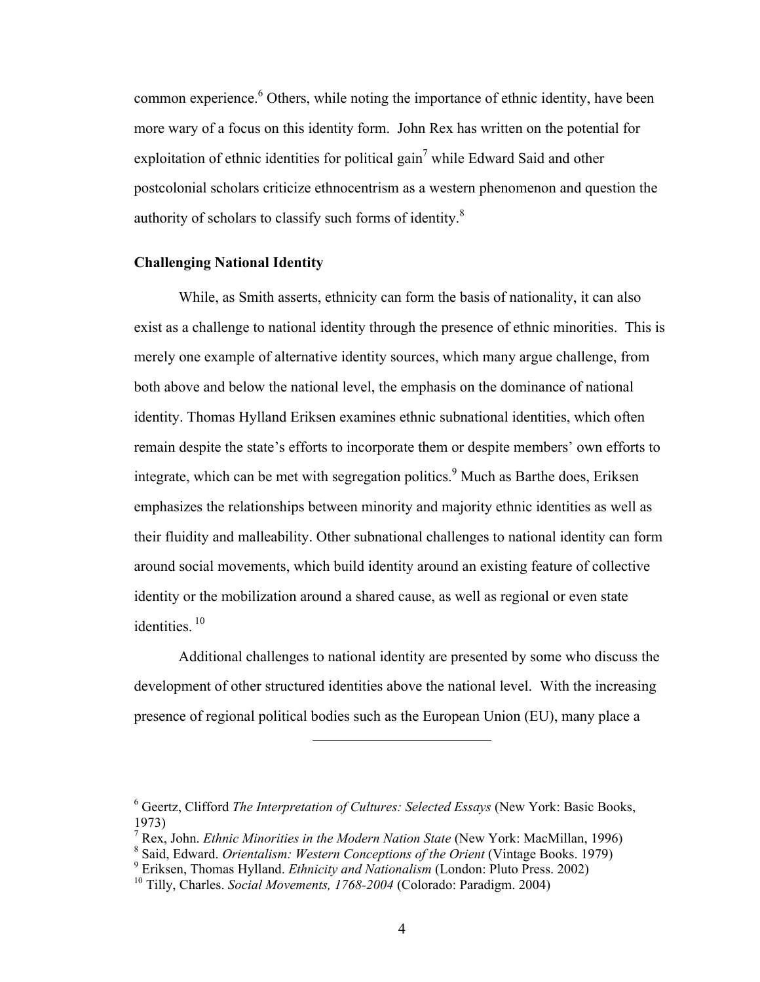common experience. <sup>6</sup> Others, while noting the importance of ethnic identity, have been more wary of a focus on this identity form. John Rex has written on the potential for exploitation of ethnic identities for political gain<sup>7</sup> while Edward Said and other postcolonial scholars criticize ethnocentrism as a western phenomenon and question the authority of scholars to classify such forms of identity. $8$ 

#### **Challenging National Identity**

While, as Smith asserts, ethnicity can form the basis of nationality, it can also exist as a challenge to national identity through the presence of ethnic minorities. This is merely one example of alternative identity sources, which many argue challenge, from both above and below the national level, the emphasis on the dominance of national identity. Thomas Hylland Eriksen examines ethnic subnational identities, which often remain despite the state's efforts to incorporate them or despite members' own efforts to integrate, which can be met with segregation politics.<sup>9</sup> Much as Barthe does, Eriksen emphasizes the relationships between minority and majority ethnic identities as well as their fluidity and malleability. Other subnational challenges to national identity can form around social movements, which build identity around an existing feature of collective identity or the mobilization around a shared cause, as well as regional or even state identities.<sup>10</sup>

Additional challenges to national identity are presented by some who discuss the development of other structured identities above the national level. With the increasing presence of regional political bodies such as the European Union (EU), many place a

<sup>6</sup> Geertz, Clifford *The Interpretation of Cultures: Selected Essays* (New York: Basic Books, 1973)

<sup>7</sup> Rex, John. *Ethnic Minorities in the Modern Nation State* (New York: MacMillan, 1996)

<sup>&</sup>lt;sup>8</sup> Said, Edward. *Orientalism: Western Conceptions of the Orient* (Vintage Books. 1979)

<sup>9</sup> Eriksen, Thomas Hylland. *Ethnicity and Nationalism* (London: Pluto Press. 2002)

<sup>10</sup> Tilly, Charles. *Social Movements, 1768-2004* (Colorado: Paradigm. 2004)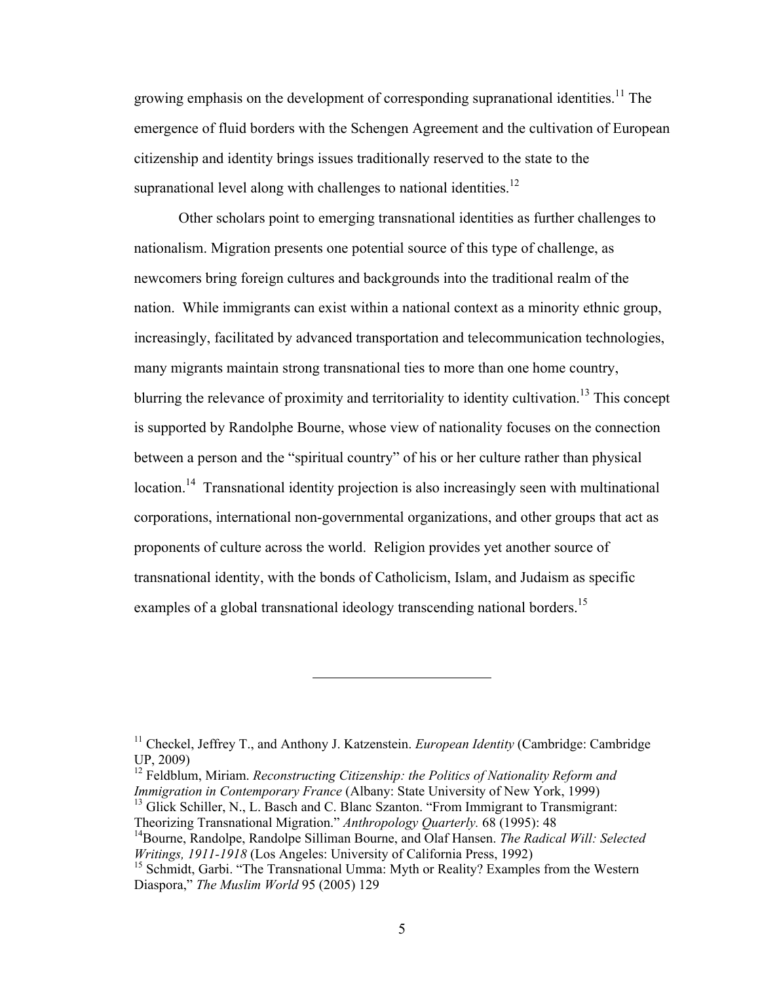growing emphasis on the development of corresponding supranational identities.<sup>11</sup> The emergence of fluid borders with the Schengen Agreement and the cultivation of European citizenship and identity brings issues traditionally reserved to the state to the supranational level along with challenges to national identities.<sup>12</sup>

Other scholars point to emerging transnational identities as further challenges to nationalism. Migration presents one potential source of this type of challenge, as newcomers bring foreign cultures and backgrounds into the traditional realm of the nation. While immigrants can exist within a national context as a minority ethnic group, increasingly, facilitated by advanced transportation and telecommunication technologies, many migrants maintain strong transnational ties to more than one home country, blurring the relevance of proximity and territoriality to identity cultivation.<sup>13</sup> This concept is supported by Randolphe Bourne, whose view of nationality focuses on the connection between a person and the "spiritual country" of his or her culture rather than physical location.<sup>14</sup> Transnational identity projection is also increasingly seen with multinational corporations, international non-governmental organizations, and other groups that act as proponents of culture across the world. Religion provides yet another source of transnational identity, with the bonds of Catholicism, Islam, and Judaism as specific examples of a global transnational ideology transcending national borders.<sup>15</sup>

<sup>&</sup>lt;sup>11</sup> Checkel, Jeffrey T., and Anthony J. Katzenstein. *European Identity* (Cambridge: Cambridge) UP, 2009)

<sup>&</sup>lt;sup>12</sup> Feldblum, Miriam. *Reconstructing Citizenship: the Politics of Nationality Reform and Immigration in Contemporary France* (Albany: State University of New York, 1999)

<sup>&</sup>lt;sup>13</sup> Glick Schiller, N., L. Basch and C. Blanc Szanton. "From Immigrant to Transmigrant: Theorizing Transnational Migration." *Anthropology Quarterly.* 68 (1995): 48

<sup>14</sup>Bourne, Randolpe, Randolpe Silliman Bourne, and Olaf Hansen. *The Radical Will: Selected Writings, 1911-1918* (Los Angeles: University of California Press, 1992)

<sup>&</sup>lt;sup>15</sup> Schmidt, Garbi. "The Transnational Umma: Myth or Reality? Examples from the Western Diaspora," *The Muslim World* 95 (2005) 129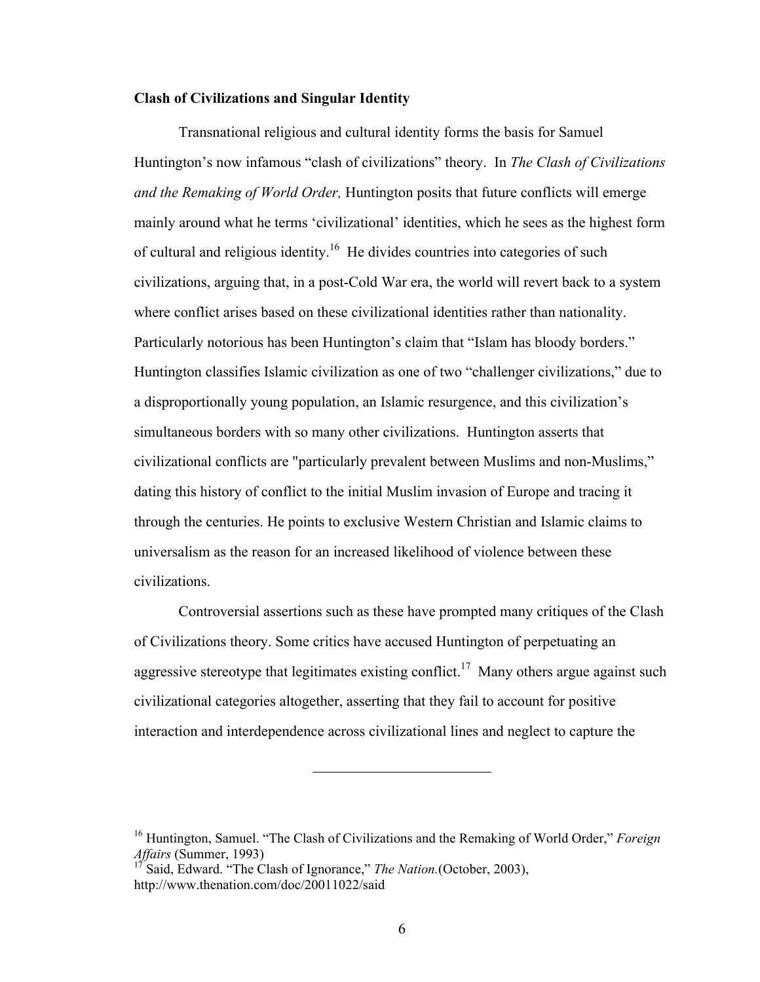# **Clash of Civilizations and Singular Identity**

Transnational religious and cultural identity forms the basis for Samuel Huntington's now infamous "clash of civilizations" theory. In *The Clash of Civilizations and the Remaking of World Order,* Huntington posits that future conflicts will emerge mainly around what he terms 'civilizational' identities, which he sees as the highest form of cultural and religious identity.<sup>16</sup> He divides countries into categories of such civilizations, arguing that, in a post-Cold War era, the world will revert back to a system where conflict arises based on these civilizational identities rather than nationality. Particularly notorious has been Huntington's claim that "Islam has bloody borders." Huntington classifies Islamic civilization as one of two "challenger civilizations," due to a disproportionally young population, an Islamic resurgence, and this civilization's simultaneous borders with so many other civilizations. Huntington asserts that civilizational conflicts are "particularly prevalent between Muslims and non-Muslims," dating this history of conflict to the initial Muslim invasion of Europe and tracing it through the centuries. He points to exclusive Western Christian and Islamic claims to universalism as the reason for an increased likelihood of violence between these civilizations.

Controversial assertions such as these have prompted many critiques of the Clash of Civilizations theory. Some critics have accused Huntington of perpetuating an aggressive stereotype that legitimates existing conflict.<sup>17</sup> Many others argue against such civilizational categories altogether, asserting that they fail to account for positive interaction and interdependence across civilizational lines and neglect to capture the

<sup>16</sup> Huntington, Samuel. "The Clash of Civilizations and the Remaking of World Order," *Foreign Affairs* (Summer, 1993)

<sup>17</sup> Said, Edward. "The Clash of Ignorance," *The Nation.*(October, 2003), http://www.thenation.com/doc/20011022/said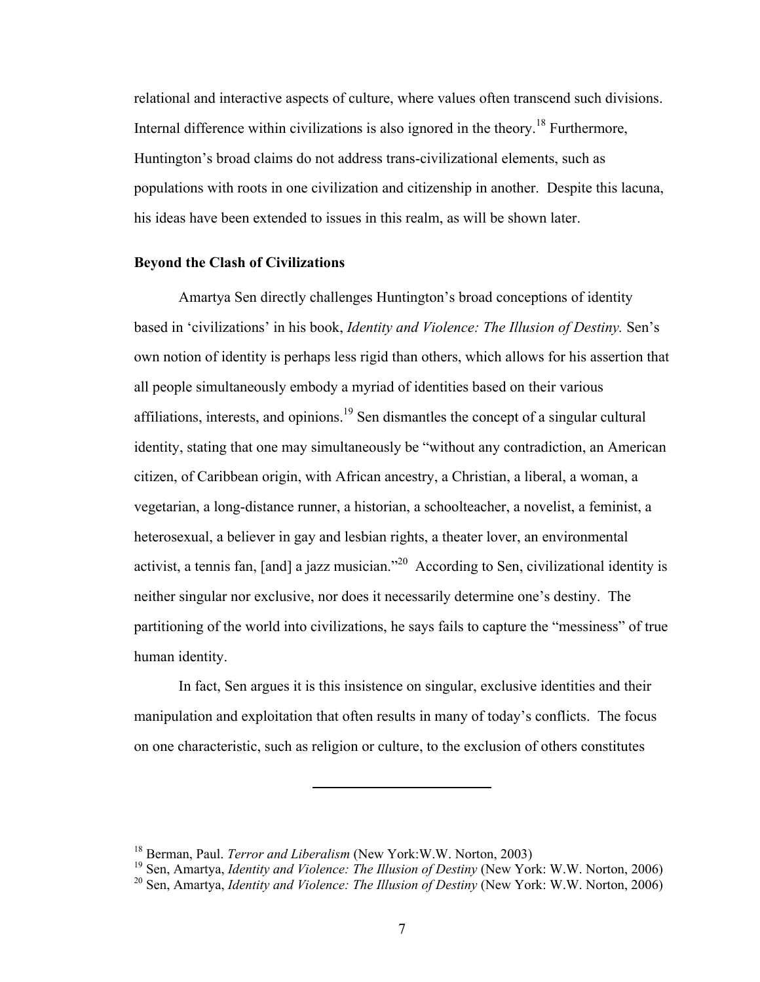relational and interactive aspects of culture, where values often transcend such divisions. Internal difference within civilizations is also ignored in the theory.<sup>18</sup> Furthermore, Huntington's broad claims do not address trans-civilizational elements, such as populations with roots in one civilization and citizenship in another. Despite this lacuna, his ideas have been extended to issues in this realm, as will be shown later.

### **Beyond the Clash of Civilizations**

Amartya Sen directly challenges Huntington's broad conceptions of identity based in 'civilizations' in his book, *Identity and Violence: The Illusion of Destiny.* Sen's own notion of identity is perhaps less rigid than others, which allows for his assertion that all people simultaneously embody a myriad of identities based on their various affiliations, interests, and opinions.<sup>19</sup> Sen dismantles the concept of a singular cultural identity, stating that one may simultaneously be "without any contradiction, an American citizen, of Caribbean origin, with African ancestry, a Christian, a liberal, a woman, a vegetarian, a long-distance runner, a historian, a schoolteacher, a novelist, a feminist, a heterosexual, a believer in gay and lesbian rights, a theater lover, an environmental activist, a tennis fan, [and] a jazz musician."<sup>20</sup> According to Sen, civilizational identity is neither singular nor exclusive, nor does it necessarily determine one's destiny. The partitioning of the world into civilizations, he says fails to capture the "messiness" of true human identity.

In fact, Sen argues it is this insistence on singular, exclusive identities and their manipulation and exploitation that often results in many of today's conflicts. The focus on one characteristic, such as religion or culture, to the exclusion of others constitutes

<sup>18</sup> Berman, Paul. *Terror and Liberalism* (New York:W.W. Norton, 2003)

<sup>19</sup> Sen, Amartya, *Identity and Violence: The Illusion of Destiny* (New York: W.W. Norton, 2006)

<sup>20</sup> Sen, Amartya, *Identity and Violence: The Illusion of Destiny* (New York: W.W. Norton, 2006)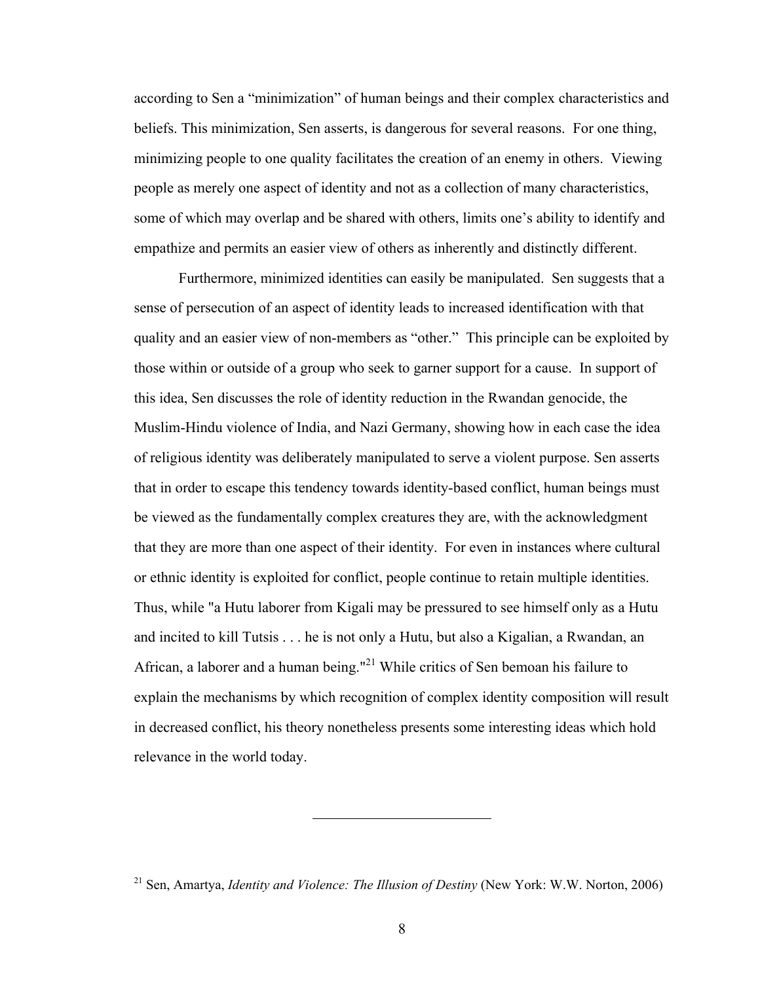according to Sen a "minimization" of human beings and their complex characteristics and beliefs. This minimization, Sen asserts, is dangerous for several reasons. For one thing, minimizing people to one quality facilitates the creation of an enemy in others. Viewing people as merely one aspect of identity and not as a collection of many characteristics, some of which may overlap and be shared with others, limits one's ability to identify and empathize and permits an easier view of others as inherently and distinctly different.

Furthermore, minimized identities can easily be manipulated. Sen suggests that a sense of persecution of an aspect of identity leads to increased identification with that quality and an easier view of non-members as "other." This principle can be exploited by those within or outside of a group who seek to garner support for a cause. In support of this idea, Sen discusses the role of identity reduction in the Rwandan genocide, the Muslim-Hindu violence of India, and Nazi Germany, showing how in each case the idea of religious identity was deliberately manipulated to serve a violent purpose. Sen asserts that in order to escape this tendency towards identity-based conflict, human beings must be viewed as the fundamentally complex creatures they are, with the acknowledgment that they are more than one aspect of their identity. For even in instances where cultural or ethnic identity is exploited for conflict, people continue to retain multiple identities. Thus, while "a Hutu laborer from Kigali may be pressured to see himself only as a Hutu and incited to kill Tutsis . . . he is not only a Hutu, but also a Kigalian, a Rwandan, an African, a laborer and a human being."21 While critics of Sen bemoan his failure to explain the mechanisms by which recognition of complex identity composition will result in decreased conflict, his theory nonetheless presents some interesting ideas which hold relevance in the world today.

<sup>21</sup> Sen, Amartya, *Identity and Violence: The Illusion of Destiny* (New York: W.W. Norton, 2006)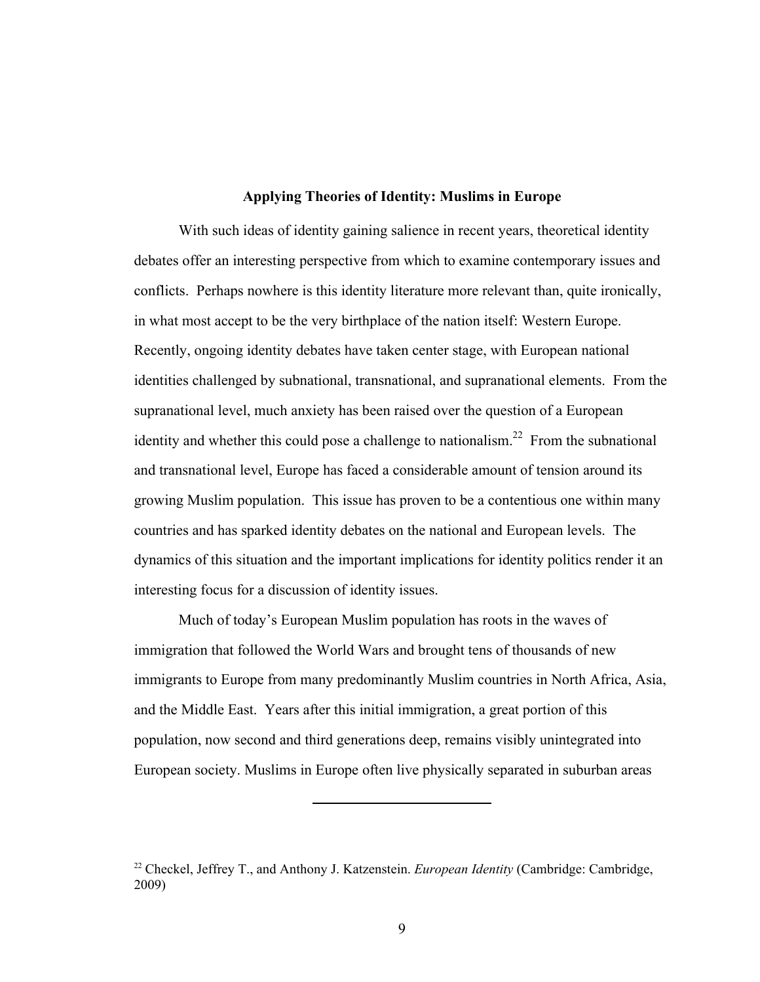# **Applying Theories of Identity: Muslims in Europe**

With such ideas of identity gaining salience in recent years, theoretical identity debates offer an interesting perspective from which to examine contemporary issues and conflicts. Perhaps nowhere is this identity literature more relevant than, quite ironically, in what most accept to be the very birthplace of the nation itself: Western Europe. Recently, ongoing identity debates have taken center stage, with European national identities challenged by subnational, transnational, and supranational elements. From the supranational level, much anxiety has been raised over the question of a European identity and whether this could pose a challenge to nationalism.<sup>22</sup> From the subnational and transnational level, Europe has faced a considerable amount of tension around its growing Muslim population. This issue has proven to be a contentious one within many countries and has sparked identity debates on the national and European levels. The dynamics of this situation and the important implications for identity politics render it an interesting focus for a discussion of identity issues.

Much of today's European Muslim population has roots in the waves of immigration that followed the World Wars and brought tens of thousands of new immigrants to Europe from many predominantly Muslim countries in North Africa, Asia, and the Middle East. Years after this initial immigration, a great portion of this population, now second and third generations deep, remains visibly unintegrated into European society. Muslims in Europe often live physically separated in suburban areas

<sup>22</sup> Checkel, Jeffrey T., and Anthony J. Katzenstein. *European Identity* (Cambridge: Cambridge, 2009)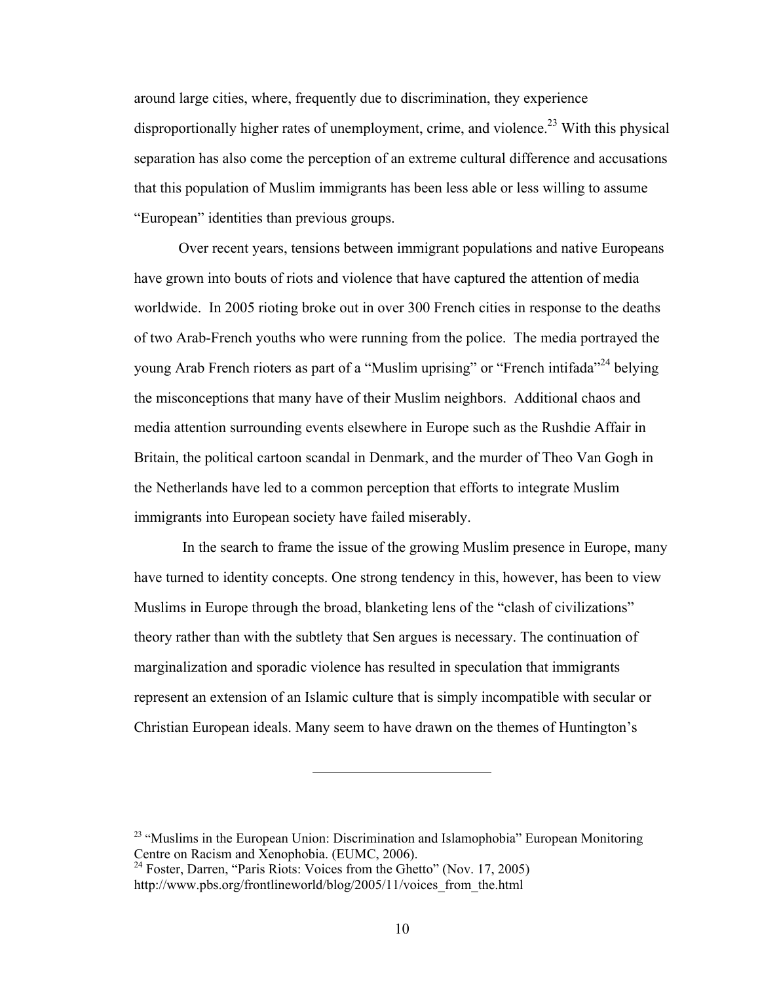around large cities, where, frequently due to discrimination, they experience disproportionally higher rates of unemployment, crime, and violence.<sup>23</sup> With this physical separation has also come the perception of an extreme cultural difference and accusations that this population of Muslim immigrants has been less able or less willing to assume "European" identities than previous groups.

Over recent years, tensions between immigrant populations and native Europeans have grown into bouts of riots and violence that have captured the attention of media worldwide. In 2005 rioting broke out in over 300 French cities in response to the deaths of two Arab-French youths who were running from the police. The media portrayed the young Arab French rioters as part of a "Muslim uprising" or "French intifada"<sup>24</sup> belying the misconceptions that many have of their Muslim neighbors. Additional chaos and media attention surrounding events elsewhere in Europe such as the Rushdie Affair in Britain, the political cartoon scandal in Denmark, and the murder of Theo Van Gogh in the Netherlands have led to a common perception that efforts to integrate Muslim immigrants into European society have failed miserably.

 In the search to frame the issue of the growing Muslim presence in Europe, many have turned to identity concepts. One strong tendency in this, however, has been to view Muslims in Europe through the broad, blanketing lens of the "clash of civilizations" theory rather than with the subtlety that Sen argues is necessary. The continuation of marginalization and sporadic violence has resulted in speculation that immigrants represent an extension of an Islamic culture that is simply incompatible with secular or Christian European ideals. Many seem to have drawn on the themes of Huntington's

<sup>&</sup>lt;sup>23</sup> "Muslims in the European Union: Discrimination and Islamophobia" European Monitoring Centre on Racism and Xenophobia. (EUMC, 2006).

 $^{24}$  Foster, Darren, "Paris Riots: Voices from the Ghetto" (Nov. 17, 2005) http://www.pbs.org/frontlineworld/blog/2005/11/voices\_from\_the.html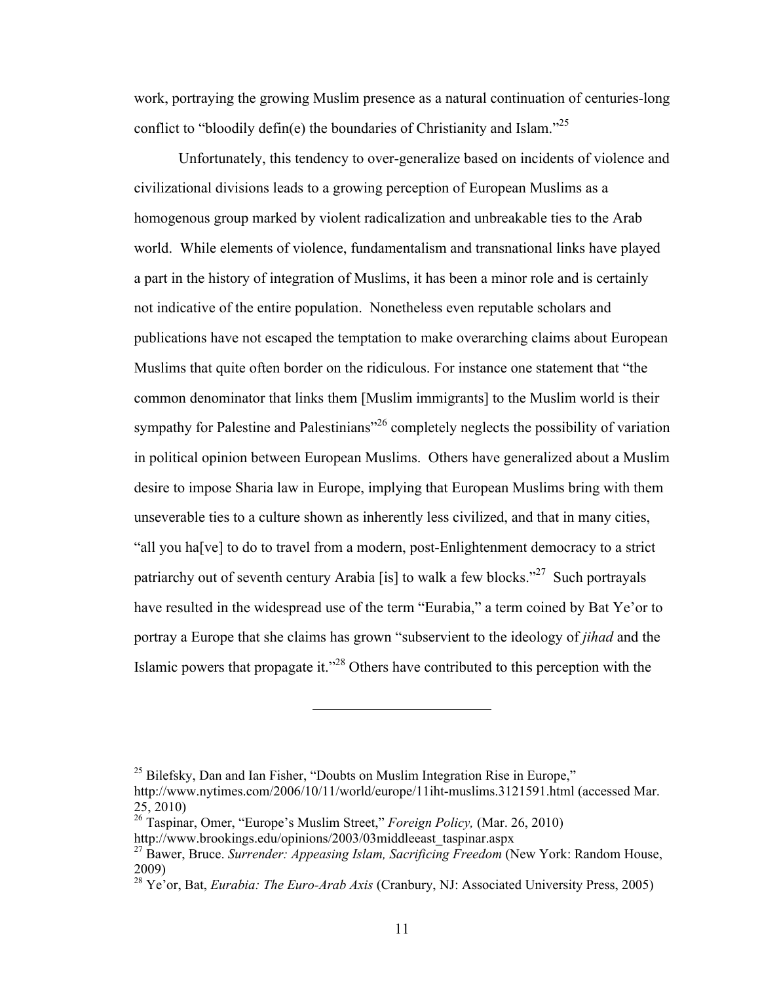work, portraying the growing Muslim presence as a natural continuation of centuries-long conflict to "bloodily defin(e) the boundaries of Christianity and Islam. $^{225}$ 

Unfortunately, this tendency to over-generalize based on incidents of violence and civilizational divisions leads to a growing perception of European Muslims as a homogenous group marked by violent radicalization and unbreakable ties to the Arab world. While elements of violence, fundamentalism and transnational links have played a part in the history of integration of Muslims, it has been a minor role and is certainly not indicative of the entire population. Nonetheless even reputable scholars and publications have not escaped the temptation to make overarching claims about European Muslims that quite often border on the ridiculous. For instance one statement that "the common denominator that links them [Muslim immigrants] to the Muslim world is their sympathy for Palestine and Palestinians<sup>"26</sup> completely neglects the possibility of variation in political opinion between European Muslims. Others have generalized about a Muslim desire to impose Sharia law in Europe, implying that European Muslims bring with them unseverable ties to a culture shown as inherently less civilized, and that in many cities, "all you ha[ve] to do to travel from a modern, post-Enlightenment democracy to a strict patriarchy out of seventh century Arabia [is] to walk a few blocks.<sup>"27</sup> Such portrayals have resulted in the widespread use of the term "Eurabia," a term coined by Bat Ye'or to portray a Europe that she claims has grown "subservient to the ideology of *jihad* and the Islamic powers that propagate it."28 Others have contributed to this perception with the

 $25$  Bilefsky, Dan and Ian Fisher, "Doubts on Muslim Integration Rise in Europe,"

http://www.nytimes.com/2006/10/11/world/europe/11iht-muslims.3121591.html (accessed Mar. 25, 2010)

<sup>26</sup> Taspinar, Omer, "Europe's Muslim Street," *Foreign Policy,* (Mar. 26, 2010)

http://www.brookings.edu/opinions/2003/03middleeast\_taspinar.aspx

<sup>27</sup> Bawer, Bruce. *Surrender: Appeasing Islam, Sacrificing Freedom* (New York: Random House, 2009)

<sup>28</sup> Ye'or, Bat, *Eurabia: The Euro-Arab Axis* (Cranbury, NJ: Associated University Press, 2005)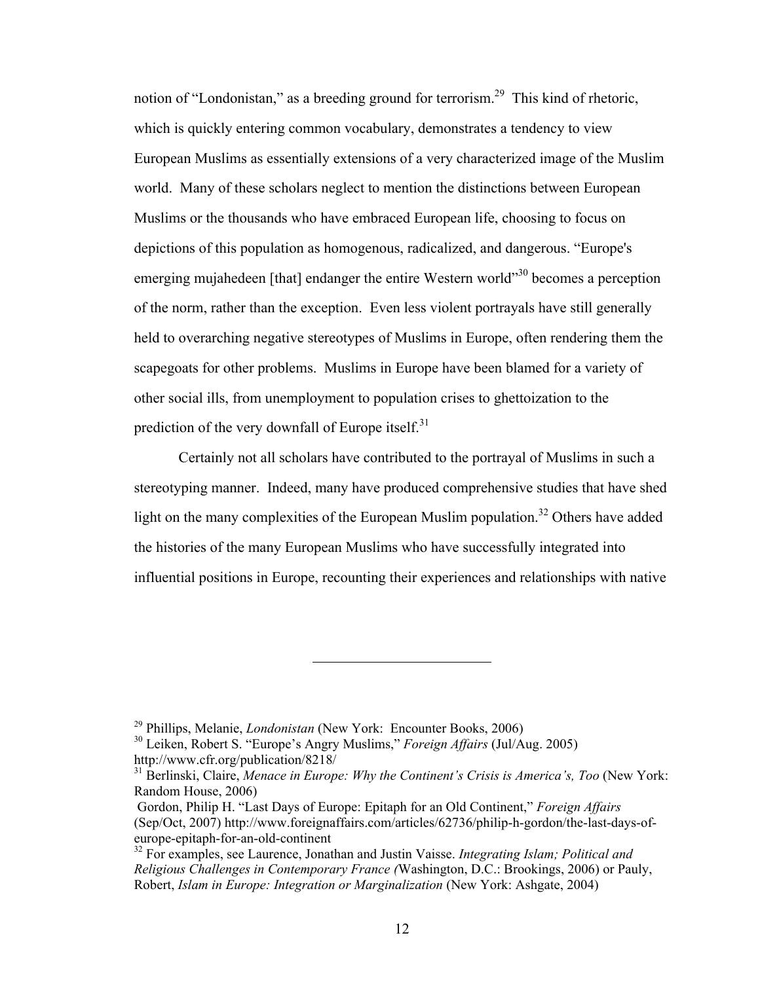notion of "Londonistan," as a breeding ground for terrorism.<sup>29</sup> This kind of rhetoric, which is quickly entering common vocabulary, demonstrates a tendency to view European Muslims as essentially extensions of a very characterized image of the Muslim world. Many of these scholars neglect to mention the distinctions between European Muslims or the thousands who have embraced European life, choosing to focus on depictions of this population as homogenous, radicalized, and dangerous. "Europe's emerging mujahedeen [that] endanger the entire Western world<sup>330</sup> becomes a perception of the norm, rather than the exception. Even less violent portrayals have still generally held to overarching negative stereotypes of Muslims in Europe, often rendering them the scapegoats for other problems. Muslims in Europe have been blamed for a variety of other social ills, from unemployment to population crises to ghettoization to the prediction of the very downfall of Europe itself.<sup>31</sup>

Certainly not all scholars have contributed to the portrayal of Muslims in such a stereotyping manner. Indeed, many have produced comprehensive studies that have shed light on the many complexities of the European Muslim population.<sup>32</sup> Others have added the histories of the many European Muslims who have successfully integrated into influential positions in Europe, recounting their experiences and relationships with native

<sup>29</sup> Phillips, Melanie, *Londonistan* (New York: Encounter Books, 2006)

<sup>30</sup> Leiken, Robert S. "Europe's Angry Muslims," *Foreign Affairs* (Jul/Aug. 2005) http://www.cfr.org/publication/8218/

<sup>31</sup> Berlinski, Claire, *Menace in Europe: Why the Continent's Crisis is America's, Too* (New York: Random House, 2006)

Gordon, Philip H. "Last Days of Europe: Epitaph for an Old Continent," *Foreign Affairs*  (Sep/Oct, 2007) http://www.foreignaffairs.com/articles/62736/philip-h-gordon/the-last-days-ofeurope-epitaph-for-an-old-continent

<sup>32</sup> For examples, see Laurence, Jonathan and Justin Vaisse. *Integrating Islam; Political and Religious Challenges in Contemporary France (*Washington, D.C.: Brookings, 2006) or Pauly, Robert, *Islam in Europe: Integration or Marginalization* (New York: Ashgate, 2004)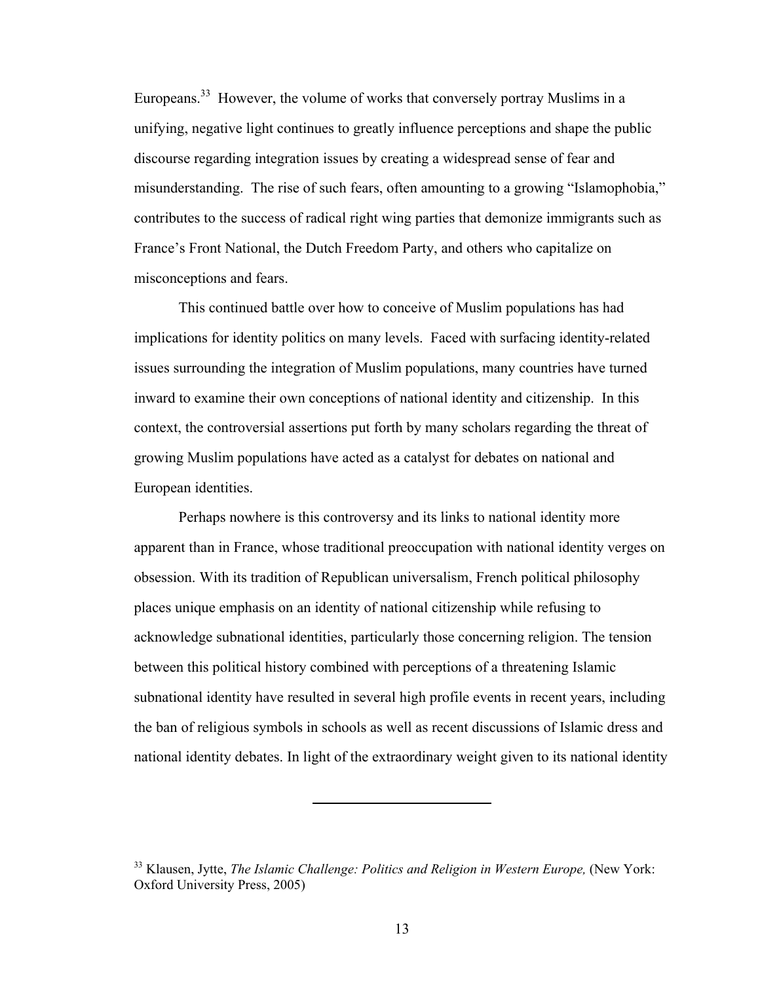Europeans.<sup>33</sup> However, the volume of works that conversely portray Muslims in a unifying, negative light continues to greatly influence perceptions and shape the public discourse regarding integration issues by creating a widespread sense of fear and misunderstanding. The rise of such fears, often amounting to a growing "Islamophobia," contributes to the success of radical right wing parties that demonize immigrants such as France's Front National, the Dutch Freedom Party, and others who capitalize on misconceptions and fears.

This continued battle over how to conceive of Muslim populations has had implications for identity politics on many levels. Faced with surfacing identity-related issues surrounding the integration of Muslim populations, many countries have turned inward to examine their own conceptions of national identity and citizenship. In this context, the controversial assertions put forth by many scholars regarding the threat of growing Muslim populations have acted as a catalyst for debates on national and European identities.

Perhaps nowhere is this controversy and its links to national identity more apparent than in France, whose traditional preoccupation with national identity verges on obsession. With its tradition of Republican universalism, French political philosophy places unique emphasis on an identity of national citizenship while refusing to acknowledge subnational identities, particularly those concerning religion. The tension between this political history combined with perceptions of a threatening Islamic subnational identity have resulted in several high profile events in recent years, including the ban of religious symbols in schools as well as recent discussions of Islamic dress and national identity debates. In light of the extraordinary weight given to its national identity

<sup>33</sup> Klausen, Jytte, *The Islamic Challenge: Politics and Religion in Western Europe,* (New York: Oxford University Press, 2005)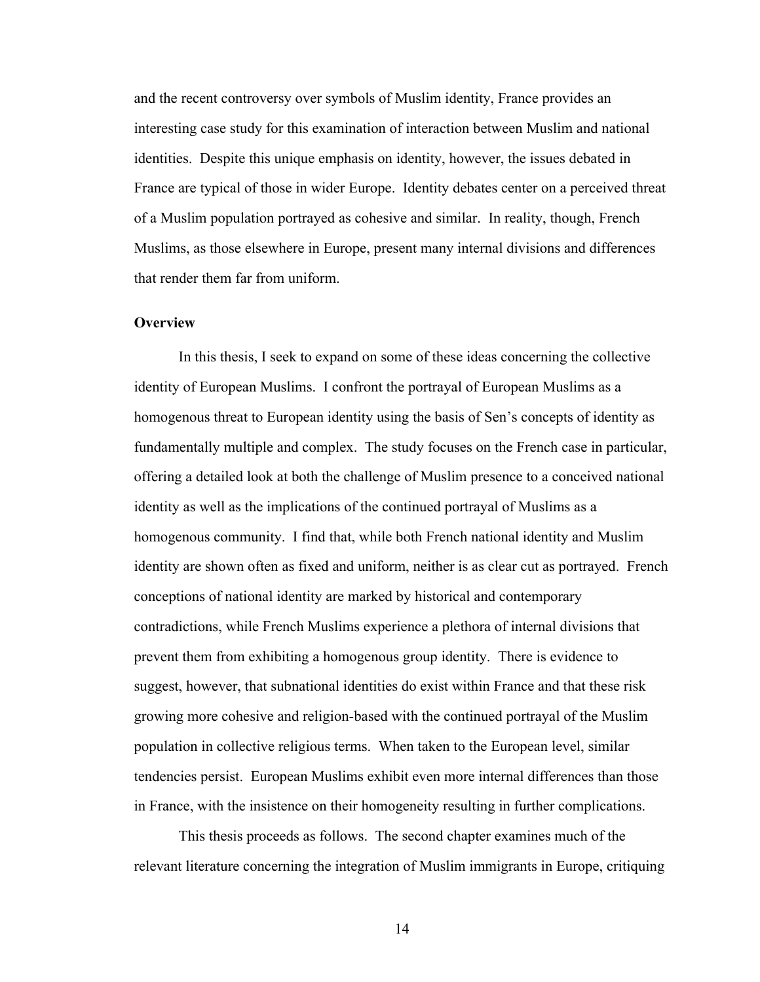and the recent controversy over symbols of Muslim identity, France provides an interesting case study for this examination of interaction between Muslim and national identities. Despite this unique emphasis on identity, however, the issues debated in France are typical of those in wider Europe. Identity debates center on a perceived threat of a Muslim population portrayed as cohesive and similar. In reality, though, French Muslims, as those elsewhere in Europe, present many internal divisions and differences that render them far from uniform.

# **Overview**

In this thesis, I seek to expand on some of these ideas concerning the collective identity of European Muslims. I confront the portrayal of European Muslims as a homogenous threat to European identity using the basis of Sen's concepts of identity as fundamentally multiple and complex. The study focuses on the French case in particular, offering a detailed look at both the challenge of Muslim presence to a conceived national identity as well as the implications of the continued portrayal of Muslims as a homogenous community. I find that, while both French national identity and Muslim identity are shown often as fixed and uniform, neither is as clear cut as portrayed. French conceptions of national identity are marked by historical and contemporary contradictions, while French Muslims experience a plethora of internal divisions that prevent them from exhibiting a homogenous group identity. There is evidence to suggest, however, that subnational identities do exist within France and that these risk growing more cohesive and religion-based with the continued portrayal of the Muslim population in collective religious terms. When taken to the European level, similar tendencies persist. European Muslims exhibit even more internal differences than those in France, with the insistence on their homogeneity resulting in further complications.

This thesis proceeds as follows. The second chapter examines much of the relevant literature concerning the integration of Muslim immigrants in Europe, critiquing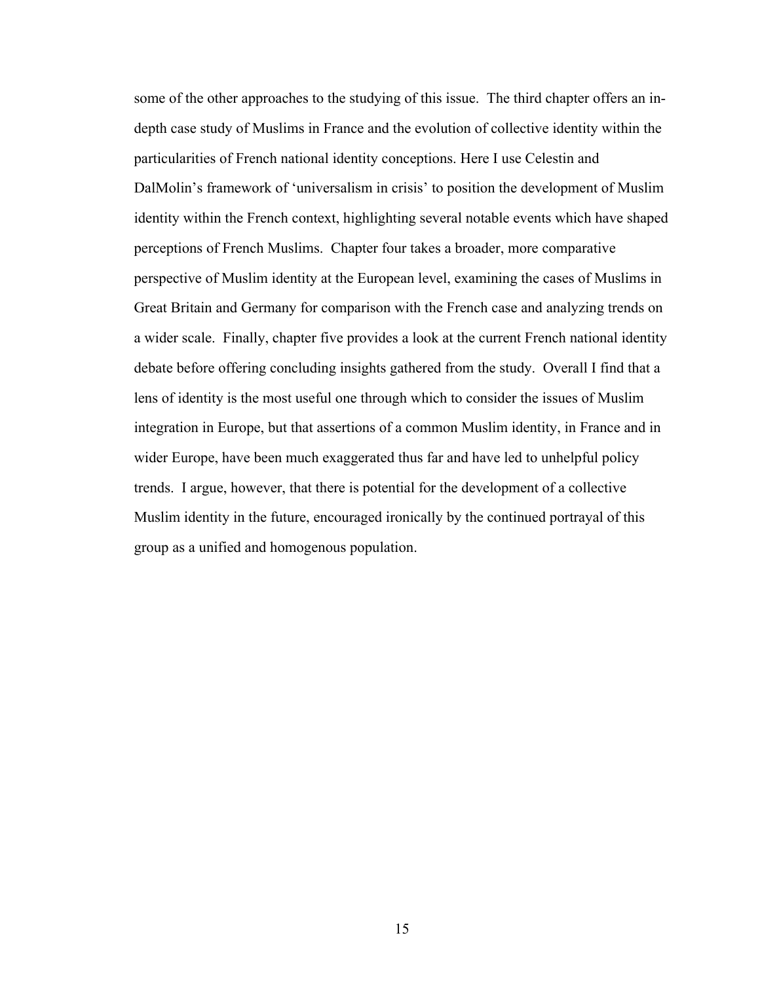some of the other approaches to the studying of this issue. The third chapter offers an indepth case study of Muslims in France and the evolution of collective identity within the particularities of French national identity conceptions. Here I use Celestin and DalMolin's framework of 'universalism in crisis' to position the development of Muslim identity within the French context, highlighting several notable events which have shaped perceptions of French Muslims. Chapter four takes a broader, more comparative perspective of Muslim identity at the European level, examining the cases of Muslims in Great Britain and Germany for comparison with the French case and analyzing trends on a wider scale. Finally, chapter five provides a look at the current French national identity debate before offering concluding insights gathered from the study. Overall I find that a lens of identity is the most useful one through which to consider the issues of Muslim integration in Europe, but that assertions of a common Muslim identity, in France and in wider Europe, have been much exaggerated thus far and have led to unhelpful policy trends. I argue, however, that there is potential for the development of a collective Muslim identity in the future, encouraged ironically by the continued portrayal of this group as a unified and homogenous population.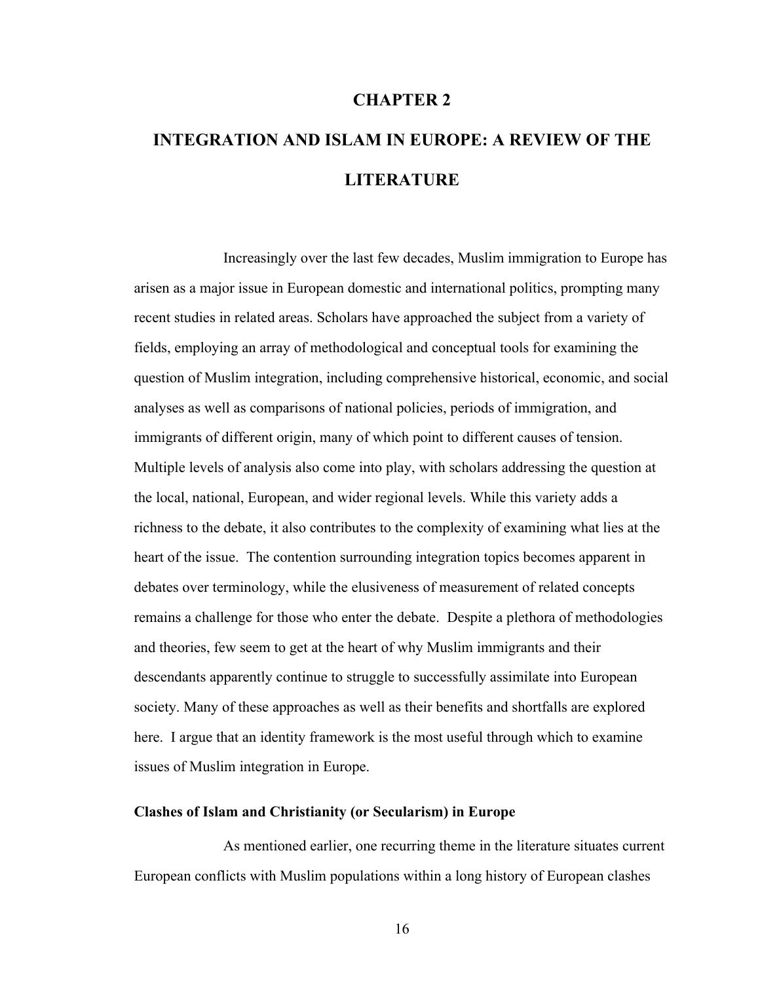# **CHAPTER 2**

# **INTEGRATION AND ISLAM IN EUROPE: A REVIEW OF THE LITERATURE**

Increasingly over the last few decades, Muslim immigration to Europe has arisen as a major issue in European domestic and international politics, prompting many recent studies in related areas. Scholars have approached the subject from a variety of fields, employing an array of methodological and conceptual tools for examining the question of Muslim integration, including comprehensive historical, economic, and social analyses as well as comparisons of national policies, periods of immigration, and immigrants of different origin, many of which point to different causes of tension. Multiple levels of analysis also come into play, with scholars addressing the question at the local, national, European, and wider regional levels. While this variety adds a richness to the debate, it also contributes to the complexity of examining what lies at the heart of the issue. The contention surrounding integration topics becomes apparent in debates over terminology, while the elusiveness of measurement of related concepts remains a challenge for those who enter the debate. Despite a plethora of methodologies and theories, few seem to get at the heart of why Muslim immigrants and their descendants apparently continue to struggle to successfully assimilate into European society. Many of these approaches as well as their benefits and shortfalls are explored here. I argue that an identity framework is the most useful through which to examine issues of Muslim integration in Europe.

## **Clashes of Islam and Christianity (or Secularism) in Europe**

As mentioned earlier, one recurring theme in the literature situates current European conflicts with Muslim populations within a long history of European clashes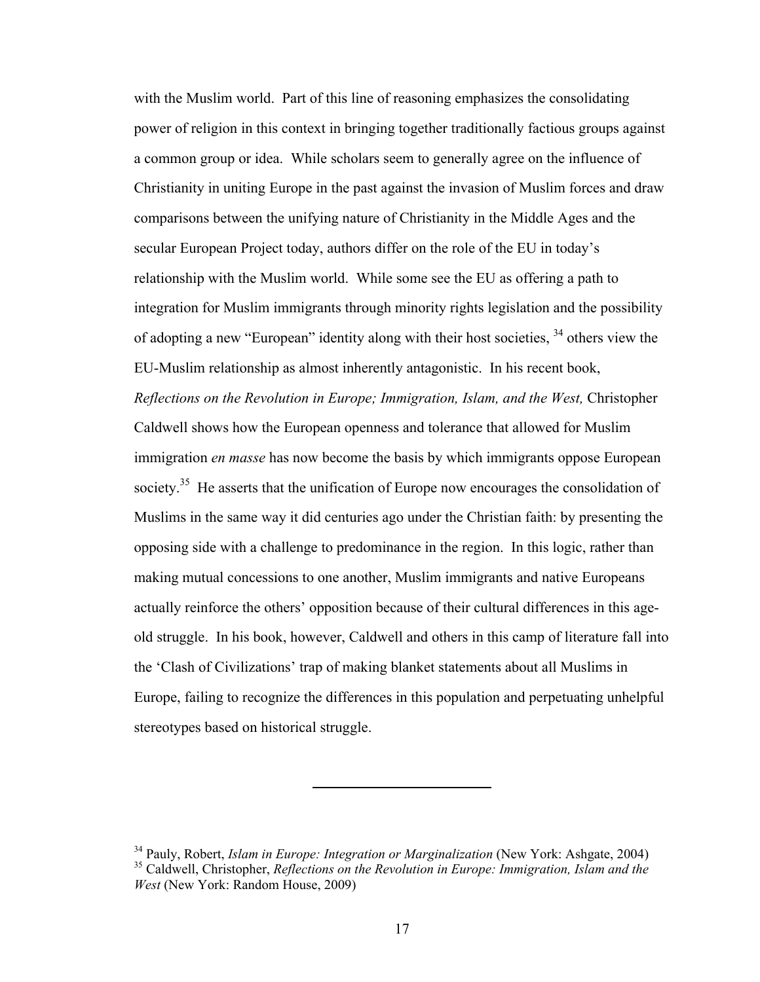with the Muslim world. Part of this line of reasoning emphasizes the consolidating power of religion in this context in bringing together traditionally factious groups against a common group or idea. While scholars seem to generally agree on the influence of Christianity in uniting Europe in the past against the invasion of Muslim forces and draw comparisons between the unifying nature of Christianity in the Middle Ages and the secular European Project today, authors differ on the role of the EU in today's relationship with the Muslim world. While some see the EU as offering a path to integration for Muslim immigrants through minority rights legislation and the possibility of adopting a new "European" identity along with their host societies, 34 others view the EU-Muslim relationship as almost inherently antagonistic. In his recent book, *Reflections on the Revolution in Europe; Immigration, Islam, and the West,* Christopher Caldwell shows how the European openness and tolerance that allowed for Muslim immigration *en masse* has now become the basis by which immigrants oppose European society.<sup>35</sup> He asserts that the unification of Europe now encourages the consolidation of Muslims in the same way it did centuries ago under the Christian faith: by presenting the opposing side with a challenge to predominance in the region. In this logic, rather than making mutual concessions to one another, Muslim immigrants and native Europeans actually reinforce the others' opposition because of their cultural differences in this ageold struggle. In his book, however, Caldwell and others in this camp of literature fall into the 'Clash of Civilizations' trap of making blanket statements about all Muslims in Europe, failing to recognize the differences in this population and perpetuating unhelpful stereotypes based on historical struggle.

<sup>34</sup> Pauly, Robert, *Islam in Europe: Integration or Marginalization* (New York: Ashgate, 2004) 35 Caldwell, Christopher, *Reflections on the Revolution in Europe: Immigration, Islam and the West* (New York: Random House, 2009)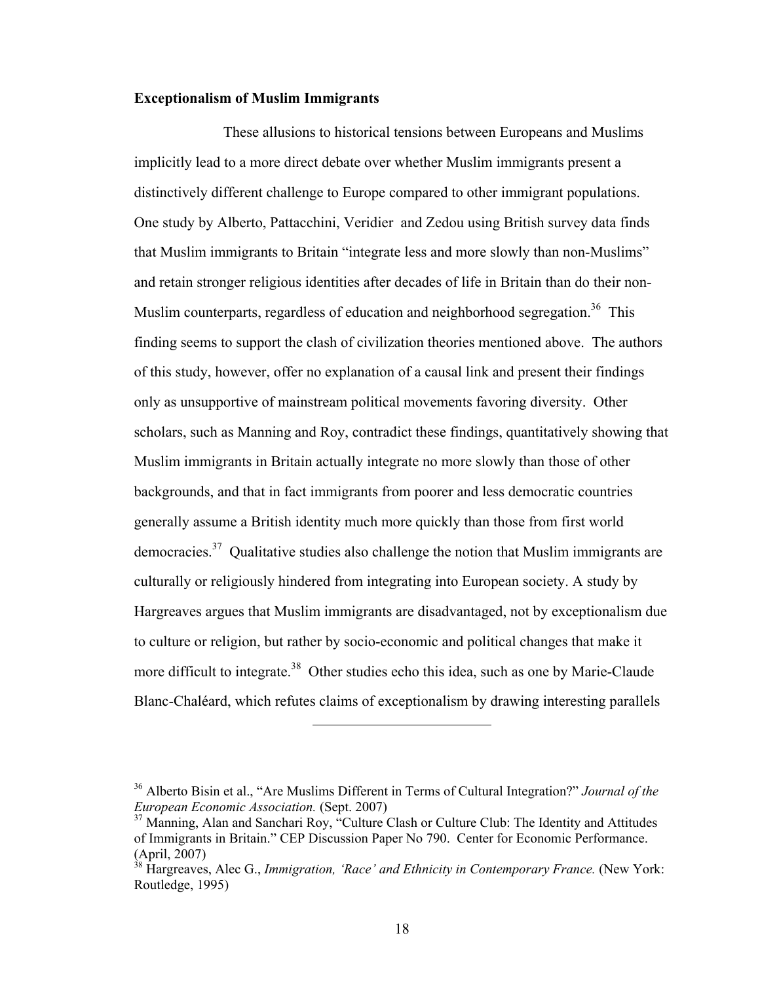# **Exceptionalism of Muslim Immigrants**

These allusions to historical tensions between Europeans and Muslims implicitly lead to a more direct debate over whether Muslim immigrants present a distinctively different challenge to Europe compared to other immigrant populations. One study by Alberto, Pattacchini, Veridier and Zedou using British survey data finds that Muslim immigrants to Britain "integrate less and more slowly than non-Muslims" and retain stronger religious identities after decades of life in Britain than do their non-Muslim counterparts, regardless of education and neighborhood segregation.<sup>36</sup> This finding seems to support the clash of civilization theories mentioned above. The authors of this study, however, offer no explanation of a causal link and present their findings only as unsupportive of mainstream political movements favoring diversity. Other scholars, such as Manning and Roy, contradict these findings, quantitatively showing that Muslim immigrants in Britain actually integrate no more slowly than those of other backgrounds, and that in fact immigrants from poorer and less democratic countries generally assume a British identity much more quickly than those from first world democracies.<sup>37</sup> Qualitative studies also challenge the notion that Muslim immigrants are culturally or religiously hindered from integrating into European society. A study by Hargreaves argues that Muslim immigrants are disadvantaged, not by exceptionalism due to culture or religion, but rather by socio-economic and political changes that make it more difficult to integrate.<sup>38</sup> Other studies echo this idea, such as one by Marie-Claude Blanc-Chaléard, which refutes claims of exceptionalism by drawing interesting parallels

<sup>36</sup> Alberto Bisin et al., "Are Muslims Different in Terms of Cultural Integration?" *Journal of the European Economic Association.* (Sept. 2007)

 $37$  Manning, Alan and Sanchari Roy, "Culture Clash or Culture Club: The Identity and Attitudes of Immigrants in Britain." CEP Discussion Paper No 790. Center for Economic Performance. (April, 2007)

<sup>&</sup>lt;sup>38</sup> Hargreaves, Alec G., *Immigration, 'Race' and Ethnicity in Contemporary France*. (New York: Routledge, 1995)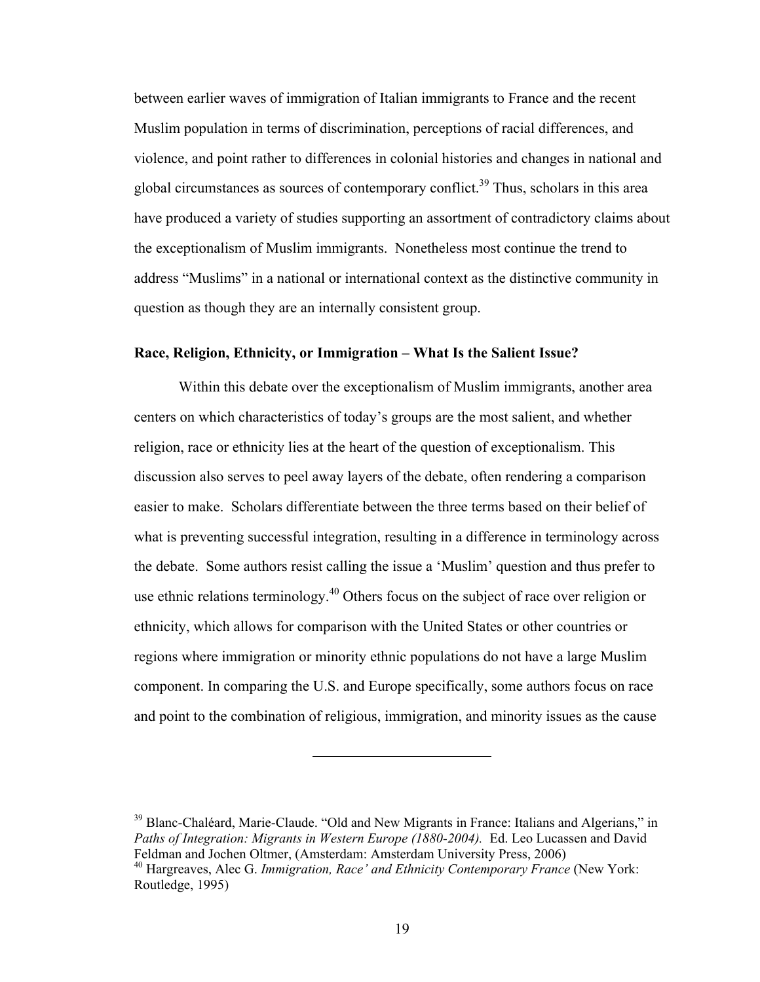between earlier waves of immigration of Italian immigrants to France and the recent Muslim population in terms of discrimination, perceptions of racial differences, and violence, and point rather to differences in colonial histories and changes in national and global circumstances as sources of contemporary conflict.<sup>39</sup> Thus, scholars in this area have produced a variety of studies supporting an assortment of contradictory claims about the exceptionalism of Muslim immigrants. Nonetheless most continue the trend to address "Muslims" in a national or international context as the distinctive community in question as though they are an internally consistent group.

## **Race, Religion, Ethnicity, or Immigration – What Is the Salient Issue?**

Within this debate over the exceptionalism of Muslim immigrants, another area centers on which characteristics of today's groups are the most salient, and whether religion, race or ethnicity lies at the heart of the question of exceptionalism. This discussion also serves to peel away layers of the debate, often rendering a comparison easier to make. Scholars differentiate between the three terms based on their belief of what is preventing successful integration, resulting in a difference in terminology across the debate. Some authors resist calling the issue a 'Muslim' question and thus prefer to use ethnic relations terminology.40 Others focus on the subject of race over religion or ethnicity, which allows for comparison with the United States or other countries or regions where immigration or minority ethnic populations do not have a large Muslim component. In comparing the U.S. and Europe specifically, some authors focus on race and point to the combination of religious, immigration, and minority issues as the cause

 $39$  Blanc-Chaléard, Marie-Claude. "Old and New Migrants in France: Italians and Algerians," in *Paths of Integration: Migrants in Western Europe (1880-2004).* Ed. Leo Lucassen and David Feldman and Jochen Oltmer, (Amsterdam: Amsterdam University Press, 2006)

<sup>40</sup> Hargreaves, Alec G. *Immigration, Race' and Ethnicity Contemporary France* (New York: Routledge, 1995)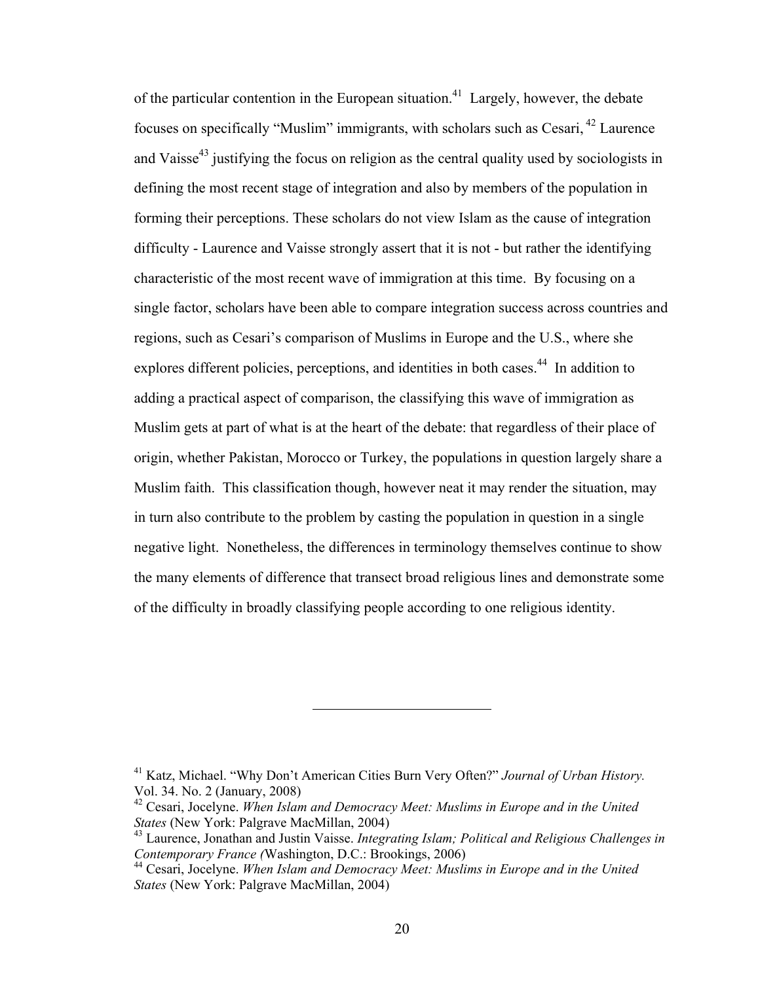of the particular contention in the European situation.<sup>41</sup> Largely, however, the debate focuses on specifically "Muslim" immigrants, with scholars such as Cesari, 42 Laurence and Vaisse<sup>43</sup> justifying the focus on religion as the central quality used by sociologists in defining the most recent stage of integration and also by members of the population in forming their perceptions. These scholars do not view Islam as the cause of integration difficulty - Laurence and Vaisse strongly assert that it is not - but rather the identifying characteristic of the most recent wave of immigration at this time. By focusing on a single factor, scholars have been able to compare integration success across countries and regions, such as Cesari's comparison of Muslims in Europe and the U.S., where she explores different policies, perceptions, and identities in both cases.<sup>44</sup> In addition to adding a practical aspect of comparison, the classifying this wave of immigration as Muslim gets at part of what is at the heart of the debate: that regardless of their place of origin, whether Pakistan, Morocco or Turkey, the populations in question largely share a Muslim faith. This classification though, however neat it may render the situation, may in turn also contribute to the problem by casting the population in question in a single negative light. Nonetheless, the differences in terminology themselves continue to show the many elements of difference that transect broad religious lines and demonstrate some of the difficulty in broadly classifying people according to one religious identity.

<sup>41</sup> Katz, Michael. "Why Don't American Cities Burn Very Often?" *Journal of Urban History.* Vol. 34. No. 2 (January, 2008)

<sup>42</sup> Cesari, Jocelyne. *When Islam and Democracy Meet: Muslims in Europe and in the United States* (New York: Palgrave MacMillan, 2004)

<sup>43</sup> Laurence, Jonathan and Justin Vaisse. *Integrating Islam; Political and Religious Challenges in Contemporary France (*Washington, D.C.: Brookings, 2006)

<sup>44</sup> Cesari, Jocelyne. *When Islam and Democracy Meet: Muslims in Europe and in the United States* (New York: Palgrave MacMillan, 2004)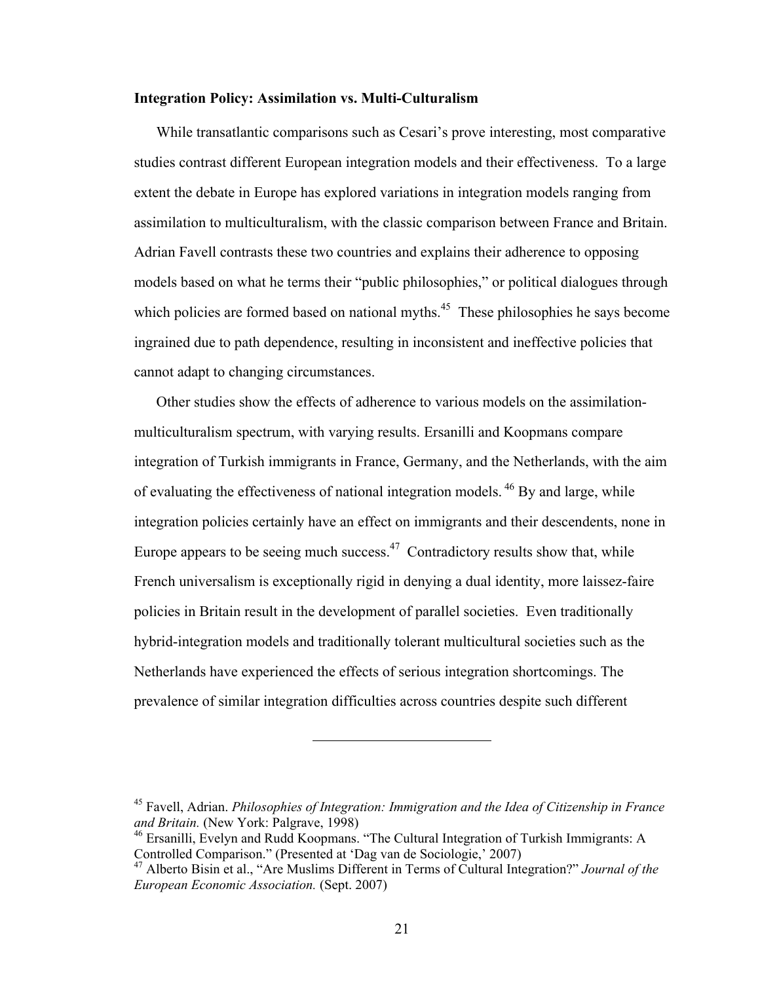### **Integration Policy: Assimilation vs. Multi-Culturalism**

While transatlantic comparisons such as Cesari's prove interesting, most comparative studies contrast different European integration models and their effectiveness. To a large extent the debate in Europe has explored variations in integration models ranging from assimilation to multiculturalism, with the classic comparison between France and Britain. Adrian Favell contrasts these two countries and explains their adherence to opposing models based on what he terms their "public philosophies," or political dialogues through which policies are formed based on national myths.<sup> $45$ </sup> These philosophies he says become ingrained due to path dependence, resulting in inconsistent and ineffective policies that cannot adapt to changing circumstances.

Other studies show the effects of adherence to various models on the assimilationmulticulturalism spectrum, with varying results. Ersanilli and Koopmans compare integration of Turkish immigrants in France, Germany, and the Netherlands, with the aim of evaluating the effectiveness of national integration models. 46 By and large, while integration policies certainly have an effect on immigrants and their descendents, none in Europe appears to be seeing much success.<sup> $47$ </sup> Contradictory results show that, while French universalism is exceptionally rigid in denying a dual identity, more laissez-faire policies in Britain result in the development of parallel societies. Even traditionally hybrid-integration models and traditionally tolerant multicultural societies such as the Netherlands have experienced the effects of serious integration shortcomings. The prevalence of similar integration difficulties across countries despite such different

<sup>45</sup> Favell, Adrian. *Philosophies of Integration: Immigration and the Idea of Citizenship in France and Britain.* (New York: Palgrave, 1998)

<sup>&</sup>lt;sup>46</sup> Ersanilli, Evelyn and Rudd Koopmans. "The Cultural Integration of Turkish Immigrants: A Controlled Comparison." (Presented at 'Dag van de Sociologie,' 2007)

<sup>47</sup> Alberto Bisin et al., "Are Muslims Different in Terms of Cultural Integration?" *Journal of the European Economic Association.* (Sept. 2007)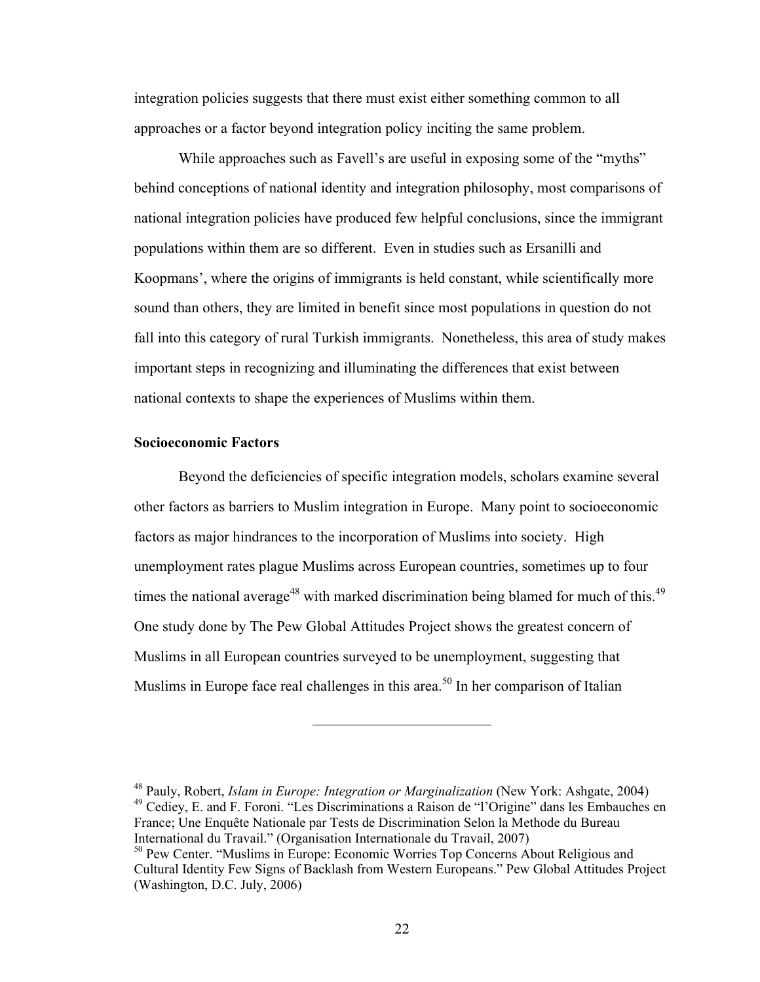integration policies suggests that there must exist either something common to all approaches or a factor beyond integration policy inciting the same problem.

While approaches such as Favell's are useful in exposing some of the "myths" behind conceptions of national identity and integration philosophy, most comparisons of national integration policies have produced few helpful conclusions, since the immigrant populations within them are so different. Even in studies such as Ersanilli and Koopmans', where the origins of immigrants is held constant, while scientifically more sound than others, they are limited in benefit since most populations in question do not fall into this category of rural Turkish immigrants. Nonetheless, this area of study makes important steps in recognizing and illuminating the differences that exist between national contexts to shape the experiences of Muslims within them.

# **Socioeconomic Factors**

Beyond the deficiencies of specific integration models, scholars examine several other factors as barriers to Muslim integration in Europe. Many point to socioeconomic factors as major hindrances to the incorporation of Muslims into society. High unemployment rates plague Muslims across European countries, sometimes up to four times the national average<sup>48</sup> with marked discrimination being blamed for much of this.<sup>49</sup> One study done by The Pew Global Attitudes Project shows the greatest concern of Muslims in all European countries surveyed to be unemployment, suggesting that Muslims in Europe face real challenges in this area.<sup>50</sup> In her comparison of Italian

<sup>48</sup> Pauly, Robert, *Islam in Europe: Integration or Marginalization* (New York: Ashgate, 2004) 49 Cediey, E. and F. Foroni. "Les Discriminations a Raison de "l'Origine" dans les Embauches en France; Une Enquête Nationale par Tests de Discrimination Selon la Methode du Bureau International du Travail." (Organisation Internationale du Travail, 2007)

<sup>50</sup> Pew Center. "Muslims in Europe: Economic Worries Top Concerns About Religious and Cultural Identity Few Signs of Backlash from Western Europeans." Pew Global Attitudes Project (Washington, D.C. July, 2006)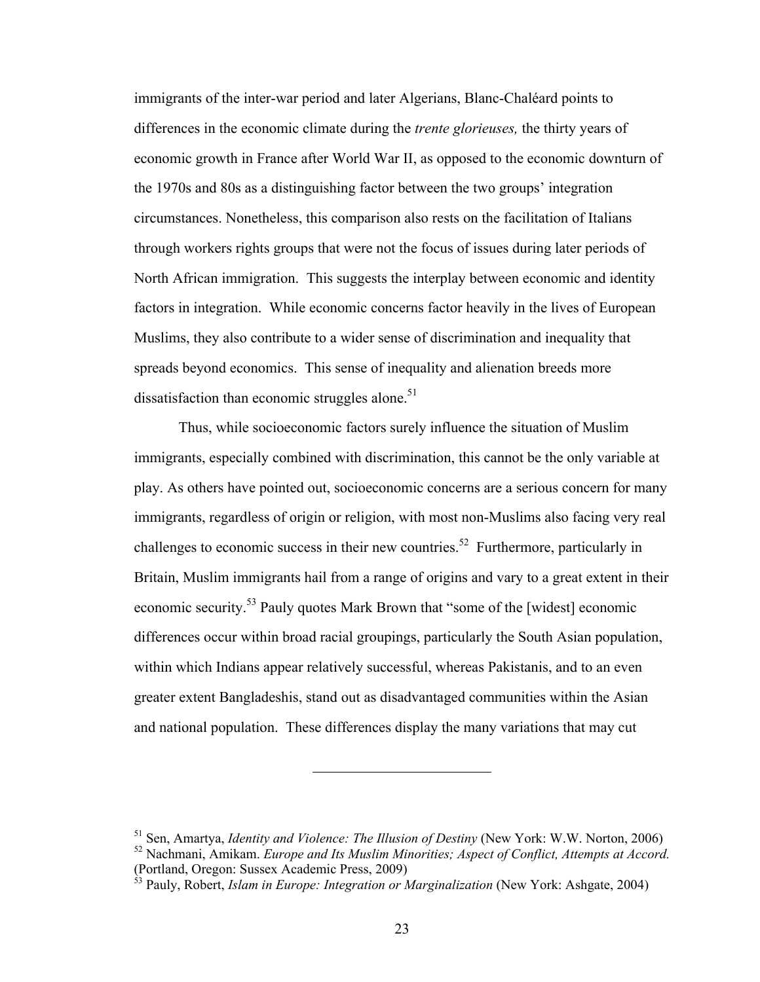immigrants of the inter-war period and later Algerians, Blanc-Chaléard points to differences in the economic climate during the *trente glorieuses,* the thirty years of economic growth in France after World War II, as opposed to the economic downturn of the 1970s and 80s as a distinguishing factor between the two groups' integration circumstances. Nonetheless, this comparison also rests on the facilitation of Italians through workers rights groups that were not the focus of issues during later periods of North African immigration. This suggests the interplay between economic and identity factors in integration. While economic concerns factor heavily in the lives of European Muslims, they also contribute to a wider sense of discrimination and inequality that spreads beyond economics. This sense of inequality and alienation breeds more dissatisfaction than economic struggles alone. $51$ 

Thus, while socioeconomic factors surely influence the situation of Muslim immigrants, especially combined with discrimination, this cannot be the only variable at play. As others have pointed out, socioeconomic concerns are a serious concern for many immigrants, regardless of origin or religion, with most non-Muslims also facing very real challenges to economic success in their new countries.<sup>52</sup> Furthermore, particularly in Britain, Muslim immigrants hail from a range of origins and vary to a great extent in their economic security.53 Pauly quotes Mark Brown that "some of the [widest] economic differences occur within broad racial groupings, particularly the South Asian population, within which Indians appear relatively successful, whereas Pakistanis, and to an even greater extent Bangladeshis, stand out as disadvantaged communities within the Asian and national population. These differences display the many variations that may cut

<sup>51</sup> Sen, Amartya, *Identity and Violence: The Illusion of Destiny* (New York: W.W. Norton, 2006)

<sup>52</sup> Nachmani, Amikam. *Europe and Its Muslim Minorities; Aspect of Conflict, Attempts at Accord.*  (Portland, Oregon: Sussex Academic Press, 2009)

<sup>53</sup> Pauly, Robert, *Islam in Europe: Integration or Marginalization* (New York: Ashgate, 2004)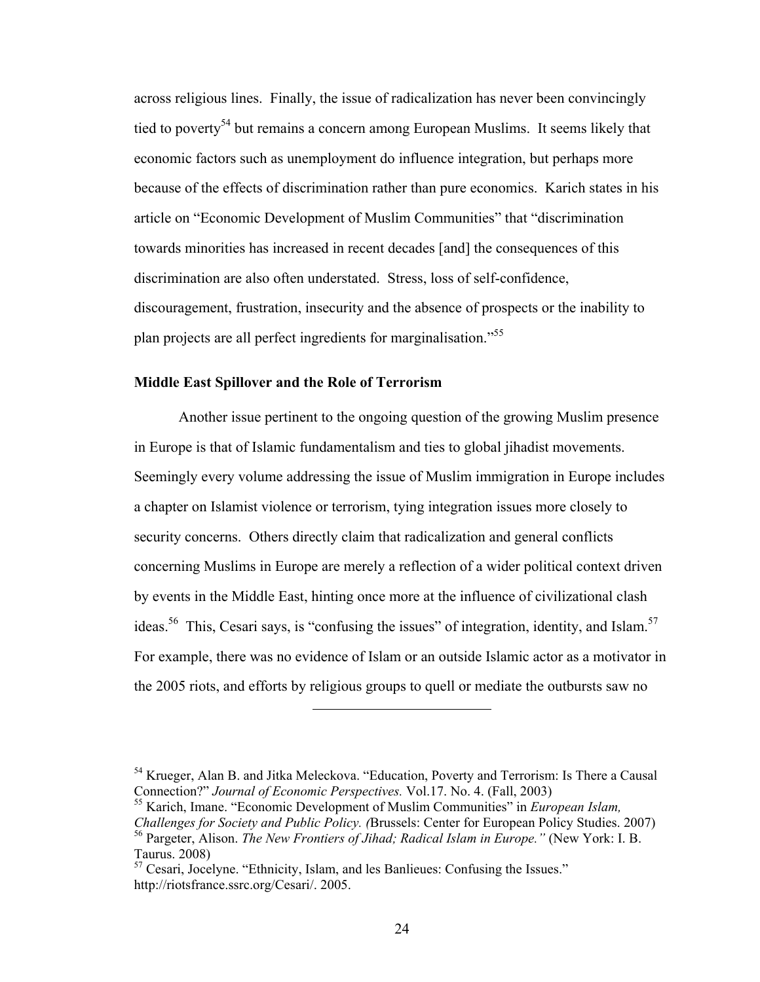across religious lines.Finally, the issue of radicalization has never been convincingly tied to poverty<sup>54</sup> but remains a concern among European Muslims. It seems likely that economic factors such as unemployment do influence integration, but perhaps more because of the effects of discrimination rather than pure economics. Karich states in his article on "Economic Development of Muslim Communities" that "discrimination towards minorities has increased in recent decades [and] the consequences of this discrimination are also often understated. Stress, loss of self-confidence, discouragement, frustration, insecurity and the absence of prospects or the inability to plan projects are all perfect ingredients for marginalisation."55

## **Middle East Spillover and the Role of Terrorism**

Another issue pertinent to the ongoing question of the growing Muslim presence in Europe is that of Islamic fundamentalism and ties to global jihadist movements. Seemingly every volume addressing the issue of Muslim immigration in Europe includes a chapter on Islamist violence or terrorism, tying integration issues more closely to security concerns. Others directly claim that radicalization and general conflicts concerning Muslims in Europe are merely a reflection of a wider political context driven by events in the Middle East, hinting once more at the influence of civilizational clash ideas.<sup>56</sup> This, Cesari says, is "confusing the issues" of integration, identity, and Islam.<sup>57</sup> For example, there was no evidence of Islam or an outside Islamic actor as a motivator in the 2005 riots, and efforts by religious groups to quell or mediate the outbursts saw no

<sup>&</sup>lt;sup>54</sup> Krueger, Alan B. and Jitka Meleckova. "Education, Poverty and Terrorism: Is There a Causal Connection?" *Journal of Economic Perspectives.* Vol.17. No. 4. (Fall, 2003)

<sup>55</sup> Karich, Imane. "Economic Development of Muslim Communities" in *European Islam, Challenges for Society and Public Policy. (*Brussels: Center for European Policy Studies. 2007) 56 Pargeter, Alison. *The New Frontiers of Jihad; Radical Islam in Europe."* (New York: I. B. Taurus. 2008)

 $57$  Cesari, Jocelyne. "Ethnicity, Islam, and les Banlieues: Confusing the Issues." http://riotsfrance.ssrc.org/Cesari/. 2005.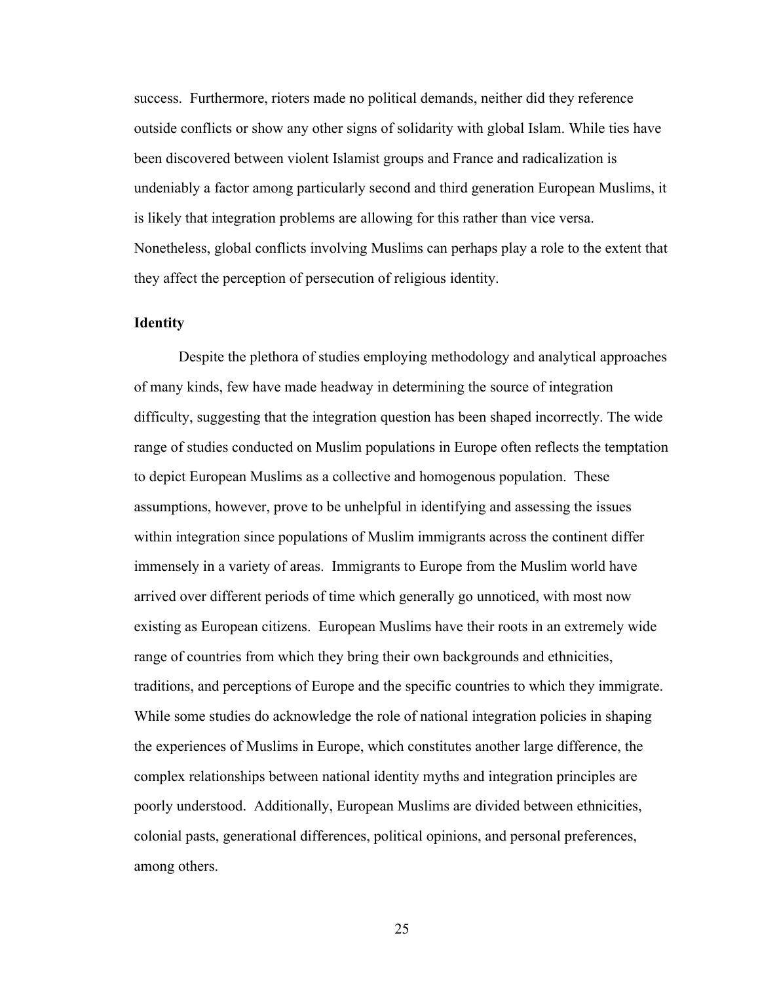success. Furthermore, rioters made no political demands, neither did they reference outside conflicts or show any other signs of solidarity with global Islam. While ties have been discovered between violent Islamist groups and France and radicalization is undeniably a factor among particularly second and third generation European Muslims, it is likely that integration problems are allowing for this rather than vice versa. Nonetheless, global conflicts involving Muslims can perhaps play a role to the extent that they affect the perception of persecution of religious identity.

# **Identity**

Despite the plethora of studies employing methodology and analytical approaches of many kinds, few have made headway in determining the source of integration difficulty, suggesting that the integration question has been shaped incorrectly. The wide range of studies conducted on Muslim populations in Europe often reflects the temptation to depict European Muslims as a collective and homogenous population. These assumptions, however, prove to be unhelpful in identifying and assessing the issues within integration since populations of Muslim immigrants across the continent differ immensely in a variety of areas. Immigrants to Europe from the Muslim world have arrived over different periods of time which generally go unnoticed, with most now existing as European citizens. European Muslims have their roots in an extremely wide range of countries from which they bring their own backgrounds and ethnicities, traditions, and perceptions of Europe and the specific countries to which they immigrate. While some studies do acknowledge the role of national integration policies in shaping the experiences of Muslims in Europe, which constitutes another large difference, the complex relationships between national identity myths and integration principles are poorly understood. Additionally, European Muslims are divided between ethnicities, colonial pasts, generational differences, political opinions, and personal preferences, among others.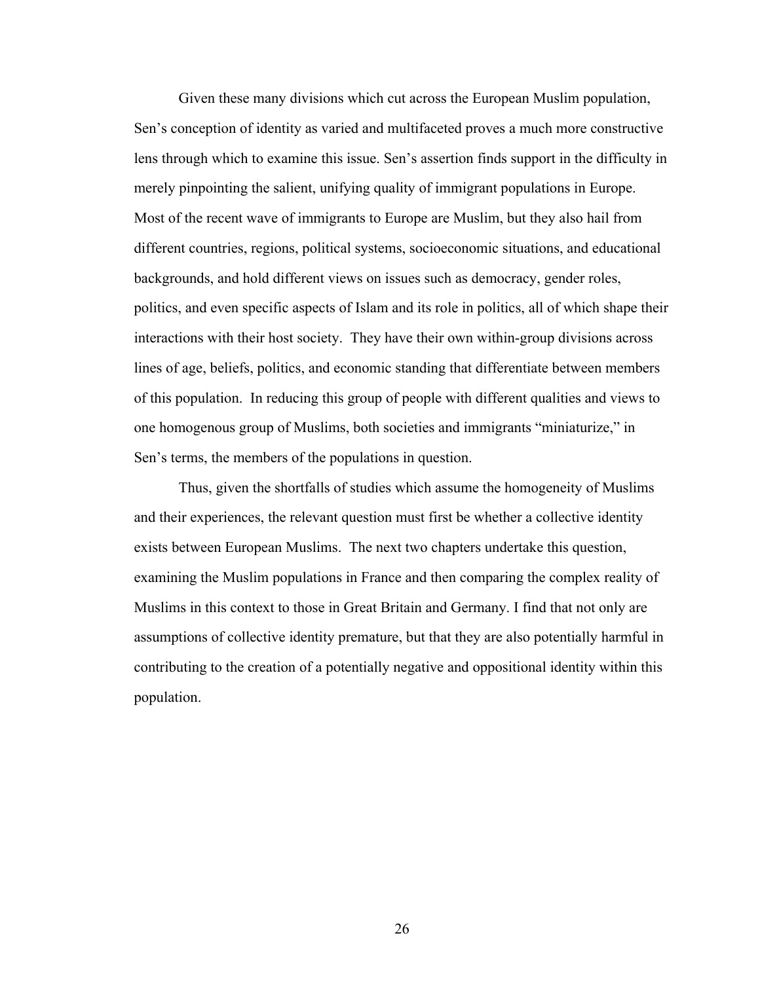Given these many divisions which cut across the European Muslim population, Sen's conception of identity as varied and multifaceted proves a much more constructive lens through which to examine this issue. Sen's assertion finds support in the difficulty in merely pinpointing the salient, unifying quality of immigrant populations in Europe. Most of the recent wave of immigrants to Europe are Muslim, but they also hail from different countries, regions, political systems, socioeconomic situations, and educational backgrounds, and hold different views on issues such as democracy, gender roles, politics, and even specific aspects of Islam and its role in politics, all of which shape their interactions with their host society. They have their own within-group divisions across lines of age, beliefs, politics, and economic standing that differentiate between members of this population. In reducing this group of people with different qualities and views to one homogenous group of Muslims, both societies and immigrants "miniaturize," in Sen's terms, the members of the populations in question.

Thus, given the shortfalls of studies which assume the homogeneity of Muslims and their experiences, the relevant question must first be whether a collective identity exists between European Muslims. The next two chapters undertake this question, examining the Muslim populations in France and then comparing the complex reality of Muslims in this context to those in Great Britain and Germany. I find that not only are assumptions of collective identity premature, but that they are also potentially harmful in contributing to the creation of a potentially negative and oppositional identity within this population.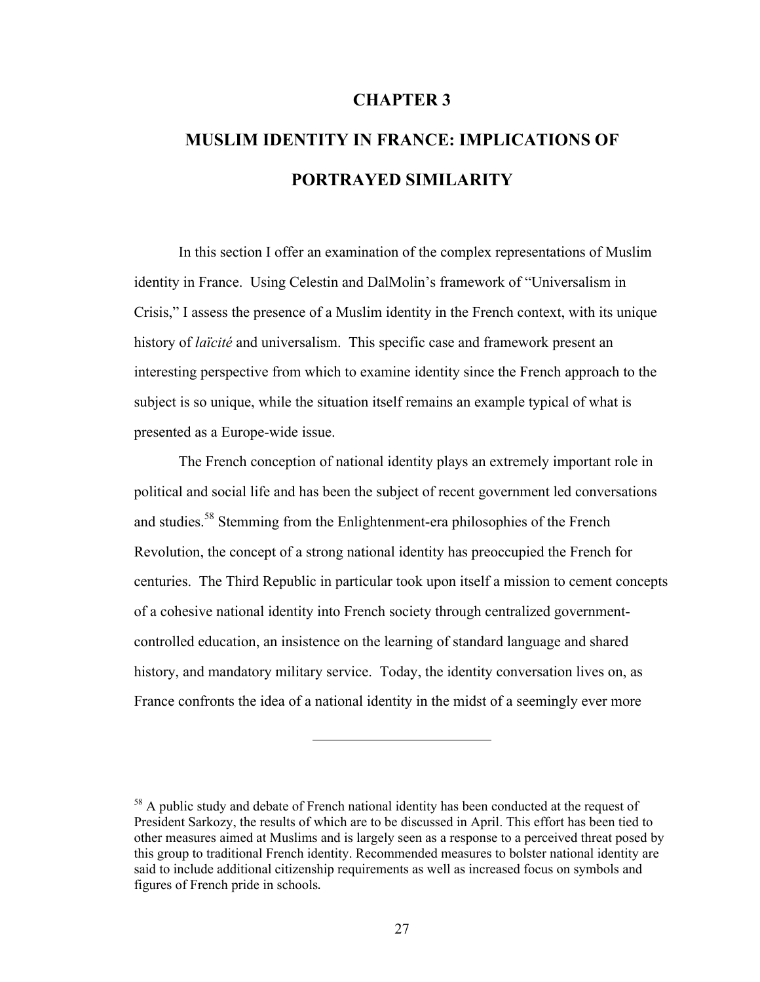# **CHAPTER 3**

# **MUSLIM IDENTITY IN FRANCE: IMPLICATIONS OF PORTRAYED SIMILARITY**

In this section I offer an examination of the complex representations of Muslim identity in France. Using Celestin and DalMolin's framework of "Universalism in Crisis," I assess the presence of a Muslim identity in the French context, with its unique history of *laïcité* and universalism. This specific case and framework present an interesting perspective from which to examine identity since the French approach to the subject is so unique, while the situation itself remains an example typical of what is presented as a Europe-wide issue.

The French conception of national identity plays an extremely important role in political and social life and has been the subject of recent government led conversations and studies.<sup>58</sup> Stemming from the Enlightenment-era philosophies of the French Revolution, the concept of a strong national identity has preoccupied the French for centuries. The Third Republic in particular took upon itself a mission to cement concepts of a cohesive national identity into French society through centralized governmentcontrolled education, an insistence on the learning of standard language and shared history, and mandatory military service. Today, the identity conversation lives on, as France confronts the idea of a national identity in the midst of a seemingly ever more

 $58$  A public study and debate of French national identity has been conducted at the request of President Sarkozy, the results of which are to be discussed in April. This effort has been tied to other measures aimed at Muslims and is largely seen as a response to a perceived threat posed by this group to traditional French identity. Recommended measures to bolster national identity are said to include additional citizenship requirements as well as increased focus on symbols and figures of French pride in schools.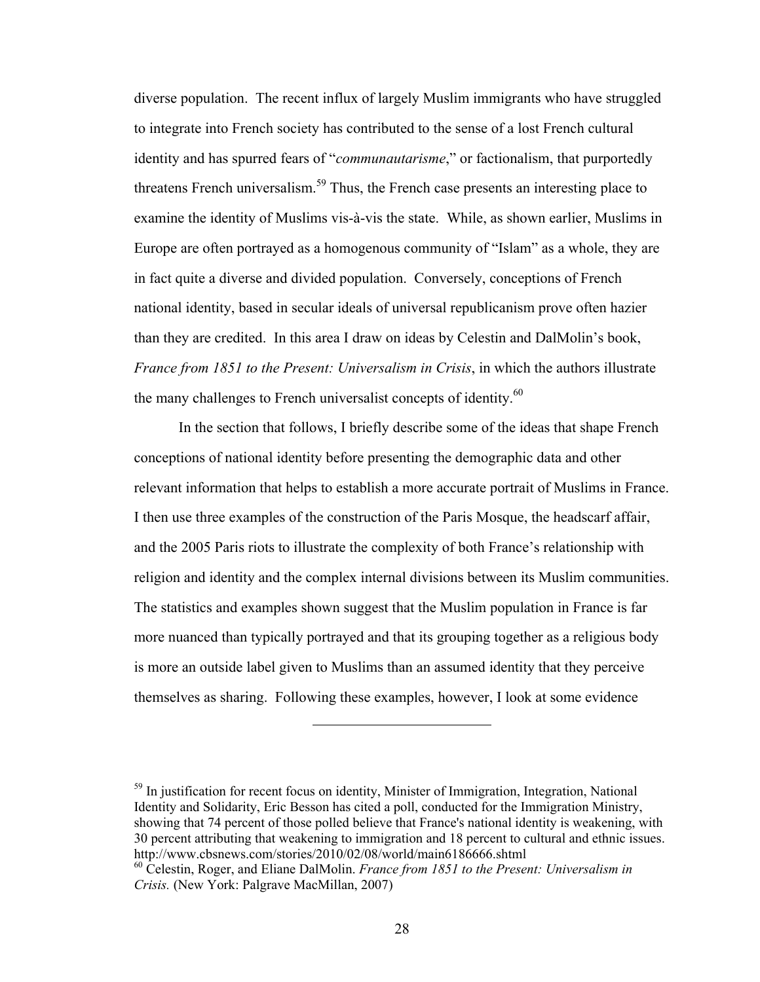diverse population. The recent influx of largely Muslim immigrants who have struggled to integrate into French society has contributed to the sense of a lost French cultural identity and has spurred fears of "*communautarisme*," or factionalism, that purportedly threatens French universalism.<sup>59</sup> Thus, the French case presents an interesting place to examine the identity of Muslims vis-à-vis the state. While, as shown earlier, Muslims in Europe are often portrayed as a homogenous community of "Islam" as a whole, they are in fact quite a diverse and divided population. Conversely, conceptions of French national identity, based in secular ideals of universal republicanism prove often hazier than they are credited. In this area I draw on ideas by Celestin and DalMolin's book, *France from 1851 to the Present: Universalism in Crisis*, in which the authors illustrate the many challenges to French universalist concepts of identity. $60$ 

In the section that follows, I briefly describe some of the ideas that shape French conceptions of national identity before presenting the demographic data and other relevant information that helps to establish a more accurate portrait of Muslims in France. I then use three examples of the construction of the Paris Mosque, the headscarf affair, and the 2005 Paris riots to illustrate the complexity of both France's relationship with religion and identity and the complex internal divisions between its Muslim communities. The statistics and examples shown suggest that the Muslim population in France is far more nuanced than typically portrayed and that its grouping together as a religious body is more an outside label given to Muslims than an assumed identity that they perceive themselves as sharing. Following these examples, however, I look at some evidence

 $<sup>59</sup>$  In justification for recent focus on identity, Minister of Immigration, Integration, National</sup> Identity and Solidarity, Eric Besson has cited a poll, conducted for the Immigration Ministry, showing that 74 percent of those polled believe that France's national identity is weakening, with 30 percent attributing that weakening to immigration and 18 percent to cultural and ethnic issues. http://www.cbsnews.com/stories/2010/02/08/world/main6186666.shtml

<sup>60</sup> Celestin, Roger, and Eliane DalMolin. *France from 1851 to the Present: Universalism in Crisis.* (New York: Palgrave MacMillan, 2007)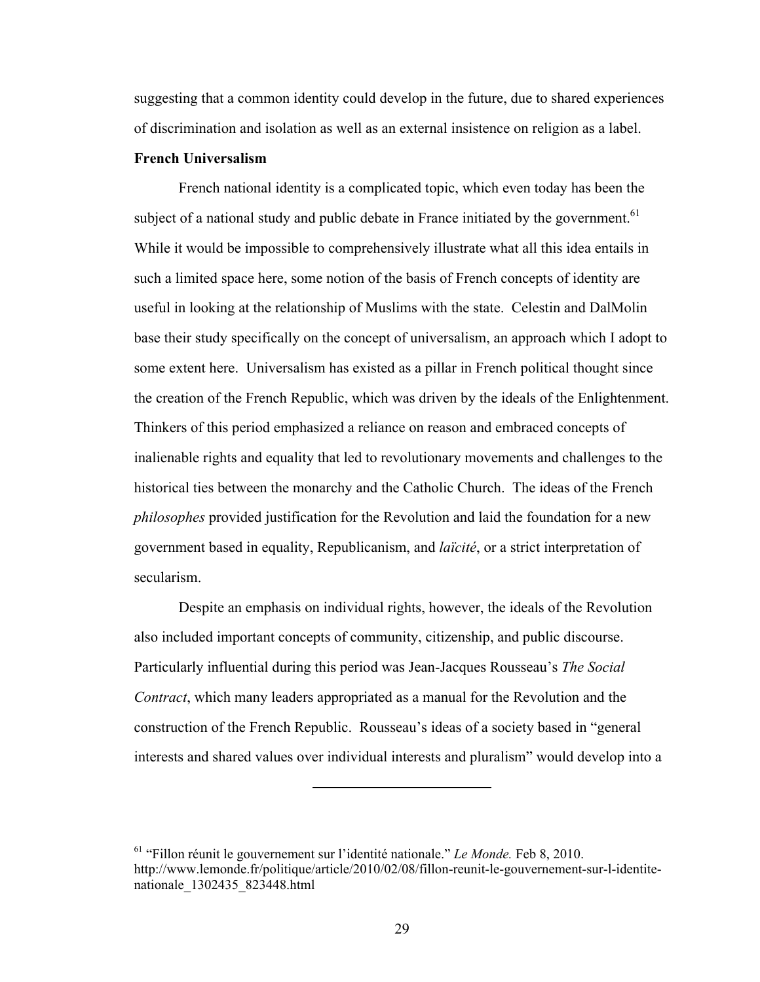suggesting that a common identity could develop in the future, due to shared experiences of discrimination and isolation as well as an external insistence on religion as a label.

### **French Universalism**

French national identity is a complicated topic, which even today has been the subject of a national study and public debate in France initiated by the government.<sup>61</sup> While it would be impossible to comprehensively illustrate what all this idea entails in such a limited space here, some notion of the basis of French concepts of identity are useful in looking at the relationship of Muslims with the state. Celestin and DalMolin base their study specifically on the concept of universalism, an approach which I adopt to some extent here. Universalism has existed as a pillar in French political thought since the creation of the French Republic, which was driven by the ideals of the Enlightenment. Thinkers of this period emphasized a reliance on reason and embraced concepts of inalienable rights and equality that led to revolutionary movements and challenges to the historical ties between the monarchy and the Catholic Church. The ideas of the French *philosophes* provided justification for the Revolution and laid the foundation for a new government based in equality, Republicanism, and *laïcité*, or a strict interpretation of secularism.

Despite an emphasis on individual rights, however, the ideals of the Revolution also included important concepts of community, citizenship, and public discourse. Particularly influential during this period was Jean-Jacques Rousseau's *The Social Contract*, which many leaders appropriated as a manual for the Revolution and the construction of the French Republic. Rousseau's ideas of a society based in "general interests and shared values over individual interests and pluralism" would develop into a

<sup>61 &</sup>quot;Fillon réunit le gouvernement sur l'identité nationale." *Le Monde.* Feb 8, 2010. http://www.lemonde.fr/politique/article/2010/02/08/fillon-reunit-le-gouvernement-sur-l-identitenationale\_1302435\_823448.html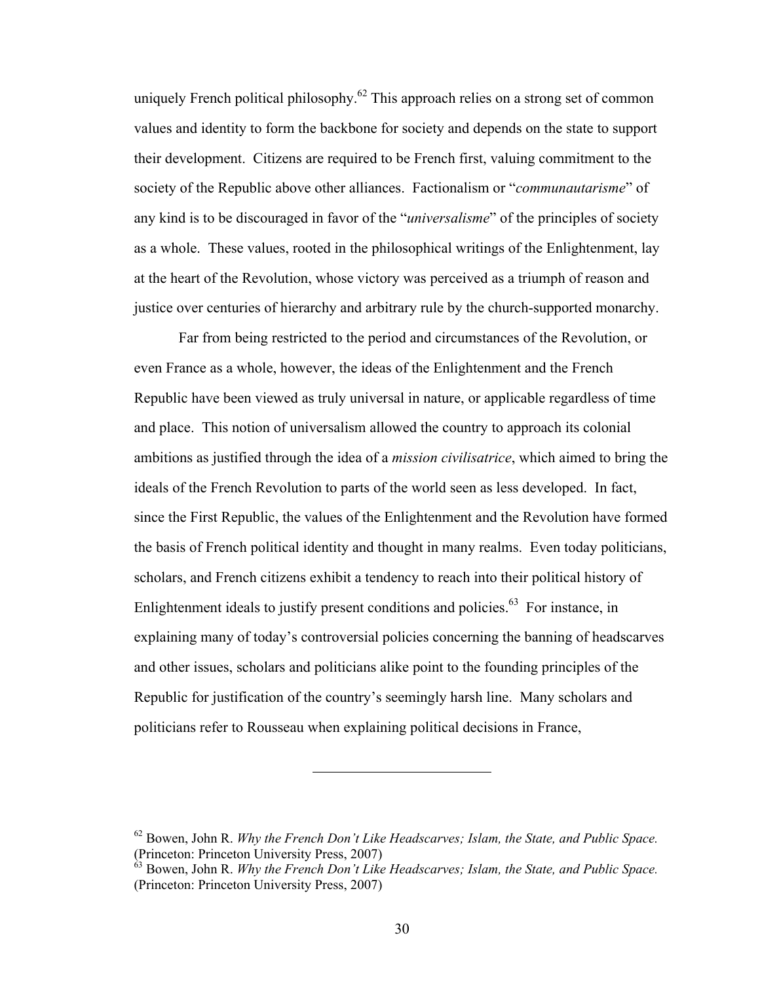uniquely French political philosophy.<sup>62</sup> This approach relies on a strong set of common values and identity to form the backbone for society and depends on the state to support their development. Citizens are required to be French first, valuing commitment to the society of the Republic above other alliances. Factionalism or "*communautarisme*" of any kind is to be discouraged in favor of the "*universalisme*" of the principles of society as a whole. These values, rooted in the philosophical writings of the Enlightenment, lay at the heart of the Revolution, whose victory was perceived as a triumph of reason and justice over centuries of hierarchy and arbitrary rule by the church-supported monarchy.

Far from being restricted to the period and circumstances of the Revolution, or even France as a whole, however, the ideas of the Enlightenment and the French Republic have been viewed as truly universal in nature, or applicable regardless of time and place. This notion of universalism allowed the country to approach its colonial ambitions as justified through the idea of a *mission civilisatrice*, which aimed to bring the ideals of the French Revolution to parts of the world seen as less developed. In fact, since the First Republic, the values of the Enlightenment and the Revolution have formed the basis of French political identity and thought in many realms. Even today politicians, scholars, and French citizens exhibit a tendency to reach into their political history of Enlightenment ideals to justify present conditions and policies.<sup>63</sup> For instance, in explaining many of today's controversial policies concerning the banning of headscarves and other issues, scholars and politicians alike point to the founding principles of the Republic for justification of the country's seemingly harsh line. Many scholars and politicians refer to Rousseau when explaining political decisions in France,

<sup>62</sup> Bowen, John R. *Why the French Don't Like Headscarves; Islam, the State, and Public Space.* (Princeton: Princeton University Press, 2007)

<sup>63</sup> Bowen, John R. *Why the French Don't Like Headscarves; Islam, the State, and Public Space.* (Princeton: Princeton University Press, 2007)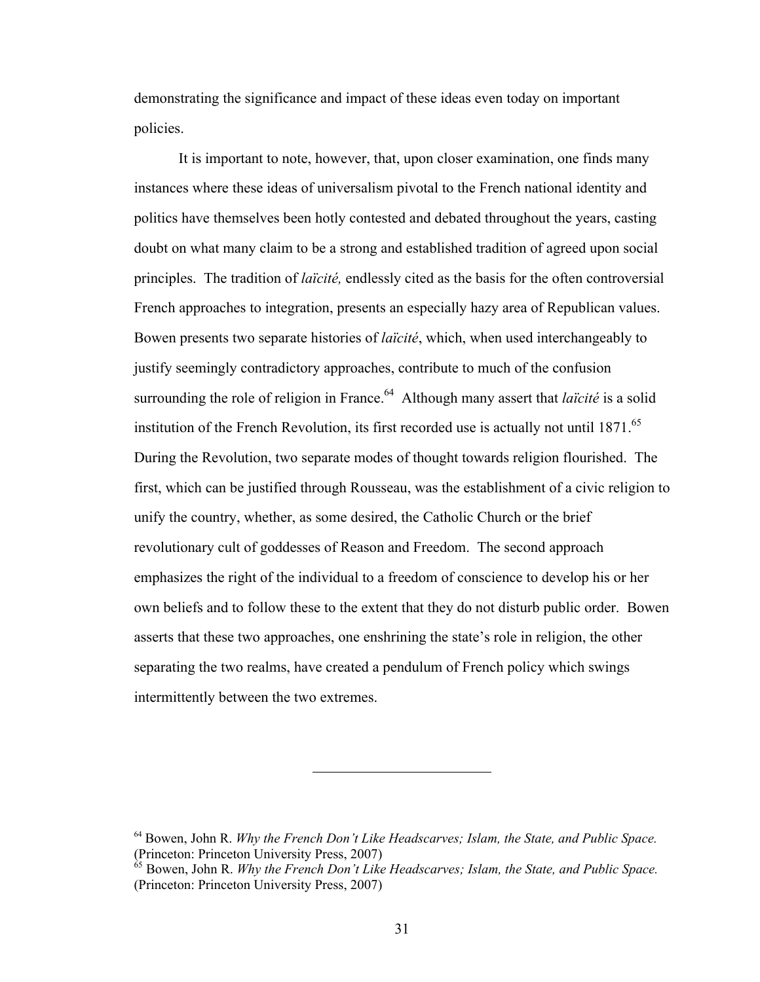demonstrating the significance and impact of these ideas even today on important policies.

It is important to note, however, that, upon closer examination, one finds many instances where these ideas of universalism pivotal to the French national identity and politics have themselves been hotly contested and debated throughout the years, casting doubt on what many claim to be a strong and established tradition of agreed upon social principles. The tradition of *laïcité,* endlessly cited as the basis for the often controversial French approaches to integration, presents an especially hazy area of Republican values. Bowen presents two separate histories of *laïcité*, which, when used interchangeably to justify seemingly contradictory approaches, contribute to much of the confusion surrounding the role of religion in France.<sup>64</sup> Although many assert that *laïcité* is a solid institution of the French Revolution, its first recorded use is actually not until 1871.<sup>65</sup> During the Revolution, two separate modes of thought towards religion flourished. The first, which can be justified through Rousseau, was the establishment of a civic religion to unify the country, whether, as some desired, the Catholic Church or the brief revolutionary cult of goddesses of Reason and Freedom. The second approach emphasizes the right of the individual to a freedom of conscience to develop his or her own beliefs and to follow these to the extent that they do not disturb public order. Bowen asserts that these two approaches, one enshrining the state's role in religion, the other separating the two realms, have created a pendulum of French policy which swings intermittently between the two extremes.

<sup>64</sup> Bowen, John R. *Why the French Don't Like Headscarves; Islam, the State, and Public Space.* (Princeton: Princeton University Press, 2007)

<sup>65</sup> Bowen, John R. *Why the French Don't Like Headscarves; Islam, the State, and Public Space.* (Princeton: Princeton University Press, 2007)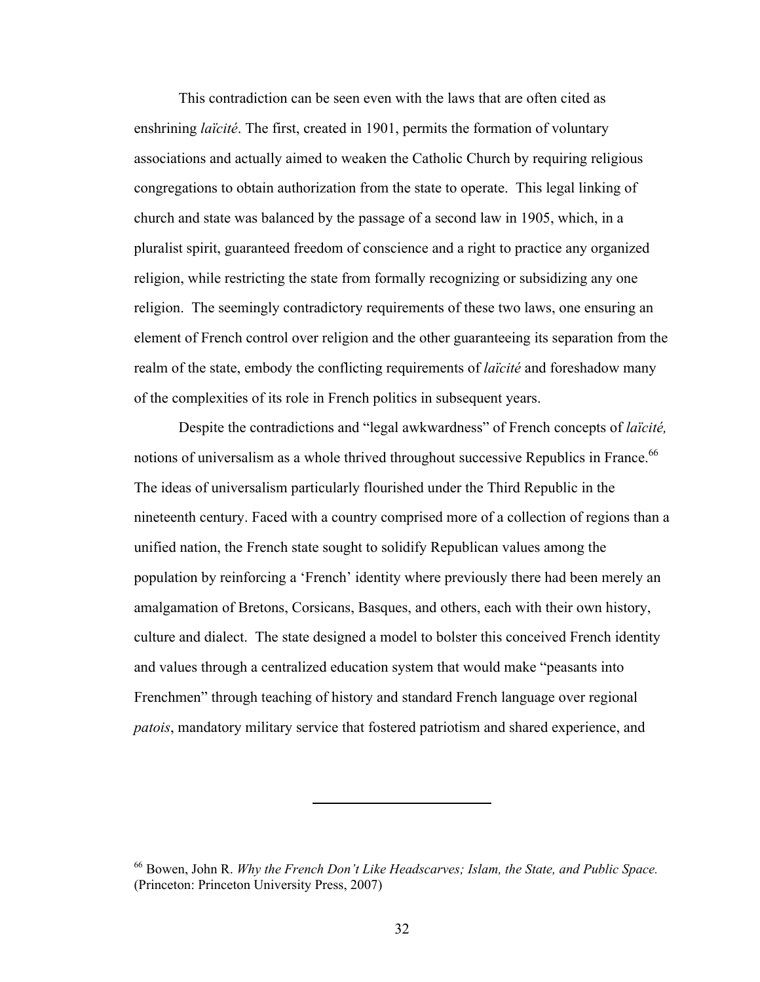This contradiction can be seen even with the laws that are often cited as enshrining *laïcité*. The first, created in 1901, permits the formation of voluntary associations and actually aimed to weaken the Catholic Church by requiring religious congregations to obtain authorization from the state to operate. This legal linking of church and state was balanced by the passage of a second law in 1905, which, in a pluralist spirit, guaranteed freedom of conscience and a right to practice any organized religion, while restricting the state from formally recognizing or subsidizing any one religion. The seemingly contradictory requirements of these two laws, one ensuring an element of French control over religion and the other guaranteeing its separation from the realm of the state, embody the conflicting requirements of *laïcité* and foreshadow many of the complexities of its role in French politics in subsequent years.

Despite the contradictions and "legal awkwardness" of French concepts of *laïcité,*  notions of universalism as a whole thrived throughout successive Republics in France.<sup>66</sup> The ideas of universalism particularly flourished under the Third Republic in the nineteenth century. Faced with a country comprised more of a collection of regions than a unified nation, the French state sought to solidify Republican values among the population by reinforcing a 'French' identity where previously there had been merely an amalgamation of Bretons, Corsicans, Basques, and others, each with their own history, culture and dialect. The state designed a model to bolster this conceived French identity and values through a centralized education system that would make "peasants into Frenchmen" through teaching of history and standard French language over regional *patois*, mandatory military service that fostered patriotism and shared experience, and

<sup>66</sup> Bowen, John R. *Why the French Don't Like Headscarves; Islam, the State, and Public Space.* (Princeton: Princeton University Press, 2007)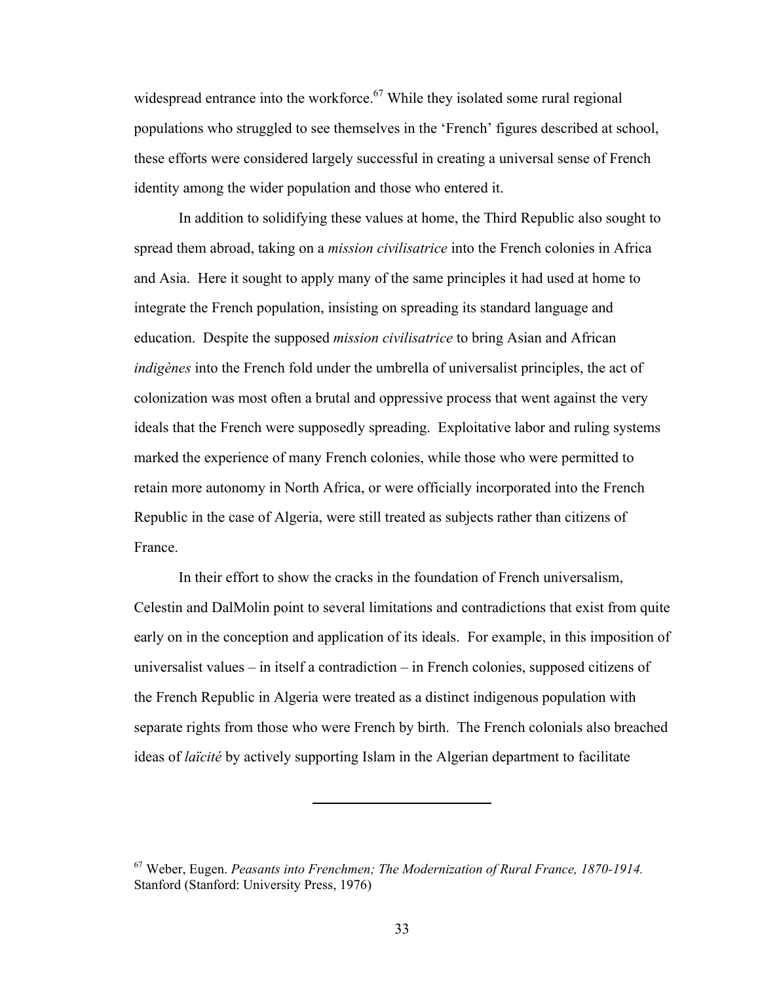widespread entrance into the workforce.<sup>67</sup> While they isolated some rural regional populations who struggled to see themselves in the 'French' figures described at school, these efforts were considered largely successful in creating a universal sense of French identity among the wider population and those who entered it.

In addition to solidifying these values at home, the Third Republic also sought to spread them abroad, taking on a *mission civilisatrice* into the French colonies in Africa and Asia. Here it sought to apply many of the same principles it had used at home to integrate the French population, insisting on spreading its standard language and education. Despite the supposed *mission civilisatrice* to bring Asian and African *indigènes* into the French fold under the umbrella of universalist principles, the act of colonization was most often a brutal and oppressive process that went against the very ideals that the French were supposedly spreading. Exploitative labor and ruling systems marked the experience of many French colonies, while those who were permitted to retain more autonomy in North Africa, or were officially incorporated into the French Republic in the case of Algeria, were still treated as subjects rather than citizens of France.

In their effort to show the cracks in the foundation of French universalism, Celestin and DalMolin point to several limitations and contradictions that exist from quite early on in the conception and application of its ideals. For example, in this imposition of universalist values – in itself a contradiction – in French colonies, supposed citizens of the French Republic in Algeria were treated as a distinct indigenous population with separate rights from those who were French by birth. The French colonials also breached ideas of *laïcité* by actively supporting Islam in the Algerian department to facilitate

<sup>67</sup> Weber, Eugen. *Peasants into Frenchmen; The Modernization of Rural France, 1870-1914.* Stanford (Stanford: University Press, 1976)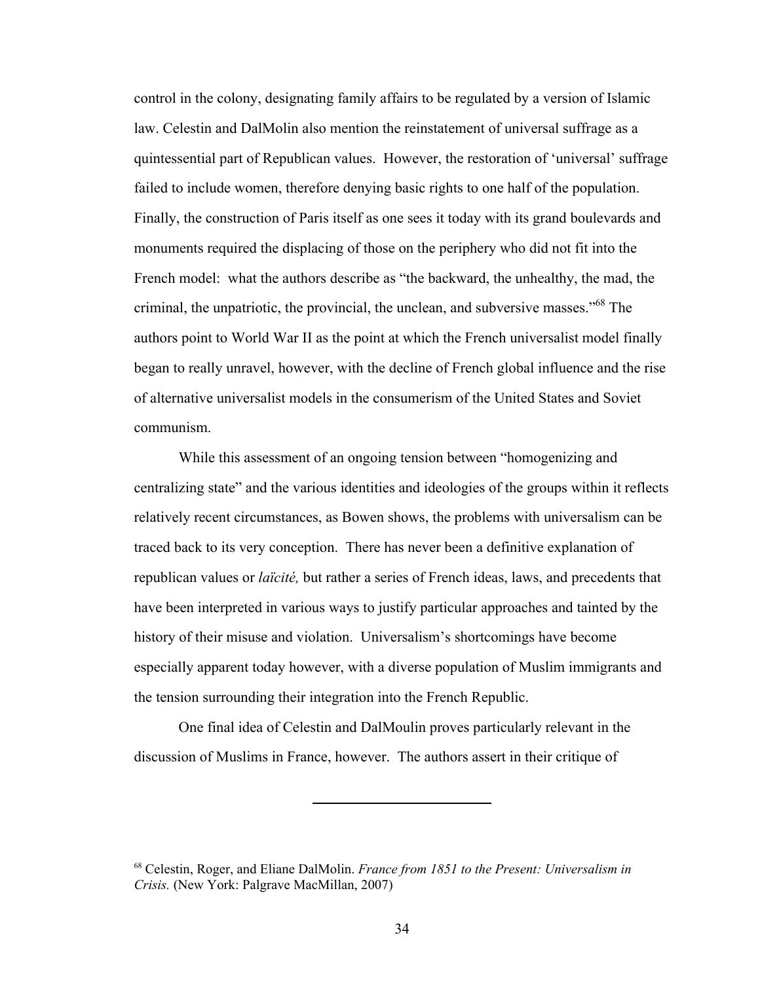control in the colony, designating family affairs to be regulated by a version of Islamic law. Celestin and DalMolin also mention the reinstatement of universal suffrage as a quintessential part of Republican values. However, the restoration of 'universal' suffrage failed to include women, therefore denying basic rights to one half of the population. Finally, the construction of Paris itself as one sees it today with its grand boulevards and monuments required the displacing of those on the periphery who did not fit into the French model: what the authors describe as "the backward, the unhealthy, the mad, the criminal, the unpatriotic, the provincial, the unclean, and subversive masses."68 The authors point to World War II as the point at which the French universalist model finally began to really unravel, however, with the decline of French global influence and the rise of alternative universalist models in the consumerism of the United States and Soviet communism.

While this assessment of an ongoing tension between "homogenizing and centralizing state" and the various identities and ideologies of the groups within it reflects relatively recent circumstances, as Bowen shows, the problems with universalism can be traced back to its very conception. There has never been a definitive explanation of republican values or *laïcité,* but rather a series of French ideas, laws, and precedents that have been interpreted in various ways to justify particular approaches and tainted by the history of their misuse and violation. Universalism's shortcomings have become especially apparent today however, with a diverse population of Muslim immigrants and the tension surrounding their integration into the French Republic.

One final idea of Celestin and DalMoulin proves particularly relevant in the discussion of Muslims in France, however. The authors assert in their critique of

<sup>68</sup> Celestin, Roger, and Eliane DalMolin. *France from 1851 to the Present: Universalism in Crisis.* (New York: Palgrave MacMillan, 2007)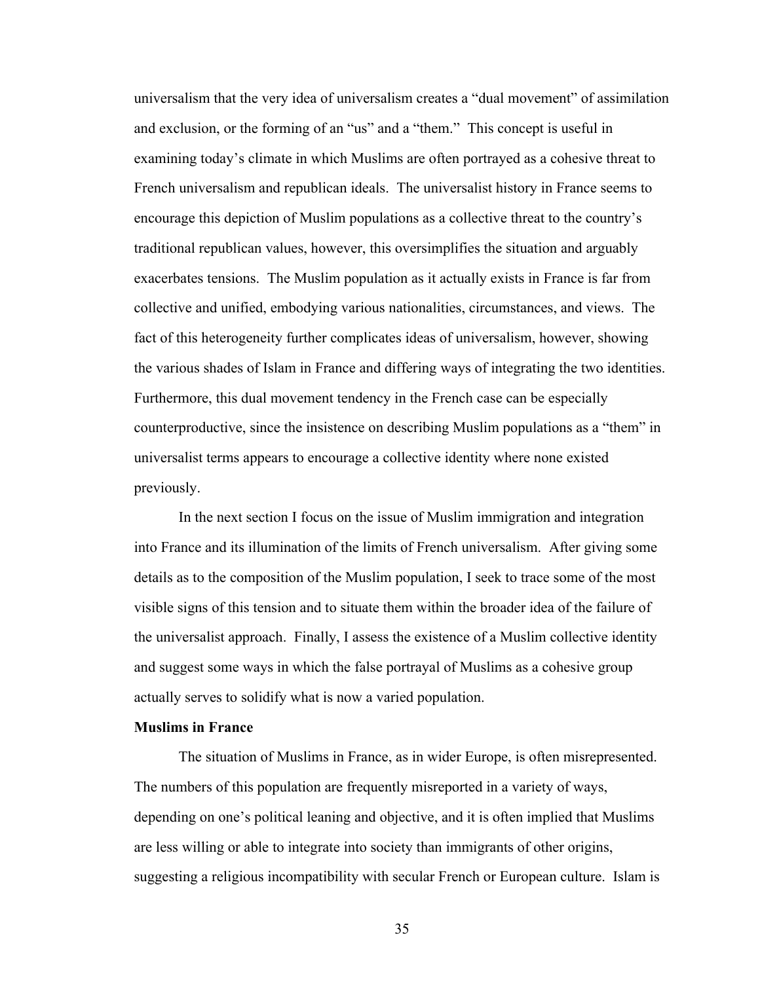universalism that the very idea of universalism creates a "dual movement" of assimilation and exclusion, or the forming of an "us" and a "them." This concept is useful in examining today's climate in which Muslims are often portrayed as a cohesive threat to French universalism and republican ideals. The universalist history in France seems to encourage this depiction of Muslim populations as a collective threat to the country's traditional republican values, however, this oversimplifies the situation and arguably exacerbates tensions. The Muslim population as it actually exists in France is far from collective and unified, embodying various nationalities, circumstances, and views. The fact of this heterogeneity further complicates ideas of universalism, however, showing the various shades of Islam in France and differing ways of integrating the two identities. Furthermore, this dual movement tendency in the French case can be especially counterproductive, since the insistence on describing Muslim populations as a "them" in universalist terms appears to encourage a collective identity where none existed previously.

In the next section I focus on the issue of Muslim immigration and integration into France and its illumination of the limits of French universalism. After giving some details as to the composition of the Muslim population, I seek to trace some of the most visible signs of this tension and to situate them within the broader idea of the failure of the universalist approach. Finally, I assess the existence of a Muslim collective identity and suggest some ways in which the false portrayal of Muslims as a cohesive group actually serves to solidify what is now a varied population.

## **Muslims in France**

The situation of Muslims in France, as in wider Europe, is often misrepresented. The numbers of this population are frequently misreported in a variety of ways, depending on one's political leaning and objective, and it is often implied that Muslims are less willing or able to integrate into society than immigrants of other origins, suggesting a religious incompatibility with secular French or European culture. Islam is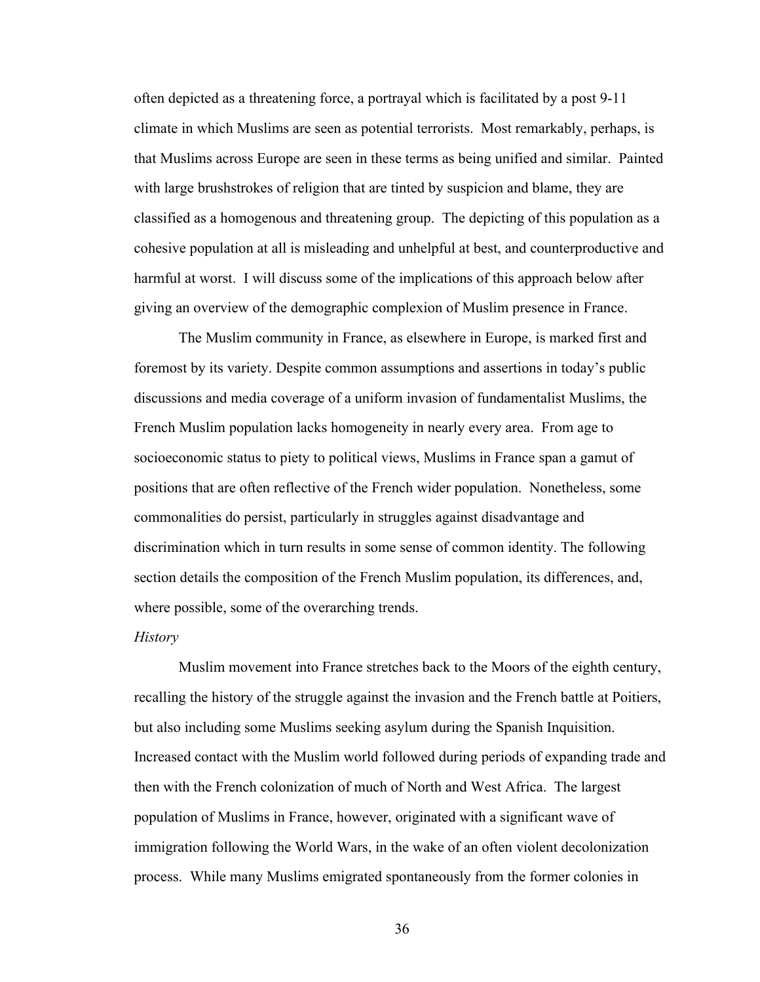often depicted as a threatening force, a portrayal which is facilitated by a post 9-11 climate in which Muslims are seen as potential terrorists. Most remarkably, perhaps, is that Muslims across Europe are seen in these terms as being unified and similar. Painted with large brushstrokes of religion that are tinted by suspicion and blame, they are classified as a homogenous and threatening group. The depicting of this population as a cohesive population at all is misleading and unhelpful at best, and counterproductive and harmful at worst. I will discuss some of the implications of this approach below after giving an overview of the demographic complexion of Muslim presence in France.

The Muslim community in France, as elsewhere in Europe, is marked first and foremost by its variety. Despite common assumptions and assertions in today's public discussions and media coverage of a uniform invasion of fundamentalist Muslims, the French Muslim population lacks homogeneity in nearly every area. From age to socioeconomic status to piety to political views, Muslims in France span a gamut of positions that are often reflective of the French wider population. Nonetheless, some commonalities do persist, particularly in struggles against disadvantage and discrimination which in turn results in some sense of common identity. The following section details the composition of the French Muslim population, its differences, and, where possible, some of the overarching trends.

# *History*

Muslim movement into France stretches back to the Moors of the eighth century, recalling the history of the struggle against the invasion and the French battle at Poitiers, but also including some Muslims seeking asylum during the Spanish Inquisition. Increased contact with the Muslim world followed during periods of expanding trade and then with the French colonization of much of North and West Africa. The largest population of Muslims in France, however, originated with a significant wave of immigration following the World Wars, in the wake of an often violent decolonization process. While many Muslims emigrated spontaneously from the former colonies in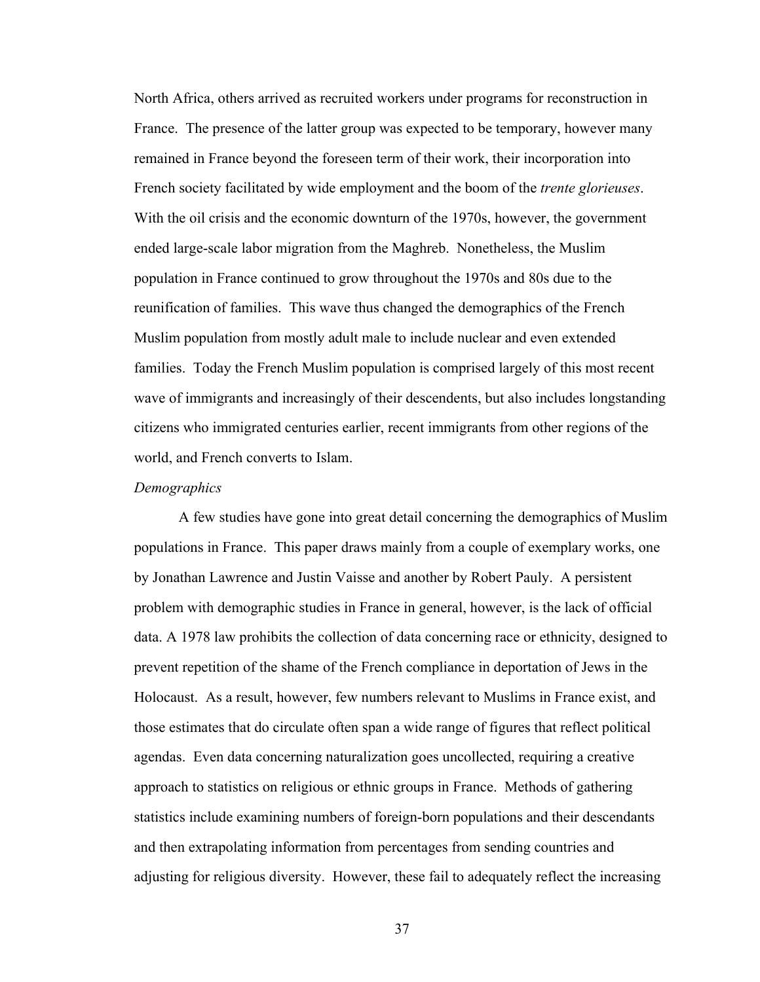North Africa, others arrived as recruited workers under programs for reconstruction in France. The presence of the latter group was expected to be temporary, however many remained in France beyond the foreseen term of their work, their incorporation into French society facilitated by wide employment and the boom of the *trente glorieuses*. With the oil crisis and the economic downturn of the 1970s, however, the government ended large-scale labor migration from the Maghreb. Nonetheless, the Muslim population in France continued to grow throughout the 1970s and 80s due to the reunification of families. This wave thus changed the demographics of the French Muslim population from mostly adult male to include nuclear and even extended families. Today the French Muslim population is comprised largely of this most recent wave of immigrants and increasingly of their descendents, but also includes longstanding citizens who immigrated centuries earlier, recent immigrants from other regions of the world, and French converts to Islam.

### *Demographics*

A few studies have gone into great detail concerning the demographics of Muslim populations in France. This paper draws mainly from a couple of exemplary works, one by Jonathan Lawrence and Justin Vaisse and another by Robert Pauly. A persistent problem with demographic studies in France in general, however, is the lack of official data. A 1978 law prohibits the collection of data concerning race or ethnicity, designed to prevent repetition of the shame of the French compliance in deportation of Jews in the Holocaust. As a result, however, few numbers relevant to Muslims in France exist, and those estimates that do circulate often span a wide range of figures that reflect political agendas. Even data concerning naturalization goes uncollected, requiring a creative approach to statistics on religious or ethnic groups in France. Methods of gathering statistics include examining numbers of foreign-born populations and their descendants and then extrapolating information from percentages from sending countries and adjusting for religious diversity. However, these fail to adequately reflect the increasing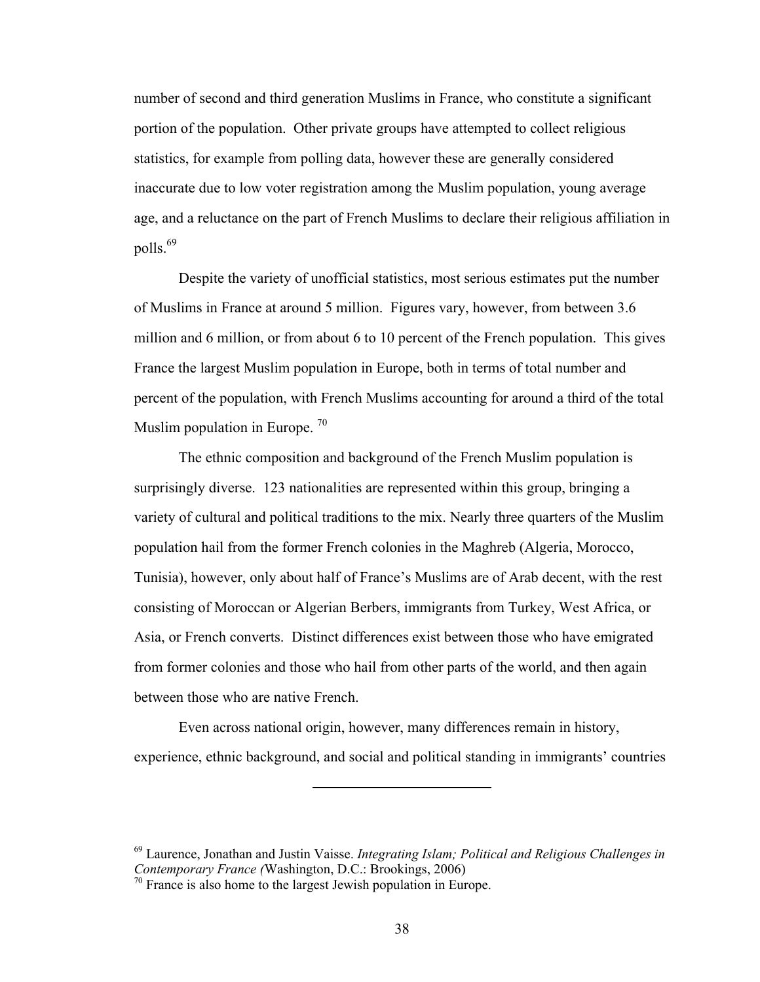number of second and third generation Muslims in France, who constitute a significant portion of the population. Other private groups have attempted to collect religious statistics, for example from polling data, however these are generally considered inaccurate due to low voter registration among the Muslim population, young average age, and a reluctance on the part of French Muslims to declare their religious affiliation in polls.<sup>69</sup>

Despite the variety of unofficial statistics, most serious estimates put the number of Muslims in France at around 5 million. Figures vary, however, from between 3.6 million and 6 million, or from about 6 to 10 percent of the French population. This gives France the largest Muslim population in Europe, both in terms of total number and percent of the population, with French Muslims accounting for around a third of the total Muslim population in Europe.  $70$ 

The ethnic composition and background of the French Muslim population is surprisingly diverse. 123 nationalities are represented within this group, bringing a variety of cultural and political traditions to the mix. Nearly three quarters of the Muslim population hail from the former French colonies in the Maghreb (Algeria, Morocco, Tunisia), however, only about half of France's Muslims are of Arab decent, with the rest consisting of Moroccan or Algerian Berbers, immigrants from Turkey, West Africa, or Asia, or French converts. Distinct differences exist between those who have emigrated from former colonies and those who hail from other parts of the world, and then again between those who are native French.

Even across national origin, however, many differences remain in history, experience, ethnic background, and social and political standing in immigrants' countries

<sup>69</sup> Laurence, Jonathan and Justin Vaisse. *Integrating Islam; Political and Religious Challenges in Contemporary France (*Washington, D.C.: Brookings, 2006)

 $70$  France is also home to the largest Jewish population in Europe.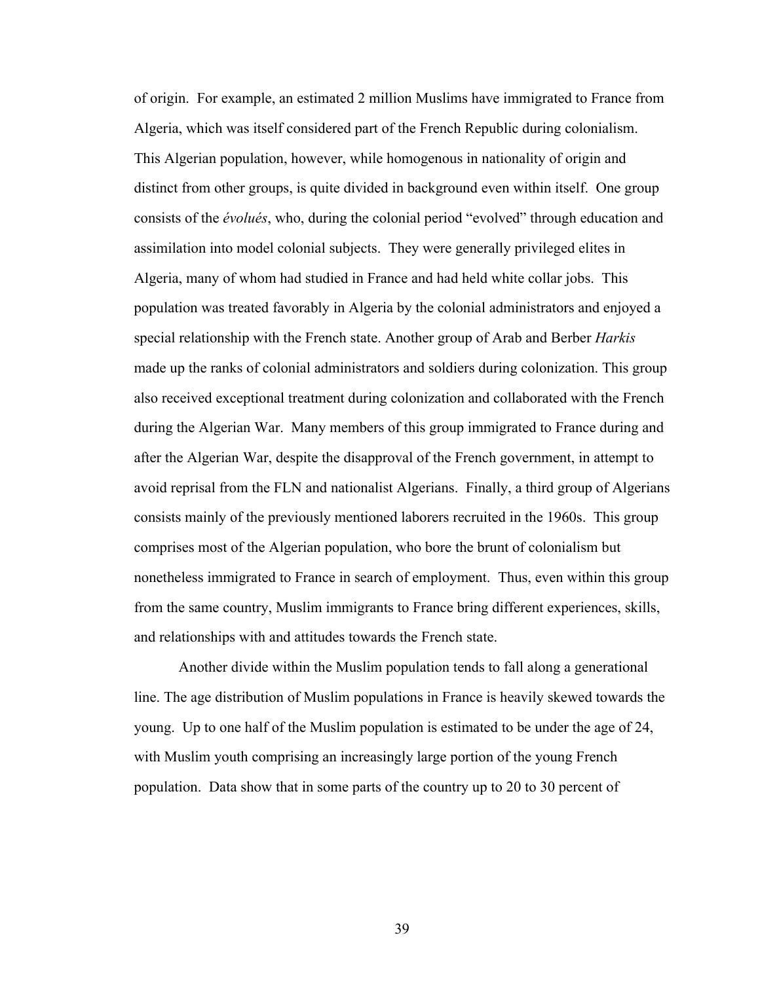of origin. For example, an estimated 2 million Muslims have immigrated to France from Algeria, which was itself considered part of the French Republic during colonialism. This Algerian population, however, while homogenous in nationality of origin and distinct from other groups, is quite divided in background even within itself. One group consists of the *évolués*, who, during the colonial period "evolved" through education and assimilation into model colonial subjects. They were generally privileged elites in Algeria, many of whom had studied in France and had held white collar jobs. This population was treated favorably in Algeria by the colonial administrators and enjoyed a special relationship with the French state. Another group of Arab and Berber *Harkis* made up the ranks of colonial administrators and soldiers during colonization. This group also received exceptional treatment during colonization and collaborated with the French during the Algerian War. Many members of this group immigrated to France during and after the Algerian War, despite the disapproval of the French government, in attempt to avoid reprisal from the FLN and nationalist Algerians. Finally, a third group of Algerians consists mainly of the previously mentioned laborers recruited in the 1960s. This group comprises most of the Algerian population, who bore the brunt of colonialism but nonetheless immigrated to France in search of employment. Thus, even within this group from the same country, Muslim immigrants to France bring different experiences, skills, and relationships with and attitudes towards the French state.

Another divide within the Muslim population tends to fall along a generational line. The age distribution of Muslim populations in France is heavily skewed towards the young. Up to one half of the Muslim population is estimated to be under the age of 24, with Muslim youth comprising an increasingly large portion of the young French population. Data show that in some parts of the country up to 20 to 30 percent of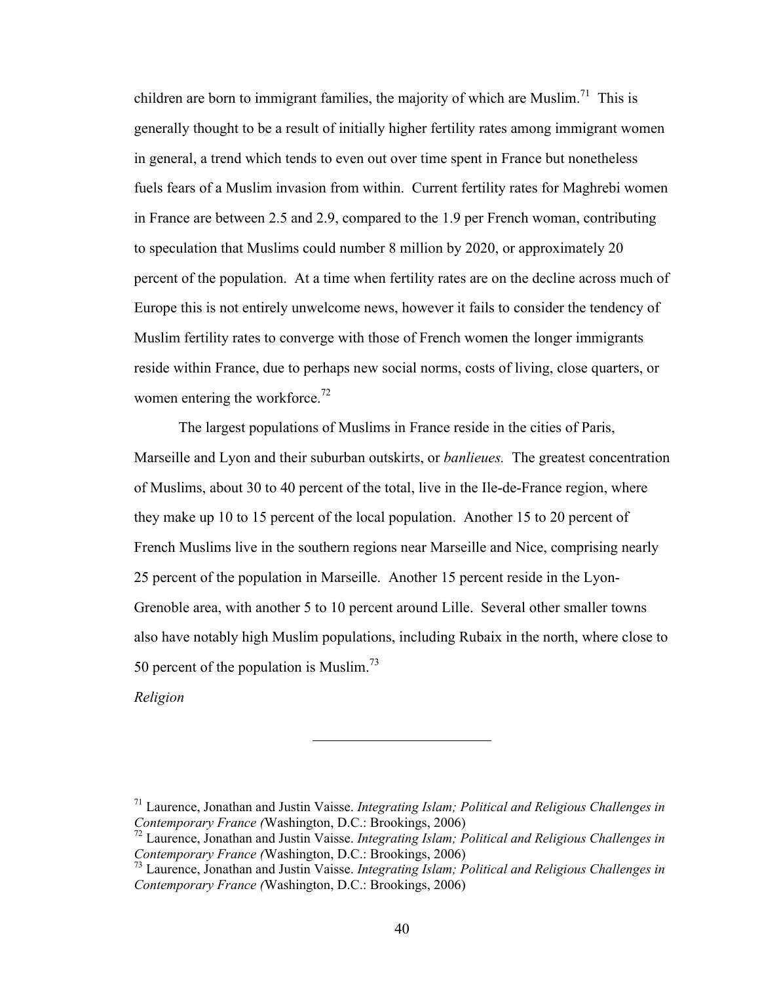children are born to immigrant families, the majority of which are Muslim.<sup>71</sup> This is generally thought to be a result of initially higher fertility rates among immigrant women in general, a trend which tends to even out over time spent in France but nonetheless fuels fears of a Muslim invasion from within. Current fertility rates for Maghrebi women in France are between 2.5 and 2.9, compared to the 1.9 per French woman, contributing to speculation that Muslims could number 8 million by 2020, or approximately 20 percent of the population. At a time when fertility rates are on the decline across much of Europe this is not entirely unwelcome news, however it fails to consider the tendency of Muslim fertility rates to converge with those of French women the longer immigrants reside within France, due to perhaps new social norms, costs of living, close quarters, or women entering the workforce.<sup>72</sup>

The largest populations of Muslims in France reside in the cities of Paris, Marseille and Lyon and their suburban outskirts, or *banlieues.* The greatest concentration of Muslims, about 30 to 40 percent of the total, live in the Ile-de-France region, where they make up 10 to 15 percent of the local population. Another 15 to 20 percent of French Muslims live in the southern regions near Marseille and Nice, comprising nearly 25 percent of the population in Marseille. Another 15 percent reside in the Lyon-Grenoble area, with another 5 to 10 percent around Lille. Several other smaller towns also have notably high Muslim populations, including Rubaix in the north, where close to 50 percent of the population is Muslim.73

*Religion*

<sup>71</sup> Laurence, Jonathan and Justin Vaisse. *Integrating Islam; Political and Religious Challenges in Contemporary France (*Washington, D.C.: Brookings, 2006)

<sup>72</sup> Laurence, Jonathan and Justin Vaisse. *Integrating Islam; Political and Religious Challenges in Contemporary France (*Washington, D.C.: Brookings, 2006)

<sup>73</sup> Laurence, Jonathan and Justin Vaisse. *Integrating Islam; Political and Religious Challenges in Contemporary France (*Washington, D.C.: Brookings, 2006)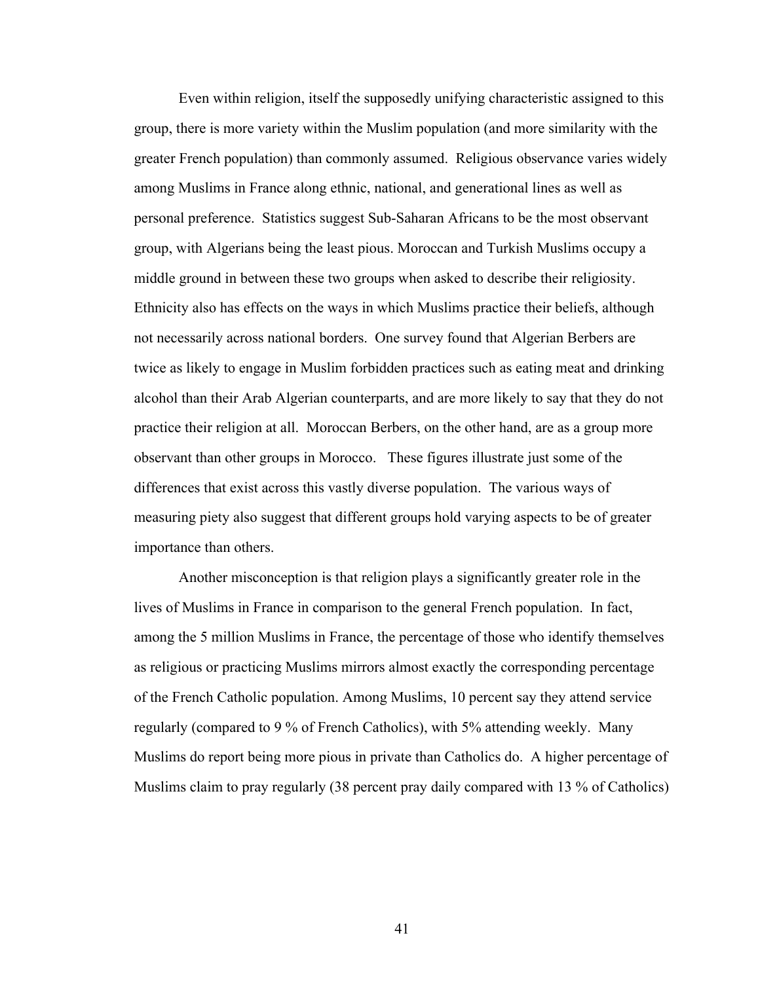Even within religion, itself the supposedly unifying characteristic assigned to this group, there is more variety within the Muslim population (and more similarity with the greater French population) than commonly assumed. Religious observance varies widely among Muslims in France along ethnic, national, and generational lines as well as personal preference. Statistics suggest Sub-Saharan Africans to be the most observant group, with Algerians being the least pious. Moroccan and Turkish Muslims occupy a middle ground in between these two groups when asked to describe their religiosity. Ethnicity also has effects on the ways in which Muslims practice their beliefs, although not necessarily across national borders. One survey found that Algerian Berbers are twice as likely to engage in Muslim forbidden practices such as eating meat and drinking alcohol than their Arab Algerian counterparts, and are more likely to say that they do not practice their religion at all. Moroccan Berbers, on the other hand, are as a group more observant than other groups in Morocco. These figures illustrate just some of the differences that exist across this vastly diverse population. The various ways of measuring piety also suggest that different groups hold varying aspects to be of greater importance than others.

Another misconception is that religion plays a significantly greater role in the lives of Muslims in France in comparison to the general French population. In fact, among the 5 million Muslims in France, the percentage of those who identify themselves as religious or practicing Muslims mirrors almost exactly the corresponding percentage of the French Catholic population. Among Muslims, 10 percent say they attend service regularly (compared to 9 % of French Catholics), with 5% attending weekly. Many Muslims do report being more pious in private than Catholics do. A higher percentage of Muslims claim to pray regularly (38 percent pray daily compared with 13 % of Catholics)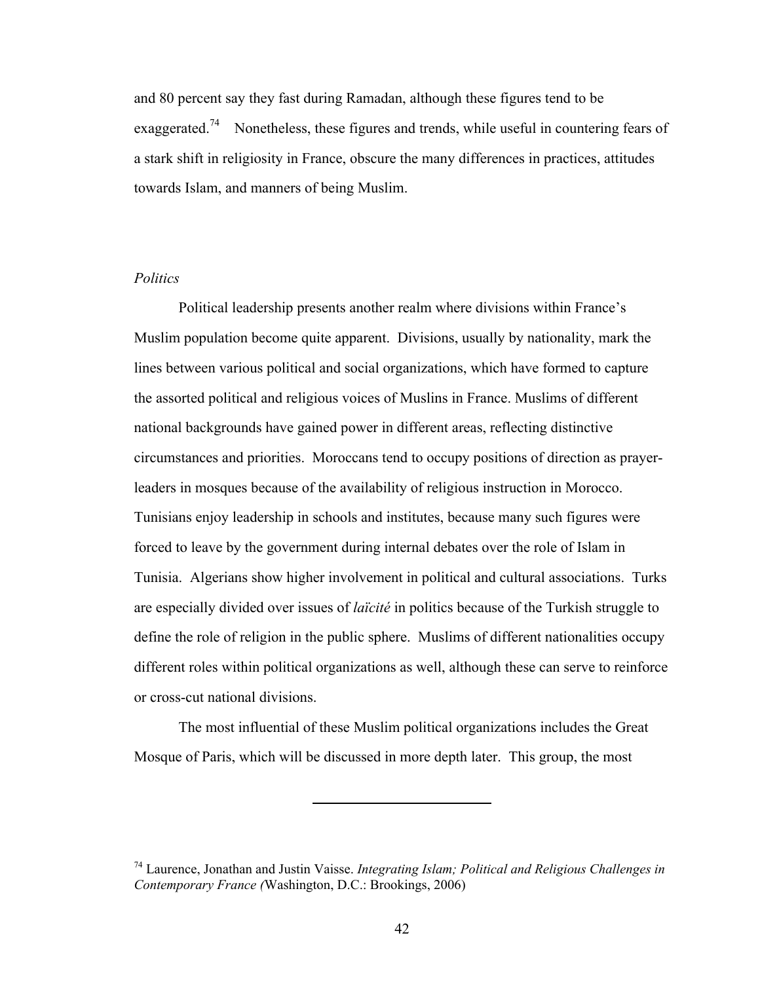and 80 percent say they fast during Ramadan, although these figures tend to be exaggerated.<sup>74</sup> Nonetheless, these figures and trends, while useful in countering fears of a stark shift in religiosity in France, obscure the many differences in practices, attitudes towards Islam, and manners of being Muslim.

### *Politics*

Political leadership presents another realm where divisions within France's Muslim population become quite apparent. Divisions, usually by nationality, mark the lines between various political and social organizations, which have formed to capture the assorted political and religious voices of Muslins in France. Muslims of different national backgrounds have gained power in different areas, reflecting distinctive circumstances and priorities. Moroccans tend to occupy positions of direction as prayerleaders in mosques because of the availability of religious instruction in Morocco. Tunisians enjoy leadership in schools and institutes, because many such figures were forced to leave by the government during internal debates over the role of Islam in Tunisia. Algerians show higher involvement in political and cultural associations. Turks are especially divided over issues of *laïcité* in politics because of the Turkish struggle to define the role of religion in the public sphere. Muslims of different nationalities occupy different roles within political organizations as well, although these can serve to reinforce or cross-cut national divisions.

The most influential of these Muslim political organizations includes the Great Mosque of Paris, which will be discussed in more depth later. This group, the most

<sup>74</sup> Laurence, Jonathan and Justin Vaisse. *Integrating Islam; Political and Religious Challenges in Contemporary France (*Washington, D.C.: Brookings, 2006)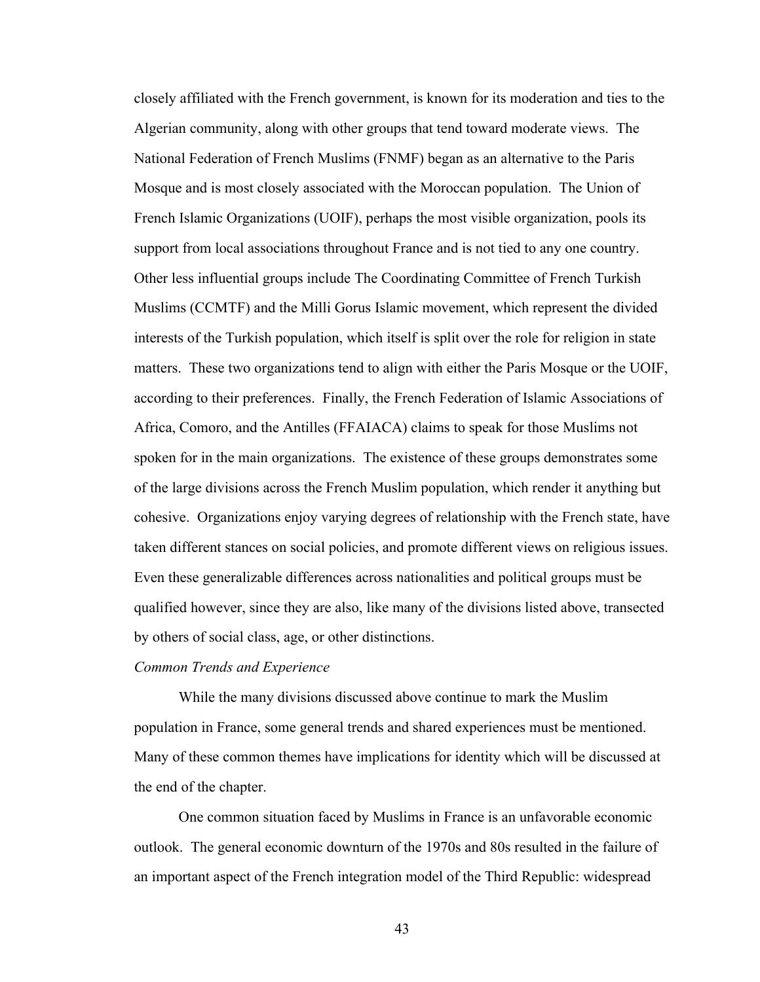closely affiliated with the French government, is known for its moderation and ties to the Algerian community, along with other groups that tend toward moderate views. The National Federation of French Muslims (FNMF) began as an alternative to the Paris Mosque and is most closely associated with the Moroccan population. The Union of French Islamic Organizations (UOIF), perhaps the most visible organization, pools its support from local associations throughout France and is not tied to any one country. Other less influential groups include The Coordinating Committee of French Turkish Muslims (CCMTF) and the Milli Gorus Islamic movement, which represent the divided interests of the Turkish population, which itself is split over the role for religion in state matters. These two organizations tend to align with either the Paris Mosque or the UOIF, according to their preferences. Finally, the French Federation of Islamic Associations of Africa, Comoro, and the Antilles (FFAIACA) claims to speak for those Muslims not spoken for in the main organizations. The existence of these groups demonstrates some of the large divisions across the French Muslim population, which render it anything but cohesive. Organizations enjoy varying degrees of relationship with the French state, have taken different stances on social policies, and promote different views on religious issues. Even these generalizable differences across nationalities and political groups must be qualified however, since they are also, like many of the divisions listed above, transected by others of social class, age, or other distinctions.

## *Common Trends and Experience*

While the many divisions discussed above continue to mark the Muslim population in France, some general trends and shared experiences must be mentioned. Many of these common themes have implications for identity which will be discussed at the end of the chapter.

One common situation faced by Muslims in France is an unfavorable economic outlook. The general economic downturn of the 1970s and 80s resulted in the failure of an important aspect of the French integration model of the Third Republic: widespread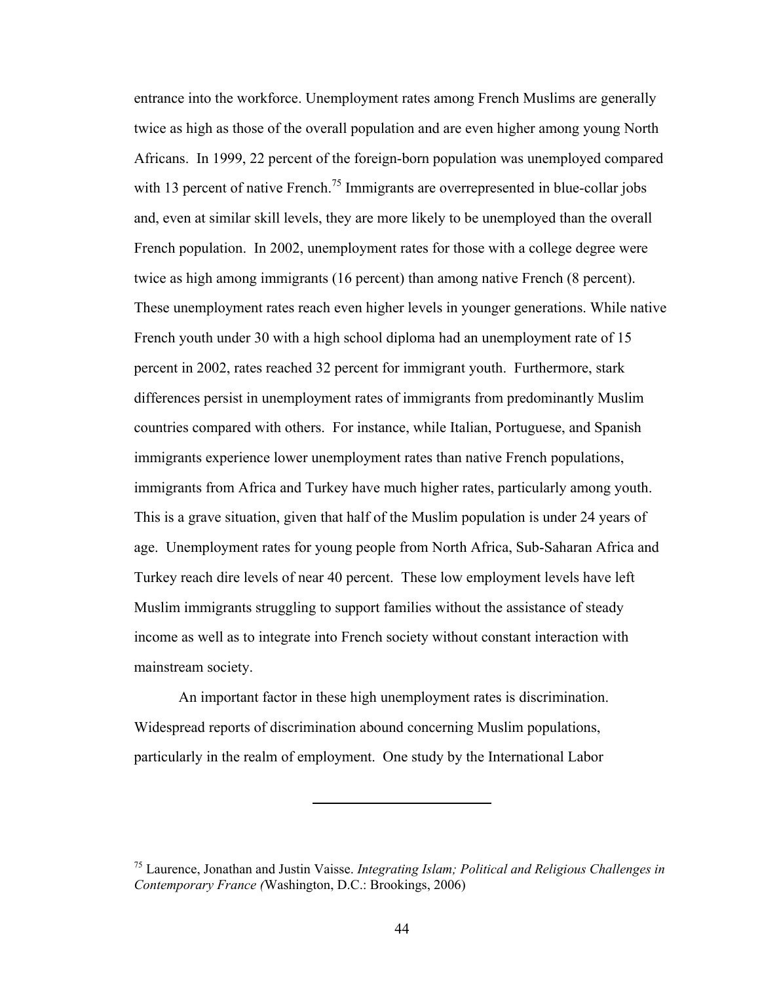entrance into the workforce. Unemployment rates among French Muslims are generally twice as high as those of the overall population and are even higher among young North Africans. In 1999, 22 percent of the foreign-born population was unemployed compared with 13 percent of native French.<sup>75</sup> Immigrants are overrepresented in blue-collar jobs and, even at similar skill levels, they are more likely to be unemployed than the overall French population. In 2002, unemployment rates for those with a college degree were twice as high among immigrants (16 percent) than among native French (8 percent). These unemployment rates reach even higher levels in younger generations. While native French youth under 30 with a high school diploma had an unemployment rate of 15 percent in 2002, rates reached 32 percent for immigrant youth. Furthermore, stark differences persist in unemployment rates of immigrants from predominantly Muslim countries compared with others. For instance, while Italian, Portuguese, and Spanish immigrants experience lower unemployment rates than native French populations, immigrants from Africa and Turkey have much higher rates, particularly among youth. This is a grave situation, given that half of the Muslim population is under 24 years of age. Unemployment rates for young people from North Africa, Sub-Saharan Africa and Turkey reach dire levels of near 40 percent. These low employment levels have left Muslim immigrants struggling to support families without the assistance of steady income as well as to integrate into French society without constant interaction with mainstream society.

An important factor in these high unemployment rates is discrimination. Widespread reports of discrimination abound concerning Muslim populations, particularly in the realm of employment. One study by the International Labor

<sup>75</sup> Laurence, Jonathan and Justin Vaisse. *Integrating Islam; Political and Religious Challenges in Contemporary France (*Washington, D.C.: Brookings, 2006)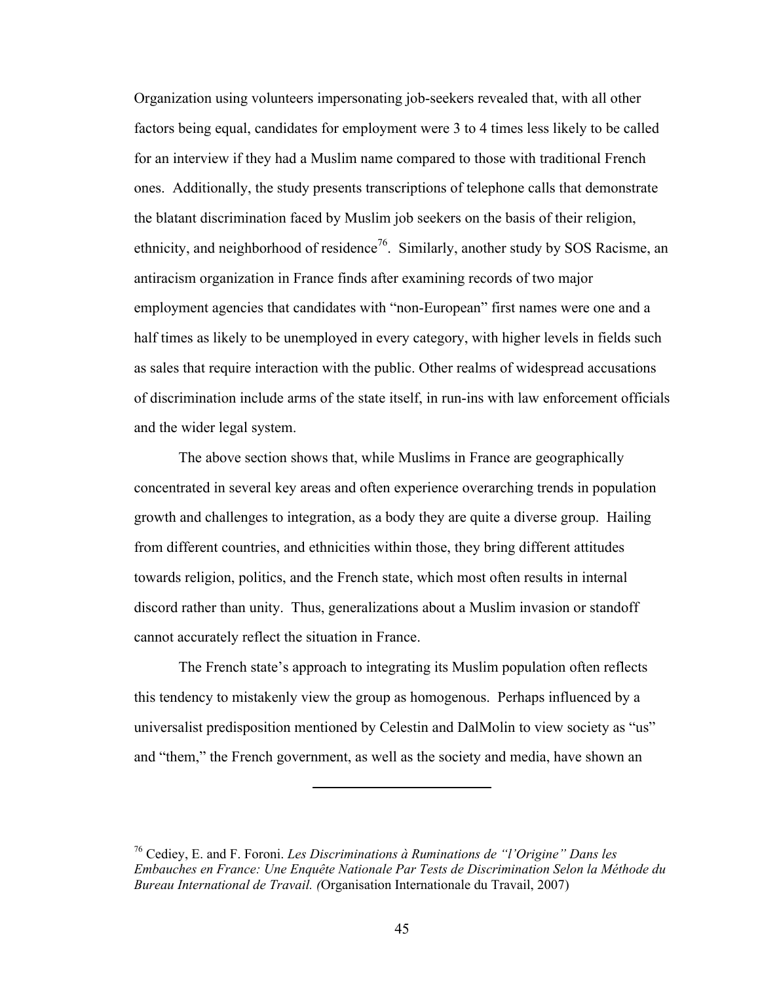Organization using volunteers impersonating job-seekers revealed that, with all other factors being equal, candidates for employment were 3 to 4 times less likely to be called for an interview if they had a Muslim name compared to those with traditional French ones. Additionally, the study presents transcriptions of telephone calls that demonstrate the blatant discrimination faced by Muslim job seekers on the basis of their religion, ethnicity, and neighborhood of residence<sup>76</sup>. Similarly, another study by SOS Racisme, an antiracism organization in France finds after examining records of two major employment agencies that candidates with "non-European" first names were one and a half times as likely to be unemployed in every category, with higher levels in fields such as sales that require interaction with the public. Other realms of widespread accusations of discrimination include arms of the state itself, in run-ins with law enforcement officials and the wider legal system.

The above section shows that, while Muslims in France are geographically concentrated in several key areas and often experience overarching trends in population growth and challenges to integration, as a body they are quite a diverse group. Hailing from different countries, and ethnicities within those, they bring different attitudes towards religion, politics, and the French state, which most often results in internal discord rather than unity. Thus, generalizations about a Muslim invasion or standoff cannot accurately reflect the situation in France.

The French state's approach to integrating its Muslim population often reflects this tendency to mistakenly view the group as homogenous. Perhaps influenced by a universalist predisposition mentioned by Celestin and DalMolin to view society as "us" and "them," the French government, as well as the society and media, have shown an

<sup>76</sup> Cediey, E. and F. Foroni. *Les Discriminations à Ruminations de "l'Origine" Dans les Embauches en France: Une Enquête Nationale Par Tests de Discrimination Selon la Méthode du Bureau International de Travail. (*Organisation Internationale du Travail, 2007)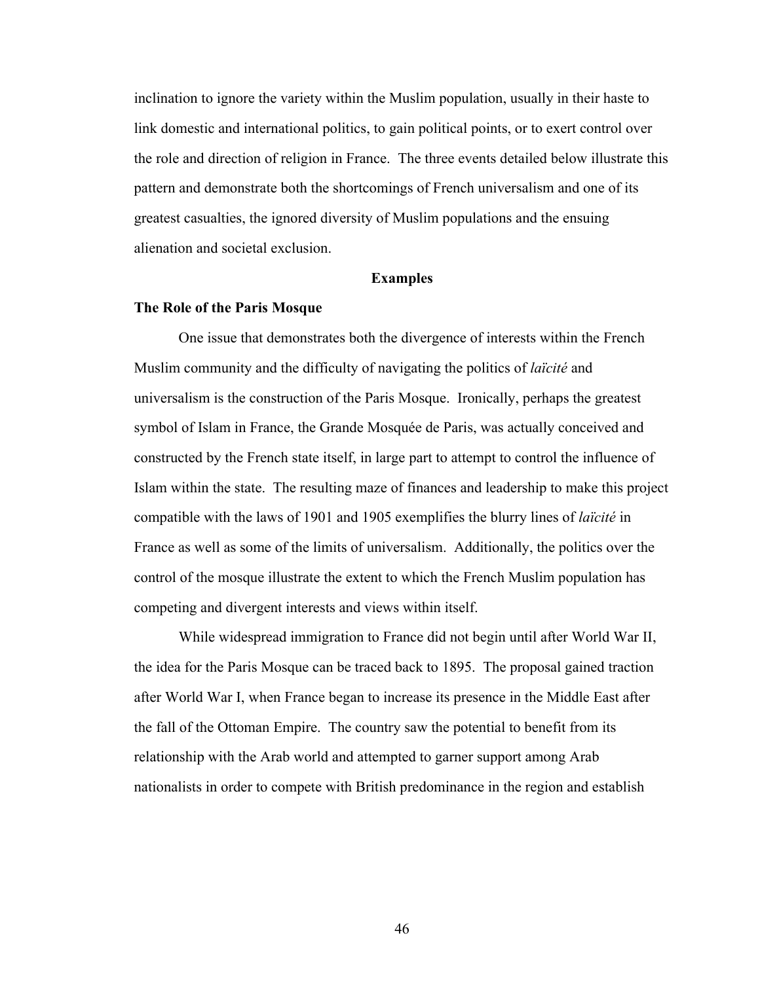inclination to ignore the variety within the Muslim population, usually in their haste to link domestic and international politics, to gain political points, or to exert control over the role and direction of religion in France. The three events detailed below illustrate this pattern and demonstrate both the shortcomings of French universalism and one of its greatest casualties, the ignored diversity of Muslim populations and the ensuing alienation and societal exclusion.

#### **Examples**

## **The Role of the Paris Mosque**

One issue that demonstrates both the divergence of interests within the French Muslim community and the difficulty of navigating the politics of *laïcité* and universalism is the construction of the Paris Mosque. Ironically, perhaps the greatest symbol of Islam in France, the Grande Mosquée de Paris, was actually conceived and constructed by the French state itself, in large part to attempt to control the influence of Islam within the state. The resulting maze of finances and leadership to make this project compatible with the laws of 1901 and 1905 exemplifies the blurry lines of *laïcité* in France as well as some of the limits of universalism. Additionally, the politics over the control of the mosque illustrate the extent to which the French Muslim population has competing and divergent interests and views within itself.

While widespread immigration to France did not begin until after World War II, the idea for the Paris Mosque can be traced back to 1895. The proposal gained traction after World War I, when France began to increase its presence in the Middle East after the fall of the Ottoman Empire. The country saw the potential to benefit from its relationship with the Arab world and attempted to garner support among Arab nationalists in order to compete with British predominance in the region and establish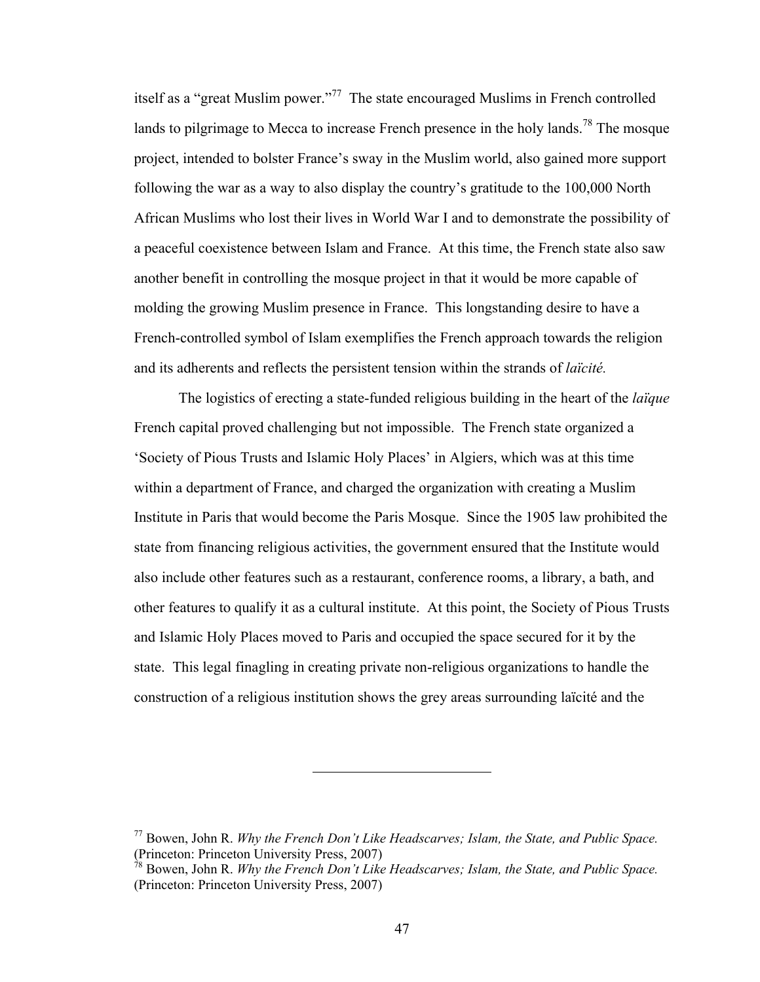itself as a "great Muslim power."77 The state encouraged Muslims in French controlled lands to pilgrimage to Mecca to increase French presence in the holy lands.<sup>78</sup> The mosque project, intended to bolster France's sway in the Muslim world, also gained more support following the war as a way to also display the country's gratitude to the 100,000 North African Muslims who lost their lives in World War I and to demonstrate the possibility of a peaceful coexistence between Islam and France. At this time, the French state also saw another benefit in controlling the mosque project in that it would be more capable of molding the growing Muslim presence in France. This longstanding desire to have a French-controlled symbol of Islam exemplifies the French approach towards the religion and its adherents and reflects the persistent tension within the strands of *laïcité.*

The logistics of erecting a state-funded religious building in the heart of the *laïque* French capital proved challenging but not impossible. The French state organized a 'Society of Pious Trusts and Islamic Holy Places' in Algiers, which was at this time within a department of France, and charged the organization with creating a Muslim Institute in Paris that would become the Paris Mosque. Since the 1905 law prohibited the state from financing religious activities, the government ensured that the Institute would also include other features such as a restaurant, conference rooms, a library, a bath, and other features to qualify it as a cultural institute. At this point, the Society of Pious Trusts and Islamic Holy Places moved to Paris and occupied the space secured for it by the state. This legal finagling in creating private non-religious organizations to handle the construction of a religious institution shows the grey areas surrounding laïcité and the

<sup>77</sup> Bowen, John R. *Why the French Don't Like Headscarves; Islam, the State, and Public Space.* (Princeton: Princeton University Press, 2007)

<sup>78</sup> Bowen, John R. *Why the French Don't Like Headscarves; Islam, the State, and Public Space.* (Princeton: Princeton University Press, 2007)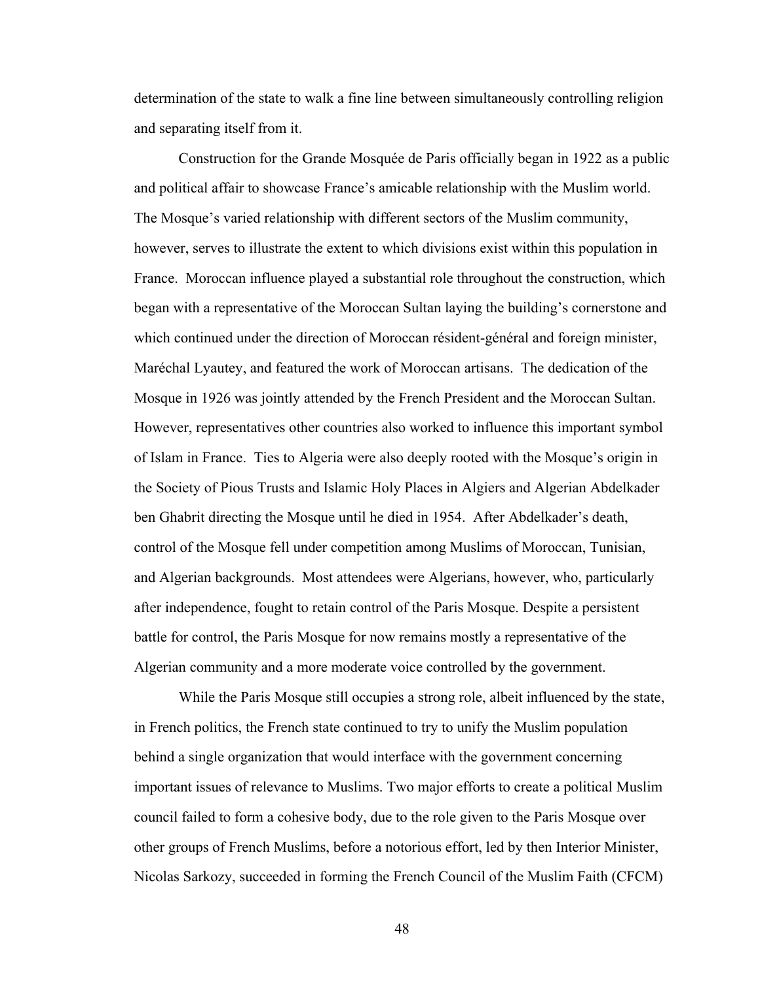determination of the state to walk a fine line between simultaneously controlling religion and separating itself from it.

Construction for the Grande Mosquée de Paris officially began in 1922 as a public and political affair to showcase France's amicable relationship with the Muslim world. The Mosque's varied relationship with different sectors of the Muslim community, however, serves to illustrate the extent to which divisions exist within this population in France. Moroccan influence played a substantial role throughout the construction, which began with a representative of the Moroccan Sultan laying the building's cornerstone and which continued under the direction of Moroccan résident-général and foreign minister, Maréchal Lyautey, and featured the work of Moroccan artisans. The dedication of the Mosque in 1926 was jointly attended by the French President and the Moroccan Sultan. However, representatives other countries also worked to influence this important symbol of Islam in France. Ties to Algeria were also deeply rooted with the Mosque's origin in the Society of Pious Trusts and Islamic Holy Places in Algiers and Algerian Abdelkader ben Ghabrit directing the Mosque until he died in 1954. After Abdelkader's death, control of the Mosque fell under competition among Muslims of Moroccan, Tunisian, and Algerian backgrounds. Most attendees were Algerians, however, who, particularly after independence, fought to retain control of the Paris Mosque. Despite a persistent battle for control, the Paris Mosque for now remains mostly a representative of the Algerian community and a more moderate voice controlled by the government.

While the Paris Mosque still occupies a strong role, albeit influenced by the state, in French politics, the French state continued to try to unify the Muslim population behind a single organization that would interface with the government concerning important issues of relevance to Muslims. Two major efforts to create a political Muslim council failed to form a cohesive body, due to the role given to the Paris Mosque over other groups of French Muslims, before a notorious effort, led by then Interior Minister, Nicolas Sarkozy, succeeded in forming the French Council of the Muslim Faith (CFCM)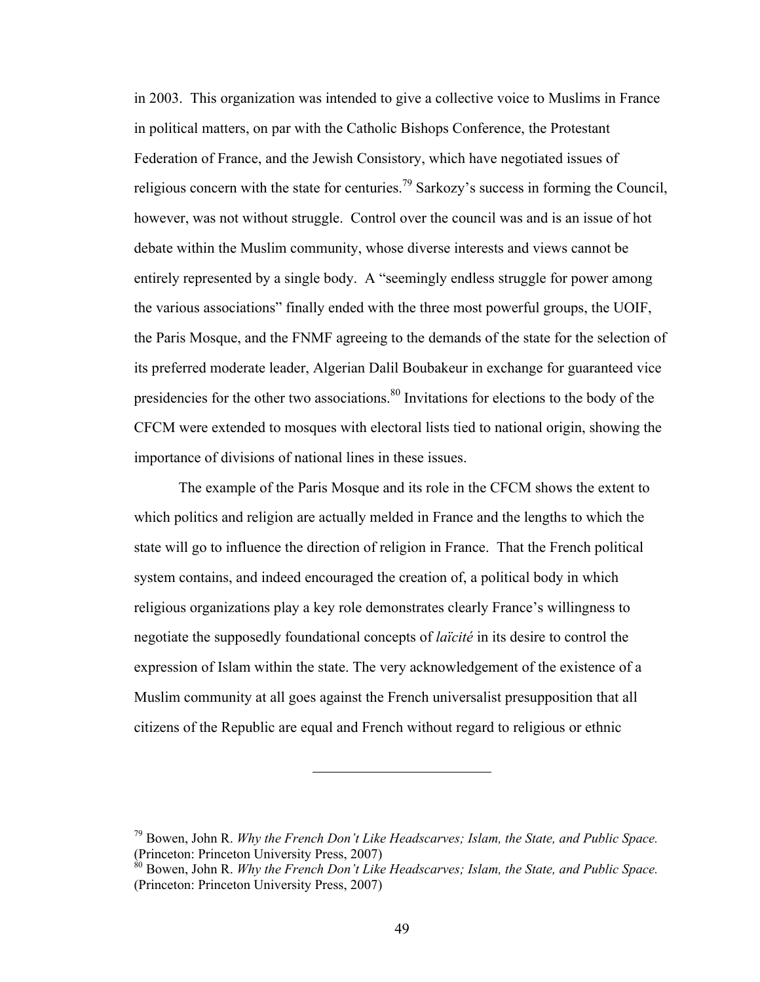in 2003. This organization was intended to give a collective voice to Muslims in France in political matters, on par with the Catholic Bishops Conference, the Protestant Federation of France, and the Jewish Consistory, which have negotiated issues of religious concern with the state for centuries.<sup>79</sup> Sarkozy's success in forming the Council, however, was not without struggle. Control over the council was and is an issue of hot debate within the Muslim community, whose diverse interests and views cannot be entirely represented by a single body. A "seemingly endless struggle for power among the various associations" finally ended with the three most powerful groups, the UOIF, the Paris Mosque, and the FNMF agreeing to the demands of the state for the selection of its preferred moderate leader, Algerian Dalil Boubakeur in exchange for guaranteed vice presidencies for the other two associations.<sup>80</sup> Invitations for elections to the body of the CFCM were extended to mosques with electoral lists tied to national origin, showing the importance of divisions of national lines in these issues.

The example of the Paris Mosque and its role in the CFCM shows the extent to which politics and religion are actually melded in France and the lengths to which the state will go to influence the direction of religion in France. That the French political system contains, and indeed encouraged the creation of, a political body in which religious organizations play a key role demonstrates clearly France's willingness to negotiate the supposedly foundational concepts of *laïcité* in its desire to control the expression of Islam within the state. The very acknowledgement of the existence of a Muslim community at all goes against the French universalist presupposition that all citizens of the Republic are equal and French without regard to religious or ethnic

<sup>79</sup> Bowen, John R. *Why the French Don't Like Headscarves; Islam, the State, and Public Space.* (Princeton: Princeton University Press, 2007)

<sup>80</sup> Bowen, John R. *Why the French Don't Like Headscarves; Islam, the State, and Public Space.* (Princeton: Princeton University Press, 2007)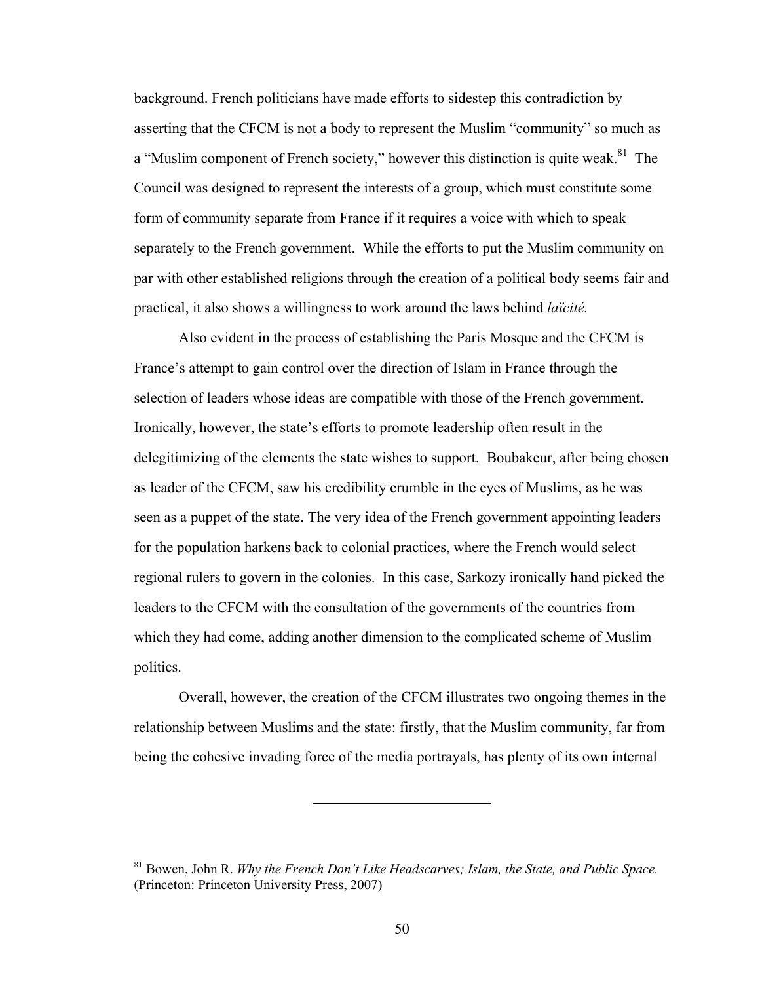background. French politicians have made efforts to sidestep this contradiction by asserting that the CFCM is not a body to represent the Muslim "community" so much as a "Muslim component of French society," however this distinction is quite weak.<sup>81</sup> The Council was designed to represent the interests of a group, which must constitute some form of community separate from France if it requires a voice with which to speak separately to the French government. While the efforts to put the Muslim community on par with other established religions through the creation of a political body seems fair and practical, it also shows a willingness to work around the laws behind *laïcité.*

Also evident in the process of establishing the Paris Mosque and the CFCM is France's attempt to gain control over the direction of Islam in France through the selection of leaders whose ideas are compatible with those of the French government. Ironically, however, the state's efforts to promote leadership often result in the delegitimizing of the elements the state wishes to support. Boubakeur, after being chosen as leader of the CFCM, saw his credibility crumble in the eyes of Muslims, as he was seen as a puppet of the state. The very idea of the French government appointing leaders for the population harkens back to colonial practices, where the French would select regional rulers to govern in the colonies. In this case, Sarkozy ironically hand picked the leaders to the CFCM with the consultation of the governments of the countries from which they had come, adding another dimension to the complicated scheme of Muslim politics.

Overall, however, the creation of the CFCM illustrates two ongoing themes in the relationship between Muslims and the state: firstly, that the Muslim community, far from being the cohesive invading force of the media portrayals, has plenty of its own internal

<sup>81</sup> Bowen, John R. *Why the French Don't Like Headscarves; Islam, the State, and Public Space.* (Princeton: Princeton University Press, 2007)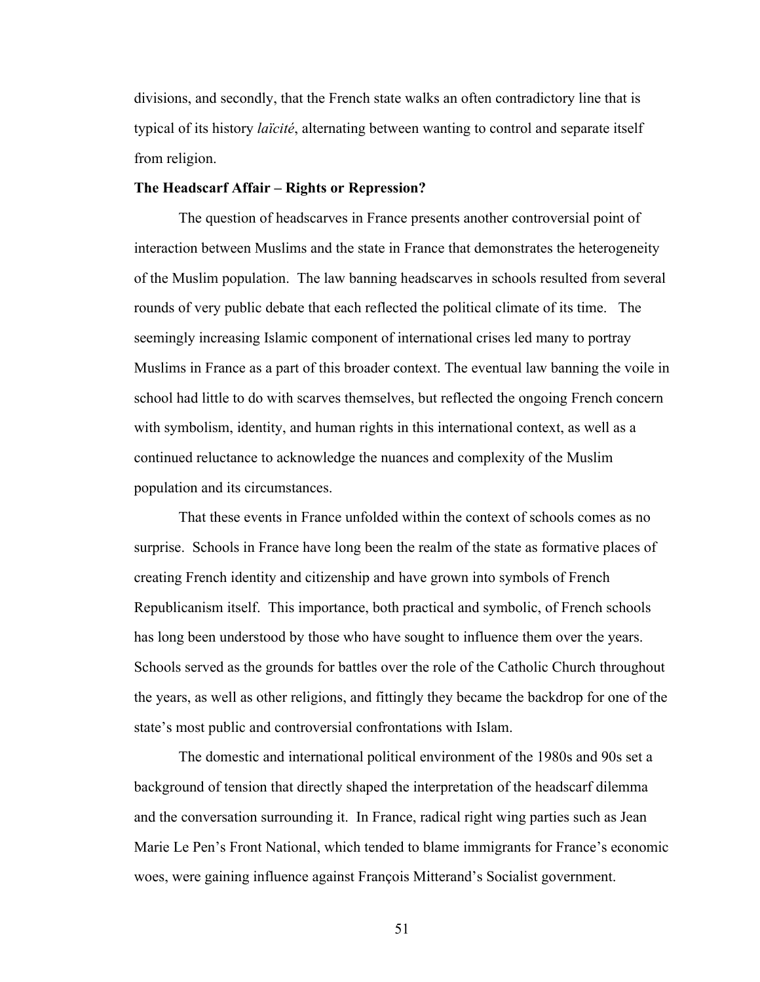divisions, and secondly, that the French state walks an often contradictory line that is typical of its history *laïcité*, alternating between wanting to control and separate itself from religion.

### **The Headscarf Affair – Rights or Repression?**

The question of headscarves in France presents another controversial point of interaction between Muslims and the state in France that demonstrates the heterogeneity of the Muslim population. The law banning headscarves in schools resulted from several rounds of very public debate that each reflected the political climate of its time. The seemingly increasing Islamic component of international crises led many to portray Muslims in France as a part of this broader context. The eventual law banning the voile in school had little to do with scarves themselves, but reflected the ongoing French concern with symbolism, identity, and human rights in this international context, as well as a continued reluctance to acknowledge the nuances and complexity of the Muslim population and its circumstances.

That these events in France unfolded within the context of schools comes as no surprise. Schools in France have long been the realm of the state as formative places of creating French identity and citizenship and have grown into symbols of French Republicanism itself. This importance, both practical and symbolic, of French schools has long been understood by those who have sought to influence them over the years. Schools served as the grounds for battles over the role of the Catholic Church throughout the years, as well as other religions, and fittingly they became the backdrop for one of the state's most public and controversial confrontations with Islam.

The domestic and international political environment of the 1980s and 90s set a background of tension that directly shaped the interpretation of the headscarf dilemma and the conversation surrounding it. In France, radical right wing parties such as Jean Marie Le Pen's Front National, which tended to blame immigrants for France's economic woes, were gaining influence against François Mitterand's Socialist government.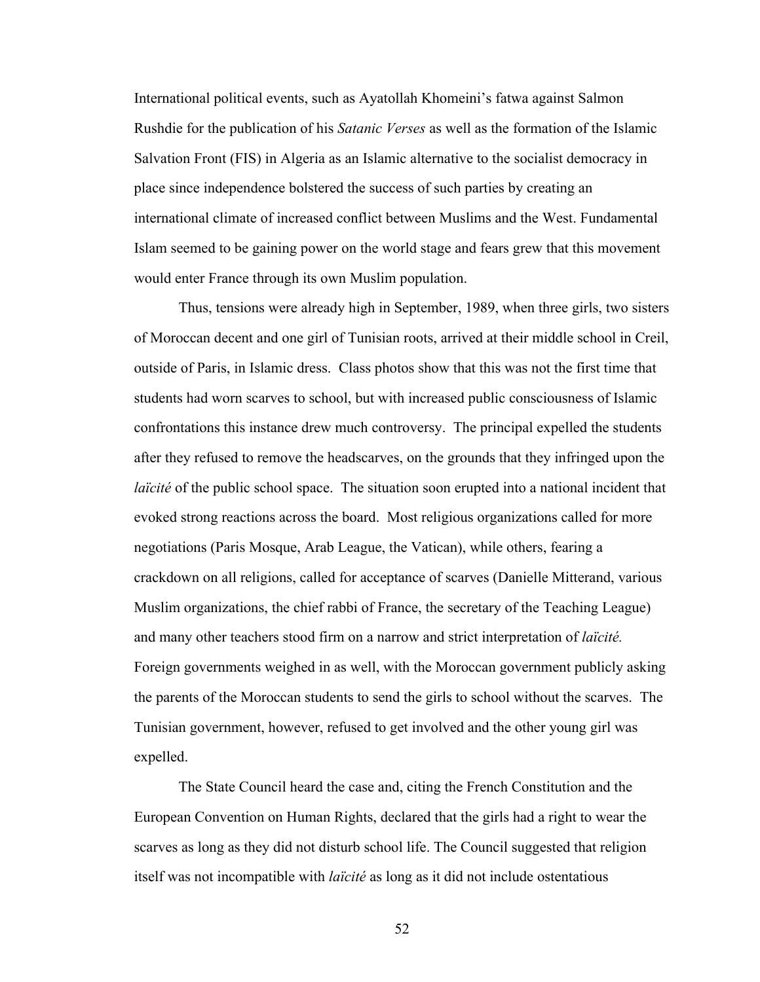International political events, such as Ayatollah Khomeini's fatwa against Salmon Rushdie for the publication of his *Satanic Verses* as well as the formation of the Islamic Salvation Front (FIS) in Algeria as an Islamic alternative to the socialist democracy in place since independence bolstered the success of such parties by creating an international climate of increased conflict between Muslims and the West. Fundamental Islam seemed to be gaining power on the world stage and fears grew that this movement would enter France through its own Muslim population.

Thus, tensions were already high in September, 1989, when three girls, two sisters of Moroccan decent and one girl of Tunisian roots, arrived at their middle school in Creil, outside of Paris, in Islamic dress. Class photos show that this was not the first time that students had worn scarves to school, but with increased public consciousness of Islamic confrontations this instance drew much controversy. The principal expelled the students after they refused to remove the headscarves, on the grounds that they infringed upon the *laïcité* of the public school space. The situation soon erupted into a national incident that evoked strong reactions across the board. Most religious organizations called for more negotiations (Paris Mosque, Arab League, the Vatican), while others, fearing a crackdown on all religions, called for acceptance of scarves (Danielle Mitterand, various Muslim organizations, the chief rabbi of France, the secretary of the Teaching League) and many other teachers stood firm on a narrow and strict interpretation of *laïcité.* Foreign governments weighed in as well, with the Moroccan government publicly asking the parents of the Moroccan students to send the girls to school without the scarves. The Tunisian government, however, refused to get involved and the other young girl was expelled.

The State Council heard the case and, citing the French Constitution and the European Convention on Human Rights, declared that the girls had a right to wear the scarves as long as they did not disturb school life. The Council suggested that religion itself was not incompatible with *laïcité* as long as it did not include ostentatious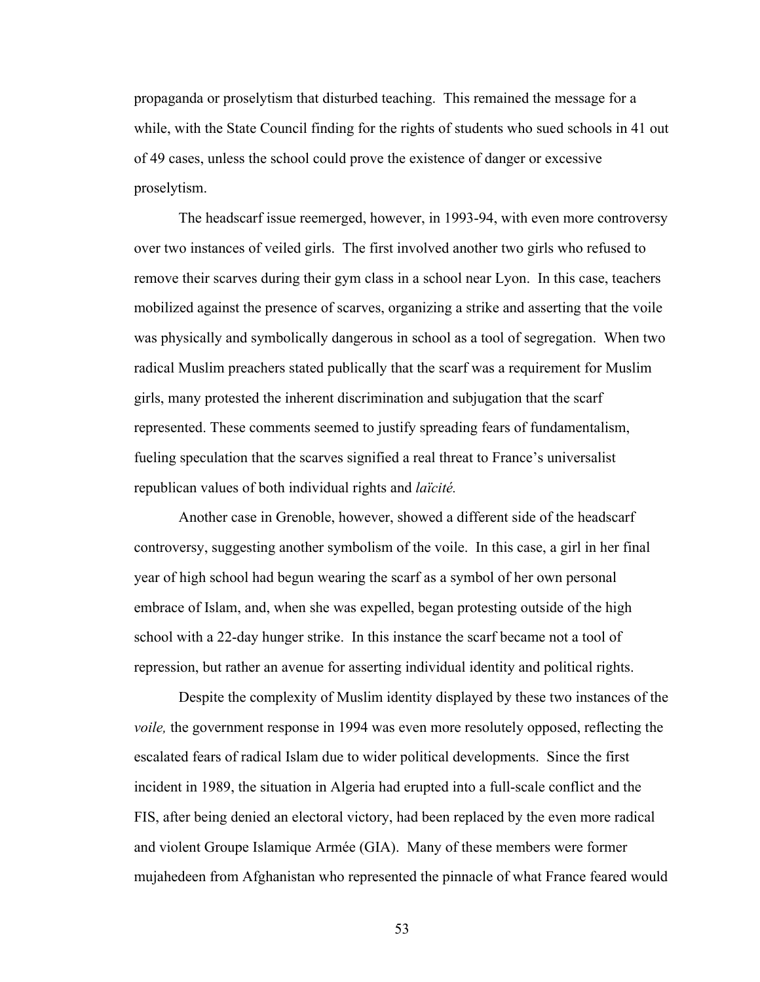propaganda or proselytism that disturbed teaching. This remained the message for a while, with the State Council finding for the rights of students who sued schools in 41 out of 49 cases, unless the school could prove the existence of danger or excessive proselytism.

The headscarf issue reemerged, however, in 1993-94, with even more controversy over two instances of veiled girls. The first involved another two girls who refused to remove their scarves during their gym class in a school near Lyon. In this case, teachers mobilized against the presence of scarves, organizing a strike and asserting that the voile was physically and symbolically dangerous in school as a tool of segregation. When two radical Muslim preachers stated publically that the scarf was a requirement for Muslim girls, many protested the inherent discrimination and subjugation that the scarf represented. These comments seemed to justify spreading fears of fundamentalism, fueling speculation that the scarves signified a real threat to France's universalist republican values of both individual rights and *laïcité.*

Another case in Grenoble, however, showed a different side of the headscarf controversy, suggesting another symbolism of the voile. In this case, a girl in her final year of high school had begun wearing the scarf as a symbol of her own personal embrace of Islam, and, when she was expelled, began protesting outside of the high school with a 22-day hunger strike. In this instance the scarf became not a tool of repression, but rather an avenue for asserting individual identity and political rights.

Despite the complexity of Muslim identity displayed by these two instances of the *voile,* the government response in 1994 was even more resolutely opposed, reflecting the escalated fears of radical Islam due to wider political developments. Since the first incident in 1989, the situation in Algeria had erupted into a full-scale conflict and the FIS, after being denied an electoral victory, had been replaced by the even more radical and violent Groupe Islamique Armée (GIA). Many of these members were former mujahedeen from Afghanistan who represented the pinnacle of what France feared would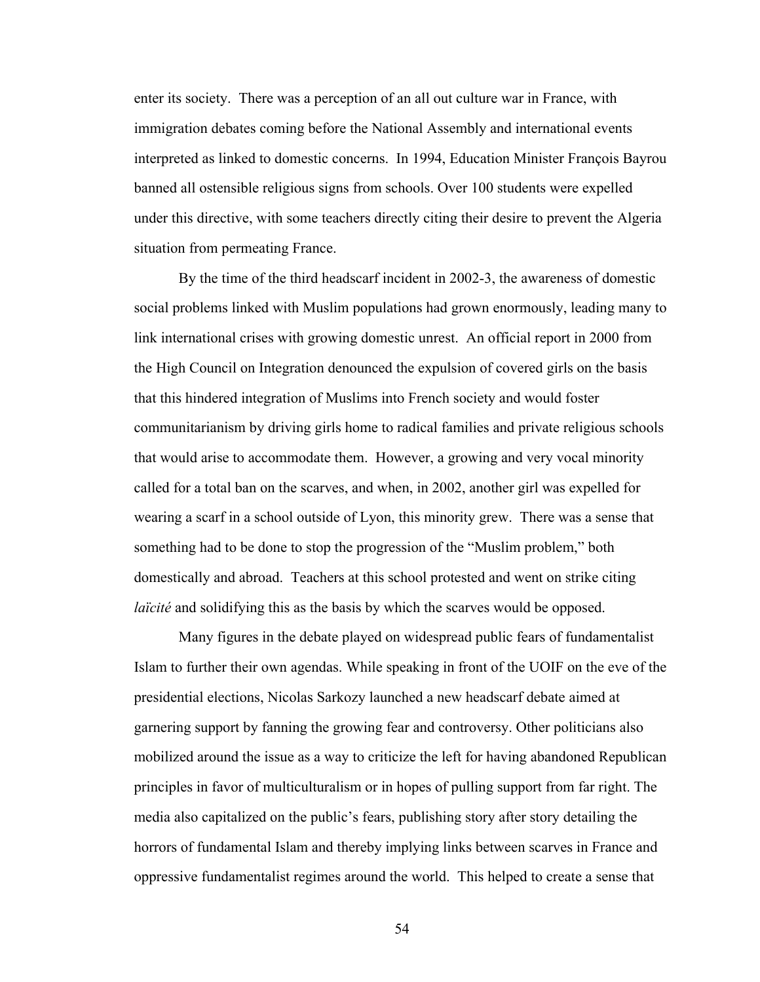enter its society. There was a perception of an all out culture war in France, with immigration debates coming before the National Assembly and international events interpreted as linked to domestic concerns. In 1994, Education Minister François Bayrou banned all ostensible religious signs from schools. Over 100 students were expelled under this directive, with some teachers directly citing their desire to prevent the Algeria situation from permeating France.

By the time of the third headscarf incident in 2002-3, the awareness of domestic social problems linked with Muslim populations had grown enormously, leading many to link international crises with growing domestic unrest. An official report in 2000 from the High Council on Integration denounced the expulsion of covered girls on the basis that this hindered integration of Muslims into French society and would foster communitarianism by driving girls home to radical families and private religious schools that would arise to accommodate them. However, a growing and very vocal minority called for a total ban on the scarves, and when, in 2002, another girl was expelled for wearing a scarf in a school outside of Lyon, this minority grew. There was a sense that something had to be done to stop the progression of the "Muslim problem," both domestically and abroad. Teachers at this school protested and went on strike citing *laïcité* and solidifying this as the basis by which the scarves would be opposed.

Many figures in the debate played on widespread public fears of fundamentalist Islam to further their own agendas. While speaking in front of the UOIF on the eve of the presidential elections, Nicolas Sarkozy launched a new headscarf debate aimed at garnering support by fanning the growing fear and controversy. Other politicians also mobilized around the issue as a way to criticize the left for having abandoned Republican principles in favor of multiculturalism or in hopes of pulling support from far right. The media also capitalized on the public's fears, publishing story after story detailing the horrors of fundamental Islam and thereby implying links between scarves in France and oppressive fundamentalist regimes around the world. This helped to create a sense that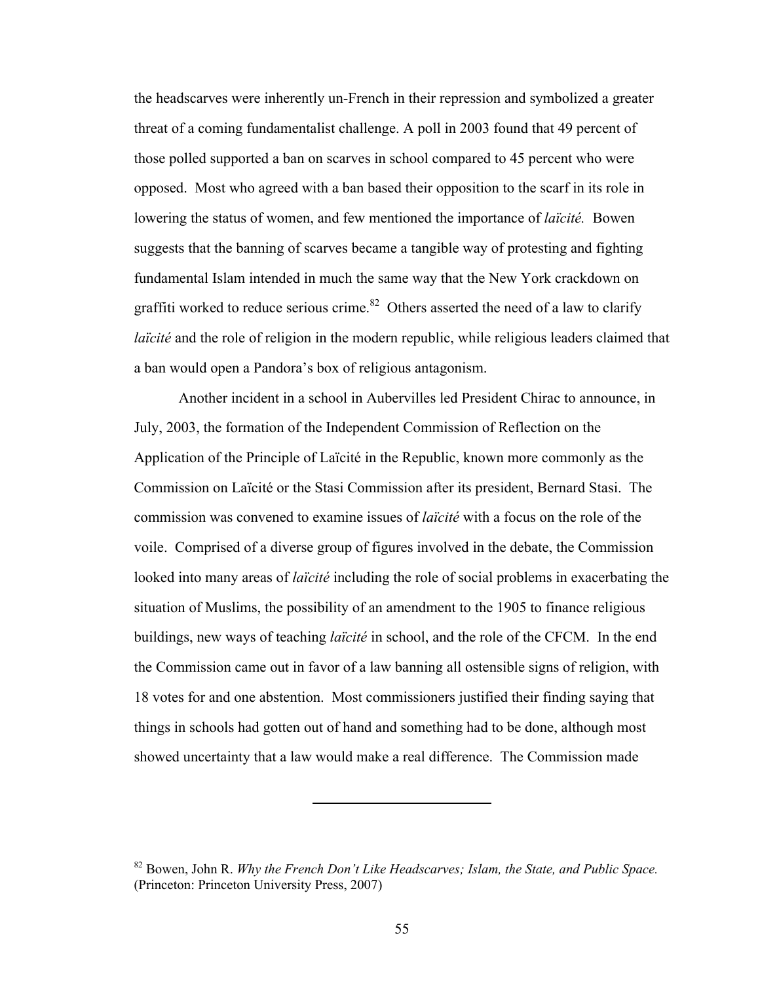the headscarves were inherently un-French in their repression and symbolized a greater threat of a coming fundamentalist challenge. A poll in 2003 found that 49 percent of those polled supported a ban on scarves in school compared to 45 percent who were opposed. Most who agreed with a ban based their opposition to the scarf in its role in lowering the status of women, and few mentioned the importance of *laïcité.* Bowen suggests that the banning of scarves became a tangible way of protesting and fighting fundamental Islam intended in much the same way that the New York crackdown on graffiti worked to reduce serious crime.<sup>82</sup> Others asserted the need of a law to clarify *laïcité* and the role of religion in the modern republic, while religious leaders claimed that a ban would open a Pandora's box of religious antagonism.

Another incident in a school in Aubervilles led President Chirac to announce, in July, 2003, the formation of the Independent Commission of Reflection on the Application of the Principle of Laïcité in the Republic, known more commonly as the Commission on Laïcité or the Stasi Commission after its president, Bernard Stasi. The commission was convened to examine issues of *laïcité* with a focus on the role of the voile. Comprised of a diverse group of figures involved in the debate, the Commission looked into many areas of *laïcité* including the role of social problems in exacerbating the situation of Muslims, the possibility of an amendment to the 1905 to finance religious buildings, new ways of teaching *laïcité* in school, and the role of the CFCM. In the end the Commission came out in favor of a law banning all ostensible signs of religion, with 18 votes for and one abstention. Most commissioners justified their finding saying that things in schools had gotten out of hand and something had to be done, although most showed uncertainty that a law would make a real difference. The Commission made

<sup>82</sup> Bowen, John R. *Why the French Don't Like Headscarves; Islam, the State, and Public Space.* (Princeton: Princeton University Press, 2007)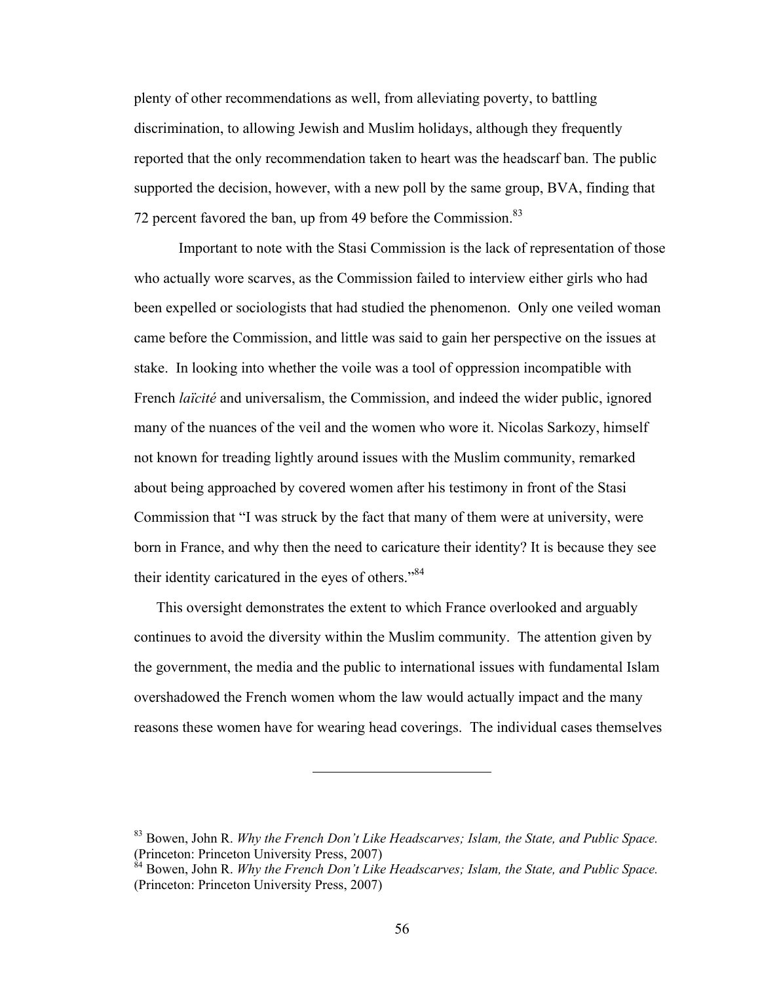plenty of other recommendations as well, from alleviating poverty, to battling discrimination, to allowing Jewish and Muslim holidays, although they frequently reported that the only recommendation taken to heart was the headscarf ban. The public supported the decision, however, with a new poll by the same group, BVA, finding that 72 percent favored the ban, up from 49 before the Commission.<sup>83</sup>

Important to note with the Stasi Commission is the lack of representation of those who actually wore scarves, as the Commission failed to interview either girls who had been expelled or sociologists that had studied the phenomenon. Only one veiled woman came before the Commission, and little was said to gain her perspective on the issues at stake. In looking into whether the voile was a tool of oppression incompatible with French *laïcité* and universalism, the Commission, and indeed the wider public, ignored many of the nuances of the veil and the women who wore it. Nicolas Sarkozy, himself not known for treading lightly around issues with the Muslim community, remarked about being approached by covered women after his testimony in front of the Stasi Commission that "I was struck by the fact that many of them were at university, were born in France, and why then the need to caricature their identity? It is because they see their identity caricatured in the eyes of others."<sup>84</sup>

This oversight demonstrates the extent to which France overlooked and arguably continues to avoid the diversity within the Muslim community. The attention given by the government, the media and the public to international issues with fundamental Islam overshadowed the French women whom the law would actually impact and the many reasons these women have for wearing head coverings. The individual cases themselves

<sup>83</sup> Bowen, John R. *Why the French Don't Like Headscarves; Islam, the State, and Public Space.* (Princeton: Princeton University Press, 2007)

<sup>&</sup>lt;sup>84</sup> Bowen, John R. *Why the French Don't Like Headscarves; Islam, the State, and Public Space.* (Princeton: Princeton University Press, 2007)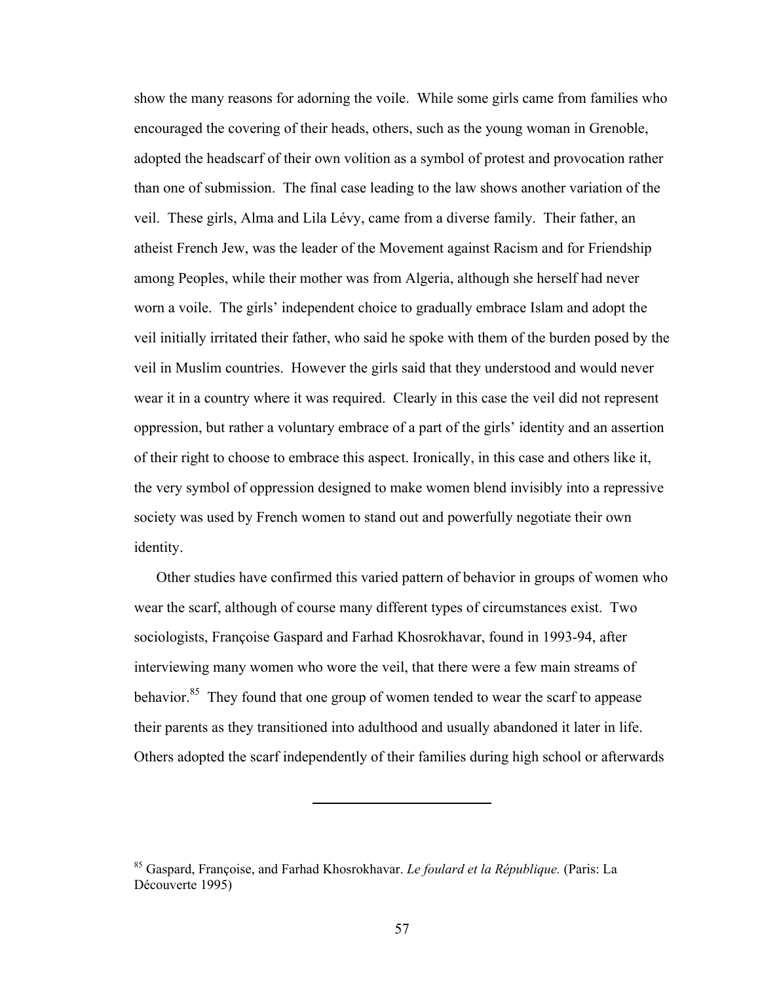show the many reasons for adorning the voile. While some girls came from families who encouraged the covering of their heads, others, such as the young woman in Grenoble, adopted the headscarf of their own volition as a symbol of protest and provocation rather than one of submission. The final case leading to the law shows another variation of the veil. These girls, Alma and Lila Lévy, came from a diverse family. Their father, an atheist French Jew, was the leader of the Movement against Racism and for Friendship among Peoples, while their mother was from Algeria, although she herself had never worn a voile. The girls' independent choice to gradually embrace Islam and adopt the veil initially irritated their father, who said he spoke with them of the burden posed by the veil in Muslim countries. However the girls said that they understood and would never wear it in a country where it was required. Clearly in this case the veil did not represent oppression, but rather a voluntary embrace of a part of the girls' identity and an assertion of their right to choose to embrace this aspect. Ironically, in this case and others like it, the very symbol of oppression designed to make women blend invisibly into a repressive society was used by French women to stand out and powerfully negotiate their own identity.

Other studies have confirmed this varied pattern of behavior in groups of women who wear the scarf, although of course many different types of circumstances exist. Two sociologists, Françoise Gaspard and Farhad Khosrokhavar, found in 1993-94, after interviewing many women who wore the veil, that there were a few main streams of behavior.<sup>85</sup> They found that one group of women tended to wear the scarf to appease their parents as they transitioned into adulthood and usually abandoned it later in life. Others adopted the scarf independently of their families during high school or afterwards

<sup>85</sup> Gaspard, Françoise, and Farhad Khosrokhavar. *Le foulard et la République.* (Paris: La Découverte 1995)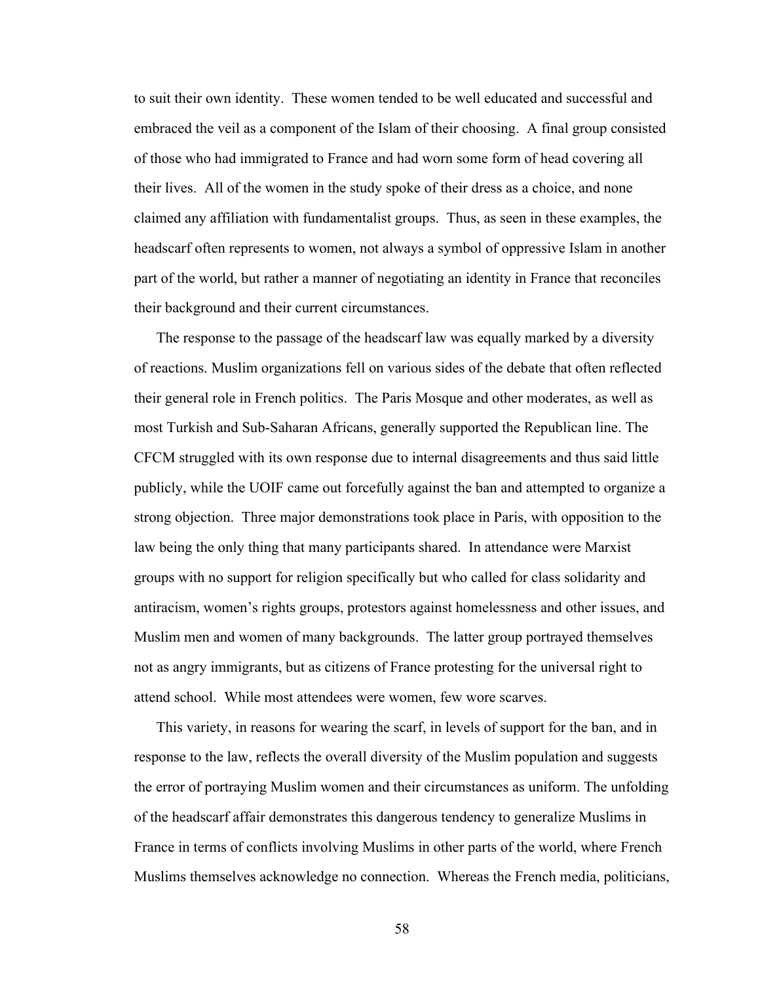to suit their own identity. These women tended to be well educated and successful and embraced the veil as a component of the Islam of their choosing. A final group consisted of those who had immigrated to France and had worn some form of head covering all their lives. All of the women in the study spoke of their dress as a choice, and none claimed any affiliation with fundamentalist groups. Thus, as seen in these examples, the headscarf often represents to women, not always a symbol of oppressive Islam in another part of the world, but rather a manner of negotiating an identity in France that reconciles their background and their current circumstances.

The response to the passage of the headscarf law was equally marked by a diversity of reactions. Muslim organizations fell on various sides of the debate that often reflected their general role in French politics. The Paris Mosque and other moderates, as well as most Turkish and Sub-Saharan Africans, generally supported the Republican line. The CFCM struggled with its own response due to internal disagreements and thus said little publicly, while the UOIF came out forcefully against the ban and attempted to organize a strong objection. Three major demonstrations took place in Paris, with opposition to the law being the only thing that many participants shared. In attendance were Marxist groups with no support for religion specifically but who called for class solidarity and antiracism, women's rights groups, protestors against homelessness and other issues, and Muslim men and women of many backgrounds. The latter group portrayed themselves not as angry immigrants, but as citizens of France protesting for the universal right to attend school. While most attendees were women, few wore scarves.

This variety, in reasons for wearing the scarf, in levels of support for the ban, and in response to the law, reflects the overall diversity of the Muslim population and suggests the error of portraying Muslim women and their circumstances as uniform. The unfolding of the headscarf affair demonstrates this dangerous tendency to generalize Muslims in France in terms of conflicts involving Muslims in other parts of the world, where French Muslims themselves acknowledge no connection. Whereas the French media, politicians,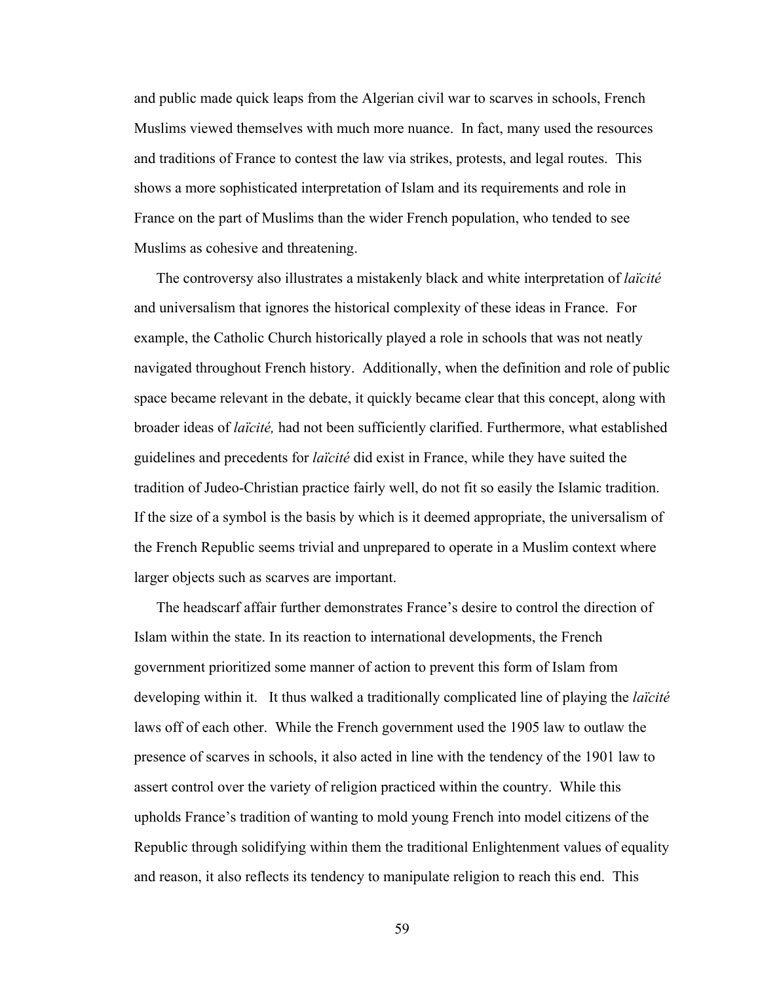and public made quick leaps from the Algerian civil war to scarves in schools, French Muslims viewed themselves with much more nuance. In fact, many used the resources and traditions of France to contest the law via strikes, protests, and legal routes. This shows a more sophisticated interpretation of Islam and its requirements and role in France on the part of Muslims than the wider French population, who tended to see Muslims as cohesive and threatening.

The controversy also illustrates a mistakenly black and white interpretation of *laïcité* and universalism that ignores the historical complexity of these ideas in France. For example, the Catholic Church historically played a role in schools that was not neatly navigated throughout French history. Additionally, when the definition and role of public space became relevant in the debate, it quickly became clear that this concept, along with broader ideas of *laïcité,* had not been sufficiently clarified. Furthermore, what established guidelines and precedents for *laïcité* did exist in France, while they have suited the tradition of Judeo-Christian practice fairly well, do not fit so easily the Islamic tradition. If the size of a symbol is the basis by which is it deemed appropriate, the universalism of the French Republic seems trivial and unprepared to operate in a Muslim context where larger objects such as scarves are important.

The headscarf affair further demonstrates France's desire to control the direction of Islam within the state. In its reaction to international developments, the French government prioritized some manner of action to prevent this form of Islam from developing within it. It thus walked a traditionally complicated line of playing the *laïcité* laws off of each other. While the French government used the 1905 law to outlaw the presence of scarves in schools, it also acted in line with the tendency of the 1901 law to assert control over the variety of religion practiced within the country. While this upholds France's tradition of wanting to mold young French into model citizens of the Republic through solidifying within them the traditional Enlightenment values of equality and reason, it also reflects its tendency to manipulate religion to reach this end. This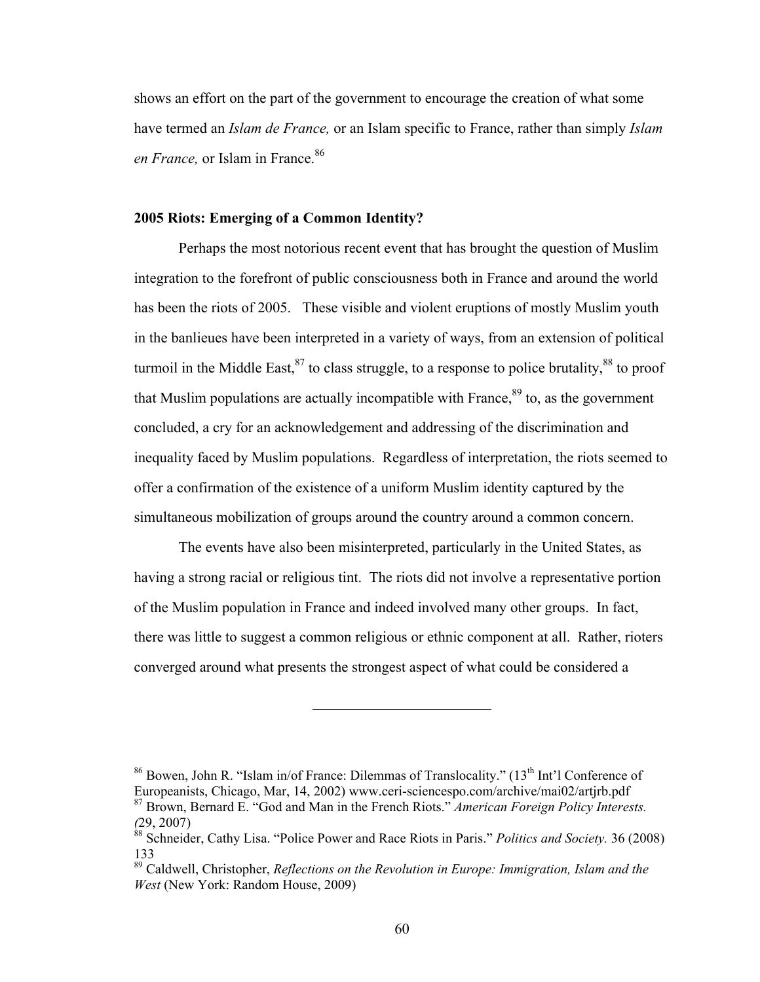shows an effort on the part of the government to encourage the creation of what some have termed an *Islam de France,* or an Islam specific to France, rather than simply *Islam*  en France, or Islam in France.<sup>86</sup>

# **2005 Riots: Emerging of a Common Identity?**

Perhaps the most notorious recent event that has brought the question of Muslim integration to the forefront of public consciousness both in France and around the world has been the riots of 2005. These visible and violent eruptions of mostly Muslim youth in the banlieues have been interpreted in a variety of ways, from an extension of political turmoil in the Middle East,  $87$  to class struggle, to a response to police brutality,  $88$  to proof that Muslim populations are actually incompatible with France,  $89$  to, as the government concluded, a cry for an acknowledgement and addressing of the discrimination and inequality faced by Muslim populations. Regardless of interpretation, the riots seemed to offer a confirmation of the existence of a uniform Muslim identity captured by the simultaneous mobilization of groups around the country around a common concern.

The events have also been misinterpreted, particularly in the United States, as having a strong racial or religious tint. The riots did not involve a representative portion of the Muslim population in France and indeed involved many other groups. In fact, there was little to suggest a common religious or ethnic component at all. Rather, rioters converged around what presents the strongest aspect of what could be considered a

<sup>&</sup>lt;sup>86</sup> Bowen, John R. "Islam in/of France: Dilemmas of Translocality." (13<sup>th</sup> Int'l Conference of Europeanists, Chicago, Mar, 14, 2002) www.ceri-sciencespo.com/archive/mai02/artjrb.pdf 87 Brown, Bernard E. "God and Man in the French Riots." *American Foreign Policy Interests. (*29, 2007)

<sup>88</sup> Schneider, Cathy Lisa. "Police Power and Race Riots in Paris." *Politics and Society.* 36 (2008) 133

<sup>89</sup> Caldwell, Christopher, *Reflections on the Revolution in Europe: Immigration, Islam and the West* (New York: Random House, 2009)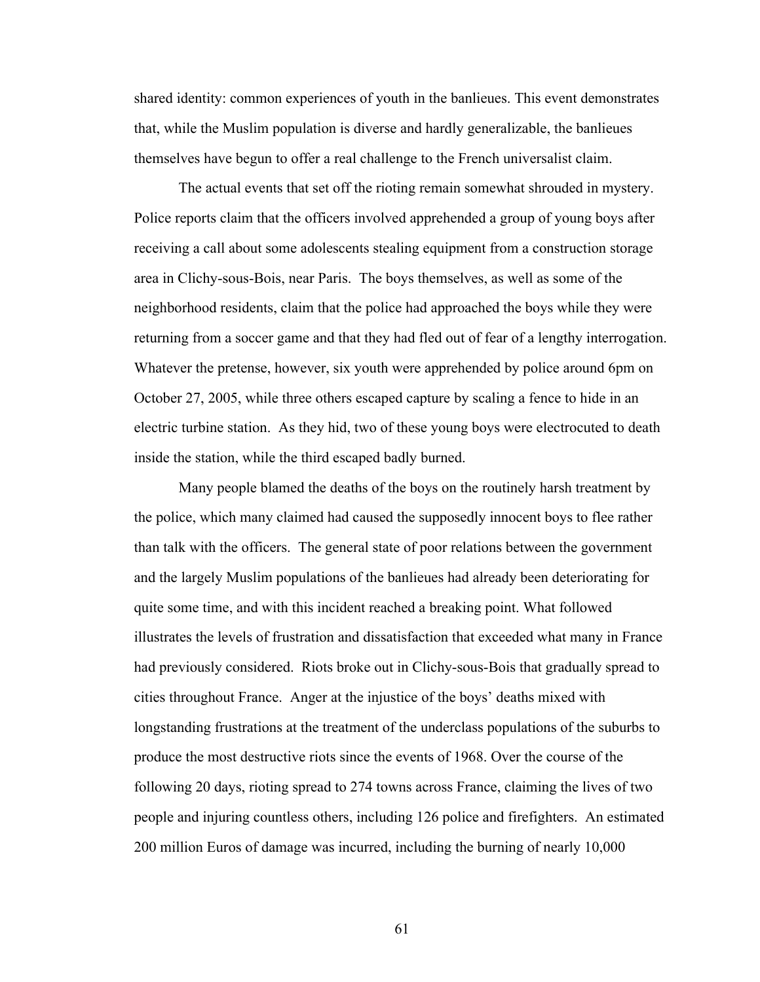shared identity: common experiences of youth in the banlieues. This event demonstrates that, while the Muslim population is diverse and hardly generalizable, the banlieues themselves have begun to offer a real challenge to the French universalist claim.

The actual events that set off the rioting remain somewhat shrouded in mystery. Police reports claim that the officers involved apprehended a group of young boys after receiving a call about some adolescents stealing equipment from a construction storage area in Clichy-sous-Bois, near Paris. The boys themselves, as well as some of the neighborhood residents, claim that the police had approached the boys while they were returning from a soccer game and that they had fled out of fear of a lengthy interrogation. Whatever the pretense, however, six youth were apprehended by police around 6pm on October 27, 2005, while three others escaped capture by scaling a fence to hide in an electric turbine station. As they hid, two of these young boys were electrocuted to death inside the station, while the third escaped badly burned.

Many people blamed the deaths of the boys on the routinely harsh treatment by the police, which many claimed had caused the supposedly innocent boys to flee rather than talk with the officers. The general state of poor relations between the government and the largely Muslim populations of the banlieues had already been deteriorating for quite some time, and with this incident reached a breaking point. What followed illustrates the levels of frustration and dissatisfaction that exceeded what many in France had previously considered. Riots broke out in Clichy-sous-Bois that gradually spread to cities throughout France. Anger at the injustice of the boys' deaths mixed with longstanding frustrations at the treatment of the underclass populations of the suburbs to produce the most destructive riots since the events of 1968. Over the course of the following 20 days, rioting spread to 274 towns across France, claiming the lives of two people and injuring countless others, including 126 police and firefighters. An estimated 200 million Euros of damage was incurred, including the burning of nearly 10,000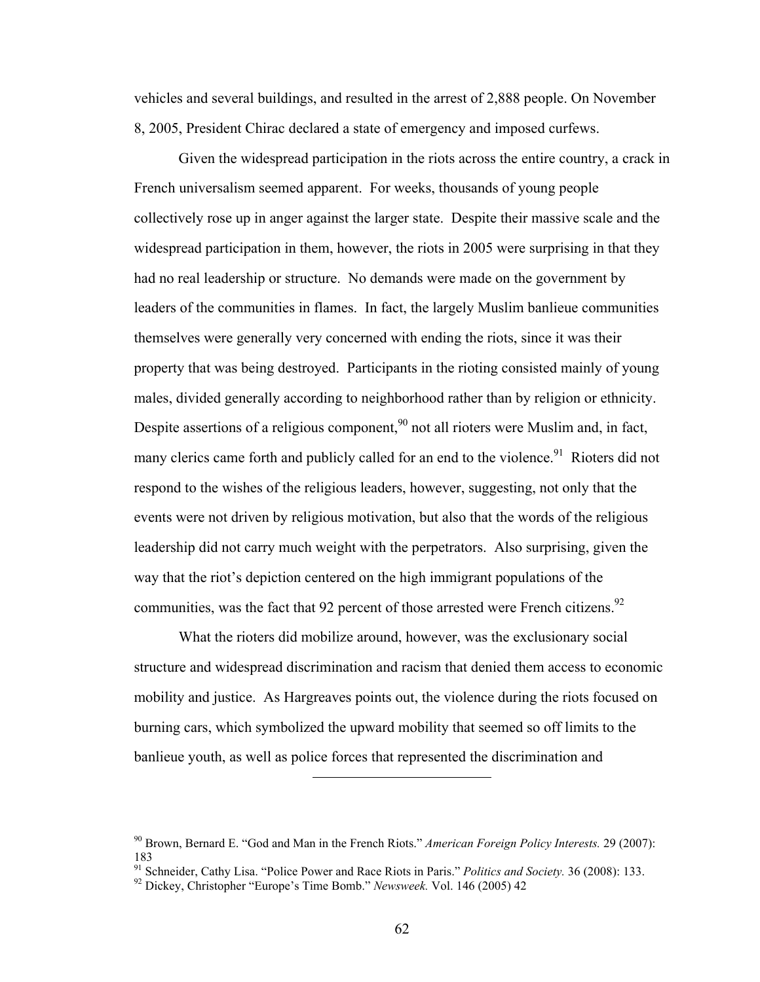vehicles and several buildings, and resulted in the arrest of 2,888 people. On November 8, 2005, President Chirac declared a state of emergency and imposed curfews.

Given the widespread participation in the riots across the entire country, a crack in French universalism seemed apparent. For weeks, thousands of young people collectively rose up in anger against the larger state. Despite their massive scale and the widespread participation in them, however, the riots in 2005 were surprising in that they had no real leadership or structure. No demands were made on the government by leaders of the communities in flames. In fact, the largely Muslim banlieue communities themselves were generally very concerned with ending the riots, since it was their property that was being destroyed. Participants in the rioting consisted mainly of young males, divided generally according to neighborhood rather than by religion or ethnicity. Despite assertions of a religious component,<sup>90</sup> not all rioters were Muslim and, in fact, many clerics came forth and publicly called for an end to the violence.<sup>91</sup> Rioters did not respond to the wishes of the religious leaders, however, suggesting, not only that the events were not driven by religious motivation, but also that the words of the religious leadership did not carry much weight with the perpetrators. Also surprising, given the way that the riot's depiction centered on the high immigrant populations of the communities, was the fact that 92 percent of those arrested were French citizens.<sup>92</sup>

What the rioters did mobilize around, however, was the exclusionary social structure and widespread discrimination and racism that denied them access to economic mobility and justice. As Hargreaves points out, the violence during the riots focused on burning cars, which symbolized the upward mobility that seemed so off limits to the banlieue youth, as well as police forces that represented the discrimination and

<sup>90</sup> Brown, Bernard E. "God and Man in the French Riots." *American Foreign Policy Interests.* 29 (2007): 183

<sup>&</sup>lt;sup>91</sup> Schneider, Cathy Lisa. "Police Power and Race Riots in Paris." *Politics and Society*. 36 (2008): 133. <sup>92</sup> Dickey, Christopher "Europe's Time Bomb." *Newsweek*. Vol. 146 (2005) 42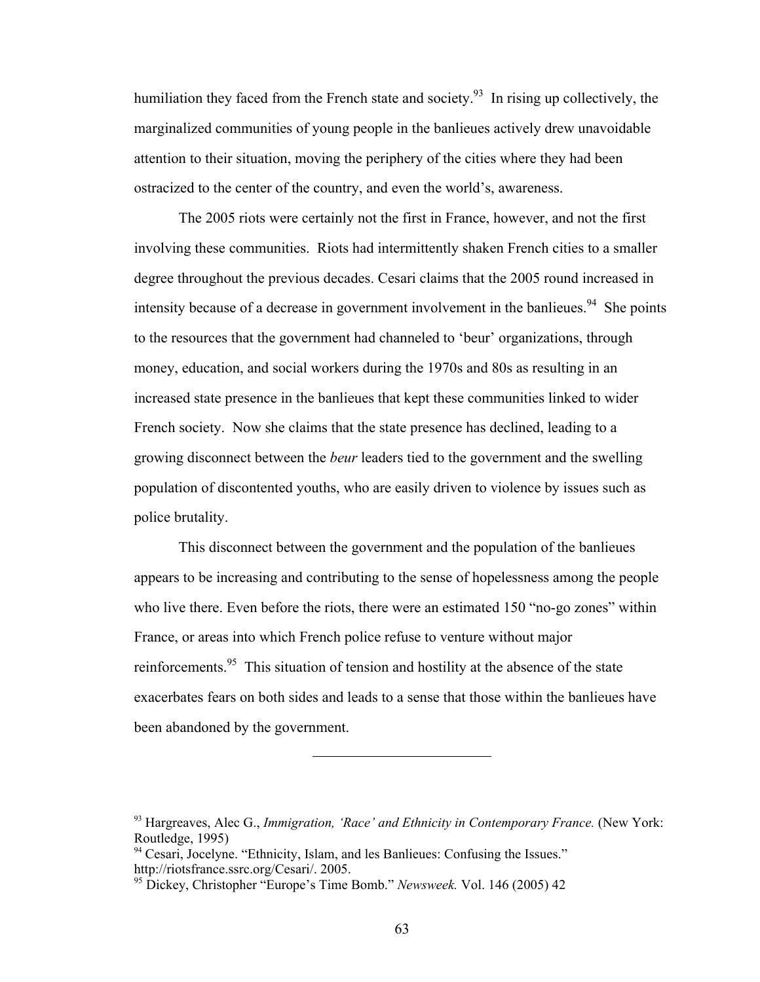humiliation they faced from the French state and society.<sup>93</sup> In rising up collectively, the marginalized communities of young people in the banlieues actively drew unavoidable attention to their situation, moving the periphery of the cities where they had been ostracized to the center of the country, and even the world's, awareness.

The 2005 riots were certainly not the first in France, however, and not the first involving these communities. Riots had intermittently shaken French cities to a smaller degree throughout the previous decades. Cesari claims that the 2005 round increased in intensity because of a decrease in government involvement in the banlieues.<sup>94</sup> She points to the resources that the government had channeled to 'beur' organizations, through money, education, and social workers during the 1970s and 80s as resulting in an increased state presence in the banlieues that kept these communities linked to wider French society. Now she claims that the state presence has declined, leading to a growing disconnect between the *beur* leaders tied to the government and the swelling population of discontented youths, who are easily driven to violence by issues such as police brutality.

This disconnect between the government and the population of the banlieues appears to be increasing and contributing to the sense of hopelessness among the people who live there. Even before the riots, there were an estimated 150 "no-go zones" within France, or areas into which French police refuse to venture without major reinforcements.<sup>95</sup> This situation of tension and hostility at the absence of the state exacerbates fears on both sides and leads to a sense that those within the banlieues have been abandoned by the government.

<sup>93</sup> Hargreaves, Alec G., *Immigration, 'Race' and Ethnicity in Contemporary France.* (New York: Routledge, 1995)

<sup>&</sup>lt;sup>94</sup> Cesari, Jocelyne. "Ethnicity, Islam, and les Banlieues: Confusing the Issues." http://riotsfrance.ssrc.org/Cesari/. 2005.

<sup>95</sup> Dickey, Christopher "Europe's Time Bomb." *Newsweek.* Vol. 146 (2005) 42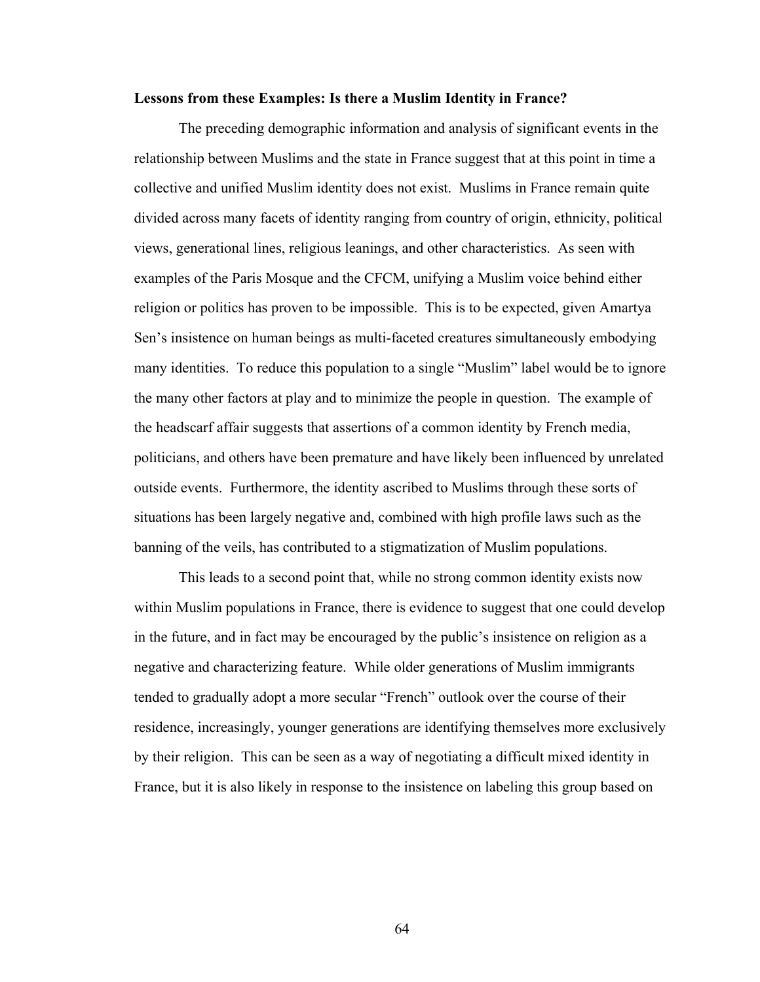# **Lessons from these Examples: Is there a Muslim Identity in France?**

The preceding demographic information and analysis of significant events in the relationship between Muslims and the state in France suggest that at this point in time a collective and unified Muslim identity does not exist. Muslims in France remain quite divided across many facets of identity ranging from country of origin, ethnicity, political views, generational lines, religious leanings, and other characteristics. As seen with examples of the Paris Mosque and the CFCM, unifying a Muslim voice behind either religion or politics has proven to be impossible. This is to be expected, given Amartya Sen's insistence on human beings as multi-faceted creatures simultaneously embodying many identities. To reduce this population to a single "Muslim" label would be to ignore the many other factors at play and to minimize the people in question. The example of the headscarf affair suggests that assertions of a common identity by French media, politicians, and others have been premature and have likely been influenced by unrelated outside events. Furthermore, the identity ascribed to Muslims through these sorts of situations has been largely negative and, combined with high profile laws such as the banning of the veils, has contributed to a stigmatization of Muslim populations.

This leads to a second point that, while no strong common identity exists now within Muslim populations in France, there is evidence to suggest that one could develop in the future, and in fact may be encouraged by the public's insistence on religion as a negative and characterizing feature. While older generations of Muslim immigrants tended to gradually adopt a more secular "French" outlook over the course of their residence, increasingly, younger generations are identifying themselves more exclusively by their religion. This can be seen as a way of negotiating a difficult mixed identity in France, but it is also likely in response to the insistence on labeling this group based on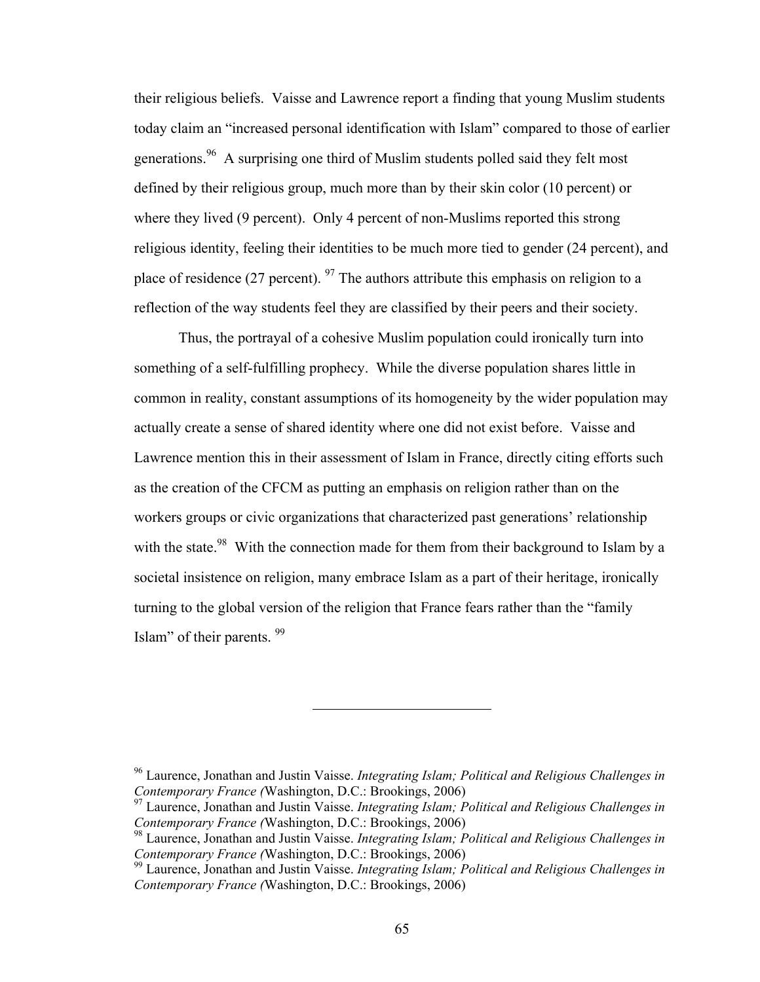their religious beliefs. Vaisse and Lawrence report a finding that young Muslim students today claim an "increased personal identification with Islam" compared to those of earlier generations.<sup>96</sup> A surprising one third of Muslim students polled said they felt most defined by their religious group, much more than by their skin color (10 percent) or where they lived (9 percent). Only 4 percent of non-Muslims reported this strong religious identity, feeling their identities to be much more tied to gender (24 percent), and place of residence (27 percent).  $97$  The authors attribute this emphasis on religion to a reflection of the way students feel they are classified by their peers and their society.

Thus, the portrayal of a cohesive Muslim population could ironically turn into something of a self-fulfilling prophecy. While the diverse population shares little in common in reality, constant assumptions of its homogeneity by the wider population may actually create a sense of shared identity where one did not exist before. Vaisse and Lawrence mention this in their assessment of Islam in France, directly citing efforts such as the creation of the CFCM as putting an emphasis on religion rather than on the workers groups or civic organizations that characterized past generations' relationship with the state.<sup>98</sup> With the connection made for them from their background to Islam by a societal insistence on religion, many embrace Islam as a part of their heritage, ironically turning to the global version of the religion that France fears rather than the "family Islam" of their parents. 99

<sup>96</sup> Laurence, Jonathan and Justin Vaisse. *Integrating Islam; Political and Religious Challenges in Contemporary France (*Washington, D.C.: Brookings, 2006)

<sup>97</sup> Laurence, Jonathan and Justin Vaisse. *Integrating Islam; Political and Religious Challenges in Contemporary France (*Washington, D.C.: Brookings, 2006)

<sup>98</sup> Laurence, Jonathan and Justin Vaisse. *Integrating Islam; Political and Religious Challenges in Contemporary France (*Washington, D.C.: Brookings, 2006)

<sup>99</sup> Laurence, Jonathan and Justin Vaisse. *Integrating Islam; Political and Religious Challenges in Contemporary France (*Washington, D.C.: Brookings, 2006)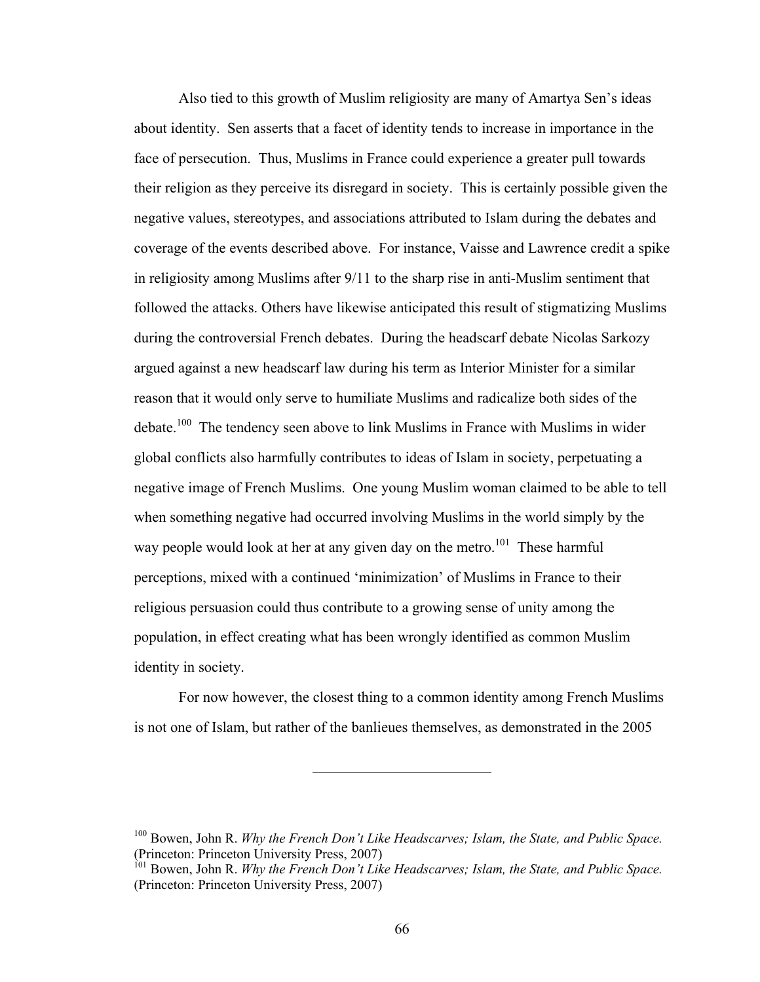Also tied to this growth of Muslim religiosity are many of Amartya Sen's ideas about identity. Sen asserts that a facet of identity tends to increase in importance in the face of persecution. Thus, Muslims in France could experience a greater pull towards their religion as they perceive its disregard in society. This is certainly possible given the negative values, stereotypes, and associations attributed to Islam during the debates and coverage of the events described above. For instance, Vaisse and Lawrence credit a spike in religiosity among Muslims after 9/11 to the sharp rise in anti-Muslim sentiment that followed the attacks. Others have likewise anticipated this result of stigmatizing Muslims during the controversial French debates. During the headscarf debate Nicolas Sarkozy argued against a new headscarf law during his term as Interior Minister for a similar reason that it would only serve to humiliate Muslims and radicalize both sides of the debate.<sup>100</sup> The tendency seen above to link Muslims in France with Muslims in wider global conflicts also harmfully contributes to ideas of Islam in society, perpetuating a negative image of French Muslims. One young Muslim woman claimed to be able to tell when something negative had occurred involving Muslims in the world simply by the way people would look at her at any given day on the metro.<sup>101</sup> These harmful perceptions, mixed with a continued 'minimization' of Muslims in France to their religious persuasion could thus contribute to a growing sense of unity among the population, in effect creating what has been wrongly identified as common Muslim identity in society.

For now however, the closest thing to a common identity among French Muslims is not one of Islam, but rather of the banlieues themselves, as demonstrated in the 2005

<sup>100</sup> Bowen, John R. *Why the French Don't Like Headscarves; Islam, the State, and Public Space.* (Princeton: Princeton University Press, 2007)

<sup>101</sup> Bowen, John R. *Why the French Don't Like Headscarves; Islam, the State, and Public Space.* (Princeton: Princeton University Press, 2007)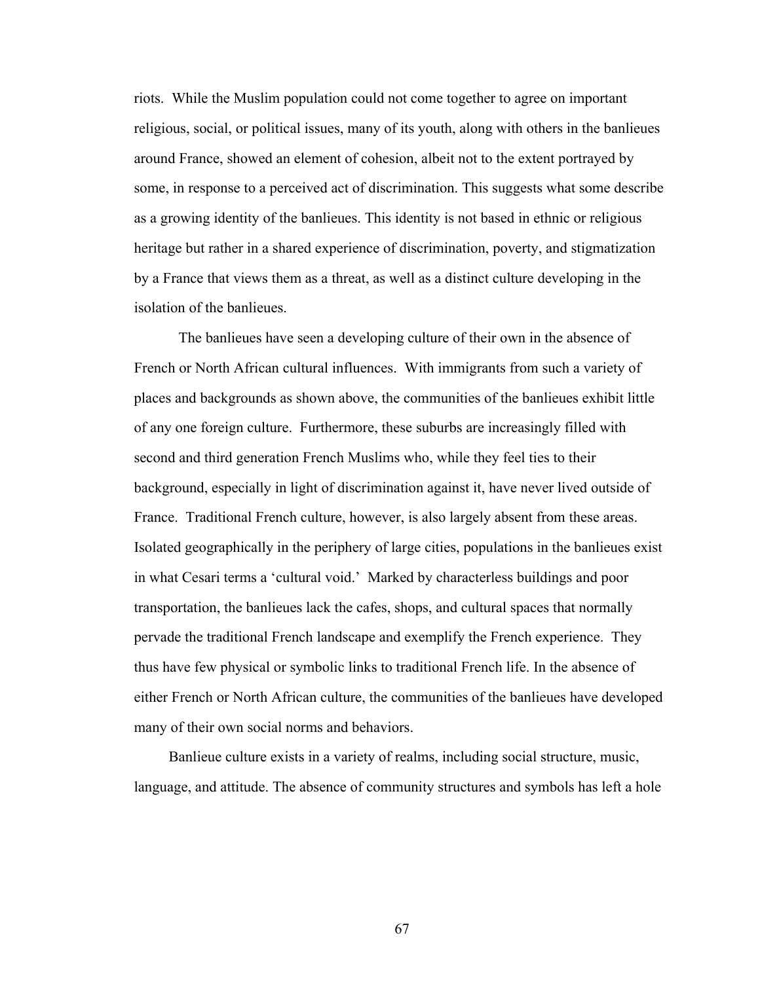riots. While the Muslim population could not come together to agree on important religious, social, or political issues, many of its youth, along with others in the banlieues around France, showed an element of cohesion, albeit not to the extent portrayed by some, in response to a perceived act of discrimination. This suggests what some describe as a growing identity of the banlieues. This identity is not based in ethnic or religious heritage but rather in a shared experience of discrimination, poverty, and stigmatization by a France that views them as a threat, as well as a distinct culture developing in the isolation of the banlieues.

The banlieues have seen a developing culture of their own in the absence of French or North African cultural influences. With immigrants from such a variety of places and backgrounds as shown above, the communities of the banlieues exhibit little of any one foreign culture. Furthermore, these suburbs are increasingly filled with second and third generation French Muslims who, while they feel ties to their background, especially in light of discrimination against it, have never lived outside of France. Traditional French culture, however, is also largely absent from these areas. Isolated geographically in the periphery of large cities, populations in the banlieues exist in what Cesari terms a 'cultural void.' Marked by characterless buildings and poor transportation, the banlieues lack the cafes, shops, and cultural spaces that normally pervade the traditional French landscape and exemplify the French experience. They thus have few physical or symbolic links to traditional French life. In the absence of either French or North African culture, the communities of the banlieues have developed many of their own social norms and behaviors.

Banlieue culture exists in a variety of realms, including social structure, music, language, and attitude. The absence of community structures and symbols has left a hole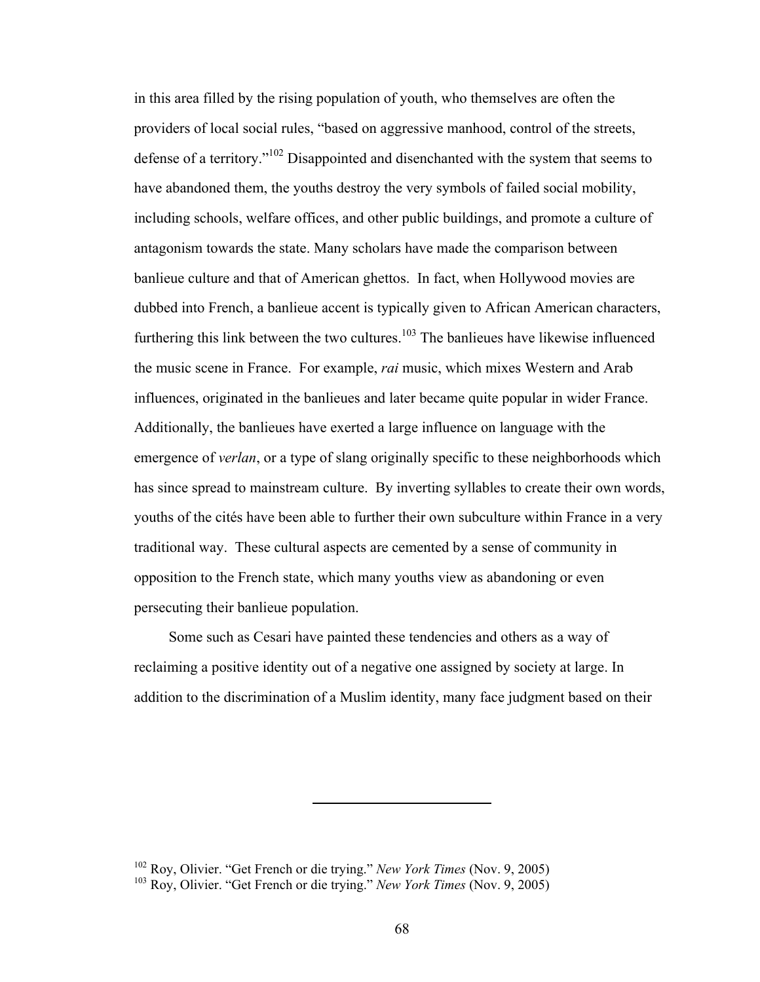in this area filled by the rising population of youth, who themselves are often the providers of local social rules, "based on aggressive manhood, control of the streets, defense of a territory."102 Disappointed and disenchanted with the system that seems to have abandoned them, the youths destroy the very symbols of failed social mobility, including schools, welfare offices, and other public buildings, and promote a culture of antagonism towards the state. Many scholars have made the comparison between banlieue culture and that of American ghettos. In fact, when Hollywood movies are dubbed into French, a banlieue accent is typically given to African American characters, furthering this link between the two cultures.<sup>103</sup> The banlieues have likewise influenced the music scene in France. For example, *rai* music, which mixes Western and Arab influences, originated in the banlieues and later became quite popular in wider France. Additionally, the banlieues have exerted a large influence on language with the emergence of *verlan*, or a type of slang originally specific to these neighborhoods which has since spread to mainstream culture. By inverting syllables to create their own words, youths of the cités have been able to further their own subculture within France in a very traditional way. These cultural aspects are cemented by a sense of community in opposition to the French state, which many youths view as abandoning or even persecuting their banlieue population.

Some such as Cesari have painted these tendencies and others as a way of reclaiming a positive identity out of a negative one assigned by society at large. In addition to the discrimination of a Muslim identity, many face judgment based on their

<sup>102</sup> Roy, Olivier. "Get French or die trying." *New York Times* (Nov. 9, 2005)

<sup>103</sup> Roy, Olivier. "Get French or die trying." *New York Times* (Nov. 9, 2005)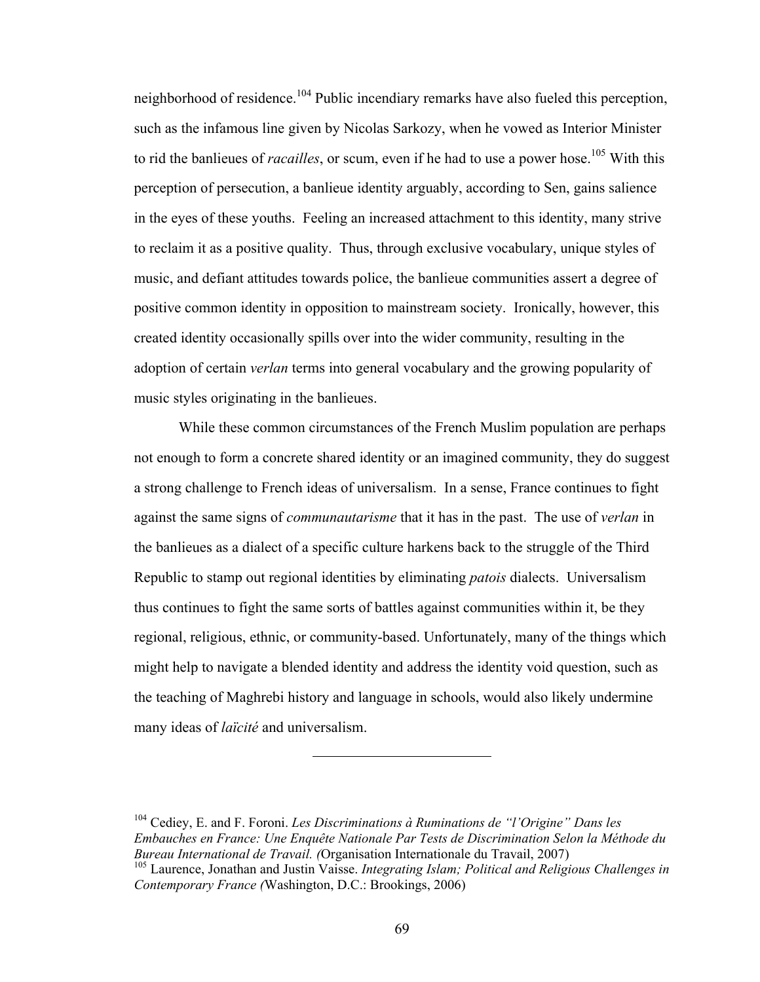neighborhood of residence.<sup>104</sup> Public incendiary remarks have also fueled this perception, such as the infamous line given by Nicolas Sarkozy, when he vowed as Interior Minister to rid the banlieues of *racailles*, or scum, even if he had to use a power hose.<sup>105</sup> With this perception of persecution, a banlieue identity arguably, according to Sen, gains salience in the eyes of these youths. Feeling an increased attachment to this identity, many strive to reclaim it as a positive quality. Thus, through exclusive vocabulary, unique styles of music, and defiant attitudes towards police, the banlieue communities assert a degree of positive common identity in opposition to mainstream society. Ironically, however, this created identity occasionally spills over into the wider community, resulting in the adoption of certain *verlan* terms into general vocabulary and the growing popularity of music styles originating in the banlieues.

While these common circumstances of the French Muslim population are perhaps not enough to form a concrete shared identity or an imagined community, they do suggest a strong challenge to French ideas of universalism. In a sense, France continues to fight against the same signs of *communautarisme* that it has in the past. The use of *verlan* in the banlieues as a dialect of a specific culture harkens back to the struggle of the Third Republic to stamp out regional identities by eliminating *patois* dialects. Universalism thus continues to fight the same sorts of battles against communities within it, be they regional, religious, ethnic, or community-based. Unfortunately, many of the things which might help to navigate a blended identity and address the identity void question, such as the teaching of Maghrebi history and language in schools, would also likely undermine many ideas of *laïcité* and universalism.

<sup>104</sup> Cediey, E. and F. Foroni. *Les Discriminations à Ruminations de "l'Origine" Dans les Embauches en France: Une Enquête Nationale Par Tests de Discrimination Selon la Méthode du Bureau International de Travail. (*Organisation Internationale du Travail, 2007) <sup>105</sup> Laurence, Jonathan and Justin Vaisse. *Integrating Islam; Political and Religious Challenges in* 

*Contemporary France (*Washington, D.C.: Brookings, 2006)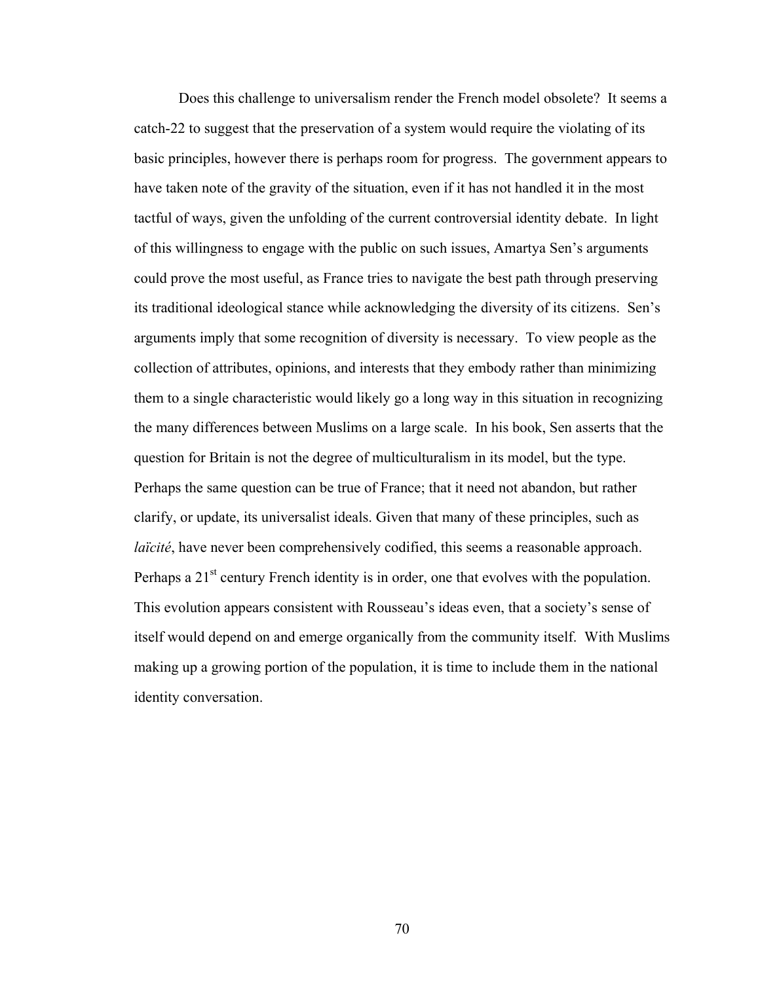Does this challenge to universalism render the French model obsolete? It seems a catch-22 to suggest that the preservation of a system would require the violating of its basic principles, however there is perhaps room for progress. The government appears to have taken note of the gravity of the situation, even if it has not handled it in the most tactful of ways, given the unfolding of the current controversial identity debate. In light of this willingness to engage with the public on such issues, Amartya Sen's arguments could prove the most useful, as France tries to navigate the best path through preserving its traditional ideological stance while acknowledging the diversity of its citizens. Sen's arguments imply that some recognition of diversity is necessary. To view people as the collection of attributes, opinions, and interests that they embody rather than minimizing them to a single characteristic would likely go a long way in this situation in recognizing the many differences between Muslims on a large scale. In his book, Sen asserts that the question for Britain is not the degree of multiculturalism in its model, but the type. Perhaps the same question can be true of France; that it need not abandon, but rather clarify, or update, its universalist ideals. Given that many of these principles, such as *laïcité*, have never been comprehensively codified, this seems a reasonable approach. Perhaps a  $21<sup>st</sup>$  century French identity is in order, one that evolves with the population. This evolution appears consistent with Rousseau's ideas even, that a society's sense of itself would depend on and emerge organically from the community itself. With Muslims making up a growing portion of the population, it is time to include them in the national identity conversation.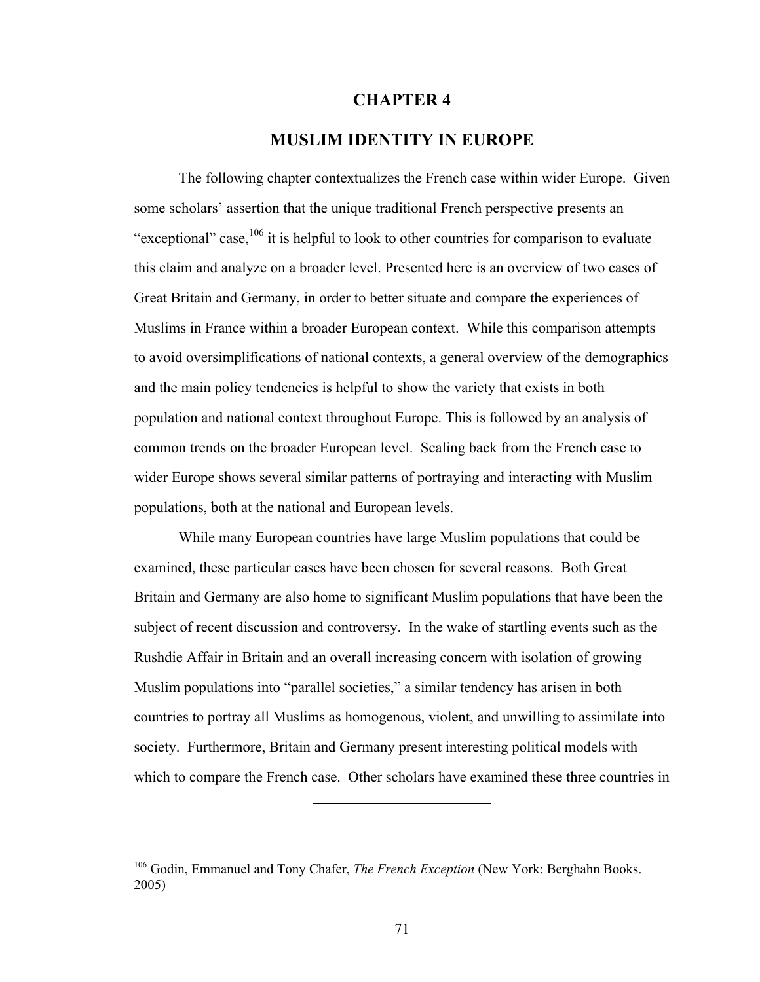#### **CHAPTER 4**

## **MUSLIM IDENTITY IN EUROPE**

The following chapter contextualizes the French case within wider Europe. Given some scholars' assertion that the unique traditional French perspective presents an "exceptional" case,  $106$  it is helpful to look to other countries for comparison to evaluate this claim and analyze on a broader level. Presented here is an overview of two cases of Great Britain and Germany, in order to better situate and compare the experiences of Muslims in France within a broader European context. While this comparison attempts to avoid oversimplifications of national contexts, a general overview of the demographics and the main policy tendencies is helpful to show the variety that exists in both population and national context throughout Europe. This is followed by an analysis of common trends on the broader European level. Scaling back from the French case to wider Europe shows several similar patterns of portraying and interacting with Muslim populations, both at the national and European levels.

While many European countries have large Muslim populations that could be examined, these particular cases have been chosen for several reasons. Both Great Britain and Germany are also home to significant Muslim populations that have been the subject of recent discussion and controversy. In the wake of startling events such as the Rushdie Affair in Britain and an overall increasing concern with isolation of growing Muslim populations into "parallel societies," a similar tendency has arisen in both countries to portray all Muslims as homogenous, violent, and unwilling to assimilate into society. Furthermore, Britain and Germany present interesting political models with which to compare the French case. Other scholars have examined these three countries in

<sup>106</sup> Godin, Emmanuel and Tony Chafer, *The French Exception* (New York: Berghahn Books. 2005)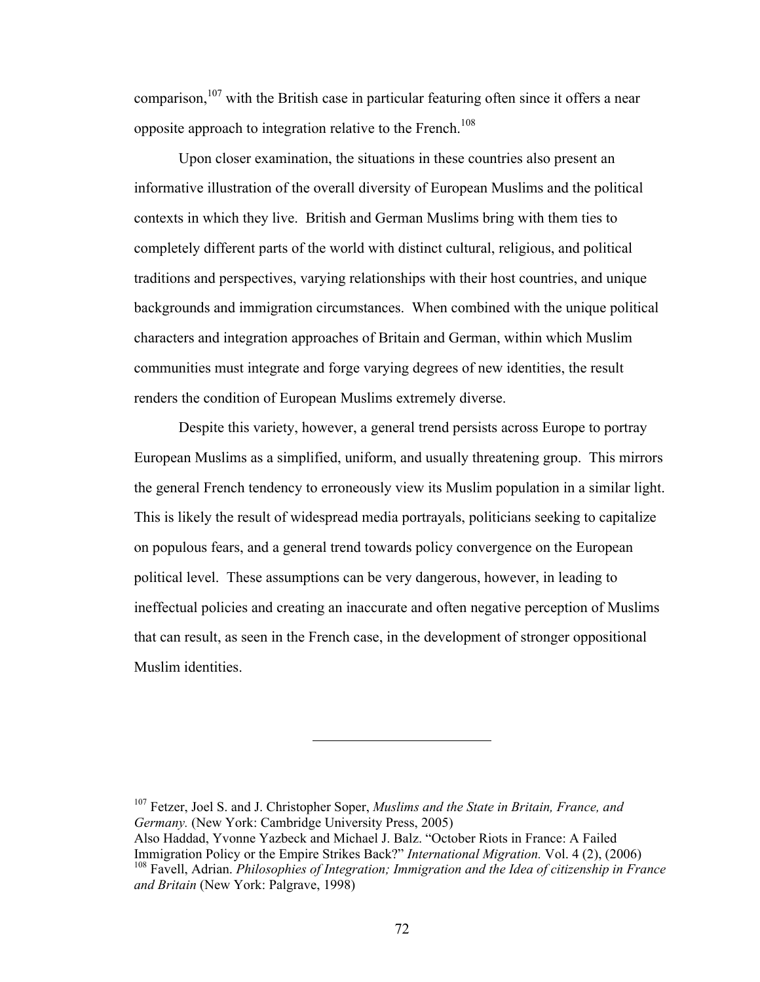comparison,  $107$  with the British case in particular featuring often since it offers a near opposite approach to integration relative to the French.<sup>108</sup>

Upon closer examination, the situations in these countries also present an informative illustration of the overall diversity of European Muslims and the political contexts in which they live. British and German Muslims bring with them ties to completely different parts of the world with distinct cultural, religious, and political traditions and perspectives, varying relationships with their host countries, and unique backgrounds and immigration circumstances. When combined with the unique political characters and integration approaches of Britain and German, within which Muslim communities must integrate and forge varying degrees of new identities, the result renders the condition of European Muslims extremely diverse.

Despite this variety, however, a general trend persists across Europe to portray European Muslims as a simplified, uniform, and usually threatening group. This mirrors the general French tendency to erroneously view its Muslim population in a similar light. This is likely the result of widespread media portrayals, politicians seeking to capitalize on populous fears, and a general trend towards policy convergence on the European political level. These assumptions can be very dangerous, however, in leading to ineffectual policies and creating an inaccurate and often negative perception of Muslims that can result, as seen in the French case, in the development of stronger oppositional Muslim identities.

107 Fetzer, Joel S. and J. Christopher Soper, *Muslims and the State in Britain, France, and Germany.* (New York: Cambridge University Press, 2005)

Also Haddad, Yvonne Yazbeck and Michael J. Balz. "October Riots in France: A Failed Immigration Policy or the Empire Strikes Back?" *International Migration.* Vol. 4 (2), (2006) 108 Favell, Adrian. *Philosophies of Integration; Immigration and the Idea of citizenship in France and Britain* (New York: Palgrave, 1998)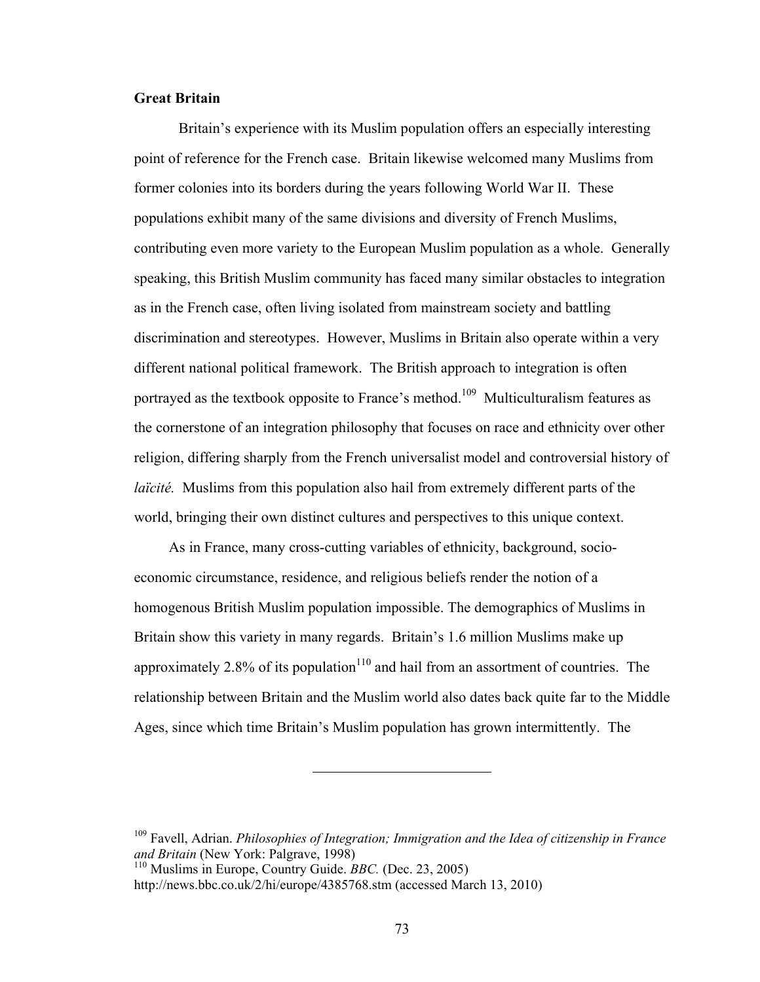### **Great Britain**

Britain's experience with its Muslim population offers an especially interesting point of reference for the French case. Britain likewise welcomed many Muslims from former colonies into its borders during the years following World War II. These populations exhibit many of the same divisions and diversity of French Muslims, contributing even more variety to the European Muslim population as a whole. Generally speaking, this British Muslim community has faced many similar obstacles to integration as in the French case, often living isolated from mainstream society and battling discrimination and stereotypes. However, Muslims in Britain also operate within a very different national political framework. The British approach to integration is often portrayed as the textbook opposite to France's method.<sup>109</sup> Multiculturalism features as the cornerstone of an integration philosophy that focuses on race and ethnicity over other religion, differing sharply from the French universalist model and controversial history of *laïcité.* Muslims from this population also hail from extremely different parts of the world, bringing their own distinct cultures and perspectives to this unique context.

As in France, many cross-cutting variables of ethnicity, background, socioeconomic circumstance, residence, and religious beliefs render the notion of a homogenous British Muslim population impossible. The demographics of Muslims in Britain show this variety in many regards. Britain's 1.6 million Muslims make up approximately 2.8% of its population<sup>110</sup> and hail from an assortment of countries. The relationship between Britain and the Muslim world also dates back quite far to the Middle Ages, since which time Britain's Muslim population has grown intermittently. The

<sup>109</sup> Favell, Adrian. *Philosophies of Integration; Immigration and the Idea of citizenship in France and Britain* (New York: Palgrave, 1998)

<sup>110</sup> Muslims in Europe, Country Guide. *BBC.* (Dec. 23, 2005)

http://news.bbc.co.uk/2/hi/europe/4385768.stm (accessed March 13, 2010)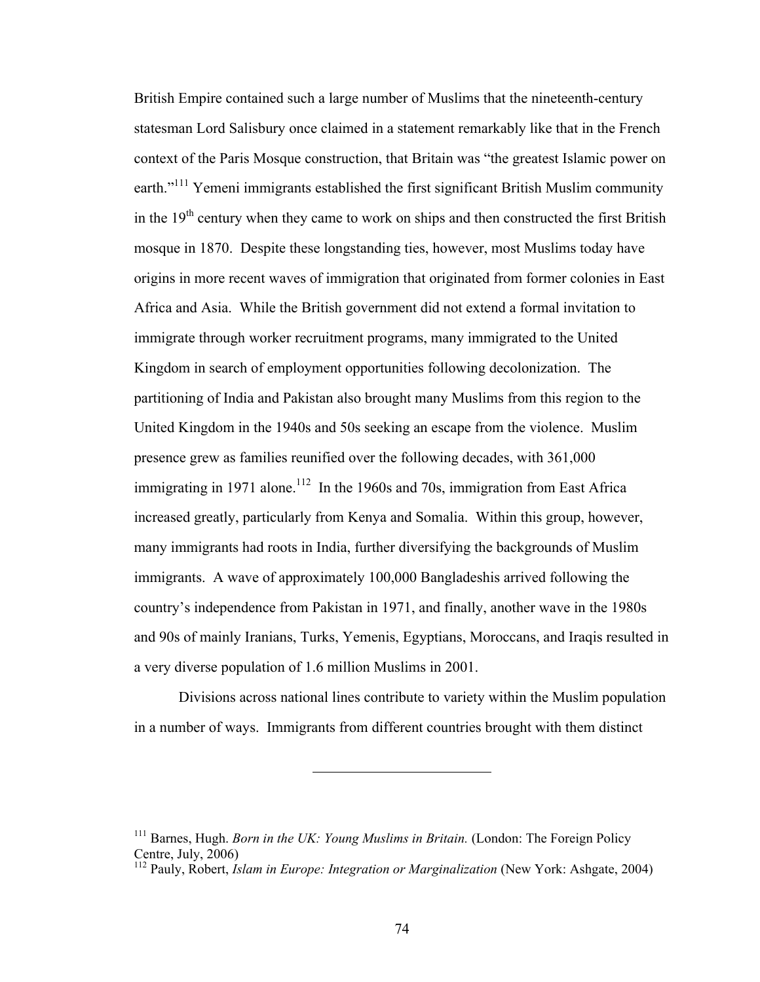British Empire contained such a large number of Muslims that the nineteenth-century statesman Lord Salisbury once claimed in a statement remarkably like that in the French context of the Paris Mosque construction, that Britain was "the greatest Islamic power on earth."<sup>111</sup> Yemeni immigrants established the first significant British Muslim community in the  $19<sup>th</sup>$  century when they came to work on ships and then constructed the first British mosque in 1870. Despite these longstanding ties, however, most Muslims today have origins in more recent waves of immigration that originated from former colonies in East Africa and Asia. While the British government did not extend a formal invitation to immigrate through worker recruitment programs, many immigrated to the United Kingdom in search of employment opportunities following decolonization. The partitioning of India and Pakistan also brought many Muslims from this region to the United Kingdom in the 1940s and 50s seeking an escape from the violence. Muslim presence grew as families reunified over the following decades, with 361,000 immigrating in 1971 alone.<sup>112</sup> In the 1960s and 70s, immigration from East Africa increased greatly, particularly from Kenya and Somalia. Within this group, however, many immigrants had roots in India, further diversifying the backgrounds of Muslim immigrants. A wave of approximately 100,000 Bangladeshis arrived following the country's independence from Pakistan in 1971, and finally, another wave in the 1980s and 90s of mainly Iranians, Turks, Yemenis, Egyptians, Moroccans, and Iraqis resulted in a very diverse population of 1.6 million Muslims in 2001.

Divisions across national lines contribute to variety within the Muslim population in a number of ways. Immigrants from different countries brought with them distinct

<sup>&</sup>lt;sup>111</sup> Barnes, Hugh. *Born in the UK: Young Muslims in Britain.* (London: The Foreign Policy Centre, July, 2006)

<sup>112</sup> Pauly, Robert, *Islam in Europe: Integration or Marginalization* (New York: Ashgate, 2004)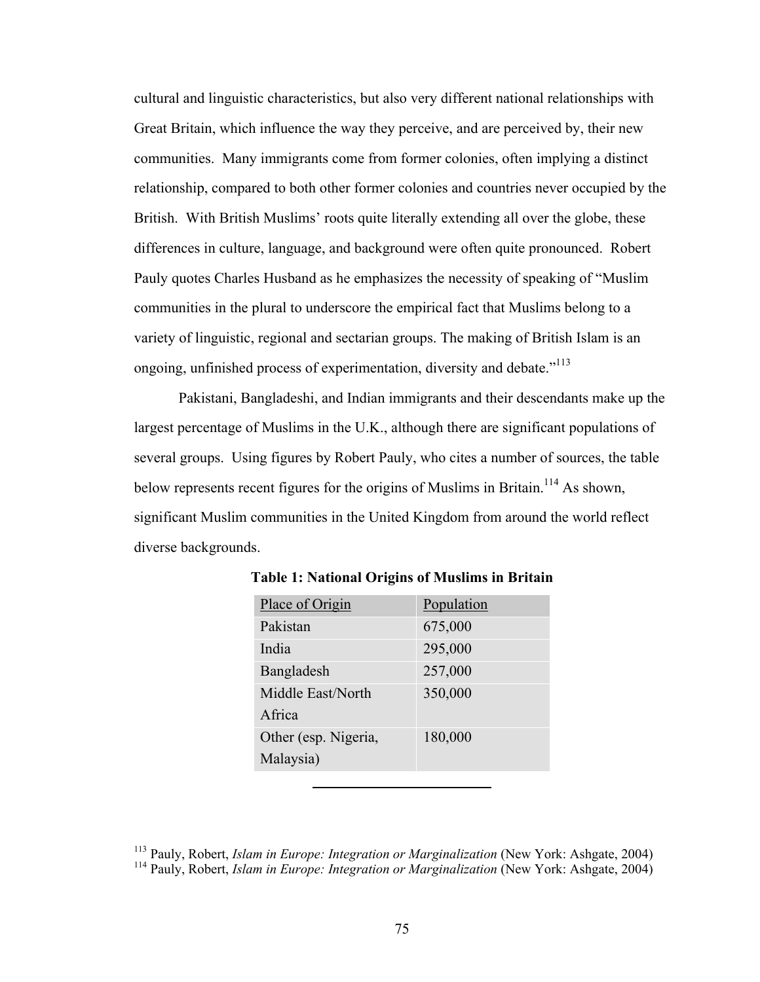cultural and linguistic characteristics, but also very different national relationships with Great Britain, which influence the way they perceive, and are perceived by, their new communities. Many immigrants come from former colonies, often implying a distinct relationship, compared to both other former colonies and countries never occupied by the British. With British Muslims' roots quite literally extending all over the globe, these differences in culture, language, and background were often quite pronounced. Robert Pauly quotes Charles Husband as he emphasizes the necessity of speaking of "Muslim communities in the plural to underscore the empirical fact that Muslims belong to a variety of linguistic, regional and sectarian groups. The making of British Islam is an ongoing, unfinished process of experimentation, diversity and debate."<sup>113</sup>

Pakistani, Bangladeshi, and Indian immigrants and their descendants make up the largest percentage of Muslims in the U.K., although there are significant populations of several groups. Using figures by Robert Pauly, who cites a number of sources, the table below represents recent figures for the origins of Muslims in Britain.<sup>114</sup> As shown, significant Muslim communities in the United Kingdom from around the world reflect diverse backgrounds.

| Place of Origin      | Population |
|----------------------|------------|
| Pakistan             | 675,000    |
| India                | 295,000    |
| Bangladesh           | 257,000    |
| Middle East/North    | 350,000    |
| Africa               |            |
| Other (esp. Nigeria, | 180,000    |
| Malaysia)            |            |

**Table 1: National Origins of Muslims in Britain**

<sup>113</sup> Pauly, Robert, *Islam in Europe: Integration or Marginalization* (New York: Ashgate, 2004) <sup>114</sup> Pauly, Robert, *Islam in Europe: Integration or Marginalization* (New York: Ashgate, 2004)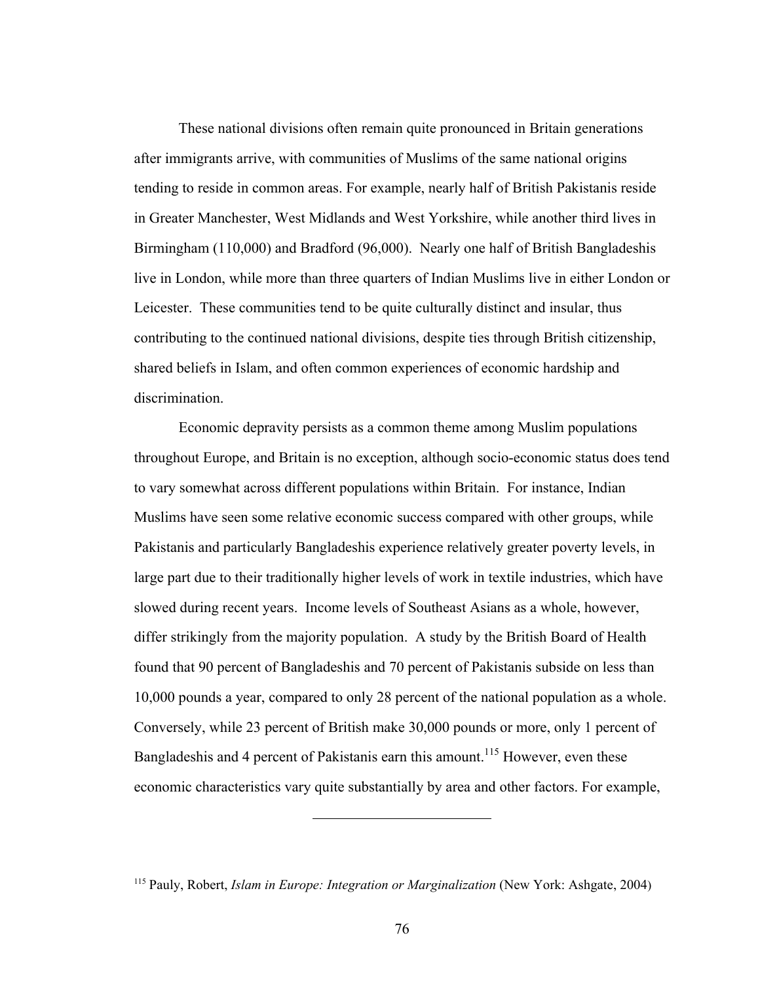These national divisions often remain quite pronounced in Britain generations after immigrants arrive, with communities of Muslims of the same national origins tending to reside in common areas. For example, nearly half of British Pakistanis reside in Greater Manchester, West Midlands and West Yorkshire, while another third lives in Birmingham (110,000) and Bradford (96,000). Nearly one half of British Bangladeshis live in London, while more than three quarters of Indian Muslims live in either London or Leicester. These communities tend to be quite culturally distinct and insular, thus contributing to the continued national divisions, despite ties through British citizenship, shared beliefs in Islam, and often common experiences of economic hardship and discrimination.

Economic depravity persists as a common theme among Muslim populations throughout Europe, and Britain is no exception, although socio-economic status does tend to vary somewhat across different populations within Britain. For instance, Indian Muslims have seen some relative economic success compared with other groups, while Pakistanis and particularly Bangladeshis experience relatively greater poverty levels, in large part due to their traditionally higher levels of work in textile industries, which have slowed during recent years. Income levels of Southeast Asians as a whole, however, differ strikingly from the majority population. A study by the British Board of Health found that 90 percent of Bangladeshis and 70 percent of Pakistanis subside on less than 10,000 pounds a year, compared to only 28 percent of the national population as a whole. Conversely, while 23 percent of British make 30,000 pounds or more, only 1 percent of Bangladeshis and 4 percent of Pakistanis earn this amount.<sup>115</sup> However, even these economic characteristics vary quite substantially by area and other factors. For example,

<sup>115</sup> Pauly, Robert, *Islam in Europe: Integration or Marginalization* (New York: Ashgate, 2004)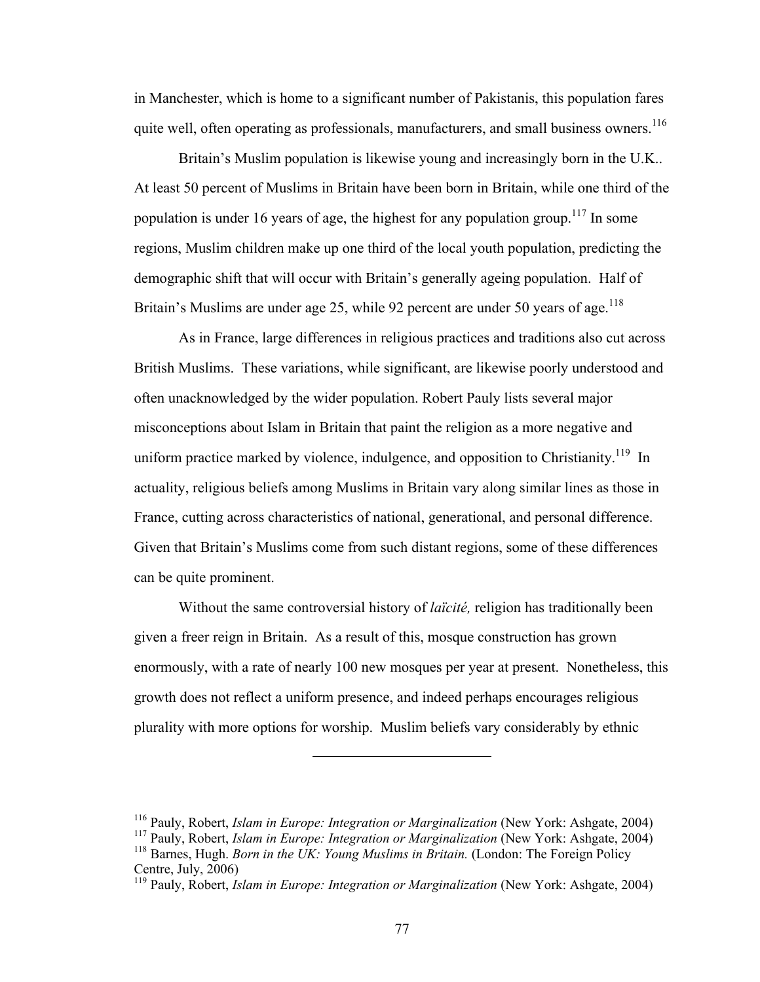in Manchester, which is home to a significant number of Pakistanis, this population fares quite well, often operating as professionals, manufacturers, and small business owners.<sup>116</sup>

Britain's Muslim population is likewise young and increasingly born in the U.K.. At least 50 percent of Muslims in Britain have been born in Britain, while one third of the population is under 16 years of age, the highest for any population group.<sup>117</sup> In some regions, Muslim children make up one third of the local youth population, predicting the demographic shift that will occur with Britain's generally ageing population. Half of Britain's Muslims are under age 25, while 92 percent are under 50 years of age.<sup>118</sup>

As in France, large differences in religious practices and traditions also cut across British Muslims. These variations, while significant, are likewise poorly understood and often unacknowledged by the wider population. Robert Pauly lists several major misconceptions about Islam in Britain that paint the religion as a more negative and uniform practice marked by violence, indulgence, and opposition to Christianity.<sup>119</sup> In actuality, religious beliefs among Muslims in Britain vary along similar lines as those in France, cutting across characteristics of national, generational, and personal difference. Given that Britain's Muslims come from such distant regions, some of these differences can be quite prominent.

Without the same controversial history of *laïcité,* religion has traditionally been given a freer reign in Britain. As a result of this, mosque construction has grown enormously, with a rate of nearly 100 new mosques per year at present. Nonetheless, this growth does not reflect a uniform presence, and indeed perhaps encourages religious plurality with more options for worship. Muslim beliefs vary considerably by ethnic

<sup>116</sup> Pauly, Robert, *Islam in Europe: Integration or Marginalization* (New York: Ashgate, 2004)

<sup>117</sup> Pauly, Robert, *Islam in Europe: Integration or Marginalization* (New York: Ashgate, 2004)

<sup>&</sup>lt;sup>118</sup> Barnes, Hugh. *Born in the UK: Young Muslims in Britain.* (London: The Foreign Policy Centre, July, 2006)

<sup>119</sup> Pauly, Robert, *Islam in Europe: Integration or Marginalization* (New York: Ashgate, 2004)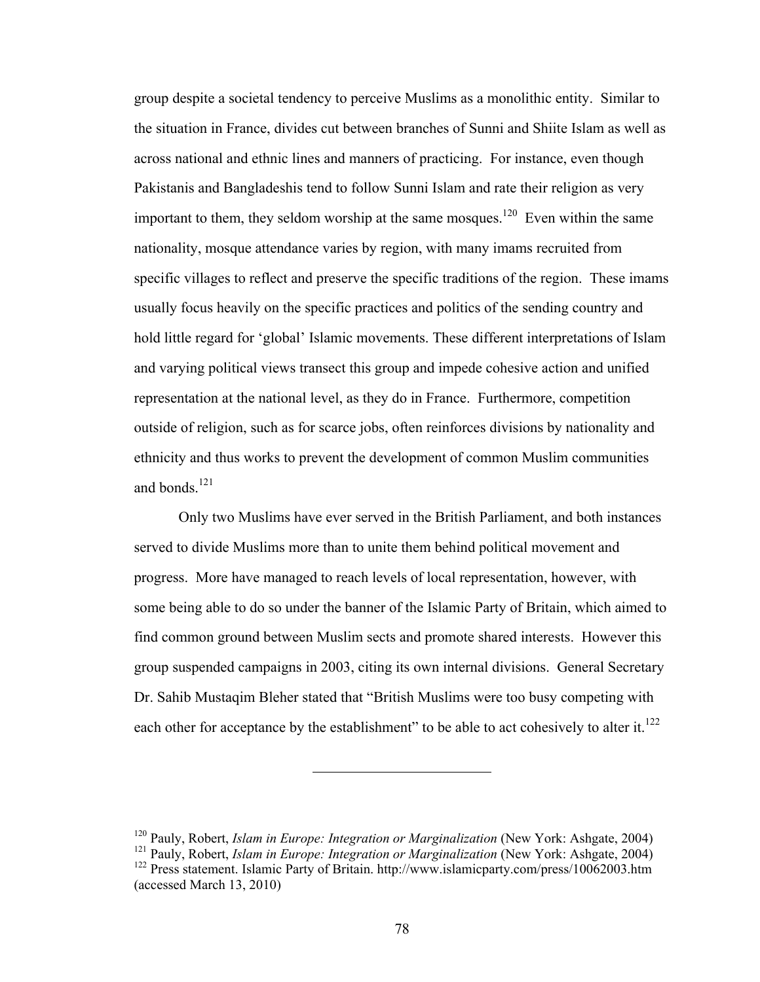group despite a societal tendency to perceive Muslims as a monolithic entity. Similar to the situation in France, divides cut between branches of Sunni and Shiite Islam as well as across national and ethnic lines and manners of practicing. For instance, even though Pakistanis and Bangladeshis tend to follow Sunni Islam and rate their religion as very important to them, they seldom worship at the same mosques.<sup>120</sup> Even within the same nationality, mosque attendance varies by region, with many imams recruited from specific villages to reflect and preserve the specific traditions of the region. These imams usually focus heavily on the specific practices and politics of the sending country and hold little regard for 'global' Islamic movements. These different interpretations of Islam and varying political views transect this group and impede cohesive action and unified representation at the national level, as they do in France. Furthermore, competition outside of religion, such as for scarce jobs, often reinforces divisions by nationality and ethnicity and thus works to prevent the development of common Muslim communities and bonds. $^{121}$ 

Only two Muslims have ever served in the British Parliament, and both instances served to divide Muslims more than to unite them behind political movement and progress. More have managed to reach levels of local representation, however, with some being able to do so under the banner of the Islamic Party of Britain, which aimed to find common ground between Muslim sects and promote shared interests. However this group suspended campaigns in 2003, citing its own internal divisions. General Secretary Dr. Sahib Mustaqim Bleher stated that "British Muslims were too busy competing with each other for acceptance by the establishment" to be able to act cohesively to alter it.<sup>122</sup>

<sup>120</sup> Pauly, Robert, *Islam in Europe: Integration or Marginalization* (New York: Ashgate, 2004)

<sup>&</sup>lt;sup>121</sup> Pauly, Robert, *Islam in Europe: Integration or Marginalization* (New York: Ashgate, 2004) <sup>122</sup> Press statement. Islamic Party of Britain. http://www.islamicparty.com/press/10062003.htm (accessed March 13, 2010)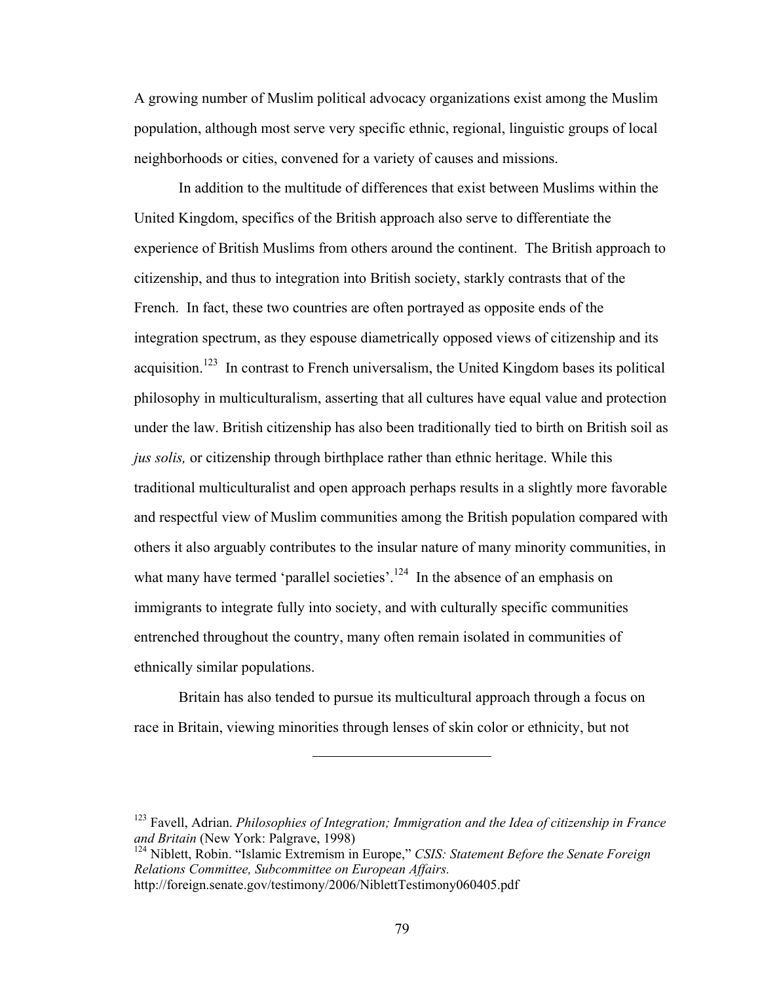A growing number of Muslim political advocacy organizations exist among the Muslim population, although most serve very specific ethnic, regional, linguistic groups of local neighborhoods or cities, convened for a variety of causes and missions.

In addition to the multitude of differences that exist between Muslims within the United Kingdom, specifics of the British approach also serve to differentiate the experience of British Muslims from others around the continent. The British approach to citizenship, and thus to integration into British society, starkly contrasts that of the French. In fact, these two countries are often portrayed as opposite ends of the integration spectrum, as they espouse diametrically opposed views of citizenship and its acquisition.<sup>123</sup> In contrast to French universalism, the United Kingdom bases its political philosophy in multiculturalism, asserting that all cultures have equal value and protection under the law. British citizenship has also been traditionally tied to birth on British soil as *jus solis,* or citizenship through birthplace rather than ethnic heritage. While this traditional multiculturalist and open approach perhaps results in a slightly more favorable and respectful view of Muslim communities among the British population compared with others it also arguably contributes to the insular nature of many minority communities, in what many have termed 'parallel societies'.<sup>124</sup> In the absence of an emphasis on immigrants to integrate fully into society, and with culturally specific communities entrenched throughout the country, many often remain isolated in communities of ethnically similar populations.

Britain has also tended to pursue its multicultural approach through a focus on race in Britain, viewing minorities through lenses of skin color or ethnicity, but not

<sup>123</sup> Favell, Adrian. *Philosophies of Integration; Immigration and the Idea of citizenship in France and Britain* (New York: Palgrave, 1998)

<sup>124</sup> Niblett, Robin. "Islamic Extremism in Europe," *CSIS: Statement Before the Senate Foreign Relations Committee, Subcommittee on European Affairs.*  http://foreign.senate.gov/testimony/2006/NiblettTestimony060405.pdf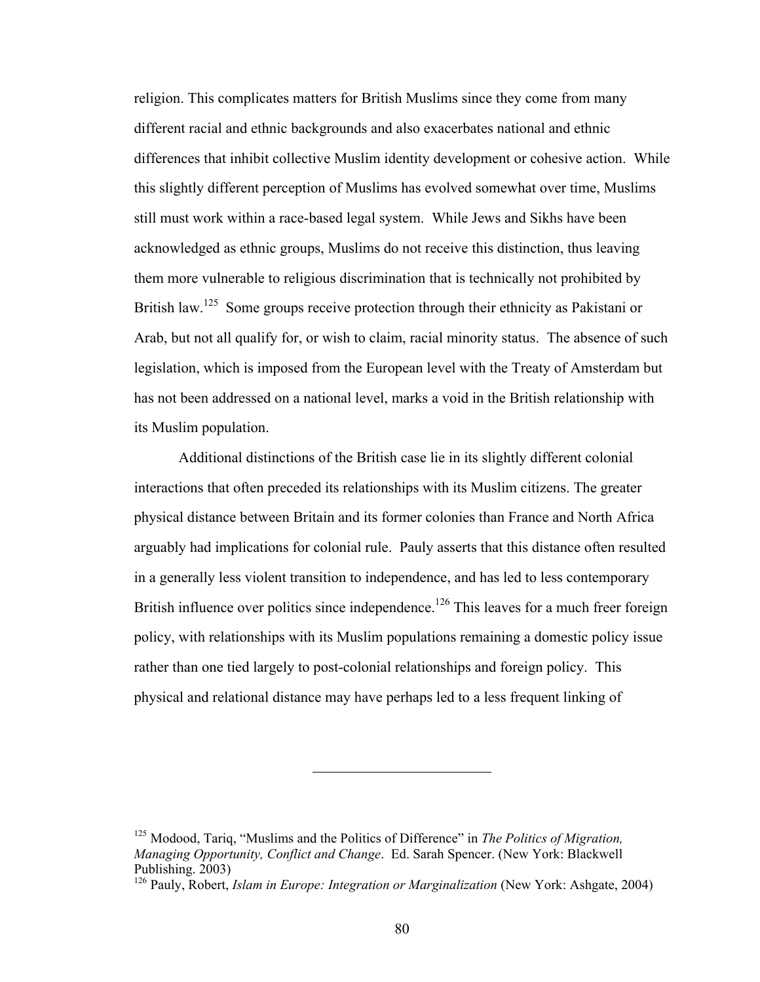religion. This complicates matters for British Muslims since they come from many different racial and ethnic backgrounds and also exacerbates national and ethnic differences that inhibit collective Muslim identity development or cohesive action. While this slightly different perception of Muslims has evolved somewhat over time, Muslims still must work within a race-based legal system. While Jews and Sikhs have been acknowledged as ethnic groups, Muslims do not receive this distinction, thus leaving them more vulnerable to religious discrimination that is technically not prohibited by British law.<sup>125</sup> Some groups receive protection through their ethnicity as Pakistani or Arab, but not all qualify for, or wish to claim, racial minority status. The absence of such legislation, which is imposed from the European level with the Treaty of Amsterdam but has not been addressed on a national level, marks a void in the British relationship with its Muslim population.

Additional distinctions of the British case lie in its slightly different colonial interactions that often preceded its relationships with its Muslim citizens. The greater physical distance between Britain and its former colonies than France and North Africa arguably had implications for colonial rule. Pauly asserts that this distance often resulted in a generally less violent transition to independence, and has led to less contemporary British influence over politics since independence.<sup>126</sup> This leaves for a much freer foreign policy, with relationships with its Muslim populations remaining a domestic policy issue rather than one tied largely to post-colonial relationships and foreign policy. This physical and relational distance may have perhaps led to a less frequent linking of

<sup>125</sup> Modood, Tariq, "Muslims and the Politics of Difference" in *The Politics of Migration, Managing Opportunity, Conflict and Change*. Ed. Sarah Spencer. (New York: Blackwell Publishing. 2003)

<sup>&</sup>lt;sup>126</sup> Pauly, Robert, *Islam in Europe: Integration or Marginalization* (New York: Ashgate, 2004)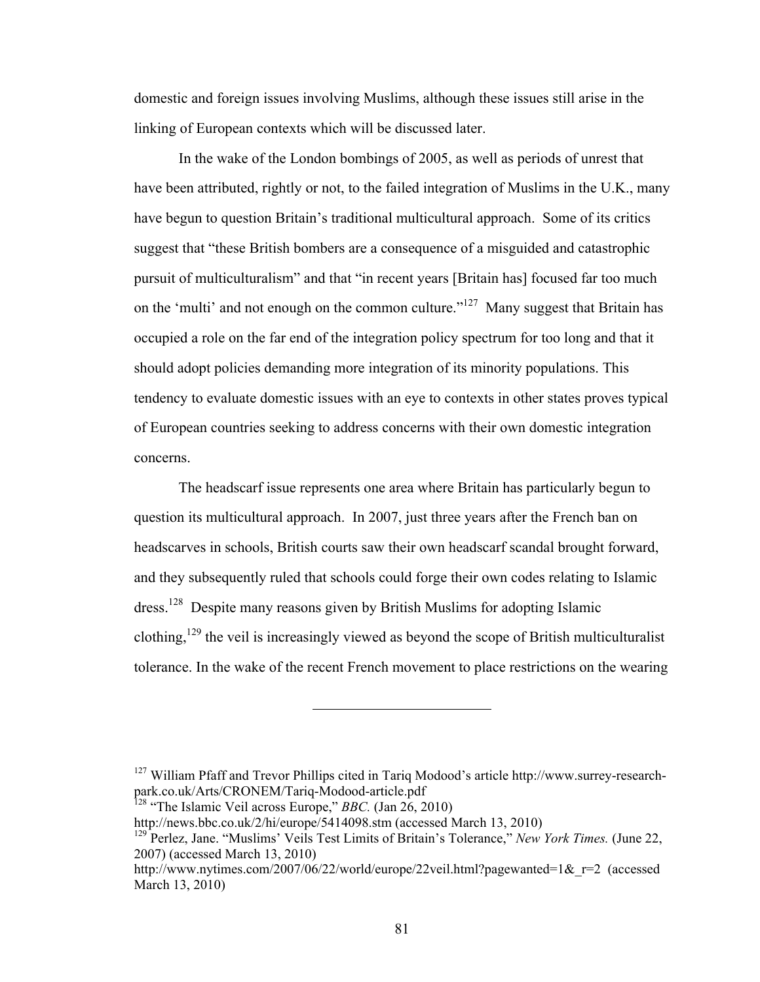domestic and foreign issues involving Muslims, although these issues still arise in the linking of European contexts which will be discussed later.

In the wake of the London bombings of 2005, as well as periods of unrest that have been attributed, rightly or not, to the failed integration of Muslims in the U.K., many have begun to question Britain's traditional multicultural approach. Some of its critics suggest that "these British bombers are a consequence of a misguided and catastrophic pursuit of multiculturalism" and that "in recent years [Britain has] focused far too much on the 'multi' and not enough on the common culture."<sup>127</sup> Many suggest that Britain has occupied a role on the far end of the integration policy spectrum for too long and that it should adopt policies demanding more integration of its minority populations. This tendency to evaluate domestic issues with an eye to contexts in other states proves typical of European countries seeking to address concerns with their own domestic integration concerns.

The headscarf issue represents one area where Britain has particularly begun to question its multicultural approach. In 2007, just three years after the French ban on headscarves in schools, British courts saw their own headscarf scandal brought forward, and they subsequently ruled that schools could forge their own codes relating to Islamic dress.128 Despite many reasons given by British Muslims for adopting Islamic clothing,<sup>129</sup> the veil is increasingly viewed as beyond the scope of British multiculturalist tolerance. In the wake of the recent French movement to place restrictions on the wearing

<sup>&</sup>lt;sup>127</sup> William Pfaff and Trevor Phillips cited in Tariq Modood's article http://www.surrey-researchpark.co.uk/Arts/CRONEM/Tariq-Modood-article.pdf

<sup>128</sup> "The Islamic Veil across Europe," *BBC.* (Jan 26, 2010)

http://news.bbc.co.uk/2/hi/europe/5414098.stm (accessed March 13, 2010)

<sup>129</sup> Perlez, Jane. "Muslims' Veils Test Limits of Britain's Tolerance," *New York Times.* (June 22, 2007) (accessed March 13, 2010)

http://www.nytimes.com/2007/06/22/world/europe/22veil.html?pagewanted=1& r=2 (accessed March 13, 2010)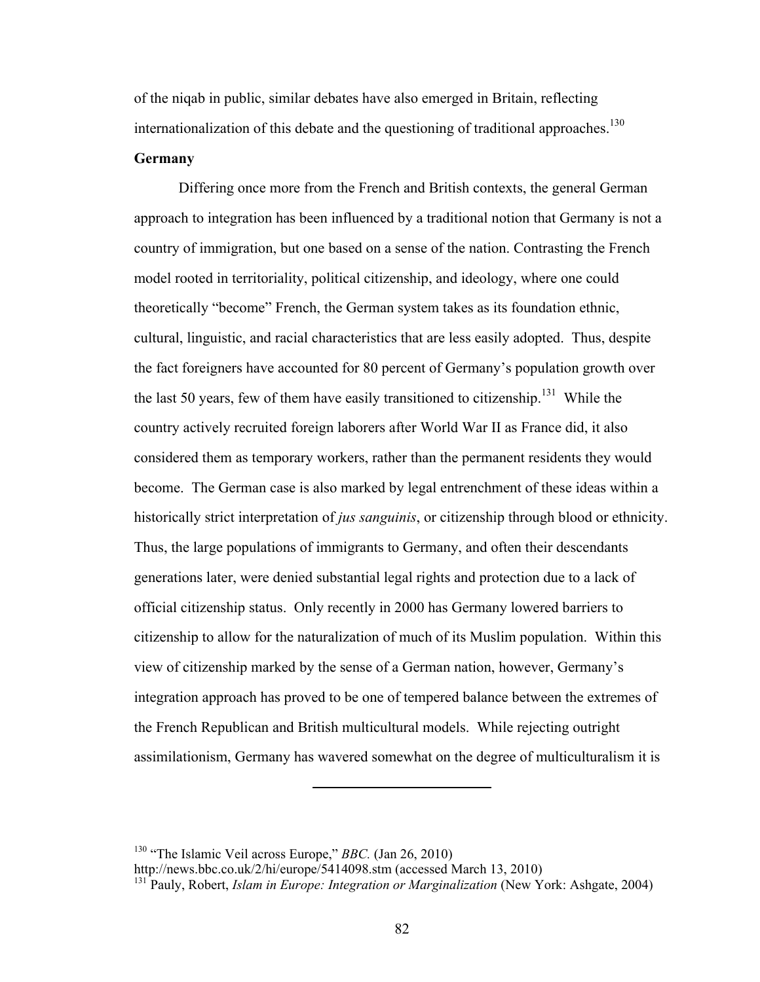of the niqab in public, similar debates have also emerged in Britain, reflecting internationalization of this debate and the questioning of traditional approaches.<sup>130</sup>

### **Germany**

Differing once more from the French and British contexts, the general German approach to integration has been influenced by a traditional notion that Germany is not a country of immigration, but one based on a sense of the nation. Contrasting the French model rooted in territoriality, political citizenship, and ideology, where one could theoretically "become" French, the German system takes as its foundation ethnic, cultural, linguistic, and racial characteristics that are less easily adopted. Thus, despite the fact foreigners have accounted for 80 percent of Germany's population growth over the last 50 years, few of them have easily transitioned to citizenship.<sup>131</sup> While the country actively recruited foreign laborers after World War II as France did, it also considered them as temporary workers, rather than the permanent residents they would become. The German case is also marked by legal entrenchment of these ideas within a historically strict interpretation of *jus sanguinis*, or citizenship through blood or ethnicity. Thus, the large populations of immigrants to Germany, and often their descendants generations later, were denied substantial legal rights and protection due to a lack of official citizenship status. Only recently in 2000 has Germany lowered barriers to citizenship to allow for the naturalization of much of its Muslim population. Within this view of citizenship marked by the sense of a German nation, however, Germany's integration approach has proved to be one of tempered balance between the extremes of the French Republican and British multicultural models. While rejecting outright assimilationism, Germany has wavered somewhat on the degree of multiculturalism it is

130 "The Islamic Veil across Europe," *BBC.* (Jan 26, 2010)

http://news.bbc.co.uk/2/hi/europe/5414098.stm (accessed March 13, 2010)

<sup>&</sup>lt;sup>131</sup> Pauly, Robert, *Islam in Europe: Integration or Marginalization* (New York: Ashgate, 2004)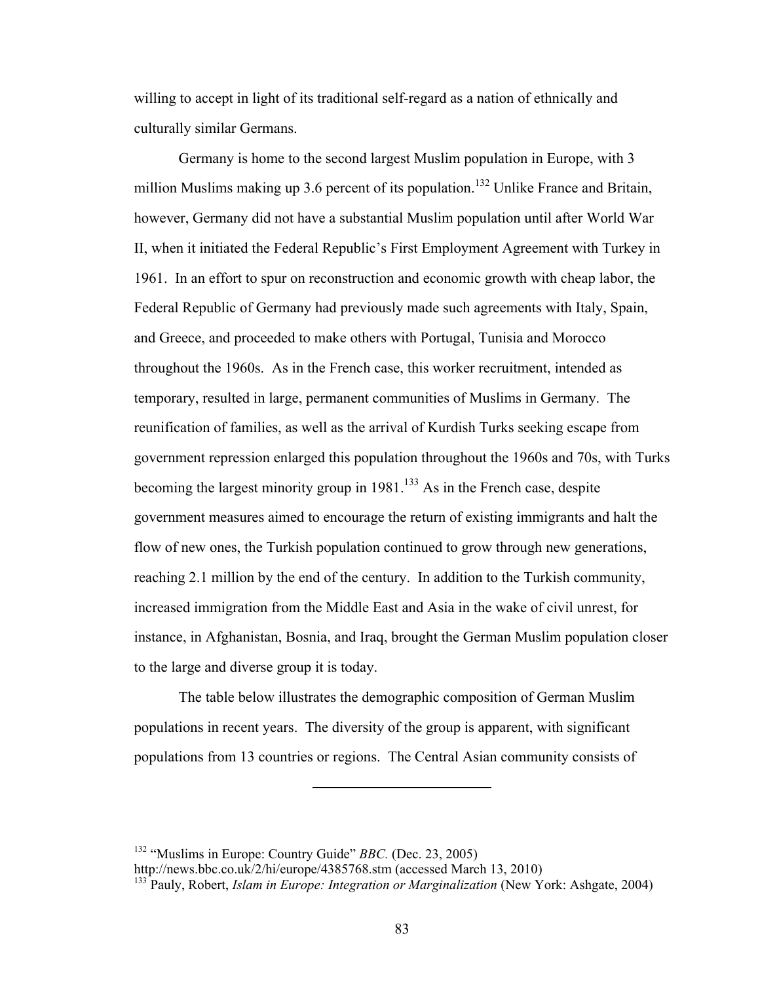willing to accept in light of its traditional self-regard as a nation of ethnically and culturally similar Germans.

Germany is home to the second largest Muslim population in Europe, with 3 million Muslims making up 3.6 percent of its population.<sup>132</sup> Unlike France and Britain, however, Germany did not have a substantial Muslim population until after World War II, when it initiated the Federal Republic's First Employment Agreement with Turkey in 1961. In an effort to spur on reconstruction and economic growth with cheap labor, the Federal Republic of Germany had previously made such agreements with Italy, Spain, and Greece, and proceeded to make others with Portugal, Tunisia and Morocco throughout the 1960s. As in the French case, this worker recruitment, intended as temporary, resulted in large, permanent communities of Muslims in Germany. The reunification of families, as well as the arrival of Kurdish Turks seeking escape from government repression enlarged this population throughout the 1960s and 70s, with Turks becoming the largest minority group in  $1981$ .<sup>133</sup> As in the French case, despite government measures aimed to encourage the return of existing immigrants and halt the flow of new ones, the Turkish population continued to grow through new generations, reaching 2.1 million by the end of the century. In addition to the Turkish community, increased immigration from the Middle East and Asia in the wake of civil unrest, for instance, in Afghanistan, Bosnia, and Iraq, brought the German Muslim population closer to the large and diverse group it is today.

The table below illustrates the demographic composition of German Muslim populations in recent years. The diversity of the group is apparent, with significant populations from 13 countries or regions. The Central Asian community consists of

<sup>132 &</sup>quot;Muslims in Europe: Country Guide" *BBC.* (Dec. 23, 2005)

http://news.bbc.co.uk/2/hi/europe/4385768.stm (accessed March 13, 2010)

<sup>&</sup>lt;sup>133</sup> Pauly, Robert, *Islam in Europe: Integration or Marginalization* (New York: Ashgate, 2004)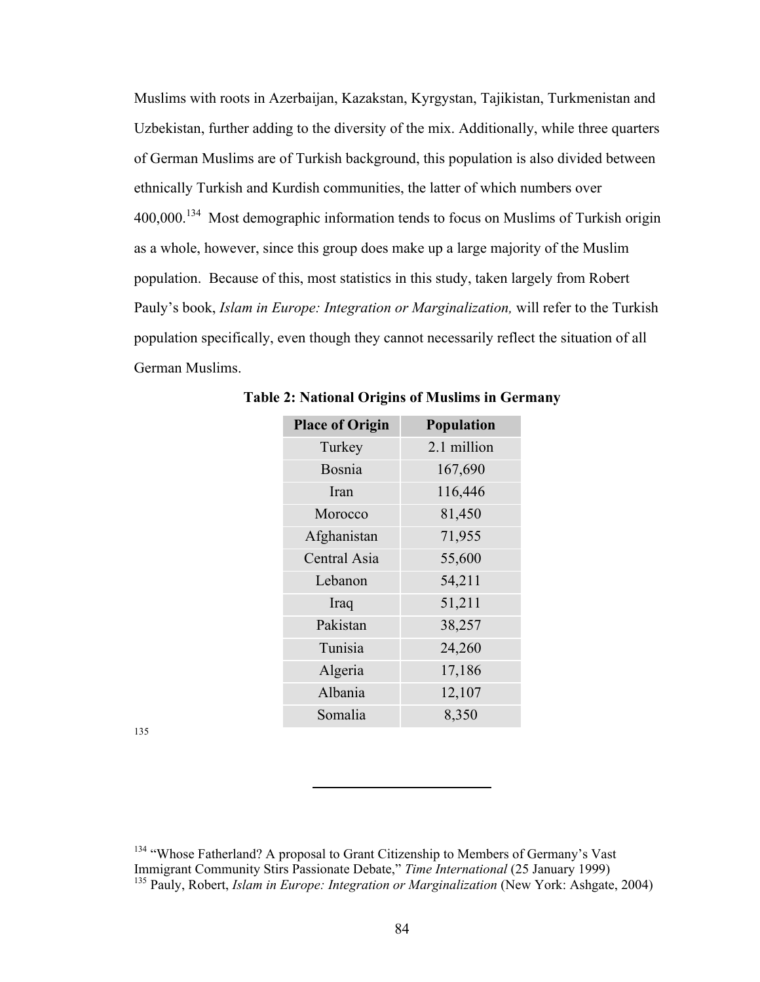Muslims with roots in Azerbaijan, Kazakstan, Kyrgystan, Tajikistan, Turkmenistan and Uzbekistan, further adding to the diversity of the mix. Additionally, while three quarters of German Muslims are of Turkish background, this population is also divided between ethnically Turkish and Kurdish communities, the latter of which numbers over 400,000.134 Most demographic information tends to focus on Muslims of Turkish origin as a whole, however, since this group does make up a large majority of the Muslim population. Because of this, most statistics in this study, taken largely from Robert Pauly's book, *Islam in Europe: Integration or Marginalization,* will refer to the Turkish population specifically, even though they cannot necessarily reflect the situation of all German Muslims.

| <b>Population</b>     |  |
|-----------------------|--|
| 2.1 million<br>Turkey |  |
| 167,690               |  |
| 116,446               |  |
| 81,450                |  |
| 71,955                |  |
| 55,600                |  |
| 54,211                |  |
| 51,211                |  |
| 38,257                |  |
| 24,260                |  |
| 17,186                |  |
| 12,107                |  |
| 8,350                 |  |
|                       |  |

**Table 2: National Origins of Muslims in Germany**

135

<sup>&</sup>lt;sup>134</sup> "Whose Fatherland? A proposal to Grant Citizenship to Members of Germany's Vast Immigrant Community Stirs Passionate Debate," *Time International* (25 January 1999) <sup>135</sup> Pauly, Robert, *Islam in Europe: Integration or Marginalization* (New York: Ashgate, 2004)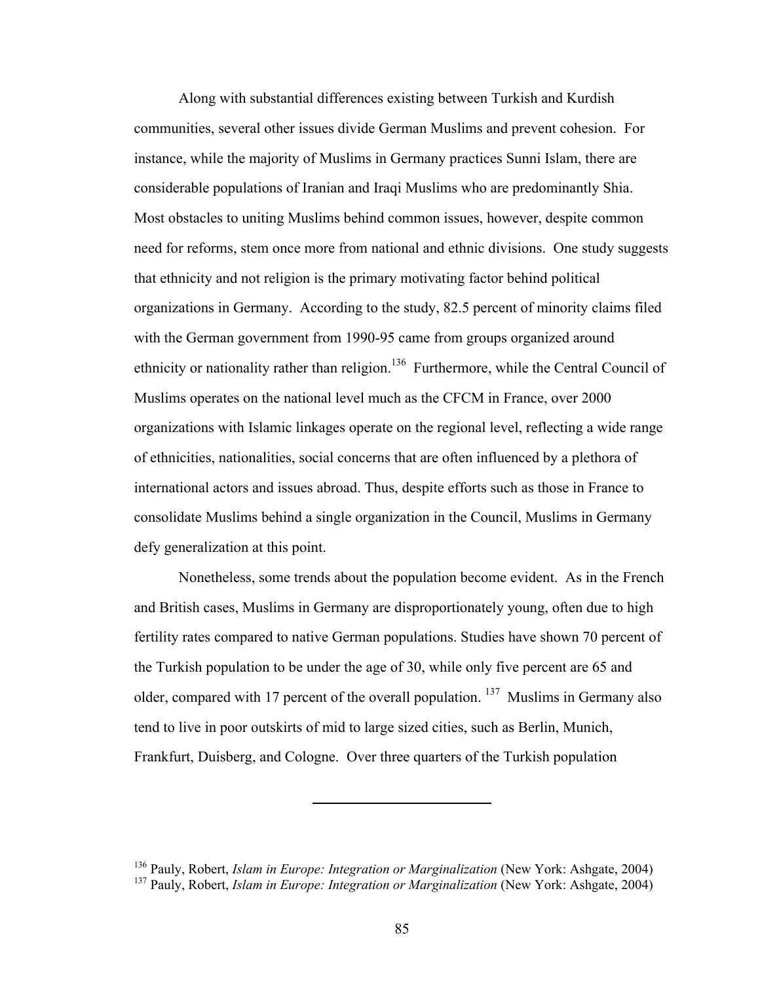Along with substantial differences existing between Turkish and Kurdish communities, several other issues divide German Muslims and prevent cohesion. For instance, while the majority of Muslims in Germany practices Sunni Islam, there are considerable populations of Iranian and Iraqi Muslims who are predominantly Shia. Most obstacles to uniting Muslims behind common issues, however, despite common need for reforms, stem once more from national and ethnic divisions. One study suggests that ethnicity and not religion is the primary motivating factor behind political organizations in Germany. According to the study, 82.5 percent of minority claims filed with the German government from 1990-95 came from groups organized around ethnicity or nationality rather than religion.<sup>136</sup> Furthermore, while the Central Council of Muslims operates on the national level much as the CFCM in France, over 2000 organizations with Islamic linkages operate on the regional level, reflecting a wide range of ethnicities, nationalities, social concerns that are often influenced by a plethora of international actors and issues abroad. Thus, despite efforts such as those in France to consolidate Muslims behind a single organization in the Council, Muslims in Germany defy generalization at this point.

Nonetheless, some trends about the population become evident. As in the French and British cases, Muslims in Germany are disproportionately young, often due to high fertility rates compared to native German populations. Studies have shown 70 percent of the Turkish population to be under the age of 30, while only five percent are 65 and older, compared with 17 percent of the overall population. <sup>137</sup> Muslims in Germany also tend to live in poor outskirts of mid to large sized cities, such as Berlin, Munich, Frankfurt, Duisberg, and Cologne. Over three quarters of the Turkish population

<sup>136</sup> Pauly, Robert, *Islam in Europe: Integration or Marginalization* (New York: Ashgate, 2004) <sup>137</sup> Pauly, Robert, *Islam in Europe: Integration or Marginalization* (New York: Ashgate, 2004)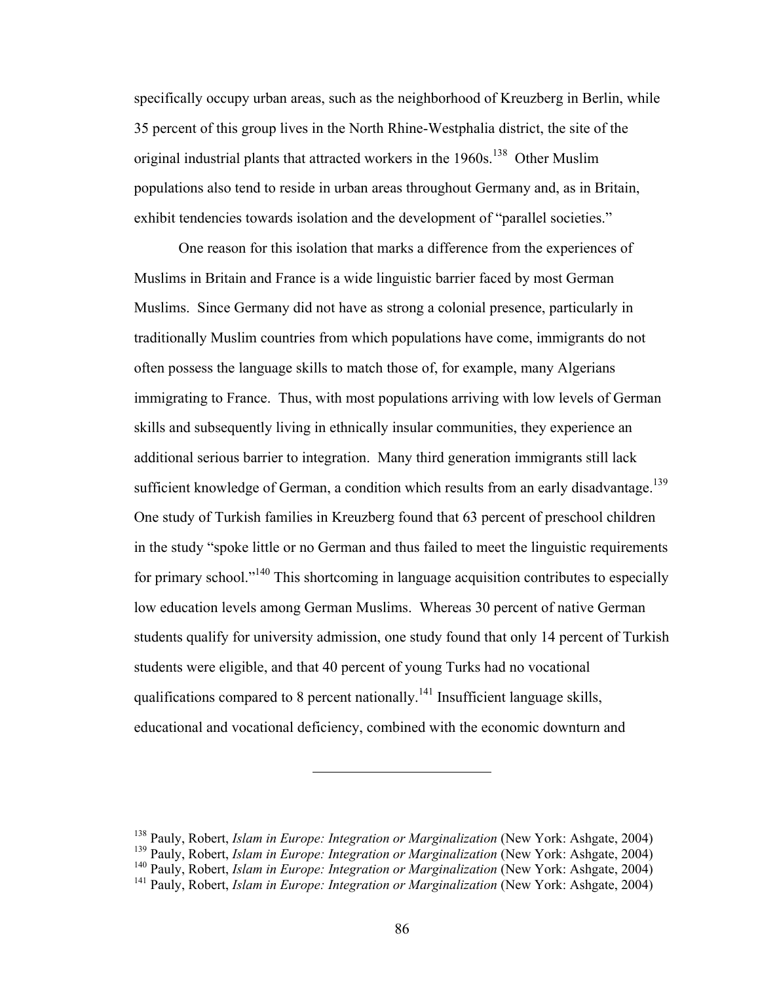specifically occupy urban areas, such as the neighborhood of Kreuzberg in Berlin, while 35 percent of this group lives in the North Rhine-Westphalia district, the site of the original industrial plants that attracted workers in the 1960s.<sup>138</sup> Other Muslim populations also tend to reside in urban areas throughout Germany and, as in Britain, exhibit tendencies towards isolation and the development of "parallel societies."

One reason for this isolation that marks a difference from the experiences of Muslims in Britain and France is a wide linguistic barrier faced by most German Muslims. Since Germany did not have as strong a colonial presence, particularly in traditionally Muslim countries from which populations have come, immigrants do not often possess the language skills to match those of, for example, many Algerians immigrating to France. Thus, with most populations arriving with low levels of German skills and subsequently living in ethnically insular communities, they experience an additional serious barrier to integration. Many third generation immigrants still lack sufficient knowledge of German, a condition which results from an early disadvantage.<sup>139</sup> One study of Turkish families in Kreuzberg found that 63 percent of preschool children in the study "spoke little or no German and thus failed to meet the linguistic requirements for primary school."140 This shortcoming in language acquisition contributes to especially low education levels among German Muslims. Whereas 30 percent of native German students qualify for university admission, one study found that only 14 percent of Turkish students were eligible, and that 40 percent of young Turks had no vocational qualifications compared to 8 percent nationally.<sup>141</sup> Insufficient language skills, educational and vocational deficiency, combined with the economic downturn and

<sup>138</sup> Pauly, Robert, *Islam in Europe: Integration or Marginalization* (New York: Ashgate, 2004)

<sup>&</sup>lt;sup>139</sup> Pauly, Robert, *Islam in Europe: Integration or Marginalization* (New York: Ashgate, 2004)

<sup>140</sup> Pauly, Robert, *Islam in Europe: Integration or Marginalization* (New York: Ashgate, 2004)

<sup>&</sup>lt;sup>141</sup> Pauly, Robert, *Islam in Europe: Integration or Marginalization* (New York: Ashgate, 2004)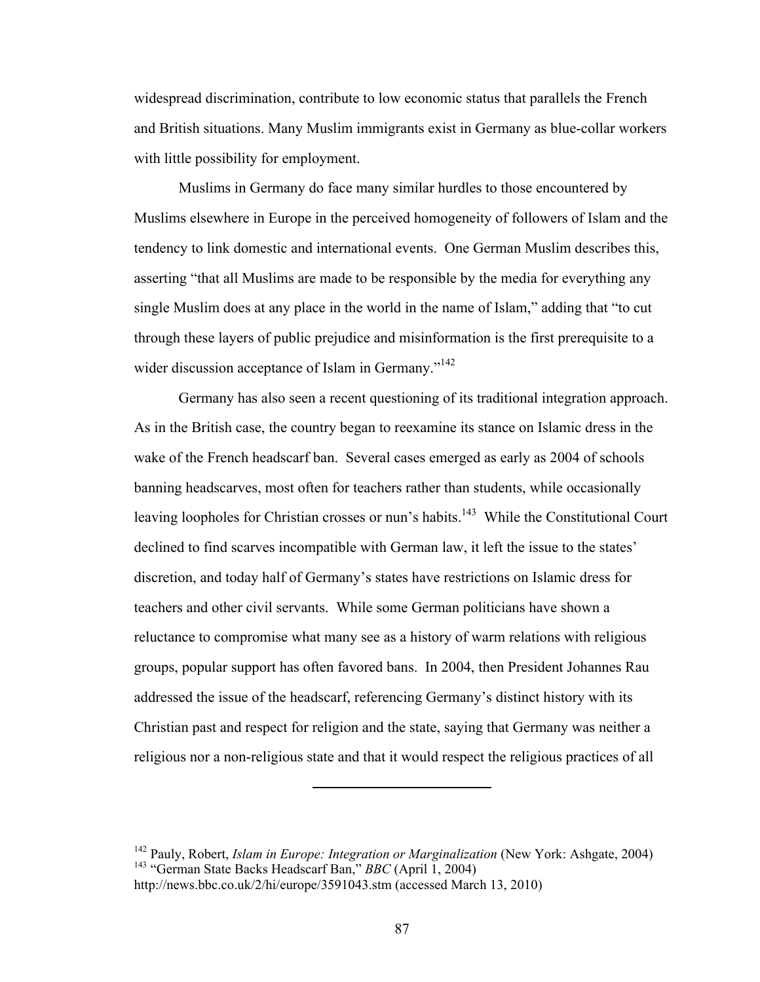widespread discrimination, contribute to low economic status that parallels the French and British situations. Many Muslim immigrants exist in Germany as blue-collar workers with little possibility for employment.

Muslims in Germany do face many similar hurdles to those encountered by Muslims elsewhere in Europe in the perceived homogeneity of followers of Islam and the tendency to link domestic and international events. One German Muslim describes this, asserting "that all Muslims are made to be responsible by the media for everything any single Muslim does at any place in the world in the name of Islam," adding that "to cut through these layers of public prejudice and misinformation is the first prerequisite to a wider discussion acceptance of Islam in Germany."<sup>142</sup>

Germany has also seen a recent questioning of its traditional integration approach. As in the British case, the country began to reexamine its stance on Islamic dress in the wake of the French headscarf ban. Several cases emerged as early as 2004 of schools banning headscarves, most often for teachers rather than students, while occasionally leaving loopholes for Christian crosses or nun's habits.<sup>143</sup> While the Constitutional Court declined to find scarves incompatible with German law, it left the issue to the states' discretion, and today half of Germany's states have restrictions on Islamic dress for teachers and other civil servants. While some German politicians have shown a reluctance to compromise what many see as a history of warm relations with religious groups, popular support has often favored bans. In 2004, then President Johannes Rau addressed the issue of the headscarf, referencing Germany's distinct history with its Christian past and respect for religion and the state, saying that Germany was neither a religious nor a non-religious state and that it would respect the religious practices of all

<sup>&</sup>lt;sup>142</sup> Pauly, Robert, *Islam in Europe: Integration or Marginalization* (New York: Ashgate, 2004) 143 "German State Backs Headscarf Ban," *BBC* (April 1, 2004) http://news.bbc.co.uk/2/hi/europe/3591043.stm (accessed March 13, 2010)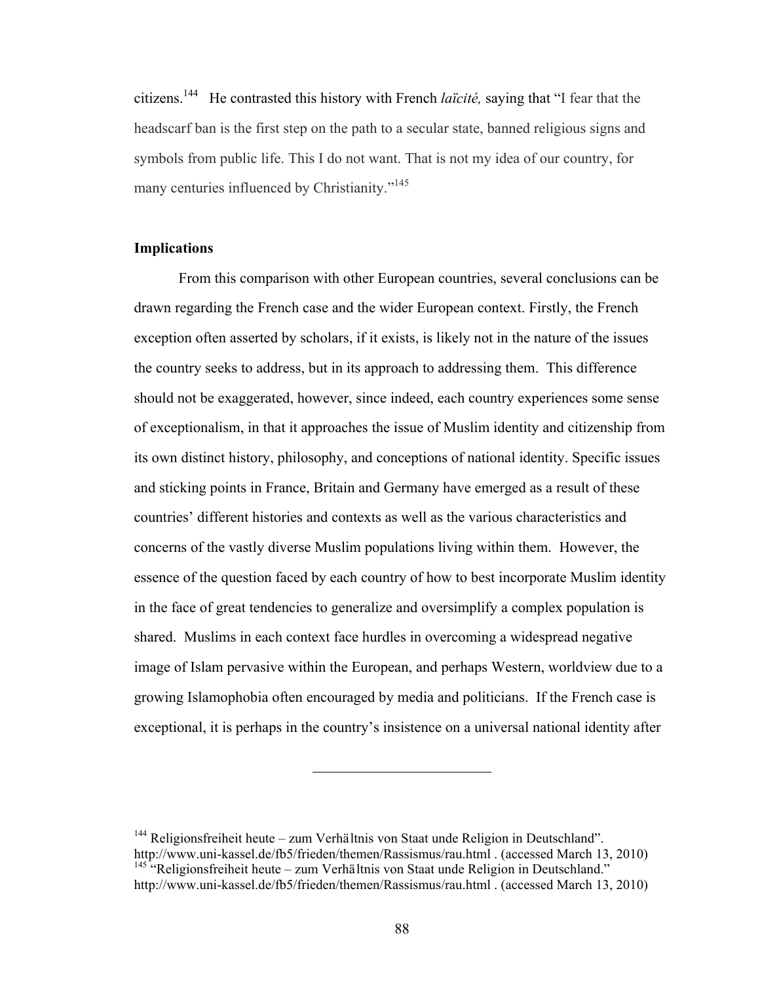citizens.144 He contrasted this history with French *laïcité,* saying that "I fear that the headscarf ban is the first step on the path to a secular state, banned religious signs and symbols from public life. This I do not want. That is not my idea of our country, for many centuries influenced by Christianity."<sup>145</sup>

#### **Implications**

From this comparison with other European countries, several conclusions can be drawn regarding the French case and the wider European context. Firstly, the French exception often asserted by scholars, if it exists, is likely not in the nature of the issues the country seeks to address, but in its approach to addressing them. This difference should not be exaggerated, however, since indeed, each country experiences some sense of exceptionalism, in that it approaches the issue of Muslim identity and citizenship from its own distinct history, philosophy, and conceptions of national identity. Specific issues and sticking points in France, Britain and Germany have emerged as a result of these countries' different histories and contexts as well as the various characteristics and concerns of the vastly diverse Muslim populations living within them. However, the essence of the question faced by each country of how to best incorporate Muslim identity in the face of great tendencies to generalize and oversimplify a complex population is shared. Muslims in each context face hurdles in overcoming a widespread negative image of Islam pervasive within the European, and perhaps Western, worldview due to a growing Islamophobia often encouraged by media and politicians. If the French case is exceptional, it is perhaps in the country's insistence on a universal national identity after

 $144$  Religionsfreiheit heute – zum Verhältnis von Staat unde Religion in Deutschland". http://www.uni-kassel.de/fb5/frieden/themen/Rassismus/rau.html . (accessed March 13, 2010)  $145$  "Religionsfreiheit heute – zum Verhältnis von Staat unde Religion in Deutschland." http://www.uni-kassel.de/fb5/frieden/themen/Rassismus/rau.html . (accessed March 13, 2010)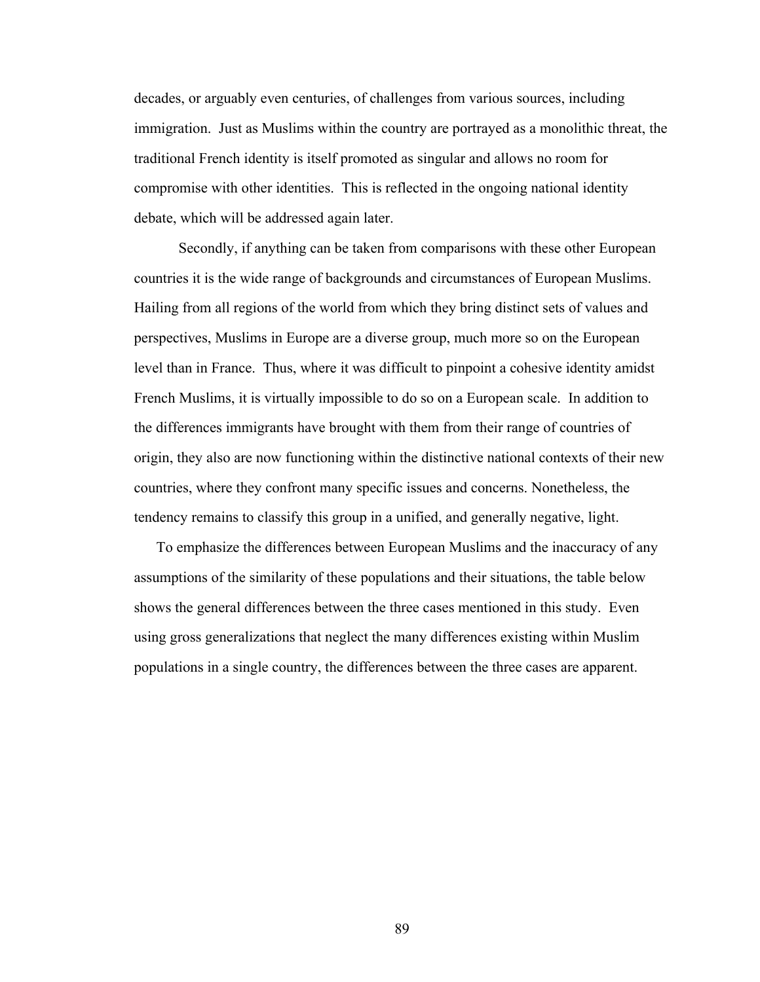decades, or arguably even centuries, of challenges from various sources, including immigration. Just as Muslims within the country are portrayed as a monolithic threat, the traditional French identity is itself promoted as singular and allows no room for compromise with other identities. This is reflected in the ongoing national identity debate, which will be addressed again later.

Secondly, if anything can be taken from comparisons with these other European countries it is the wide range of backgrounds and circumstances of European Muslims. Hailing from all regions of the world from which they bring distinct sets of values and perspectives, Muslims in Europe are a diverse group, much more so on the European level than in France. Thus, where it was difficult to pinpoint a cohesive identity amidst French Muslims, it is virtually impossible to do so on a European scale. In addition to the differences immigrants have brought with them from their range of countries of origin, they also are now functioning within the distinctive national contexts of their new countries, where they confront many specific issues and concerns. Nonetheless, the tendency remains to classify this group in a unified, and generally negative, light.

To emphasize the differences between European Muslims and the inaccuracy of any assumptions of the similarity of these populations and their situations, the table below shows the general differences between the three cases mentioned in this study. Even using gross generalizations that neglect the many differences existing within Muslim populations in a single country, the differences between the three cases are apparent.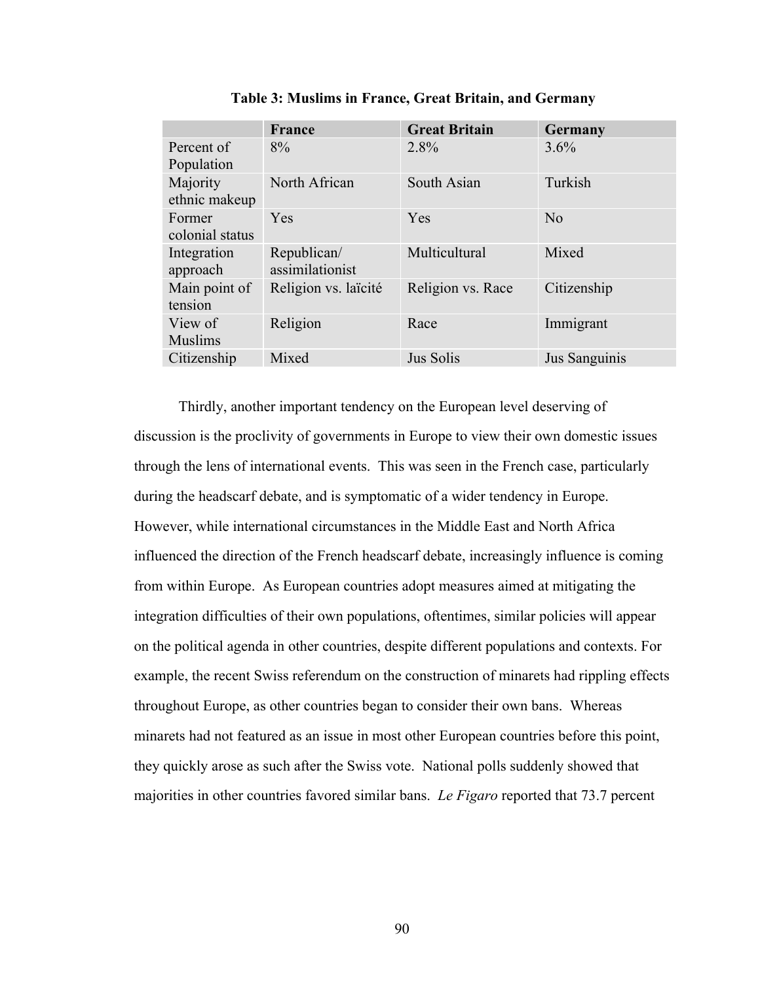|                           | France                         | <b>Great Britain</b> | Germany       |
|---------------------------|--------------------------------|----------------------|---------------|
| Percent of<br>Population  | 8%                             | 2.8%                 | 3.6%          |
| Majority<br>ethnic makeup | North African                  | South Asian          | Turkish       |
| Former<br>colonial status | <b>Yes</b>                     | Yes                  | No            |
| Integration<br>approach   | Republican/<br>assimilationist | Multicultural        | Mixed         |
| Main point of<br>tension  | Religion vs. laïcité           | Religion vs. Race    | Citizenship   |
| View of<br><b>Muslims</b> | Religion                       | Race                 | Immigrant     |
| Citizenship               | Mixed                          | Jus Solis            | Jus Sanguinis |

**Table 3: Muslims in France, Great Britain, and Germany**

Thirdly, another important tendency on the European level deserving of discussion is the proclivity of governments in Europe to view their own domestic issues through the lens of international events. This was seen in the French case, particularly during the headscarf debate, and is symptomatic of a wider tendency in Europe. However, while international circumstances in the Middle East and North Africa influenced the direction of the French headscarf debate, increasingly influence is coming from within Europe. As European countries adopt measures aimed at mitigating the integration difficulties of their own populations, oftentimes, similar policies will appear on the political agenda in other countries, despite different populations and contexts. For example, the recent Swiss referendum on the construction of minarets had rippling effects throughout Europe, as other countries began to consider their own bans. Whereas minarets had not featured as an issue in most other European countries before this point, they quickly arose as such after the Swiss vote. National polls suddenly showed that majorities in other countries favored similar bans. *Le Figaro* reported that 73.7 percent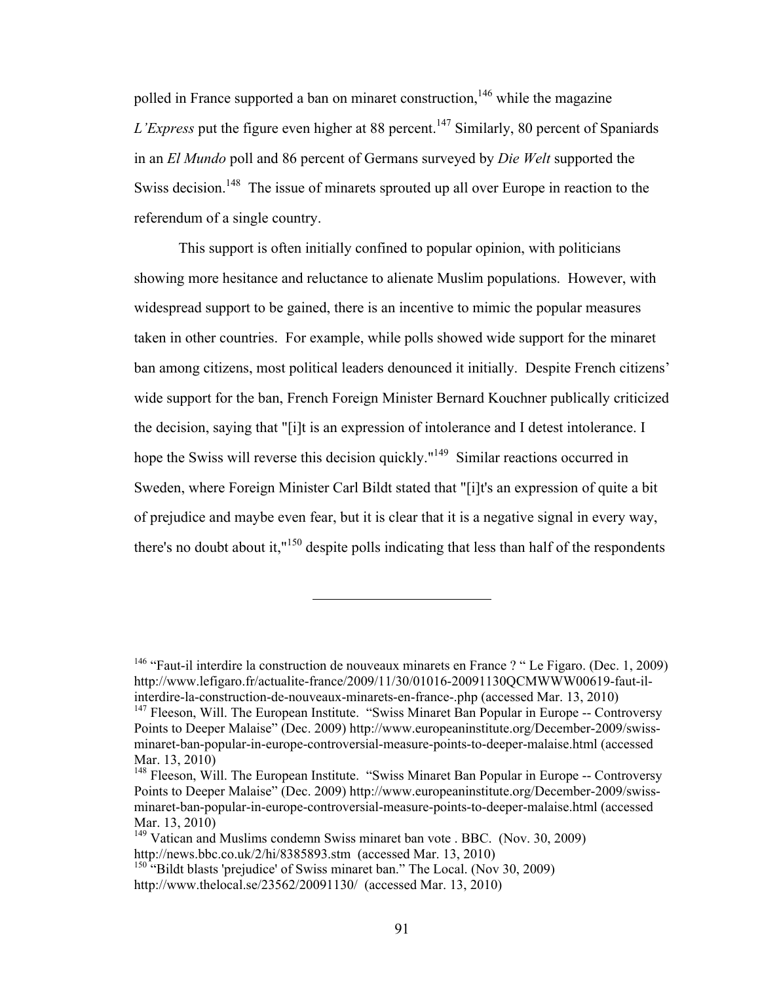polled in France supported a ban on minaret construction,  $146$  while the magazine *L'Express* put the figure even higher at 88 percent.<sup>147</sup> Similarly, 80 percent of Spaniards in an *El Mundo* poll and 86 percent of Germans surveyed by *Die Welt* supported the Swiss decision.<sup>148</sup> The issue of minarets sprouted up all over Europe in reaction to the referendum of a single country.

This support is often initially confined to popular opinion, with politicians showing more hesitance and reluctance to alienate Muslim populations. However, with widespread support to be gained, there is an incentive to mimic the popular measures taken in other countries. For example, while polls showed wide support for the minaret ban among citizens, most political leaders denounced it initially. Despite French citizens' wide support for the ban, French Foreign Minister Bernard Kouchner publically criticized the decision, saying that "[i]t is an expression of intolerance and I detest intolerance. I hope the Swiss will reverse this decision quickly."<sup>149</sup> Similar reactions occurred in Sweden, where Foreign Minister Carl Bildt stated that "[i]t's an expression of quite a bit of prejudice and maybe even fear, but it is clear that it is a negative signal in every way, there's no doubt about it,"<sup>150</sup> despite polls indicating that less than half of the respondents

<sup>&</sup>lt;sup>146</sup> "Faut-il interdire la construction de nouveaux minarets en France ? "Le Figaro. (Dec. 1, 2009) http://www.lefigaro.fr/actualite-france/2009/11/30/01016-20091130QCMWWW00619-faut-ilinterdire-la-construction-de-nouveaux-minarets-en-france-.php (accessed Mar. 13, 2010)  $147$  Fleeson, Will. The European Institute. "Swiss Minaret Ban Popular in Europe -- Controversy Points to Deeper Malaise" (Dec. 2009) http://www.europeaninstitute.org/December-2009/swissminaret-ban-popular-in-europe-controversial-measure-points-to-deeper-malaise.html (accessed Mar. 13, 2010)

<sup>&</sup>lt;sup>148</sup> Fleeson, Will. The European Institute. "Swiss Minaret Ban Popular in Europe -- Controversy Points to Deeper Malaise" (Dec. 2009) http://www.europeaninstitute.org/December-2009/swissminaret-ban-popular-in-europe-controversial-measure-points-to-deeper-malaise.html (accessed Mar. 13, 2010)

<sup>&</sup>lt;sup>149</sup> Vatican and Muslims condemn Swiss minaret ban vote . BBC. (Nov. 30, 2009) http://news.bbc.co.uk/2/hi/8385893.stm (accessed Mar. 13, 2010)

 $150$  "Bildt blasts 'prejudice' of Swiss minaret ban." The Local. (Nov 30, 2009) http://www.thelocal.se/23562/20091130/ (accessed Mar. 13, 2010)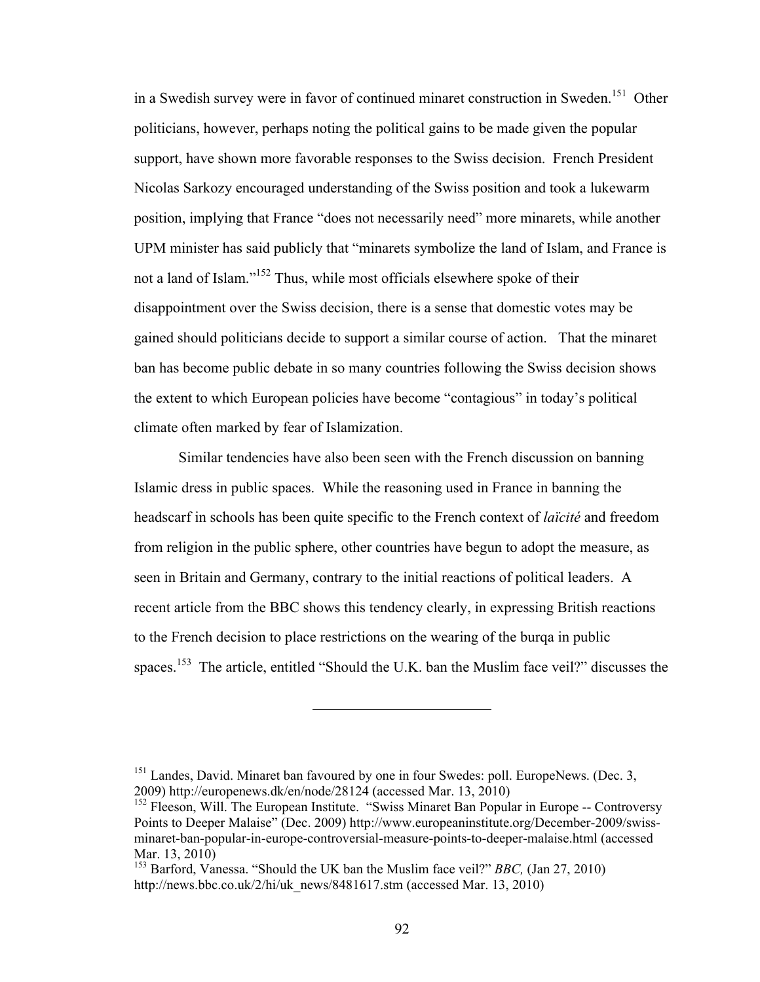in a Swedish survey were in favor of continued minaret construction in Sweden.<sup>151</sup> Other politicians, however, perhaps noting the political gains to be made given the popular support, have shown more favorable responses to the Swiss decision. French President Nicolas Sarkozy encouraged understanding of the Swiss position and took a lukewarm position, implying that France "does not necessarily need" more minarets, while another UPM minister has said publicly that "minarets symbolize the land of Islam, and France is not a land of Islam."152 Thus, while most officials elsewhere spoke of their disappointment over the Swiss decision, there is a sense that domestic votes may be gained should politicians decide to support a similar course of action. That the minaret ban has become public debate in so many countries following the Swiss decision shows the extent to which European policies have become "contagious" in today's political climate often marked by fear of Islamization.

Similar tendencies have also been seen with the French discussion on banning Islamic dress in public spaces. While the reasoning used in France in banning the headscarf in schools has been quite specific to the French context of *laïcité* and freedom from religion in the public sphere, other countries have begun to adopt the measure, as seen in Britain and Germany, contrary to the initial reactions of political leaders. A recent article from the BBC shows this tendency clearly, in expressing British reactions to the French decision to place restrictions on the wearing of the burqa in public spaces.<sup>153</sup> The article, entitled "Should the U.K. ban the Muslim face veil?" discusses the

<sup>&</sup>lt;sup>151</sup> Landes, David. Minaret ban favoured by one in four Swedes: poll. EuropeNews. (Dec. 3, 2009) http://europenews.dk/en/node/28124 (accessed Mar. 13, 2010)

<sup>&</sup>lt;sup>152</sup> Fleeson, Will. The European Institute. "Swiss Minaret Ban Popular in Europe -- Controversy Points to Deeper Malaise" (Dec. 2009) http://www.europeaninstitute.org/December-2009/swissminaret-ban-popular-in-europe-controversial-measure-points-to-deeper-malaise.html (accessed Mar. 13, 2010)

<sup>153</sup> Barford, Vanessa. "Should the UK ban the Muslim face veil?" *BBC,* (Jan 27, 2010) http://news.bbc.co.uk/2/hi/uk\_news/8481617.stm (accessed Mar. 13, 2010)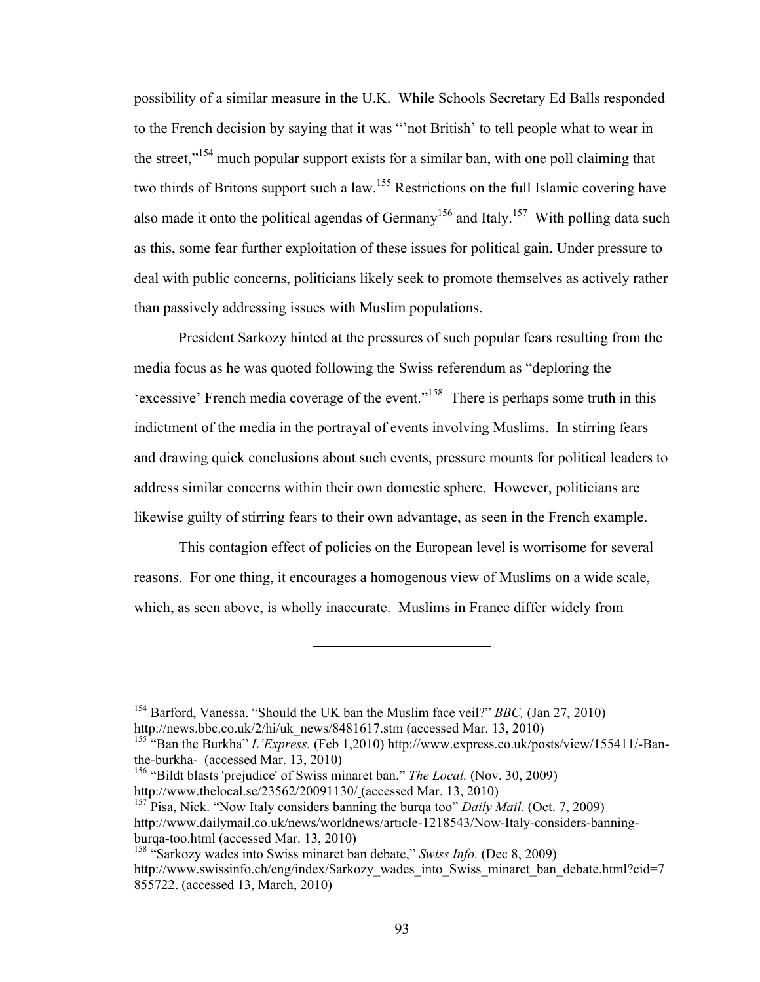possibility of a similar measure in the U.K. While Schools Secretary Ed Balls responded to the French decision by saying that it was "'not British' to tell people what to wear in the street,<sup> $154$ </sup> much popular support exists for a similar ban, with one poll claiming that two thirds of Britons support such a law.<sup>155</sup> Restrictions on the full Islamic covering have also made it onto the political agendas of Germany<sup>156</sup> and Italy.<sup>157</sup> With polling data such as this, some fear further exploitation of these issues for political gain. Under pressure to deal with public concerns, politicians likely seek to promote themselves as actively rather than passively addressing issues with Muslim populations.

President Sarkozy hinted at the pressures of such popular fears resulting from the media focus as he was quoted following the Swiss referendum as "deploring the 'excessive' French media coverage of the event."158 There is perhaps some truth in this indictment of the media in the portrayal of events involving Muslims. In stirring fears and drawing quick conclusions about such events, pressure mounts for political leaders to address similar concerns within their own domestic sphere. However, politicians are likewise guilty of stirring fears to their own advantage, as seen in the French example.

This contagion effect of policies on the European level is worrisome for several reasons. For one thing, it encourages a homogenous view of Muslims on a wide scale, which, as seen above, is wholly inaccurate. Muslims in France differ widely from

156 "Bildt blasts 'prejudice' of Swiss minaret ban." *The Local.* (Nov. 30, 2009) http://www.thelocal.se/23562/20091130/ (accessed Mar. 13, 2010)

<sup>154</sup> Barford, Vanessa. "Should the UK ban the Muslim face veil?" *BBC,* (Jan 27, 2010) http://news.bbc.co.uk/2/hi/uk\_news/8481617.stm (accessed Mar. 13, 2010)

<sup>&</sup>lt;sup>155 "</sup>Ban the Burkha" *L'Express*. (Feb 1,2010) http://www.express.co.uk/posts/view/155411/-Banthe-burkha- (accessed Mar. 13, 2010)

<sup>157</sup> Pisa, Nick. "Now Italy considers banning the burqa too" *Daily Mail.* (Oct. 7, 2009) http://www.dailymail.co.uk/news/worldnews/article-1218543/Now-Italy-considers-banningburqa-too.html (accessed Mar. 13, 2010)

<sup>158 &</sup>quot;Sarkozy wades into Swiss minaret ban debate," *Swiss Info.* (Dec 8, 2009) http://www.swissinfo.ch/eng/index/Sarkozy\_wades\_into\_Swiss\_minaret\_ban\_debate.html?cid=7 855722. (accessed 13, March, 2010)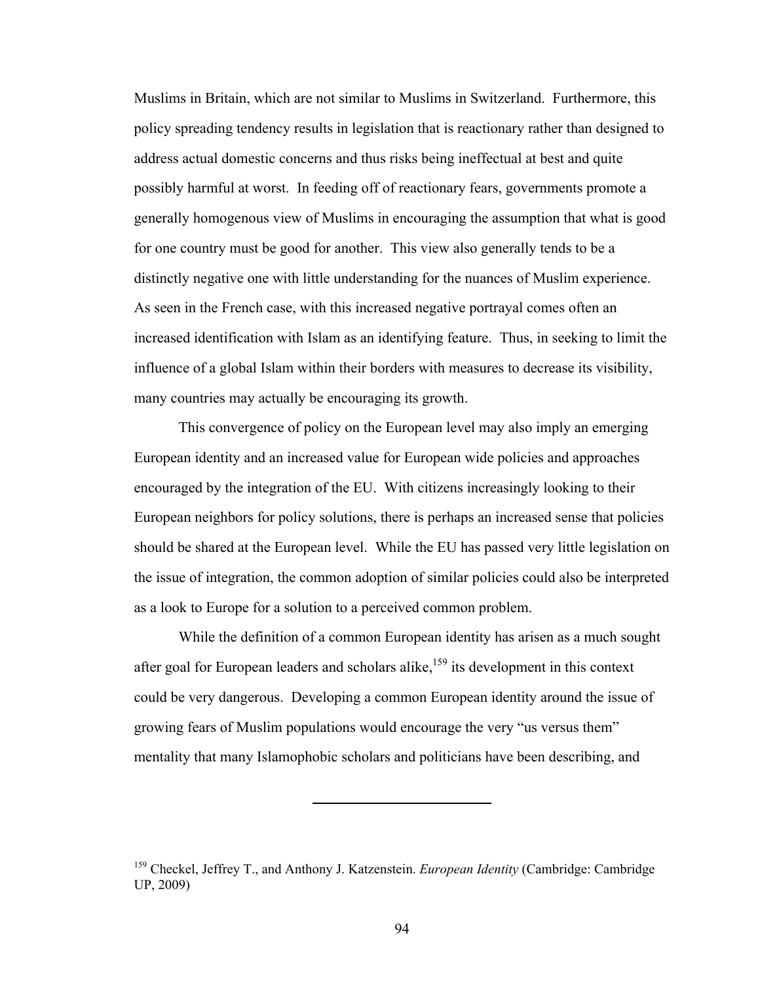Muslims in Britain, which are not similar to Muslims in Switzerland. Furthermore, this policy spreading tendency results in legislation that is reactionary rather than designed to address actual domestic concerns and thus risks being ineffectual at best and quite possibly harmful at worst. In feeding off of reactionary fears, governments promote a generally homogenous view of Muslims in encouraging the assumption that what is good for one country must be good for another. This view also generally tends to be a distinctly negative one with little understanding for the nuances of Muslim experience. As seen in the French case, with this increased negative portrayal comes often an increased identification with Islam as an identifying feature. Thus, in seeking to limit the influence of a global Islam within their borders with measures to decrease its visibility, many countries may actually be encouraging its growth.

This convergence of policy on the European level may also imply an emerging European identity and an increased value for European wide policies and approaches encouraged by the integration of the EU. With citizens increasingly looking to their European neighbors for policy solutions, there is perhaps an increased sense that policies should be shared at the European level. While the EU has passed very little legislation on the issue of integration, the common adoption of similar policies could also be interpreted as a look to Europe for a solution to a perceived common problem.

While the definition of a common European identity has arisen as a much sought after goal for European leaders and scholars alike, $159$  its development in this context could be very dangerous. Developing a common European identity around the issue of growing fears of Muslim populations would encourage the very "us versus them" mentality that many Islamophobic scholars and politicians have been describing, and

<sup>&</sup>lt;sup>159</sup> Checkel, Jeffrey T., and Anthony J. Katzenstein. *European Identity* (Cambridge: Cambridge UP, 2009)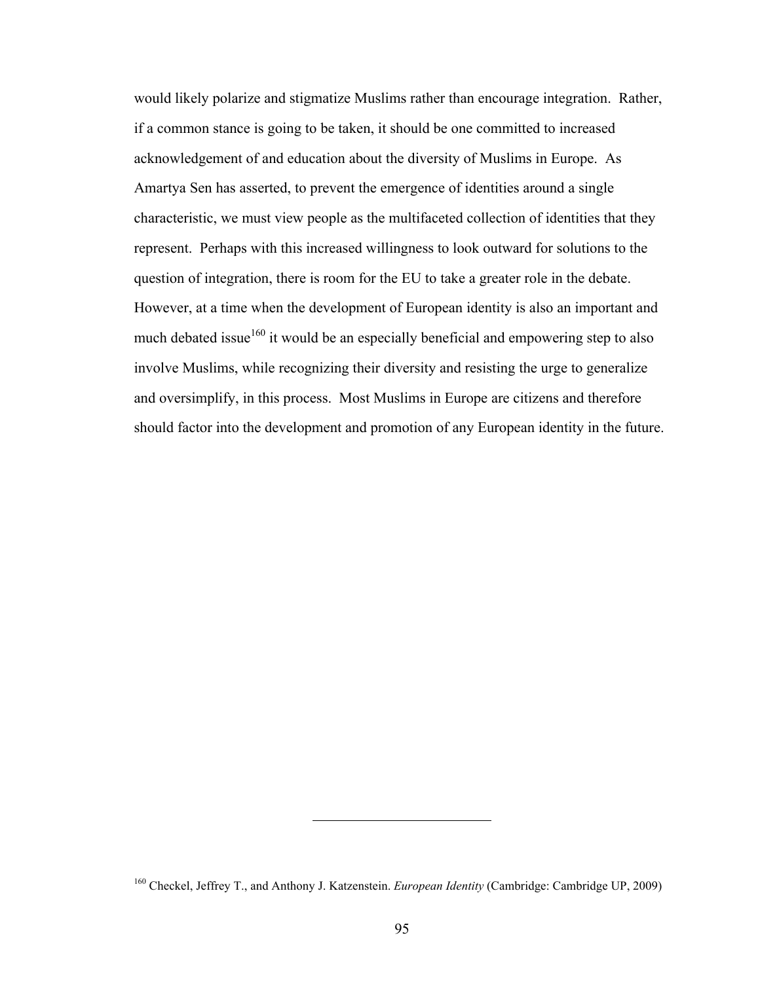would likely polarize and stigmatize Muslims rather than encourage integration. Rather, if a common stance is going to be taken, it should be one committed to increased acknowledgement of and education about the diversity of Muslims in Europe. As Amartya Sen has asserted, to prevent the emergence of identities around a single characteristic, we must view people as the multifaceted collection of identities that they represent. Perhaps with this increased willingness to look outward for solutions to the question of integration, there is room for the EU to take a greater role in the debate. However, at a time when the development of European identity is also an important and much debated issue<sup>160</sup> it would be an especially beneficial and empowering step to also involve Muslims, while recognizing their diversity and resisting the urge to generalize and oversimplify, in this process. Most Muslims in Europe are citizens and therefore should factor into the development and promotion of any European identity in the future.

<sup>160</sup> Checkel, Jeffrey T., and Anthony J. Katzenstein. *European Identity* (Cambridge: Cambridge UP, 2009)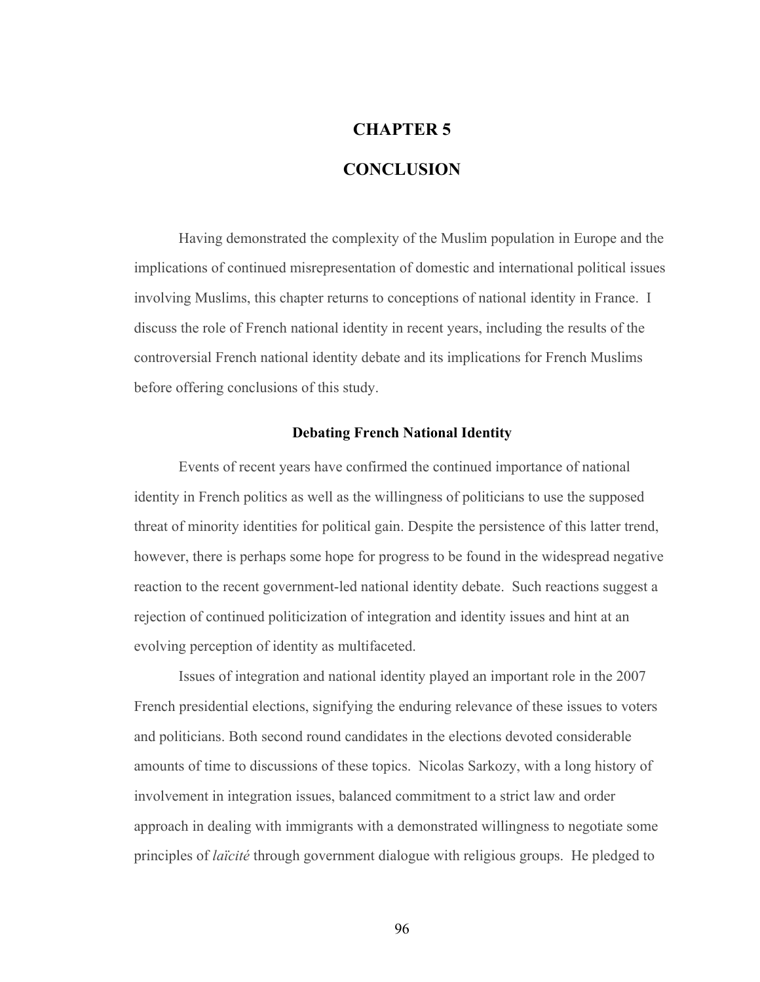# **CHAPTER 5**

# **CONCLUSION**

Having demonstrated the complexity of the Muslim population in Europe and the implications of continued misrepresentation of domestic and international political issues involving Muslims, this chapter returns to conceptions of national identity in France. I discuss the role of French national identity in recent years, including the results of the controversial French national identity debate and its implications for French Muslims before offering conclusions of this study.

#### **Debating French National Identity**

Events of recent years have confirmed the continued importance of national identity in French politics as well as the willingness of politicians to use the supposed threat of minority identities for political gain. Despite the persistence of this latter trend, however, there is perhaps some hope for progress to be found in the widespread negative reaction to the recent government-led national identity debate. Such reactions suggest a rejection of continued politicization of integration and identity issues and hint at an evolving perception of identity as multifaceted.

Issues of integration and national identity played an important role in the 2007 French presidential elections, signifying the enduring relevance of these issues to voters and politicians. Both second round candidates in the elections devoted considerable amounts of time to discussions of these topics. Nicolas Sarkozy, with a long history of involvement in integration issues, balanced commitment to a strict law and order approach in dealing with immigrants with a demonstrated willingness to negotiate some principles of *laïcité* through government dialogue with religious groups. He pledged to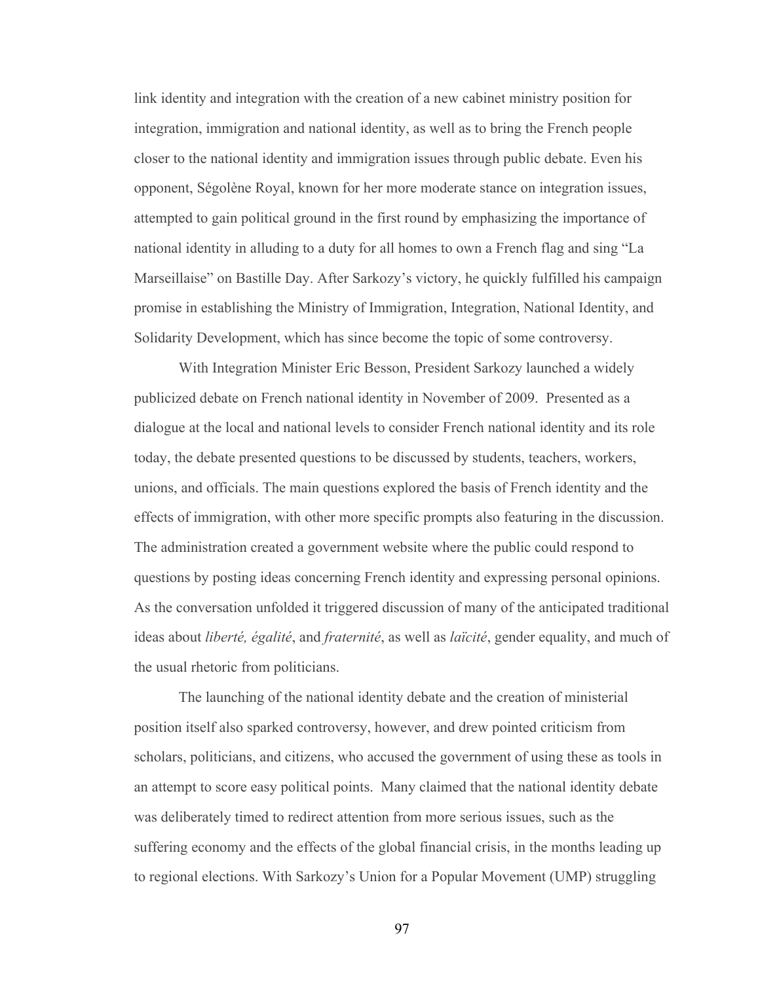link identity and integration with the creation of a new cabinet ministry position for integration, immigration and national identity, as well as to bring the French people closer to the national identity and immigration issues through public debate. Even his opponent, Ségolène Royal, known for her more moderate stance on integration issues, attempted to gain political ground in the first round by emphasizing the importance of national identity in alluding to a duty for all homes to own a French flag and sing "La Marseillaise" on Bastille Day. After Sarkozy's victory, he quickly fulfilled his campaign promise in establishing the Ministry of Immigration, Integration, National Identity, and Solidarity Development, which has since become the topic of some controversy.

With Integration Minister Eric Besson, President Sarkozy launched a widely publicized debate on French national identity in November of 2009. Presented as a dialogue at the local and national levels to consider French national identity and its role today, the debate presented questions to be discussed by students, teachers, workers, unions, and officials. The main questions explored the basis of French identity and the effects of immigration, with other more specific prompts also featuring in the discussion. The administration created a government website where the public could respond to questions by posting ideas concerning French identity and expressing personal opinions. As the conversation unfolded it triggered discussion of many of the anticipated traditional ideas about *liberté, égalité*, and *fraternité*, as well as *laïcité*, gender equality, and much of the usual rhetoric from politicians.

The launching of the national identity debate and the creation of ministerial position itself also sparked controversy, however, and drew pointed criticism from scholars, politicians, and citizens, who accused the government of using these as tools in an attempt to score easy political points. Many claimed that the national identity debate was deliberately timed to redirect attention from more serious issues, such as the suffering economy and the effects of the global financial crisis, in the months leading up to regional elections. With Sarkozy's Union for a Popular Movement (UMP) struggling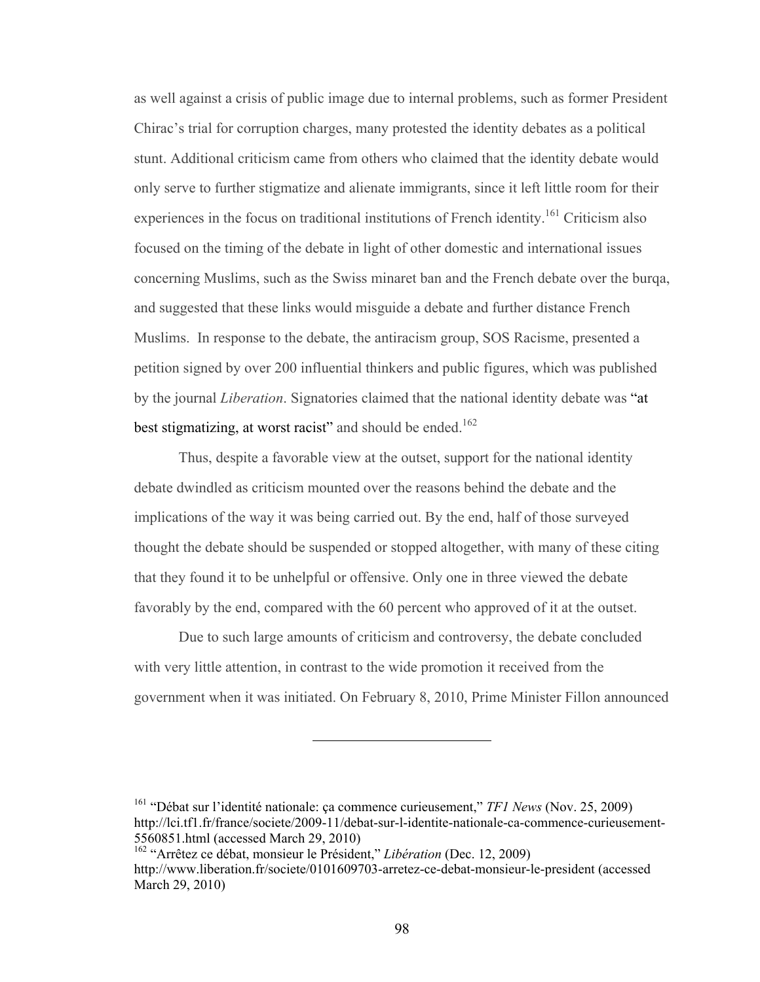as well against a crisis of public image due to internal problems, such as former President Chirac's trial for corruption charges, many protested the identity debates as a political stunt. Additional criticism came from others who claimed that the identity debate would only serve to further stigmatize and alienate immigrants, since it left little room for their experiences in the focus on traditional institutions of French identity.<sup>161</sup> Criticism also focused on the timing of the debate in light of other domestic and international issues concerning Muslims, such as the Swiss minaret ban and the French debate over the burqa, and suggested that these links would misguide a debate and further distance French Muslims. In response to the debate, the antiracism group, SOS Racisme, presented a petition signed by over 200 influential thinkers and public figures, which was published by the journal *Liberation*. Signatories claimed that the national identity debate was "at best stigmatizing, at worst racist" and should be ended.<sup>162</sup>

Thus, despite a favorable view at the outset, support for the national identity debate dwindled as criticism mounted over the reasons behind the debate and the implications of the way it was being carried out. By the end, half of those surveyed thought the debate should be suspended or stopped altogether, with many of these citing that they found it to be unhelpful or offensive. Only one in three viewed the debate favorably by the end, compared with the 60 percent who approved of it at the outset.

Due to such large amounts of criticism and controversy, the debate concluded with very little attention, in contrast to the wide promotion it received from the government when it was initiated. On February 8, 2010, Prime Minister Fillon announced

161 "Débat sur l'identité nationale: ça commence curieusement," *TF1 News* (Nov. 25, 2009) http://lci.tf1.fr/france/societe/2009-11/debat-sur-l-identite-nationale-ca-commence-curieusement-5560851.html (accessed March 29, 2010)

<sup>162 &</sup>quot;Arrêtez ce débat, monsieur le Président," *Libération* (Dec. 12, 2009) http://www.liberation.fr/societe/0101609703-arretez-ce-debat-monsieur-le-president (accessed March 29, 2010)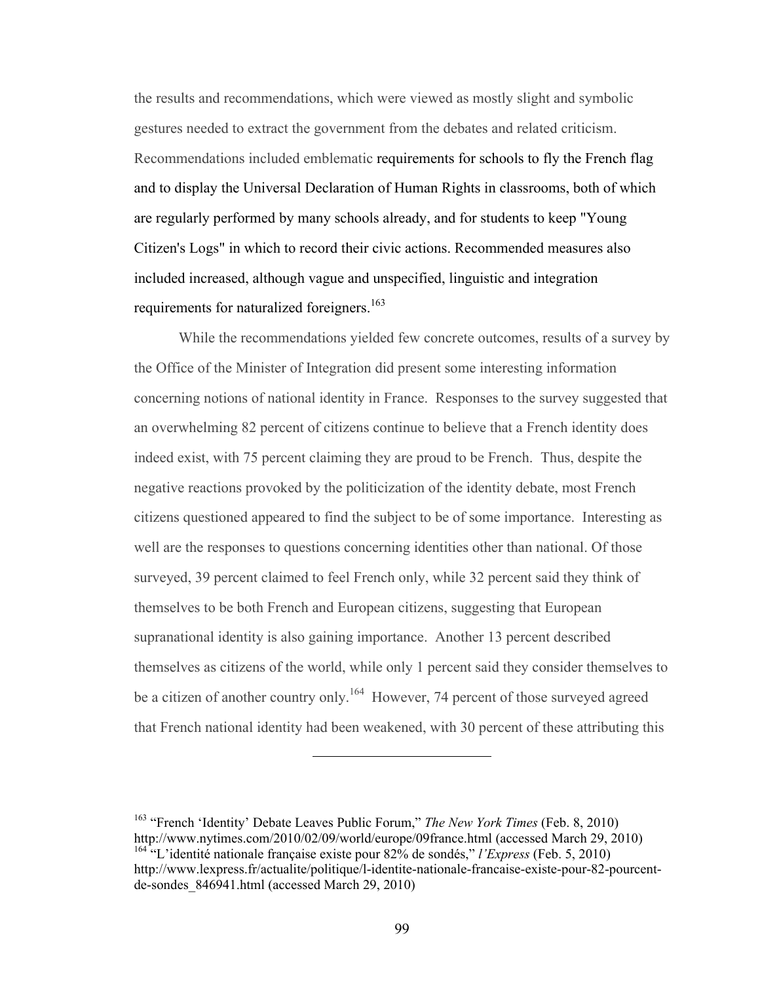the results and recommendations, which were viewed as mostly slight and symbolic gestures needed to extract the government from the debates and related criticism. Recommendations included emblematic requirements for schools to fly the French flag and to display the Universal Declaration of Human Rights in classrooms, both of which are regularly performed by many schools already, and for students to keep "Young Citizen's Logs" in which to record their civic actions. Recommended measures also included increased, although vague and unspecified, linguistic and integration requirements for naturalized foreigners.<sup>163</sup>

While the recommendations yielded few concrete outcomes, results of a survey by the Office of the Minister of Integration did present some interesting information concerning notions of national identity in France. Responses to the survey suggested that an overwhelming 82 percent of citizens continue to believe that a French identity does indeed exist, with 75 percent claiming they are proud to be French. Thus, despite the negative reactions provoked by the politicization of the identity debate, most French citizens questioned appeared to find the subject to be of some importance. Interesting as well are the responses to questions concerning identities other than national. Of those surveyed, 39 percent claimed to feel French only, while 32 percent said they think of themselves to be both French and European citizens, suggesting that European supranational identity is also gaining importance. Another 13 percent described themselves as citizens of the world, while only 1 percent said they consider themselves to be a citizen of another country only.<sup>164</sup> However, 74 percent of those surveyed agreed that French national identity had been weakened, with 30 percent of these attributing this

<sup>163 &</sup>quot;French 'Identity' Debate Leaves Public Forum," *The New York Times* (Feb. 8, 2010) http://www.nytimes.com/2010/02/09/world/europe/09france.html (accessed March 29, 2010) <sup>164 "</sup>L'identité nationale française existe pour 82% de sondés," *l'Express* (Feb. 5, 2010) http://www.lexpress.fr/actualite/politique/l-identite-nationale-francaise-existe-pour-82-pourcentde-sondes\_846941.html (accessed March 29, 2010)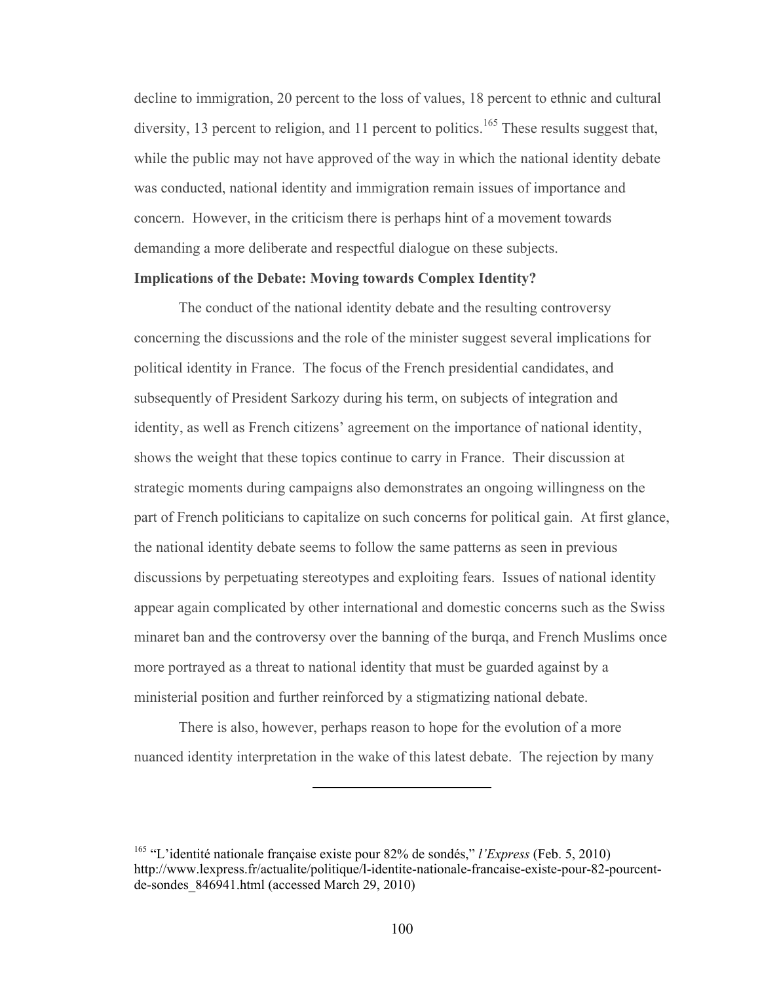decline to immigration, 20 percent to the loss of values, 18 percent to ethnic and cultural diversity, 13 percent to religion, and 11 percent to politics.<sup>165</sup> These results suggest that, while the public may not have approved of the way in which the national identity debate was conducted, national identity and immigration remain issues of importance and concern. However, in the criticism there is perhaps hint of a movement towards demanding a more deliberate and respectful dialogue on these subjects.

#### **Implications of the Debate: Moving towards Complex Identity?**

The conduct of the national identity debate and the resulting controversy concerning the discussions and the role of the minister suggest several implications for political identity in France. The focus of the French presidential candidates, and subsequently of President Sarkozy during his term, on subjects of integration and identity, as well as French citizens' agreement on the importance of national identity, shows the weight that these topics continue to carry in France. Their discussion at strategic moments during campaigns also demonstrates an ongoing willingness on the part of French politicians to capitalize on such concerns for political gain. At first glance, the national identity debate seems to follow the same patterns as seen in previous discussions by perpetuating stereotypes and exploiting fears. Issues of national identity appear again complicated by other international and domestic concerns such as the Swiss minaret ban and the controversy over the banning of the burqa, and French Muslims once more portrayed as a threat to national identity that must be guarded against by a ministerial position and further reinforced by a stigmatizing national debate.

There is also, however, perhaps reason to hope for the evolution of a more nuanced identity interpretation in the wake of this latest debate. The rejection by many

<sup>165 &</sup>quot;L'identité nationale française existe pour 82% de sondés," *l'Express* (Feb. 5, 2010) http://www.lexpress.fr/actualite/politique/l-identite-nationale-francaise-existe-pour-82-pourcentde-sondes\_846941.html (accessed March 29, 2010)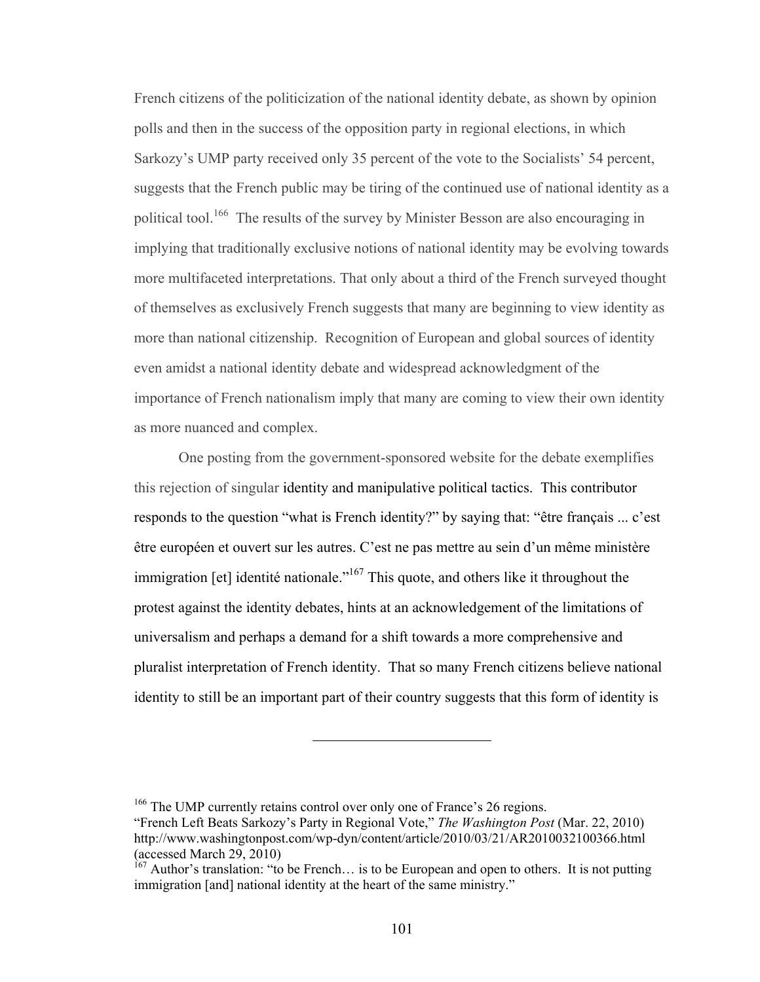French citizens of the politicization of the national identity debate, as shown by opinion polls and then in the success of the opposition party in regional elections, in which Sarkozy's UMP party received only 35 percent of the vote to the Socialists' 54 percent, suggests that the French public may be tiring of the continued use of national identity as a political tool.<sup>166</sup> The results of the survey by Minister Besson are also encouraging in implying that traditionally exclusive notions of national identity may be evolving towards more multifaceted interpretations. That only about a third of the French surveyed thought of themselves as exclusively French suggests that many are beginning to view identity as more than national citizenship. Recognition of European and global sources of identity even amidst a national identity debate and widespread acknowledgment of the importance of French nationalism imply that many are coming to view their own identity as more nuanced and complex.

One posting from the government-sponsored website for the debate exemplifies this rejection of singular identity and manipulative political tactics. This contributor responds to the question "what is French identity?" by saying that: "être français ... c'est être européen et ouvert sur les autres. C'est ne pas mettre au sein d'un même ministère immigration [et] identité nationale."<sup>167</sup> This quote, and others like it throughout the protest against the identity debates, hints at an acknowledgement of the limitations of universalism and perhaps a demand for a shift towards a more comprehensive and pluralist interpretation of French identity. That so many French citizens believe national identity to still be an important part of their country suggests that this form of identity is

<sup>&</sup>lt;sup>166</sup> The UMP currently retains control over only one of France's 26 regions.

<sup>&</sup>quot;French Left Beats Sarkozy's Party in Regional Vote," *The Washington Post* (Mar. 22, 2010) http://www.washingtonpost.com/wp-dyn/content/article/2010/03/21/AR2010032100366.html (accessed March 29, 2010)

 $167$  Author's translation: "to be French... is to be European and open to others. It is not putting immigration [and] national identity at the heart of the same ministry."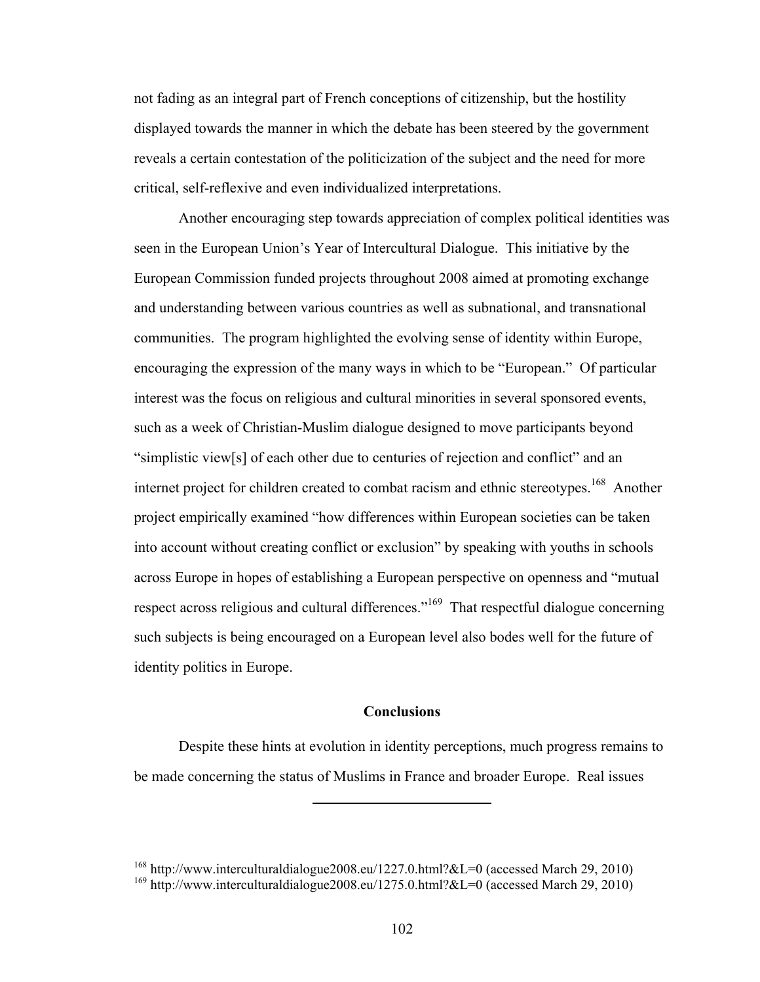not fading as an integral part of French conceptions of citizenship, but the hostility displayed towards the manner in which the debate has been steered by the government reveals a certain contestation of the politicization of the subject and the need for more critical, self-reflexive and even individualized interpretations.

Another encouraging step towards appreciation of complex political identities was seen in the European Union's Year of Intercultural Dialogue. This initiative by the European Commission funded projects throughout 2008 aimed at promoting exchange and understanding between various countries as well as subnational, and transnational communities. The program highlighted the evolving sense of identity within Europe, encouraging the expression of the many ways in which to be "European." Of particular interest was the focus on religious and cultural minorities in several sponsored events, such as a week of Christian-Muslim dialogue designed to move participants beyond "simplistic view[s] of each other due to centuries of rejection and conflict" and an internet project for children created to combat racism and ethnic stereotypes.<sup>168</sup> Another project empirically examined "how differences within European societies can be taken into account without creating conflict or exclusion" by speaking with youths in schools across Europe in hopes of establishing a European perspective on openness and "mutual respect across religious and cultural differences."<sup>169</sup> That respectful dialogue concerning such subjects is being encouraged on a European level also bodes well for the future of identity politics in Europe.

## **Conclusions**

Despite these hints at evolution in identity perceptions, much progress remains to be made concerning the status of Muslims in France and broader Europe. Real issues

<sup>&</sup>lt;sup>168</sup> http://www.interculturaldialogue2008.eu/1227.0.html?&L=0 (accessed March 29, 2010) <sup>169</sup> http://www.interculturaldialogue2008.eu/1275.0.html?&L=0 (accessed March 29, 2010)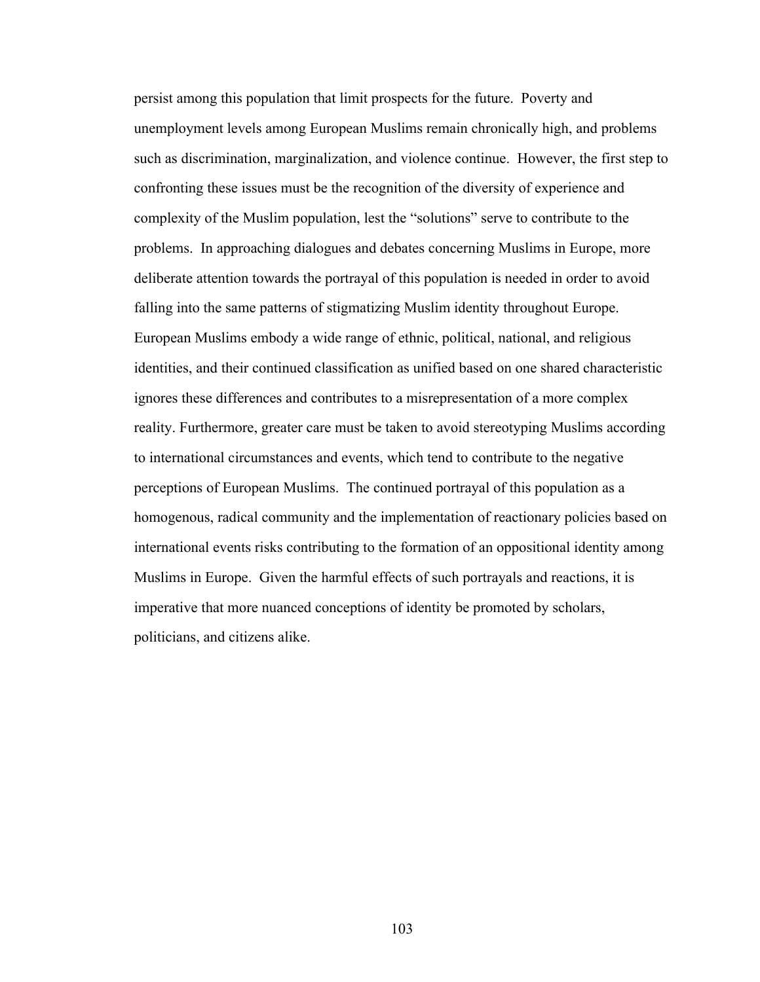persist among this population that limit prospects for the future. Poverty and unemployment levels among European Muslims remain chronically high, and problems such as discrimination, marginalization, and violence continue. However, the first step to confronting these issues must be the recognition of the diversity of experience and complexity of the Muslim population, lest the "solutions" serve to contribute to the problems. In approaching dialogues and debates concerning Muslims in Europe, more deliberate attention towards the portrayal of this population is needed in order to avoid falling into the same patterns of stigmatizing Muslim identity throughout Europe. European Muslims embody a wide range of ethnic, political, national, and religious identities, and their continued classification as unified based on one shared characteristic ignores these differences and contributes to a misrepresentation of a more complex reality. Furthermore, greater care must be taken to avoid stereotyping Muslims according to international circumstances and events, which tend to contribute to the negative perceptions of European Muslims. The continued portrayal of this population as a homogenous, radical community and the implementation of reactionary policies based on international events risks contributing to the formation of an oppositional identity among Muslims in Europe. Given the harmful effects of such portrayals and reactions, it is imperative that more nuanced conceptions of identity be promoted by scholars, politicians, and citizens alike.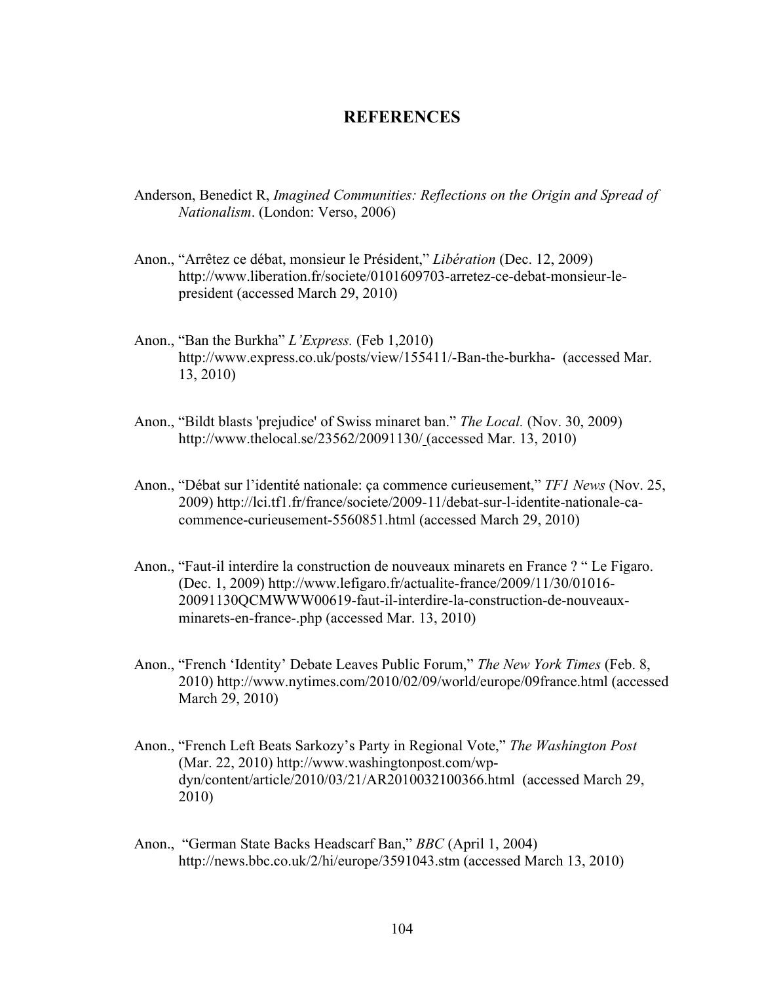## **REFERENCES**

- Anderson, Benedict R, *Imagined Communities: Reflections on the Origin and Spread of Nationalism*. (London: Verso, 2006)
- Anon., "Arrêtez ce débat, monsieur le Président," *Libération* (Dec. 12, 2009) http://www.liberation.fr/societe/0101609703-arretez-ce-debat-monsieur-lepresident (accessed March 29, 2010)
- Anon., "Ban the Burkha" *L'Express.* (Feb 1,2010) http://www.express.co.uk/posts/view/155411/-Ban-the-burkha- (accessed Mar. 13, 2010)
- Anon., "Bildt blasts 'prejudice' of Swiss minaret ban." *The Local.* (Nov. 30, 2009) http://www.thelocal.se/23562/20091130/ (accessed Mar. 13, 2010)
- Anon., "Débat sur l'identité nationale: ça commence curieusement," *TF1 News* (Nov. 25, 2009) http://lci.tf1.fr/france/societe/2009-11/debat-sur-l-identite-nationale-cacommence-curieusement-5560851.html (accessed March 29, 2010)
- Anon., "Faut-il interdire la construction de nouveaux minarets en France ? " Le Figaro. (Dec. 1, 2009) http://www.lefigaro.fr/actualite-france/2009/11/30/01016- 20091130QCMWWW00619-faut-il-interdire-la-construction-de-nouveauxminarets-en-france-.php (accessed Mar. 13, 2010)
- Anon., "French 'Identity' Debate Leaves Public Forum," *The New York Times* (Feb. 8, 2010) http://www.nytimes.com/2010/02/09/world/europe/09france.html (accessed March 29, 2010)
- Anon., "French Left Beats Sarkozy's Party in Regional Vote," *The Washington Post* (Mar. 22, 2010) http://www.washingtonpost.com/wpdyn/content/article/2010/03/21/AR2010032100366.html (accessed March 29, 2010)
- Anon., "German State Backs Headscarf Ban," *BBC* (April 1, 2004) http://news.bbc.co.uk/2/hi/europe/3591043.stm (accessed March 13, 2010)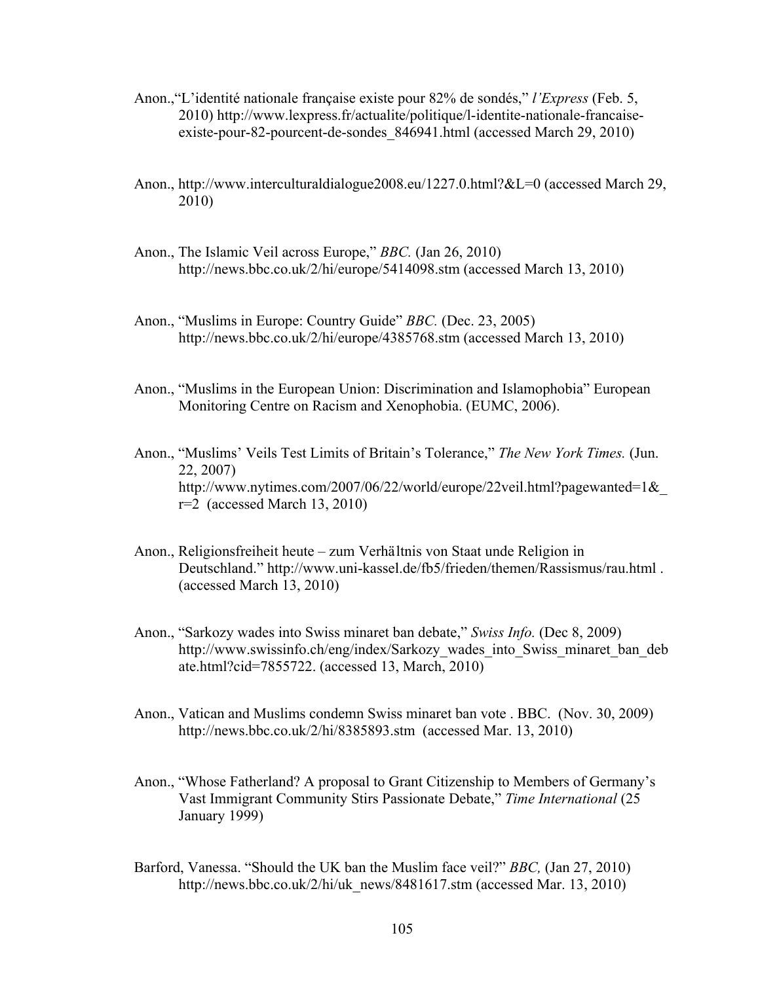- Anon.,"L'identité nationale française existe pour 82% de sondés," *l'Express* (Feb. 5, 2010) http://www.lexpress.fr/actualite/politique/l-identite-nationale-francaiseexiste-pour-82-pourcent-de-sondes\_846941.html (accessed March 29, 2010)
- Anon., http://www.interculturaldialogue2008.eu/1227.0.html?&L=0 (accessed March 29, 2010)
- Anon., The Islamic Veil across Europe," *BBC.* (Jan 26, 2010) http://news.bbc.co.uk/2/hi/europe/5414098.stm (accessed March 13, 2010)
- Anon., "Muslims in Europe: Country Guide" *BBC.* (Dec. 23, 2005) http://news.bbc.co.uk/2/hi/europe/4385768.stm (accessed March 13, 2010)
- Anon., "Muslims in the European Union: Discrimination and Islamophobia" European Monitoring Centre on Racism and Xenophobia. (EUMC, 2006).
- Anon., "Muslims' Veils Test Limits of Britain's Tolerance," *The New York Times.* (Jun. 22, 2007) http://www.nytimes.com/2007/06/22/world/europe/22veil.html?pagewanted=1&\_  $r=2$  (accessed March 13, 2010)
- Anon., Religionsfreiheit heute zum Verhältnis von Staat unde Religion in Deutschland." http://www.uni-kassel.de/fb5/frieden/themen/Rassismus/rau.html . (accessed March 13, 2010)
- Anon., "Sarkozy wades into Swiss minaret ban debate," *Swiss Info.* (Dec 8, 2009) http://www.swissinfo.ch/eng/index/Sarkozy\_wades\_into\_Swiss\_minaret\_ban\_deb ate.html?cid=7855722. (accessed 13, March, 2010)
- Anon., Vatican and Muslims condemn Swiss minaret ban vote . BBC. (Nov. 30, 2009) http://news.bbc.co.uk/2/hi/8385893.stm (accessed Mar. 13, 2010)
- Anon., "Whose Fatherland? A proposal to Grant Citizenship to Members of Germany's Vast Immigrant Community Stirs Passionate Debate," *Time International* (25 January 1999)
- Barford, Vanessa. "Should the UK ban the Muslim face veil?" *BBC,* (Jan 27, 2010) http://news.bbc.co.uk/2/hi/uk\_news/8481617.stm (accessed Mar. 13, 2010)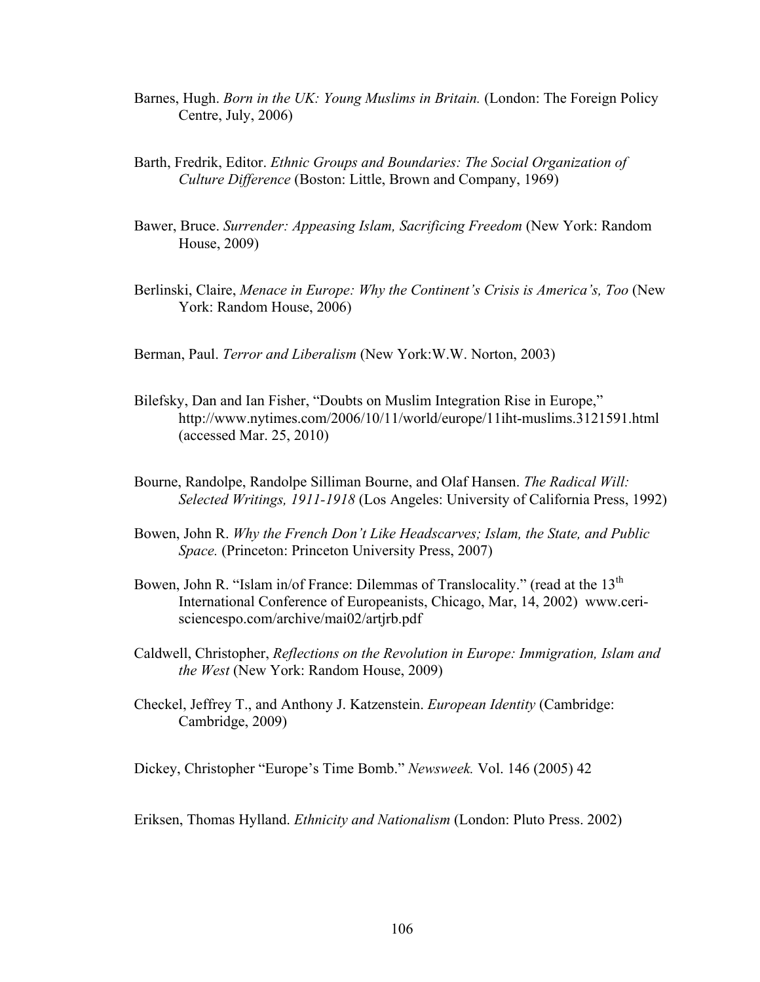- Barnes, Hugh. *Born in the UK: Young Muslims in Britain.* (London: The Foreign Policy Centre, July, 2006)
- Barth, Fredrik, Editor. *Ethnic Groups and Boundaries: The Social Organization of Culture Difference* (Boston: Little, Brown and Company, 1969)
- Bawer, Bruce. *Surrender: Appeasing Islam, Sacrificing Freedom* (New York: Random House, 2009)
- Berlinski, Claire, *Menace in Europe: Why the Continent's Crisis is America's, Too* (New York: Random House, 2006)
- Berman, Paul. *Terror and Liberalism* (New York:W.W. Norton, 2003)
- Bilefsky, Dan and Ian Fisher, "Doubts on Muslim Integration Rise in Europe," http://www.nytimes.com/2006/10/11/world/europe/11iht-muslims.3121591.html (accessed Mar. 25, 2010)
- Bourne, Randolpe, Randolpe Silliman Bourne, and Olaf Hansen. *The Radical Will: Selected Writings, 1911-1918* (Los Angeles: University of California Press, 1992)
- Bowen, John R. *Why the French Don't Like Headscarves; Islam, the State, and Public Space.* (Princeton: Princeton University Press, 2007)
- Bowen, John R. "Islam in/of France: Dilemmas of Translocality." (read at the  $13<sup>th</sup>$ International Conference of Europeanists, Chicago, Mar, 14, 2002) www.cerisciencespo.com/archive/mai02/artjrb.pdf
- Caldwell, Christopher, *Reflections on the Revolution in Europe: Immigration, Islam and the West* (New York: Random House, 2009)
- Checkel, Jeffrey T., and Anthony J. Katzenstein. *European Identity* (Cambridge: Cambridge, 2009)

Dickey, Christopher "Europe's Time Bomb." *Newsweek.* Vol. 146 (2005) 42

Eriksen, Thomas Hylland. *Ethnicity and Nationalism* (London: Pluto Press. 2002)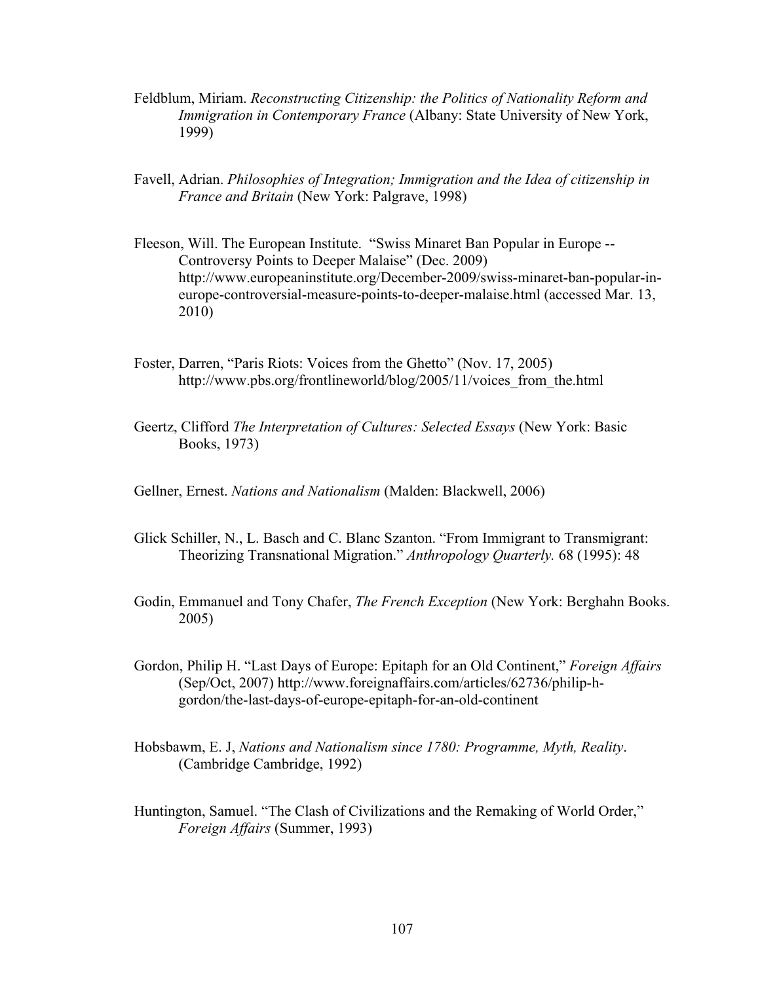- Feldblum, Miriam. *Reconstructing Citizenship: the Politics of Nationality Reform and Immigration in Contemporary France* (Albany: State University of New York, 1999)
- Favell, Adrian. *Philosophies of Integration; Immigration and the Idea of citizenship in France and Britain* (New York: Palgrave, 1998)
- Fleeson, Will. The European Institute. "Swiss Minaret Ban Popular in Europe -- Controversy Points to Deeper Malaise" (Dec. 2009) http://www.europeaninstitute.org/December-2009/swiss-minaret-ban-popular-ineurope-controversial-measure-points-to-deeper-malaise.html (accessed Mar. 13, 2010)
- Foster, Darren, "Paris Riots: Voices from the Ghetto" (Nov. 17, 2005) http://www.pbs.org/frontlineworld/blog/2005/11/voices\_from\_the.html
- Geertz, Clifford *The Interpretation of Cultures: Selected Essays* (New York: Basic Books, 1973)
- Gellner, Ernest. *Nations and Nationalism* (Malden: Blackwell, 2006)
- Glick Schiller, N., L. Basch and C. Blanc Szanton. "From Immigrant to Transmigrant: Theorizing Transnational Migration." *Anthropology Quarterly.* 68 (1995): 48
- Godin, Emmanuel and Tony Chafer, *The French Exception* (New York: Berghahn Books. 2005)
- Gordon, Philip H. "Last Days of Europe: Epitaph for an Old Continent," *Foreign Affairs*  (Sep/Oct, 2007) http://www.foreignaffairs.com/articles/62736/philip-hgordon/the-last-days-of-europe-epitaph-for-an-old-continent
- Hobsbawm, E. J, *Nations and Nationalism since 1780: Programme, Myth, Reality*. (Cambridge Cambridge, 1992)
- Huntington, Samuel. "The Clash of Civilizations and the Remaking of World Order," *Foreign Affairs* (Summer, 1993)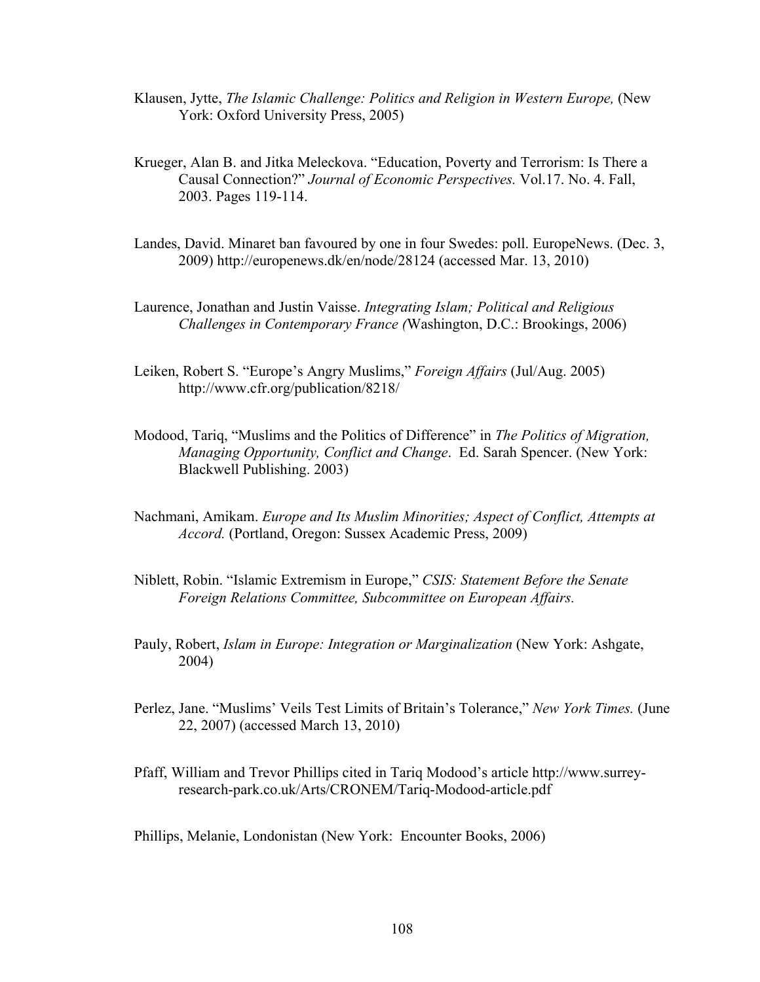- Klausen, Jytte, *The Islamic Challenge: Politics and Religion in Western Europe,* (New York: Oxford University Press, 2005)
- Krueger, Alan B. and Jitka Meleckova. "Education, Poverty and Terrorism: Is There a Causal Connection?" *Journal of Economic Perspectives.* Vol.17. No. 4. Fall, 2003. Pages 119-114.
- Landes, David. Minaret ban favoured by one in four Swedes: poll. EuropeNews. (Dec. 3, 2009) http://europenews.dk/en/node/28124 (accessed Mar. 13, 2010)
- Laurence, Jonathan and Justin Vaisse. *Integrating Islam; Political and Religious Challenges in Contemporary France (*Washington, D.C.: Brookings, 2006)
- Leiken, Robert S. "Europe's Angry Muslims," *Foreign Affairs* (Jul/Aug. 2005) http://www.cfr.org/publication/8218/
- Modood, Tariq, "Muslims and the Politics of Difference" in *The Politics of Migration, Managing Opportunity, Conflict and Change*. Ed. Sarah Spencer. (New York: Blackwell Publishing. 2003)
- Nachmani, Amikam. *Europe and Its Muslim Minorities; Aspect of Conflict, Attempts at Accord.* (Portland, Oregon: Sussex Academic Press, 2009)
- Niblett, Robin. "Islamic Extremism in Europe," *CSIS: Statement Before the Senate Foreign Relations Committee, Subcommittee on European Affairs.*
- Pauly, Robert, *Islam in Europe: Integration or Marginalization* (New York: Ashgate, 2004)
- Perlez, Jane. "Muslims' Veils Test Limits of Britain's Tolerance," *New York Times.* (June 22, 2007) (accessed March 13, 2010)
- Pfaff, William and Trevor Phillips cited in Tariq Modood's article http://www.surreyresearch-park.co.uk/Arts/CRONEM/Tariq-Modood-article.pdf

Phillips, Melanie, Londonistan (New York: Encounter Books, 2006)